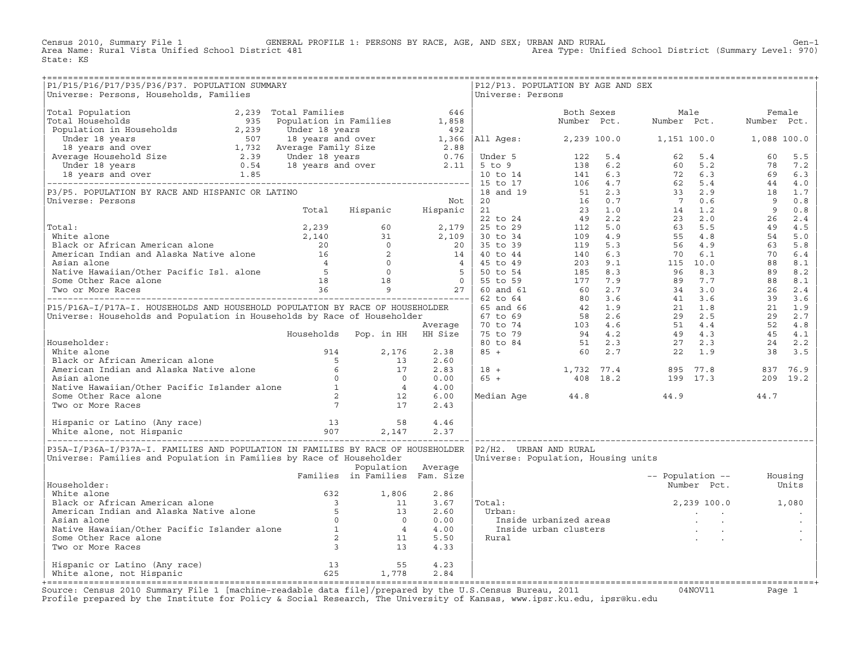Census 2010, Summary File 1 GENERAL PROFILE 1: PERSONS BY RACE, AGE, AND SEX; URBAN AND RURAL Genosi Cen-1<br>Area Name: Rural Vista Unified School District 481 Area Type: Unified School District (Summary Level: 970) Area Type: Unified School District (Summary Level: 970) State: KS

| P1/P15/P16/P17/P35/P36/P37. POPULATION SUMMARY<br>Universe: Persons, Households, Families<br>Universe: Persons                                                                                                                                               | P12/P13. POPULATION BY AGE AND SEX                                                                                                                                                                  |                          |      |
|--------------------------------------------------------------------------------------------------------------------------------------------------------------------------------------------------------------------------------------------------------------|-----------------------------------------------------------------------------------------------------------------------------------------------------------------------------------------------------|--------------------------|------|
| Universe: Percence Parameters and the same of the same of the same of the same of the same of the same of the same of the same of the same of the same of the same of the same of the same of the same of the same of the sam                                |                                                                                                                                                                                                     |                          |      |
|                                                                                                                                                                                                                                                              |                                                                                                                                                                                                     |                          |      |
|                                                                                                                                                                                                                                                              |                                                                                                                                                                                                     |                          |      |
|                                                                                                                                                                                                                                                              |                                                                                                                                                                                                     |                          |      |
|                                                                                                                                                                                                                                                              |                                                                                                                                                                                                     |                          |      |
|                                                                                                                                                                                                                                                              |                                                                                                                                                                                                     |                          |      |
|                                                                                                                                                                                                                                                              |                                                                                                                                                                                                     |                          |      |
|                                                                                                                                                                                                                                                              |                                                                                                                                                                                                     |                          |      |
|                                                                                                                                                                                                                                                              |                                                                                                                                                                                                     |                          |      |
|                                                                                                                                                                                                                                                              |                                                                                                                                                                                                     |                          |      |
|                                                                                                                                                                                                                                                              |                                                                                                                                                                                                     |                          |      |
|                                                                                                                                                                                                                                                              |                                                                                                                                                                                                     |                          |      |
|                                                                                                                                                                                                                                                              |                                                                                                                                                                                                     |                          |      |
|                                                                                                                                                                                                                                                              |                                                                                                                                                                                                     |                          |      |
|                                                                                                                                                                                                                                                              |                                                                                                                                                                                                     |                          |      |
|                                                                                                                                                                                                                                                              |                                                                                                                                                                                                     |                          |      |
|                                                                                                                                                                                                                                                              |                                                                                                                                                                                                     |                          |      |
|                                                                                                                                                                                                                                                              |                                                                                                                                                                                                     |                          |      |
|                                                                                                                                                                                                                                                              |                                                                                                                                                                                                     |                          |      |
|                                                                                                                                                                                                                                                              |                                                                                                                                                                                                     |                          |      |
|                                                                                                                                                                                                                                                              |                                                                                                                                                                                                     |                          |      |
|                                                                                                                                                                                                                                                              |                                                                                                                                                                                                     |                          |      |
|                                                                                                                                                                                                                                                              |                                                                                                                                                                                                     |                          |      |
|                                                                                                                                                                                                                                                              |                                                                                                                                                                                                     |                          |      |
|                                                                                                                                                                                                                                                              |                                                                                                                                                                                                     |                          |      |
|                                                                                                                                                                                                                                                              |                                                                                                                                                                                                     |                          |      |
|                                                                                                                                                                                                                                                              |                                                                                                                                                                                                     |                          |      |
|                                                                                                                                                                                                                                                              |                                                                                                                                                                                                     |                          |      |
|                                                                                                                                                                                                                                                              |                                                                                                                                                                                                     |                          |      |
|                                                                                                                                                                                                                                                              |                                                                                                                                                                                                     |                          |      |
| 2.60                                                                                                                                                                                                                                                         |                                                                                                                                                                                                     |                          |      |
| 2.83                                                                                                                                                                                                                                                         |                                                                                                                                                                                                     |                          |      |
| 0.00                                                                                                                                                                                                                                                         | $\begin{array}{ rrrrrrrrrrrrrrrrrrrrrrrrrrrrrrrrrrrrrrrrrrrrrrrrrrrr} & 18 & + & & 1,732 & 77.4 & & 895 & 77.8 & & 837 & 76.9 \\ 65 & + & & & 408 & 18.2 & & 199 & 17.3 & & 209 & 19.2 \end{array}$ |                          |      |
| 4.00                                                                                                                                                                                                                                                         |                                                                                                                                                                                                     |                          |      |
| 6.00                                                                                                                                                                                                                                                         | Median Age 44.8                                                                                                                                                                                     | 44.9                     | 44.7 |
| Householder:<br>White alone<br>Black or African American alone<br>American Indian and Alaska Native alone<br>Asian alone<br>Native Hawaiian/Other Pacific Islander alone<br>Some Other Race alone<br>Two or More Races<br>Two or More Races<br>T<br>2.43     |                                                                                                                                                                                                     |                          |      |
|                                                                                                                                                                                                                                                              |                                                                                                                                                                                                     |                          |      |
|                                                                                                                                                                                                                                                              |                                                                                                                                                                                                     |                          |      |
|                                                                                                                                                                                                                                                              |                                                                                                                                                                                                     |                          |      |
| P35A-I/P36A-I/P37A-I. FAMILIES AND POPULATION IN FAMILIES BY RACE OF HOUSEHOLDER   P2/H2. URBAN AND RURAL                                                                                                                                                    |                                                                                                                                                                                                     |                          |      |
| Universe: Families and Population in Families by Race of Householder                                                                                                                                                                                         | Universe: Population, Housing units                                                                                                                                                                 |                          |      |
| Population Average                                                                                                                                                                                                                                           |                                                                                                                                                                                                     |                          |      |
| Families in Families Fam. Size                                                                                                                                                                                                                               |                                                                                                                                                                                                     | -- Population -- Housing |      |
| Householder:                                                                                                                                                                                                                                                 |                                                                                                                                                                                                     | Number Pct. Units        |      |
| 2.86                                                                                                                                                                                                                                                         |                                                                                                                                                                                                     |                          |      |
| 3.67<br> Total:                                                                                                                                                                                                                                              | $2,239$ 100.0 1,080                                                                                                                                                                                 |                          |      |
| 2.60<br>Urban:                                                                                                                                                                                                                                               |                                                                                                                                                                                                     |                          |      |
| Mousenous:<br>White alone<br>Black or African American alone<br>American Indian and Alaska Native alone<br>Asian alone<br>Native Hawaiian/Other Pacific Islander alone<br>Some Other Race alone<br>Two or More Races<br>3<br>13<br>13<br>Two or More<br>0.00 |                                                                                                                                                                                                     |                          |      |
| 4.00                                                                                                                                                                                                                                                         |                                                                                                                                                                                                     |                          |      |
| 5.50<br>Rural                                                                                                                                                                                                                                                |                                                                                                                                                                                                     |                          |      |
| 4.33                                                                                                                                                                                                                                                         |                                                                                                                                                                                                     |                          |      |
|                                                                                                                                                                                                                                                              |                                                                                                                                                                                                     |                          |      |
|                                                                                                                                                                                                                                                              |                                                                                                                                                                                                     |                          |      |
|                                                                                                                                                                                                                                                              |                                                                                                                                                                                                     |                          |      |
|                                                                                                                                                                                                                                                              |                                                                                                                                                                                                     |                          |      |

+===================================================================================================================================================+Source: Census 2010 Summary File 1 [machine−readable data file]/prepared by the U.S.Census Bureau, 2011 04NOV11 Page 1 Profile prepared by the Institute for Policy & Social Research, The University of Kansas, www.ipsr.ku.edu, ipsr@ku.edu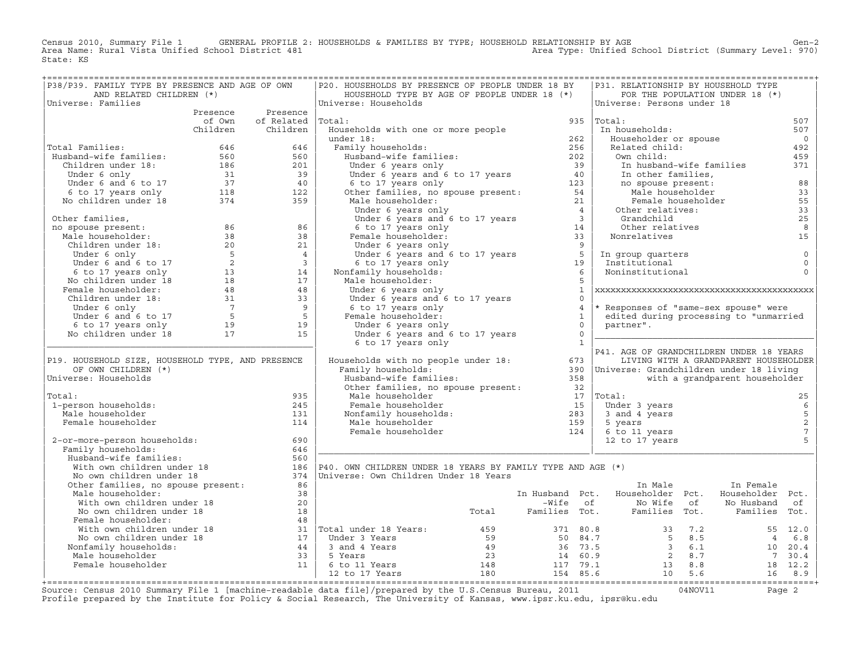Census 2010, Summary File 1 GENERAL PROFILE 2: HOUSEHOLDS & FAMILIES BY TYPE; HOUSEHOLD RELATIONSHIP BY AGE GEN<br>Area Name: Rural Vista Unified School District 481 Area Type: Unified School District (Summary Level: 970) Area Type: Unified School District (Summary Level: 970) State: KS

| P38/P39. FAMILY TYPE BY PRESENCE AND AGE OF OWN                                                                                                                                                                                                        |                          | P20. HOUSEHOLDS BY PRESENCE OF PEOPLE UNDER 18 BY                                                                                                                                                                                                                                        |                |          | P31. RELATIONSHIP BY HOUSEHOLD TYPE                                                                                               |                                       |                         |
|--------------------------------------------------------------------------------------------------------------------------------------------------------------------------------------------------------------------------------------------------------|--------------------------|------------------------------------------------------------------------------------------------------------------------------------------------------------------------------------------------------------------------------------------------------------------------------------------|----------------|----------|-----------------------------------------------------------------------------------------------------------------------------------|---------------------------------------|-------------------------|
| AND RELATED CHILDREN (*)                                                                                                                                                                                                                               |                          | HOUSEHOLD TYPE BY AGE OF PEOPLE UNDER 18 (*)                                                                                                                                                                                                                                             |                |          |                                                                                                                                   | FOR THE POPULATION UNDER 18 (*)       |                         |
| Universe: Families                                                                                                                                                                                                                                     |                          | Universe: Households                                                                                                                                                                                                                                                                     |                |          | Universe: Persons under 18                                                                                                        |                                       |                         |
|                                                                                                                                                                                                                                                        | Presence Presence        |                                                                                                                                                                                                                                                                                          |                |          |                                                                                                                                   |                                       |                         |
|                                                                                                                                                                                                                                                        | of Own of Related Total: |                                                                                                                                                                                                                                                                                          |                |          | $935$ Total:                                                                                                                      |                                       | 507                     |
|                                                                                                                                                                                                                                                        | Children Children        | Households with one or more people<br>Households with one or more people<br>under 18:<br>Family households:<br>Husband-wife families:<br>Under 6 years only<br>Under 6 years and 6 to 17 years<br>40<br>6 to 17 years and 6 to 17 years<br>Alle householder:<br>Male householder:<br>Und |                |          | In households:                                                                                                                    |                                       | 507                     |
|                                                                                                                                                                                                                                                        |                          |                                                                                                                                                                                                                                                                                          |                |          | Householder or spouse                                                                                                             |                                       | $\overline{0}$          |
| Total Families:                                                                                                                                                                                                                                        |                          |                                                                                                                                                                                                                                                                                          |                |          | Related child:                                                                                                                    |                                       | 492                     |
|                                                                                                                                                                                                                                                        |                          |                                                                                                                                                                                                                                                                                          |                |          | Own child:                                                                                                                        |                                       | 459                     |
|                                                                                                                                                                                                                                                        |                          |                                                                                                                                                                                                                                                                                          |                |          |                                                                                                                                   |                                       | 371                     |
| Total Families: 646<br>Husband-wife families: 560<br>Children under 18: 560<br>Under 6 only 31<br>Under 6 and 6 to 17<br>6 to 17 years only 118<br>No children under 18<br>201<br>118<br>122<br>No children under 18<br>37<br>359                      |                          |                                                                                                                                                                                                                                                                                          |                |          | In husband-wife raminum<br>In other families,<br>no spouse present:<br>Male householder<br>Female householder<br>Note radiatives: |                                       |                         |
|                                                                                                                                                                                                                                                        |                          |                                                                                                                                                                                                                                                                                          |                |          |                                                                                                                                   |                                       | 88                      |
|                                                                                                                                                                                                                                                        |                          |                                                                                                                                                                                                                                                                                          |                |          |                                                                                                                                   |                                       | 33                      |
|                                                                                                                                                                                                                                                        |                          |                                                                                                                                                                                                                                                                                          |                |          |                                                                                                                                   |                                       | 55                      |
|                                                                                                                                                                                                                                                        |                          |                                                                                                                                                                                                                                                                                          |                |          |                                                                                                                                   |                                       | 33                      |
|                                                                                                                                                                                                                                                        |                          |                                                                                                                                                                                                                                                                                          |                |          | Grandchild<br>Grandchild<br>Other relatives                                                                                       |                                       | 25                      |
|                                                                                                                                                                                                                                                        |                          |                                                                                                                                                                                                                                                                                          |                |          | Nonrelatives                                                                                                                      |                                       | 8                       |
|                                                                                                                                                                                                                                                        |                          |                                                                                                                                                                                                                                                                                          |                |          |                                                                                                                                   |                                       | 15                      |
|                                                                                                                                                                                                                                                        |                          |                                                                                                                                                                                                                                                                                          |                |          |                                                                                                                                   |                                       |                         |
|                                                                                                                                                                                                                                                        |                          |                                                                                                                                                                                                                                                                                          |                |          | In group quarters<br>Institutional                                                                                                |                                       | $\mathbb O$             |
|                                                                                                                                                                                                                                                        |                          |                                                                                                                                                                                                                                                                                          |                |          | Institutional                                                                                                                     |                                       | $\mathsf 0$<br>$\Omega$ |
|                                                                                                                                                                                                                                                        |                          |                                                                                                                                                                                                                                                                                          |                |          | Noninstitutional                                                                                                                  |                                       |                         |
|                                                                                                                                                                                                                                                        |                          | Under 6 years only                                                                                                                                                                                                                                                                       | $\overline{1}$ |          |                                                                                                                                   |                                       |                         |
|                                                                                                                                                                                                                                                        |                          |                                                                                                                                                                                                                                                                                          |                | $\Omega$ |                                                                                                                                   |                                       |                         |
|                                                                                                                                                                                                                                                        |                          | Summer 6 years and 6 to 17 years<br>6 to 17 years only<br>Female householder:<br>Under 6 years only<br>Under 6 years and 6 to 17                                                                                                                                                         | $\overline{4}$ |          | * Responses of "same-sex spouse" were                                                                                             |                                       |                         |
|                                                                                                                                                                                                                                                        |                          |                                                                                                                                                                                                                                                                                          | $\sim$ 1       |          | edited during processing to "unmarried                                                                                            |                                       |                         |
|                                                                                                                                                                                                                                                        |                          |                                                                                                                                                                                                                                                                                          | $\overline{0}$ |          | partner".                                                                                                                         |                                       |                         |
|                                                                                                                                                                                                                                                        |                          |                                                                                                                                                                                                                                                                                          | $\overline{0}$ |          |                                                                                                                                   |                                       |                         |
|                                                                                                                                                                                                                                                        |                          | 6 to 17 years only                                                                                                                                                                                                                                                                       | $\overline{1}$ |          |                                                                                                                                   |                                       |                         |
|                                                                                                                                                                                                                                                        |                          | 6 17 years come.<br>Households with no people under 18:<br>thouseholds with no people under 18:<br>the a dramdchildren under 18 living<br>of the a dramdchildren under 18 living<br>with a dramdparent householder                                                                       |                |          | P41. AGE OF GRANDCHILDREN UNDER 18 YEARS                                                                                          |                                       |                         |
| P19. HOUSEHOLD SIZE, HOUSEHOLD TYPE, AND PRESENCE                                                                                                                                                                                                      |                          |                                                                                                                                                                                                                                                                                          |                |          |                                                                                                                                   | LIVING WITH A GRANDPARENT HOUSEHOLDER |                         |
| OF OWN CHILDREN (*)                                                                                                                                                                                                                                    |                          |                                                                                                                                                                                                                                                                                          |                |          |                                                                                                                                   |                                       |                         |
| Universe: Households                                                                                                                                                                                                                                   |                          | Family households:<br>Husband-wife families:<br>Other families, no spouse present:<br>Male householder<br>Female householder<br>Nonfamily households:<br>Male households:<br>Male householder<br>Female householder<br>Temale householder<br>124                                         |                |          |                                                                                                                                   | with a grandparent householder        |                         |
|                                                                                                                                                                                                                                                        |                          |                                                                                                                                                                                                                                                                                          |                |          |                                                                                                                                   |                                       |                         |
| Total:                                                                                                                                                                                                                                                 | 935                      |                                                                                                                                                                                                                                                                                          |                |          | $17$ $ \text{Total}:$                                                                                                             |                                       | 25                      |
| 1-person households:                                                                                                                                                                                                                                   | 245                      |                                                                                                                                                                                                                                                                                          |                |          | Under 3 years                                                                                                                     |                                       | 6                       |
| Male householder                                                                                                                                                                                                                                       | 131                      |                                                                                                                                                                                                                                                                                          |                |          | 3 and 4 years                                                                                                                     |                                       | $\mathsf S$             |
| Female householder                                                                                                                                                                                                                                     | 114                      |                                                                                                                                                                                                                                                                                          |                |          | 5 years                                                                                                                           |                                       | $\sqrt{2}$              |
|                                                                                                                                                                                                                                                        |                          |                                                                                                                                                                                                                                                                                          |                |          | 6 to 11 years                                                                                                                     |                                       | $7\phantom{.0}$         |
| 2-or-more-person households:                                                                                                                                                                                                                           | 690                      |                                                                                                                                                                                                                                                                                          |                |          | 12 to 17 years                                                                                                                    |                                       | 5                       |
| Family households:                                                                                                                                                                                                                                     | 646                      |                                                                                                                                                                                                                                                                                          |                |          |                                                                                                                                   |                                       |                         |
|                                                                                                                                                                                                                                                        |                          |                                                                                                                                                                                                                                                                                          |                |          |                                                                                                                                   |                                       |                         |
|                                                                                                                                                                                                                                                        |                          | 186   P40. OWN CHILDREN UNDER 18 YEARS BY FAMILY TYPE AND AGE (*)                                                                                                                                                                                                                        |                |          |                                                                                                                                   |                                       |                         |
|                                                                                                                                                                                                                                                        |                          | 374   Universe: Own Children Under 18 Years                                                                                                                                                                                                                                              |                |          |                                                                                                                                   |                                       |                         |
|                                                                                                                                                                                                                                                        |                          |                                                                                                                                                                                                                                                                                          |                |          | In Male                                                                                                                           | In Female                             |                         |
| Male householder:                                                                                                                                                                                                                                      | 38                       |                                                                                                                                                                                                                                                                                          |                |          | In Husband Pct. Householder Pct. Householder Pct.                                                                                 |                                       |                         |
|                                                                                                                                                                                                                                                        |                          |                                                                                                                                                                                                                                                                                          |                |          |                                                                                                                                   |                                       |                         |
|                                                                                                                                                                                                                                                        |                          |                                                                                                                                                                                                                                                                                          |                |          |                                                                                                                                   |                                       |                         |
|                                                                                                                                                                                                                                                        |                          |                                                                                                                                                                                                                                                                                          |                |          |                                                                                                                                   |                                       |                         |
|                                                                                                                                                                                                                                                        |                          |                                                                                                                                                                                                                                                                                          |                |          |                                                                                                                                   |                                       |                         |
|                                                                                                                                                                                                                                                        |                          |                                                                                                                                                                                                                                                                                          |                |          |                                                                                                                                   |                                       |                         |
|                                                                                                                                                                                                                                                        |                          |                                                                                                                                                                                                                                                                                          |                |          |                                                                                                                                   |                                       |                         |
|                                                                                                                                                                                                                                                        |                          |                                                                                                                                                                                                                                                                                          |                |          |                                                                                                                                   |                                       |                         |
|                                                                                                                                                                                                                                                        |                          |                                                                                                                                                                                                                                                                                          |                |          |                                                                                                                                   |                                       |                         |
| Male householder<br>Male householder<br>Male householder<br>Male householder<br>Male householder<br>Male householder<br>Male householder<br>Male householder<br>Male householder<br>Male householder<br>Male householder<br>Male householder<br>Male h |                          |                                                                                                                                                                                                                                                                                          |                |          |                                                                                                                                   |                                       |                         |
|                                                                                                                                                                                                                                                        |                          |                                                                                                                                                                                                                                                                                          |                |          |                                                                                                                                   |                                       |                         |

+===================================================================================================================================================+Source: Census 2010 Summary File 1 [machine−readable data file]/prepared by the U.S.Census Bureau, 2011 04NOV11 Page 2 Profile prepared by the Institute for Policy & Social Research, The University of Kansas, www.ipsr.ku.edu, ipsr@ku.edu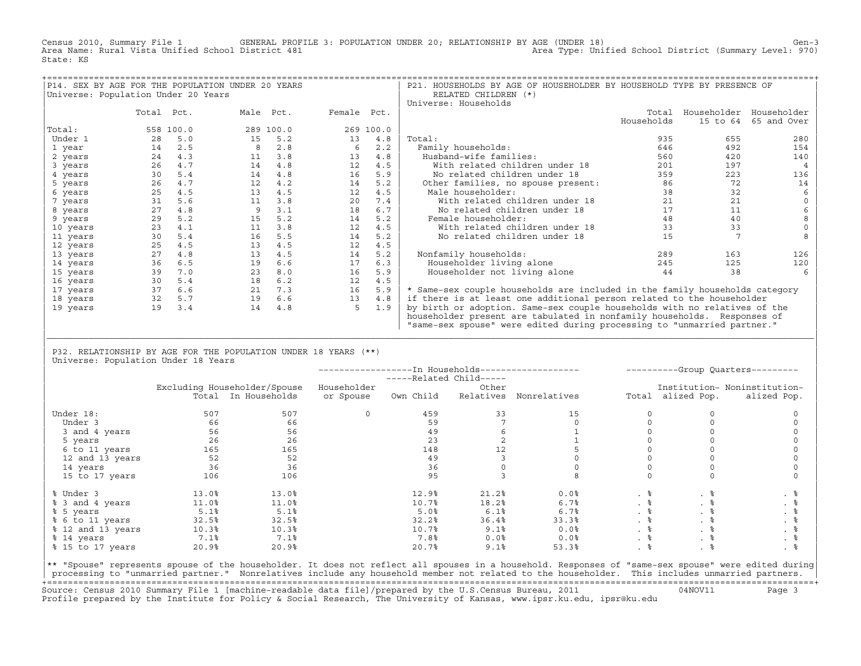Census 2010, Summary File 1 GENERAL PROFILE 3: POPULATION UNDER 20; RELATIONSHIP BY AGE (UNDER 18) Gen−3<br>Area Name: Rural Vista Unified School District 481 Area Type: Unified School District (Summary Level: 970) Area Type: Unified School District (Summary Level: 970) State: KS

| P14. SEX BY AGE FOR THE POPULATION UNDER 20 YEARS |            |           |    |           |             |           | P21. HOUSEHOLDS BY AGE OF HOUSEHOLDER BY HOUSEHOLD TYPE BY PRESENCE OF      |            |          |                         |
|---------------------------------------------------|------------|-----------|----|-----------|-------------|-----------|-----------------------------------------------------------------------------|------------|----------|-------------------------|
| Universe: Population Under 20 Years               |            |           |    |           |             |           | RELATED CHILDREN (*)                                                        |            |          |                         |
|                                                   |            |           |    |           |             |           | Universe: Households                                                        |            |          |                         |
|                                                   | Total Pct. |           |    | Male Pct. | Female Pct. |           |                                                                             | Total      |          | Householder Householder |
|                                                   |            |           |    |           |             |           |                                                                             | Households | 15 to 64 | 65 and Over             |
| Total:                                            |            | 558 100.0 |    | 289 100.0 |             | 269 100.0 |                                                                             |            |          |                         |
| Under 1                                           | 28         | 5.0       | 15 | 5.2       | 13          | 4.8       | Total:                                                                      | 935        | 655      | 280                     |
| 1 year                                            | 14         | 2.5       | 8  | 2.8       | -6          | 2.2       | Family households:                                                          | 646        | 492      | 154                     |
| 2 years                                           | 24         | 4.3       | 11 | 3.8       | 13          | 4.8       | Husband-wife families:                                                      | 560        | 420      | 140                     |
| 3 years                                           | 26         | 4.7       | 14 | 4.8       | 12          | 4.5       | With related children under 18                                              | 201        | 197      |                         |
| 4 years                                           | 30         | 5.4       | 14 | 4.8       | 16          | 5.9       | No related children under 18                                                | 359        | 223      | 136                     |
| 5 years                                           | 26         | 4.7       | 12 | 4.2       | 14          | 5.2       | Other families, no spouse present:                                          | 86         | 72       | 14                      |
| 6 years                                           | 25         | 4.5       | 13 | 4.5       | 12          | 4.5       | Male householder:                                                           | 38         | 32       |                         |
| 7 years                                           | 31         | 5.6       | 11 | 3.8       | 20          | 7.4       | With related children under 18                                              | 21         | 21       |                         |
| 8 years                                           | 27         | 4.8       | 9  | 3.1       | 18          | 6.7       | No related children under 18                                                | 17         | 11       |                         |
| 9 years                                           | 29         | 5.2       | 15 | 5.2       | 14          | 5.2       | Female householder:                                                         | 48         | 40       |                         |
| 10 years                                          | 23         | 4.1       | 11 | 3.8       | 12          | 4.5       | With related children under 18                                              | 33         | 33       |                         |
| 11 years                                          | 30         | 5.4       | 16 | 5.5       | 14          | 5.2       | No related children under 18                                                | 15         |          |                         |
| 12 years                                          | 25         | 4.5       | 13 | 4.5       | 12          | 4.5       |                                                                             |            |          |                         |
| 13 years                                          | 27         | 4.8       | 13 | 4.5       | 14          | 5.2       | Nonfamily households:                                                       | 289        | 163      | 126                     |
| 14 years                                          | 36         | 6.5       | 19 | 6.6       | 17          | 6.3       | Householder living alone                                                    | 245        | 125      | 120                     |
| 15 years                                          | 39         | 7.0       | 23 | 8.0       | 16          | 5.9       | Householder not living alone                                                | 44         | 38       |                         |
| 16 years                                          | 30         | 5.4       | 18 | 6.2       | 12          | 4.5       |                                                                             |            |          |                         |
| 17 years                                          | 37         | 6.6       | 21 | 7.3       | 16          | 5.9       | * Same-sex couple households are included in the family households category |            |          |                         |
| 18 years                                          | 32         | 5.7       | 19 | 6.6       | 13          | 4.8       | if there is at least one additional person related to the householder       |            |          |                         |
| 19 years                                          | 19         | 3.4       | 14 | 4.8       | 5           | 1.9       | by birth or adoption. Same-sex couple households with no relatives of the   |            |          |                         |
|                                                   |            |           |    |           |             |           | householder present are tabulated in nonfamily households. Responses of     |            |          |                         |
|                                                   |            |           |    |           |             |           | "same-sex spouse" were edited during processing to "unmarried partner."     |            |          |                         |

| P32. RELATIONSHIP BY AGE FOR THE POPULATION UNDER 18 YEARS (\*\*) | Universe: Population Under 18 Years

|                   |       |                              |             | -----Related Child----- |           | ---------------In Households------------------- |           |                   | ----------Group Quarters--------- |
|-------------------|-------|------------------------------|-------------|-------------------------|-----------|-------------------------------------------------|-----------|-------------------|-----------------------------------|
|                   |       | Excluding Householder/Spouse | Householder |                         | Other     |                                                 |           |                   | Institution- Noninstitution-      |
|                   |       | Total In Households          | or Spouse   | Own Child               | Relatives | Nonrelatives                                    |           | Total alized Pop. | alized Pop.                       |
| Under 18:         | 507   | 507                          | $\Omega$    | 459                     | 33        | 15                                              |           |                   |                                   |
| Under 3           | 66    | 66                           |             | 59                      |           |                                                 |           |                   |                                   |
| 3 and 4 years     | 56    | 56                           |             | 49                      |           |                                                 |           |                   |                                   |
| 5 years           | 26    | 26                           |             | 23                      |           |                                                 |           |                   |                                   |
| 6 to 11 years     | 165   | 165                          |             | 148                     | 12        |                                                 |           |                   |                                   |
| 12 and 13 years   | 52    | 52                           |             | 49                      |           |                                                 |           |                   |                                   |
| 14 years          | 36    | 36                           |             | 36                      |           |                                                 |           |                   |                                   |
| 15 to 17 years    | 106   | 106                          |             | 95                      |           |                                                 |           |                   |                                   |
| % Under 3         | 13.0% | 13.0%                        |             | 12.9%                   | 21.2%     | 0.0%                                            |           | . 응               | . そ                               |
| % 3 and 4 years   | 11.0% | 11.0%                        |             | 10.7%                   | 18.2%     | 6.7%                                            | $. \circ$ |                   | . 응                               |
| % 5 years         | 5.1%  | 5.1%                         |             | 5.0%                    | 6.1%      | 6.7%                                            | .  응      | . 응               |                                   |
| % 6 to 11 years   | 32.5% | 32.5%                        |             | 32.2%                   | 36.4%     | 33.3%                                           | . 응       | . 응               | . 응                               |
| % 12 and 13 years | 10.3% | 10.3%                        |             | 10.7%                   | 9.1%      | 0.0%                                            | .  응      |                   | . 응                               |
| % 14 years        | 7.1%  | 7.1%                         |             | 7.8%                    | 0.0%      | 0.0%                                            | . 응       |                   | . 응                               |
| % 15 to 17 years  | 20.9% | 20.9%                        |             | 20.7%                   | 9.1%      | 53.3%                                           | .  응      |                   |                                   |

|\_\_\_\_\_\_\_\_\_\_\_\_\_\_\_\_\_\_\_\_\_\_\_\_\_\_\_\_\_\_\_\_\_\_\_\_\_\_\_\_\_\_\_\_\_\_\_\_\_\_\_\_\_\_\_\_\_\_\_\_\_\_\_\_\_\_\_\_\_\_\_\_\_\_\_\_\_\_\_\_\_\_\_\_\_\_\_\_\_\_\_\_\_\_\_\_\_\_\_\_\_\_\_\_\_\_\_\_\_\_\_\_\_\_\_\_\_\_\_\_\_\_\_\_\_\_\_\_\_\_\_\_\_\_\_\_\_\_\_\_\_\_\_\_\_\_\_| | |

|\*\* "Spouse" represents spouse of the householder. It does not reflect all spouses in a household. Responses of "same−sex spouse" were edited during| processing to "unmarried partner." Nonrelatives include any household member not related to the householder. This includes unmarried partners. +===================================================================================================================================================+ Source: Census 2010 Summary File 1 [machine−readable data file]/prepared by the U.S.Census Bureau, 2011 04NOV11 Page 3 Profile prepared by the Institute for Policy & Social Research, The University of Kansas, www.ipsr.ku.edu, ipsr@ku.edu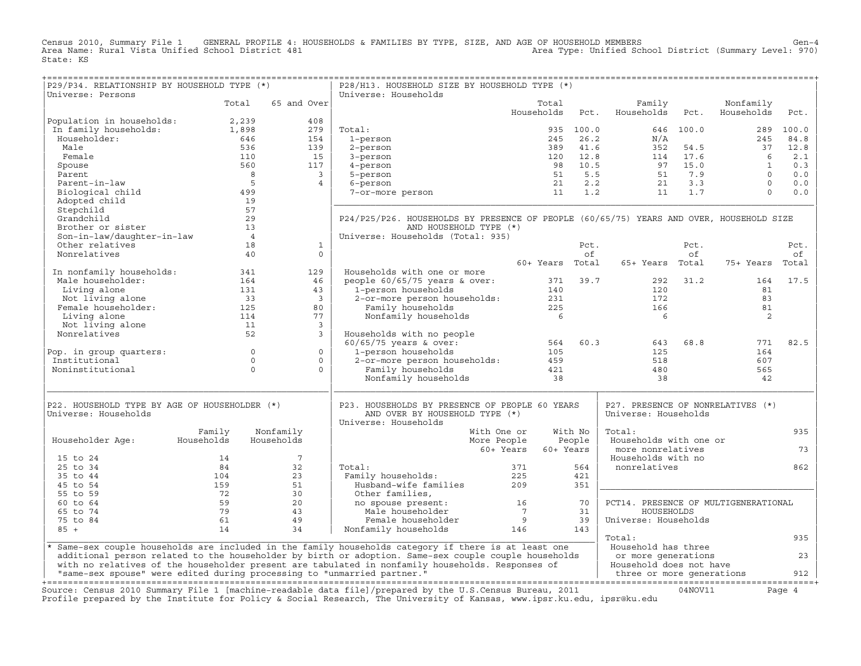Census 2010, Summary File 1 GENERAL PROFILE 4: HOUSEHOLDS & FAMILIES BY TYPE, SIZE, AND AGE OF HOUSEHOLD MEMBERS Gen−4 Area Name: Rural Vista Unified School District 481 Area Type: Unified School District (Summary Level: 970) State: KS

+===================================================================================================================================================+

| P29/P34. RELATIONSHIP BY HOUSEHOLD TYPE (*)                             |                |                 | P28/H13. HOUSEHOLD SIZE BY HOUSEHOLD TYPE (*)                                                                          |                 |           |                                      |           |              |        |
|-------------------------------------------------------------------------|----------------|-----------------|------------------------------------------------------------------------------------------------------------------------|-----------------|-----------|--------------------------------------|-----------|--------------|--------|
| Universe: Persons                                                       |                |                 | Universe: Households                                                                                                   |                 |           |                                      |           |              |        |
|                                                                         | Total          | 65 and Over     |                                                                                                                        | Total           |           | Family                               |           | Nonfamily    |        |
| Population in households:                                               | 2,239          | 408             |                                                                                                                        | Households      | Pct.      | Households                           | Pct.      | Households   | Pct.   |
| In family households:                                                   | 1,898          | 279             | Total:                                                                                                                 |                 | 935 100.0 |                                      | 646 100.0 | 289          | 100.0  |
| Householder:                                                            | 646            | 154             | 1-person                                                                                                               | 245             | 26.2      | N/A                                  |           | 245          | 84.8   |
| Male                                                                    | 536            | 139             | 2-person                                                                                                               | 389             | 41.6      | 352                                  | 54.5      | 37           | 12.8   |
| Female                                                                  | 110            | 15              | 3-person                                                                                                               | 120             | 12.8      | 114                                  | 17.6      | 6            | 2.1    |
| Spouse                                                                  | 560            | 117             | 4-person                                                                                                               | 98              | 10.5      | 97                                   | 15.0      | $\mathbf{1}$ | 0.3    |
| Parent                                                                  | 8              | $\overline{3}$  | 5-person                                                                                                               | 51              | 5.5       | 51                                   | 7.9       | $\Omega$     | 0.0    |
| Parent-in-law                                                           | $-5$           | $\overline{4}$  |                                                                                                                        | 21              | 2.2       | 21                                   | 3.3       | $\Omega$     | 0.0    |
|                                                                         | 499            |                 | 6-person                                                                                                               | 11              | 1.2       | 11                                   | 1.7       | $\Omega$     | 0.0    |
| Biological child                                                        | 19             |                 | 7-or-more person                                                                                                       |                 |           |                                      |           |              |        |
| Adopted child                                                           |                |                 |                                                                                                                        |                 |           |                                      |           |              |        |
| Stepchild                                                               | 57             |                 |                                                                                                                        |                 |           |                                      |           |              |        |
| Grandchild                                                              | 29             |                 | P24/P25/P26. HOUSEHOLDS BY PRESENCE OF PEOPLE (60/65/75) YEARS AND OVER, HOUSEHOLD SIZE                                |                 |           |                                      |           |              |        |
| Brother or sister                                                       | 13             |                 | AND HOUSEHOLD TYPE (*)                                                                                                 |                 |           |                                      |           |              |        |
| Son-in-law/daughter-in-law                                              | $\overline{4}$ |                 | Universe: Households (Total: 935)                                                                                      |                 |           |                                      |           |              |        |
| Other relatives                                                         | 18             | $\mathbf{1}$    |                                                                                                                        |                 | Pct.      |                                      | Pct.      |              | Pct.   |
| Nonrelatives                                                            | 40             | $\Omega$        |                                                                                                                        |                 | of        |                                      | of        |              | οf     |
|                                                                         |                |                 |                                                                                                                        | 60+ Years Total |           | 65+ Years Total                      |           | 75+ Years    | Total  |
| In nonfamily households:                                                | 341            | 129             | Households with one or more                                                                                            |                 |           |                                      |           |              |        |
| Male householder:                                                       | 164            | 46              | people $60/65/75$ years & over:                                                                                        | 371             | 39.7      | 292                                  | 31.2      | 164          | 17.5   |
| Living alone                                                            | 131            | 43              | 1-person households                                                                                                    | 140             |           | 120                                  |           | 81           |        |
| Not living alone                                                        | 33             | $\overline{3}$  | 2-or-more person households:                                                                                           | 231             |           | 172                                  |           | 83           |        |
| Female householder:                                                     | 125            | 80              | Family households                                                                                                      | 225             |           | 166                                  |           | 81           |        |
| Living alone                                                            | 114            | 77              | Nonfamily households                                                                                                   | - 6             |           | 6                                    |           | 2            |        |
| Not living alone                                                        | 11             | $\overline{3}$  |                                                                                                                        |                 |           |                                      |           |              |        |
| Nonrelatives                                                            | 52             | $\overline{3}$  | Households with no people                                                                                              |                 |           |                                      |           |              |        |
|                                                                         |                |                 | $60/65/75$ years & over:                                                                                               | 564             | 60.3      | 643                                  | 68.8      | 771          | 82.5   |
| Pop. in group quarters:                                                 | $\Omega$       | $\Omega$        | 1-person households                                                                                                    | 105             |           | 125                                  |           | 164          |        |
| Institutional                                                           | $\circ$        | $\circ$         | 2-or-more person households:                                                                                           | 459             |           | 518                                  |           | 607          |        |
| Noninstitutional                                                        | $\Omega$       | $\Omega$        | Family households                                                                                                      | 421             |           | 480                                  |           | 565          |        |
|                                                                         |                |                 | Nonfamily households                                                                                                   | 38              |           | 38                                   |           | 42           |        |
|                                                                         |                |                 |                                                                                                                        |                 |           |                                      |           |              |        |
| P22. HOUSEHOLD TYPE BY AGE OF HOUSEHOLDER (*)                           |                |                 | P23. HOUSEHOLDS BY PRESENCE OF PEOPLE 60 YEARS                                                                         |                 |           | P27. PRESENCE OF NONRELATIVES (*)    |           |              |        |
| Universe: Households                                                    |                |                 | AND OVER BY HOUSEHOLD TYPE (*)                                                                                         |                 |           | Universe: Households                 |           |              |        |
|                                                                         |                |                 | Universe: Households                                                                                                   |                 |           |                                      |           |              |        |
|                                                                         | Family         | Nonfamily       | With One or                                                                                                            |                 | With No   | Total:                               |           |              | 935    |
| Householder Age:                                                        | Households     | Households      | More People                                                                                                            |                 | People    | Households with one or               |           |              |        |
|                                                                         |                |                 | 60+ Years                                                                                                              |                 | 60+ Years | more nonrelatives                    |           |              | 73     |
| 15 to 24                                                                | 14             | $7\overline{ }$ |                                                                                                                        |                 |           | Households with no                   |           |              |        |
| 25 to 34                                                                | 84             | 32              | Total:                                                                                                                 | 371             | 564       | nonrelatives                         |           |              | 862    |
| 35 to 44                                                                | 104            | 23              | Family households:                                                                                                     | 225             | 421       |                                      |           |              |        |
| 45 to 54                                                                | 159            | 51              | Husband-wife families                                                                                                  | 209             | 351       |                                      |           |              |        |
| 55 to 59                                                                | 72             | 30              | Other families,                                                                                                        |                 |           |                                      |           |              |        |
| 60 to 64                                                                | 59             | 20              | no spouse present:                                                                                                     | 16              | 70        | PCT14. PRESENCE OF MULTIGENERATIONAL |           |              |        |
| 65 to 74                                                                | 79             | 43              | Male householder                                                                                                       | $7\overline{ }$ | 31        | HOUSEHOLDS                           |           |              |        |
| 75 to 84                                                                | 61             | 49              | Female householder                                                                                                     | 9               | 39        | Universe: Households                 |           |              |        |
| $85 +$                                                                  | 14             | 34              | Nonfamily households                                                                                                   | 146             | 143       |                                      |           |              |        |
|                                                                         |                |                 |                                                                                                                        |                 |           | Total:                               |           |              | 935    |
|                                                                         |                |                 | * Same-sex couple households are included in the family households category if there is at least one                   |                 |           | Household has three                  |           |              |        |
|                                                                         |                |                 | additional person related to the householder by birth or adoption. Same-sex couple couple households                   |                 |           | or more generations                  |           |              | 23     |
|                                                                         |                |                 | with no relatives of the householder present are tabulated in nonfamily households. Responses of                       |                 |           | Household does not have              |           |              |        |
| "same-sex spouse" were edited during processing to "unmarried partner." |                |                 |                                                                                                                        |                 |           | three or more generations            |           |              | 912    |
|                                                                         |                |                 |                                                                                                                        |                 |           |                                      |           |              |        |
|                                                                         |                |                 | Source: Census 2010 Summary File 1 [machine-readable data file]/prepared by the U.S.Census Bureau, 2011                |                 |           |                                      | 04NOV11   |              | Page 4 |
|                                                                         |                |                 | Profile prepared by the Institute for Policy & Social Research, The University of Kansas, www.ipsr.ku.edu, ipsr@ku.edu |                 |           |                                      |           |              |        |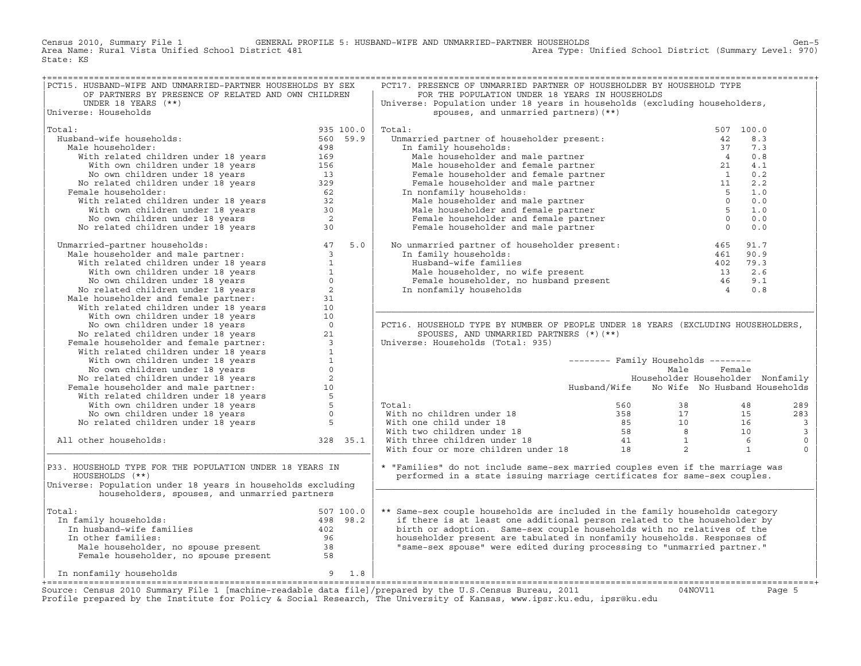Census 2010, Summary File 1 GENERAL PROFILE 5: HUSBAND−WIFE AND UNMARRIED−PARTNER HOUSEHOLDS Gen−5 Area Type: Unified School District (Summary Level: 970) State: KS

| PCT15. HUSBAND-WIFE AND UNMARRIED-PARTNER HOUSEHOLDS BY SEX<br>OF PARTNERS BY PRESENCE OF RELATED AND OWN CHILDREN                                                                                                                           |           |                                                                              | PCT17. PRESENCE OF UNMARRIED PARTNER OF HOUSEHOLDER BY HOUSEHOLD TYPE<br>FOR THE POPULATION UNDER 18 YEARS IN HOUSEHOLDS                                                                                                                   |                                            |        |           |                         |
|----------------------------------------------------------------------------------------------------------------------------------------------------------------------------------------------------------------------------------------------|-----------|------------------------------------------------------------------------------|--------------------------------------------------------------------------------------------------------------------------------------------------------------------------------------------------------------------------------------------|--------------------------------------------|--------|-----------|-------------------------|
| UNDER 18 YEARS $(**)$                                                                                                                                                                                                                        |           |                                                                              | Universe: Population under 18 years in households (excluding householders,                                                                                                                                                                 |                                            |        |           |                         |
| Universe: Households                                                                                                                                                                                                                         |           |                                                                              | spouses, and unmarried partners) (**)                                                                                                                                                                                                      |                                            |        |           |                         |
| Total:                                                                                                                                                                                                                                       | 935 100.0 |                                                                              | Total:<br>otal:<br>Unmarried partner of householder present: 42<br>37                                                                                                                                                                      |                                            |        | 507 100.0 |                         |
| $935$ 100.0<br>560 59.9<br>Husband-wife households:                                                                                                                                                                                          |           |                                                                              |                                                                                                                                                                                                                                            |                                            |        | 8.3       |                         |
| Male householder:                                                                                                                                                                                                                            |           |                                                                              |                                                                                                                                                                                                                                            |                                            |        | 7.3       |                         |
|                                                                                                                                                                                                                                              |           |                                                                              |                                                                                                                                                                                                                                            |                                            |        | 0.8       |                         |
|                                                                                                                                                                                                                                              |           |                                                                              |                                                                                                                                                                                                                                            |                                            |        | 4.1       |                         |
|                                                                                                                                                                                                                                              |           |                                                                              |                                                                                                                                                                                                                                            |                                            |        | 0.2       |                         |
|                                                                                                                                                                                                                                              |           |                                                                              |                                                                                                                                                                                                                                            |                                            |        | 2.2       |                         |
| Female householder:                                                                                                                                                                                                                          |           |                                                                              | In nonfamily households:                                                                                                                                                                                                                   |                                            |        | 1.0       |                         |
|                                                                                                                                                                                                                                              |           |                                                                              |                                                                                                                                                                                                                                            |                                            |        | 0.0       |                         |
|                                                                                                                                                                                                                                              |           |                                                                              |                                                                                                                                                                                                                                            |                                            |        | 1.0       |                         |
|                                                                                                                                                                                                                                              |           |                                                                              |                                                                                                                                                                                                                                            |                                            |        | 0.0       |                         |
| band-wife households:<br>Solahouseholds:<br>With related children under 18 years<br>With velated children under 18 years<br>With own children under 18 years<br>No comme children under 18 years<br>No related children under 18 years<br>So |           |                                                                              | arried partner of householder present:<br>n family households:<br>Male householder and male partner<br>Male householder and female partner<br>Female householder and female partner<br>Female householder and male partner<br>Male househo |                                            |        | 0.0       |                         |
| No related children under 18 years 30<br>Unmarried-partner households: 47 5.0<br>Male householder and male partner: 31<br>With velated children under 18 years 1<br>With own children under 18 years 1<br>No own children under 18 years     |           |                                                                              | No unmarried partner of householder present: $465$ 91.7<br>In family households: $461$ 90.9<br>Husband-wife families $402$ 79.3<br>Male householder, no wife present $13$ 2.6<br>Female householder, no husband present $13$ 2.6<br>In     |                                            |        |           |                         |
|                                                                                                                                                                                                                                              |           |                                                                              |                                                                                                                                                                                                                                            |                                            |        |           |                         |
|                                                                                                                                                                                                                                              |           |                                                                              |                                                                                                                                                                                                                                            |                                            |        |           |                         |
|                                                                                                                                                                                                                                              |           |                                                                              |                                                                                                                                                                                                                                            |                                            |        |           |                         |
|                                                                                                                                                                                                                                              |           |                                                                              |                                                                                                                                                                                                                                            |                                            |        |           |                         |
|                                                                                                                                                                                                                                              |           |                                                                              |                                                                                                                                                                                                                                            |                                            |        |           |                         |
|                                                                                                                                                                                                                                              |           |                                                                              |                                                                                                                                                                                                                                            |                                            |        |           |                         |
|                                                                                                                                                                                                                                              |           |                                                                              |                                                                                                                                                                                                                                            |                                            |        |           |                         |
|                                                                                                                                                                                                                                              |           |                                                                              |                                                                                                                                                                                                                                            |                                            |        |           |                         |
|                                                                                                                                                                                                                                              |           |                                                                              | PCT16. HOUSEHOLD TYPE BY NUMBER OF PEOPLE UNDER 18 YEARS (EXCLUDING HOUSEHOLDERS,                                                                                                                                                          |                                            |        |           |                         |
|                                                                                                                                                                                                                                              |           |                                                                              | SPOUSES, AND UNMARRIED PARTNERS (*) (**)                                                                                                                                                                                                   |                                            |        |           |                         |
|                                                                                                                                                                                                                                              |           |                                                                              | Universe: Households (Total: 935)                                                                                                                                                                                                          |                                            |        |           |                         |
|                                                                                                                                                                                                                                              |           |                                                                              |                                                                                                                                                                                                                                            |                                            |        |           |                         |
|                                                                                                                                                                                                                                              |           |                                                                              |                                                                                                                                                                                                                                            | -------- Family Households --------        |        |           |                         |
|                                                                                                                                                                                                                                              |           |                                                                              |                                                                                                                                                                                                                                            | Male                                       | Female |           |                         |
|                                                                                                                                                                                                                                              |           |                                                                              |                                                                                                                                                                                                                                            | Householder Householder Nonfamily          |        |           |                         |
|                                                                                                                                                                                                                                              |           |                                                                              |                                                                                                                                                                                                                                            | Husband/Wife No Wife No Husband Households |        |           |                         |
|                                                                                                                                                                                                                                              |           |                                                                              |                                                                                                                                                                                                                                            |                                            |        |           |                         |
|                                                                                                                                                                                                                                              |           |                                                                              | Total:                                                                                                                                                                                                                                     |                                            |        |           | 289                     |
|                                                                                                                                                                                                                                              |           |                                                                              |                                                                                                                                                                                                                                            |                                            |        |           | 283                     |
|                                                                                                                                                                                                                                              |           |                                                                              |                                                                                                                                                                                                                                            |                                            |        |           | $\overline{\mathbf{3}}$ |
|                                                                                                                                                                                                                                              |           |                                                                              |                                                                                                                                                                                                                                            |                                            |        |           | $\overline{3}$          |
| All other households:                                                                                                                                                                                                                        |           | 328 35.1                                                                     |                                                                                                                                                                                                                                            |                                            |        |           | $\mathbb O$             |
|                                                                                                                                                                                                                                              |           |                                                                              | Total: 560 38 48<br>With no children under 18 358 17 15<br>With one child under 18 85 10 16<br>With two children under 18 58 8 10<br>With three children under 18 41 1 6<br>With four or more children under 18 18 2 1                     |                                            |        |           | $\mathbf 0$             |
| P33. HOUSEHOLD TYPE FOR THE POPULATION UNDER 18 YEARS IN<br>HOUSEHOLDS (**)<br>Universe: Population under 18 years in households excluding                                                                                                   |           |                                                                              | * "Families" do not include same-sex married couples even if the marriage was<br>performed in a state issuing marriage certificates for same-sex couples.                                                                                  |                                            |        |           |                         |
| householders, spouses, and unmarried partners                                                                                                                                                                                                |           |                                                                              |                                                                                                                                                                                                                                            |                                            |        |           |                         |
| Total:                                                                                                                                                                                                                                       |           |                                                                              | ** Same-sex couple households are included in the family households category                                                                                                                                                               |                                            |        |           |                         |
| In family households:                                                                                                                                                                                                                        |           |                                                                              | if there is at least one additional person related to the householder by                                                                                                                                                                   |                                            |        |           |                         |
| In husband-wife families                                                                                                                                                                                                                     |           |                                                                              | birth or adoption. Same-sex couple households with no relatives of the                                                                                                                                                                     |                                            |        |           |                         |
| In other families:                                                                                                                                                                                                                           |           |                                                                              | householder present are tabulated in nonfamily households. Responses of                                                                                                                                                                    |                                            |        |           |                         |
|                                                                                                                                                                                                                                              |           |                                                                              | "same-sex spouse" were edited during processing to "unmarried partner."                                                                                                                                                                    |                                            |        |           |                         |
|                                                                                                                                                                                                                                              |           |                                                                              |                                                                                                                                                                                                                                            |                                            |        |           |                         |
| $9 \t1.8$<br>In nonfamily households                                                                                                                                                                                                         |           | Dila 1 (mashina waadahla daba £11a) (mwanawad bu bha H O Osmana Buwaan 1991) |                                                                                                                                                                                                                                            |                                            |        |           |                         |

Source: Census 2010 Summary File 1 [machine-readable data file]/prepared by the U.S.Census Bureau, 2011 Page 5<br>Profile prepared by the Institute for Policy & Social Research, The University of Kansas, www.ip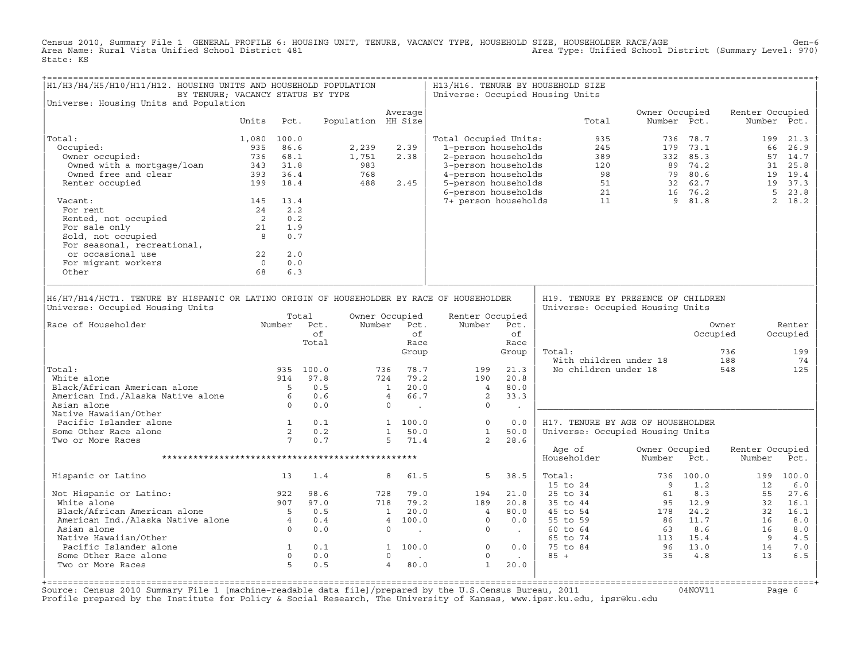Census 2010, Summary File 1 GENERAL PROFILE 6: HOUSING UNIT, TENURE, VACANCY TYPE, HOUSEHOLD SIZE, HOUSEHOLDER RACE/AGE<br>Area Name: Rural Vista Unified School District 481 State: KS

| H1/H3/H4/H5/H10/H11/H12. HOUSING UNITS AND HOUSEHOLD POPULATION<br>BY TENURE; VACANCY STATUS BY TYPE                          |                                        |                                                           |             |       |                                          |                         |                         | H13/H16. TENURE BY HOUSEHOLD SIZE<br>Universe: Occupied Housing Units   |                                                                                                                                                             |           |                 |                |
|-------------------------------------------------------------------------------------------------------------------------------|----------------------------------------|-----------------------------------------------------------|-------------|-------|------------------------------------------|-------------------------|-------------------------|-------------------------------------------------------------------------|-------------------------------------------------------------------------------------------------------------------------------------------------------------|-----------|-----------------|----------------|
| Universe: Housing Units and Population                                                                                        |                                        |                                                           |             |       | Average                                  |                         |                         |                                                                         | Owner Occupied                                                                                                                                              |           | Renter Occupied |                |
|                                                                                                                               | Units                                  | Pct.                                                      |             |       | Population HH Size                       |                         |                         | Total                                                                   | Number Pct.                                                                                                                                                 |           |                 | Number Pct.    |
| Total:                                                                                                                        | 1,080 100.0                            |                                                           |             |       |                                          | Total Occupied Units:   |                         | 935                                                                     |                                                                                                                                                             | 736 78.7  | 199             | 21.3           |
| Occupied:                                                                                                                     | 935                                    | 86.6                                                      |             | 2,239 | 2.39                                     | 1-person households     |                         |                                                                         |                                                                                                                                                             |           | 66              | 26.9           |
| Owner occupied:                                                                                                               |                                        | 736 68.1                                                  |             | 1,751 | 2.38                                     | 2-person households     |                         |                                                                         |                                                                                                                                                             |           |                 | 57 14.7        |
| Owned with a mortgage/loan                                                                                                    |                                        | 343 31.8                                                  |             | 983   |                                          | 3-person households     |                         |                                                                         |                                                                                                                                                             |           |                 | 31 25.8        |
| Owned free and clear                                                                                                          |                                        | 393 36.4                                                  |             | 768   |                                          | 4-person households     |                         |                                                                         |                                                                                                                                                             |           |                 | 19 19.4        |
| Renter occupied                                                                                                               |                                        | 199 18.4                                                  |             | 488   | 2.45                                     | 5-person households     |                         |                                                                         |                                                                                                                                                             |           |                 | 19 37.3        |
|                                                                                                                               |                                        |                                                           |             |       |                                          | 6-person households     |                         |                                                                         | $\begin{array}{cccc} 1.79 & 73.1 \\ 389 & 332 & 85.3 \\ 120 & 89 & 74.2 \\ 98 & 79 & 80.6 \\ 51 & 32 & 62.7 \\ 21 & 16 & 76.2 \\ 11 & 9 & 81.0 \end{array}$ |           |                 | $5 \quad 23.8$ |
| Vacant:                                                                                                                       |                                        | 145 13.4                                                  |             |       |                                          | 7+ person households    |                         |                                                                         |                                                                                                                                                             |           |                 | 2 18.2         |
| For rent                                                                                                                      |                                        | 24 2.2                                                    |             |       |                                          |                         |                         |                                                                         |                                                                                                                                                             |           |                 |                |
| Rented, not occupied                                                                                                          | $\begin{array}{c} 2 \\ 21 \end{array}$ | 0.2                                                       |             |       |                                          |                         |                         |                                                                         |                                                                                                                                                             |           |                 |                |
| For sale only                                                                                                                 |                                        | 1.9                                                       |             |       |                                          |                         |                         |                                                                         |                                                                                                                                                             |           |                 |                |
| Sold, not occupied                                                                                                            | 8 <sup>1</sup>                         | 0.7                                                       |             |       |                                          |                         |                         |                                                                         |                                                                                                                                                             |           |                 |                |
| For seasonal, recreational,                                                                                                   |                                        |                                                           |             |       |                                          |                         |                         |                                                                         |                                                                                                                                                             |           |                 |                |
| or occasional use                                                                                                             | 22                                     | 2.0                                                       |             |       |                                          |                         |                         |                                                                         |                                                                                                                                                             |           |                 |                |
| For migrant workers                                                                                                           | $\overline{0}$                         | 0.0                                                       |             |       |                                          |                         |                         |                                                                         |                                                                                                                                                             |           |                 |                |
| Other                                                                                                                         | 68                                     | 6.3                                                       |             |       |                                          |                         |                         |                                                                         |                                                                                                                                                             |           |                 |                |
|                                                                                                                               |                                        |                                                           |             |       |                                          |                         |                         |                                                                         |                                                                                                                                                             |           |                 |                |
| H6/H7/H14/HCT1. TENURE BY HISPANIC OR LATINO ORIGIN OF HOUSEHOLDER BY RACE OF HOUSEHOLDER<br>Universe: Occupied Housing Units |                                        |                                                           |             |       |                                          |                         |                         | H19. TENURE BY PRESENCE OF CHILDREN<br>Universe: Occupied Housing Units |                                                                                                                                                             |           |                 |                |
|                                                                                                                               |                                        |                                                           | Total       |       | Owner Occupied                           | Renter Occupied         |                         |                                                                         |                                                                                                                                                             |           |                 |                |
| Race of Householder                                                                                                           |                                        |                                                           | Number Pct. |       | Number Pct.                              | Number                  | Pct.                    |                                                                         |                                                                                                                                                             |           | Owner           | Renter         |
|                                                                                                                               |                                        |                                                           | of          |       | of                                       |                         | of                      |                                                                         |                                                                                                                                                             | Occupied  |                 | Occupied       |
|                                                                                                                               |                                        |                                                           | Total       |       | Race                                     |                         | Race                    |                                                                         |                                                                                                                                                             |           |                 |                |
|                                                                                                                               |                                        |                                                           |             |       | Group                                    |                         | Group                   | Total:                                                                  |                                                                                                                                                             |           | 736             | 199            |
|                                                                                                                               |                                        |                                                           |             |       |                                          |                         |                         | With children under 18                                                  |                                                                                                                                                             |           | 188             | 74             |
| Total:                                                                                                                        |                                        |                                                           | 935 100.0   |       | 78.7<br>736                              | 199                     | 21.3                    | No children under 18                                                    |                                                                                                                                                             |           | 548             | 125            |
| White alone                                                                                                                   |                                        |                                                           | 914 97.8    |       | 724 79.2                                 | 190                     | 20.8                    |                                                                         |                                                                                                                                                             |           |                 |                |
| Black/African American alone 5<br>American Ind./Alaska Native alone 6                                                         |                                        |                                                           | 0.5         |       | $1 \t 20.0$                              | $\overline{4}$          | 80.0                    |                                                                         |                                                                                                                                                             |           |                 |                |
|                                                                                                                               |                                        |                                                           | 0.6         |       | 4 66.7                                   | 2                       | 33.3                    |                                                                         |                                                                                                                                                             |           |                 |                |
| Asian alone<br>Native Hawaiian/Other                                                                                          |                                        | $\overline{0}$                                            | 0.0         |       | $\Omega$<br>$\sim$ 100 $\sim$ 100 $\sim$ | $\Omega$                | $\sim 100$              |                                                                         |                                                                                                                                                             |           |                 |                |
| Pacific Islander alone                                                                                                        |                                        |                                                           |             |       |                                          |                         | 0.0                     |                                                                         |                                                                                                                                                             |           |                 |                |
|                                                                                                                               |                                        | $\frac{1}{2}$                                             | 0.1         |       | 1 100.0                                  | $\circ$<br>$\mathbf{1}$ |                         | H17. TENURE BY AGE OF HOUSEHOLDER                                       |                                                                                                                                                             |           |                 |                |
| Some Other Race alone                                                                                                         |                                        | $\overline{7}$                                            | 0.2         |       | 1 50.0                                   |                         | 50.0                    | Universe: Occupied Housing Units                                        |                                                                                                                                                             |           |                 |                |
| Two or More Races                                                                                                             |                                        |                                                           | 0.7         |       | 5 71.4                                   | 2                       | 28.6                    | Age of                                                                  | Owner Occupied                                                                                                                                              |           | Renter Occupied |                |
|                                                                                                                               |                                        |                                                           |             |       |                                          |                         |                         | Householder                                                             | Number                                                                                                                                                      | Pct.      | Number          | Pct.           |
|                                                                                                                               |                                        |                                                           |             |       |                                          |                         |                         |                                                                         |                                                                                                                                                             |           |                 |                |
|                                                                                                                               |                                        |                                                           |             |       |                                          |                         |                         |                                                                         |                                                                                                                                                             |           |                 |                |
| Hispanic or Latino                                                                                                            |                                        | 13                                                        | 1.4         |       | 8<br>61.5                                | 5                       | 38.5                    | Total:                                                                  |                                                                                                                                                             | 736 100.0 |                 | 199 100.0      |
|                                                                                                                               |                                        |                                                           |             |       |                                          |                         |                         | $15$ to $24$                                                            | $\overline{9}$                                                                                                                                              | 1.2       | 12              | 6.0            |
| Not Hispanic or Latino: 922                                                                                                   |                                        |                                                           | 98.6        |       | 728 79.0                                 | 194                     | 21.0                    | 25 to 34                                                                | 61                                                                                                                                                          | 8.3       | 55              | 27.6           |
| White alone                                                                                                                   |                                        | 907                                                       | 97.0        |       | 718 79.2                                 | 189                     | 20.8                    | 35 to 44                                                                |                                                                                                                                                             | 95 12.9   | 32              | 16.1           |
|                                                                                                                               |                                        |                                                           | 0.5         |       | $1 \ 20.0$                               | $4\overline{4}$         | 80.0                    | 45 to 54                                                                |                                                                                                                                                             | 178 24.2  | 32              | 16.1           |
|                                                                                                                               |                                        |                                                           | 0.4         |       | 4 100.0                                  | $\overline{0}$          | 0.0                     | 55 to 59                                                                |                                                                                                                                                             | 86 11.7   | 16              | 8.0            |
| Black/African American alone 5<br>American Ind./Alaska Native alone 4<br>Asian alone 0                                        |                                        |                                                           | 0.0         |       | $\circ$<br><b>Contract Contract</b>      | $\overline{0}$          | $\sim 100$ km s $^{-1}$ | 60 to 64                                                                |                                                                                                                                                             | 63 8.6    | 16              | 8.0            |
| Native Hawaiian/Other                                                                                                         |                                        |                                                           |             |       |                                          |                         |                         | 65 to 74                                                                |                                                                                                                                                             | 113 15.4  | $\overline{9}$  | 4.5            |
| Pacific Islander alone                                                                                                        |                                        |                                                           | 0.1         |       | 1 100.0                                  | $\overline{0}$          | 0.0                     | 75 to 84                                                                |                                                                                                                                                             |           | 14              | 7.0            |
| Some Other Race alone                                                                                                         |                                        |                                                           | 0.0         |       | $\Omega$<br>$\sim$                       | $\Omega$                | <b>Contract</b>         | $85 +$                                                                  | $96$ 13.0<br>35                                                                                                                                             | 4.8       | 13              | 6.5            |
| Two or More Races                                                                                                             |                                        | $\begin{array}{c} 1 \\ 0 \\ 5 \end{array}$<br>$5^{\circ}$ | 0.5         |       | $\overline{4}$<br>80.0                   | $\mathbf{1}$            | 20.0                    |                                                                         |                                                                                                                                                             |           |                 |                |

+===================================================================================================================================================+Source: Census 2010 Summary File 1 [machine−readable data file]/prepared by the U.S.Census Bureau, 2011 04NOV11 Page 6 Profile prepared by the Institute for Policy & Social Research, The University of Kansas, www.ipsr.ku.edu, ipsr@ku.edu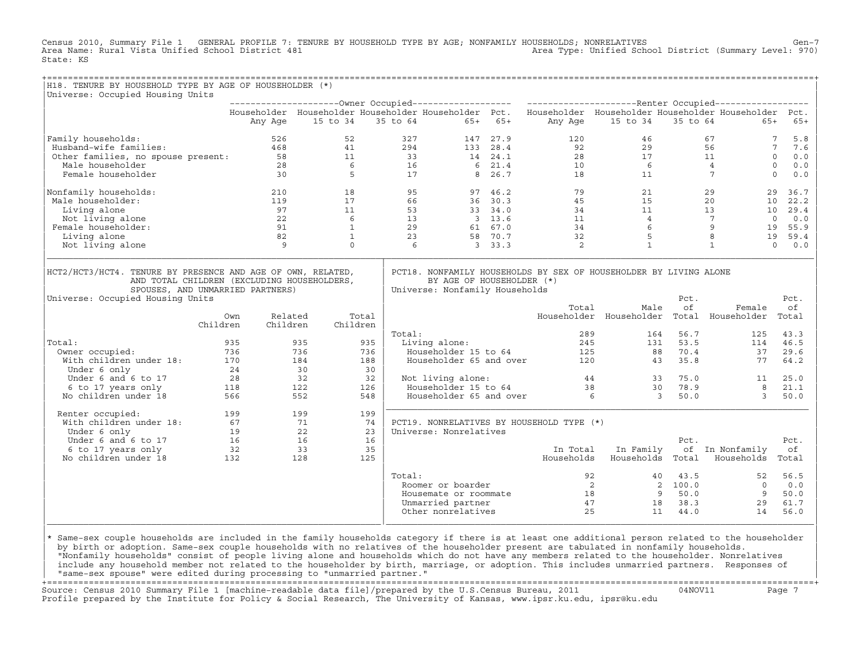Census 2010, Summary File 1 GENERAL PROFILE 7: TENURE BY HOUSEHOLD TYPE BY AGE; NONFAMILY HOUSEHOLDS; NONRELATIVES Gen−7<br>Area Name: Rural Vista Unified School District 481 Area Type: Unified School District (Summary Level: 970) State: KS

| H18. TENURE BY HOUSEHOLD TYPE BY AGE OF HOUSEHOLDER (*)                                                                                                            |            |                |                                   |          |                         |                                                                                                  |        |                                                                                                                                                                                                                                                                                                  |                                                 |                               |                                                    |                        |
|--------------------------------------------------------------------------------------------------------------------------------------------------------------------|------------|----------------|-----------------------------------|----------|-------------------------|--------------------------------------------------------------------------------------------------|--------|--------------------------------------------------------------------------------------------------------------------------------------------------------------------------------------------------------------------------------------------------------------------------------------------------|-------------------------------------------------|-------------------------------|----------------------------------------------------|------------------------|
| Universe: Occupied Housing Units                                                                                                                                   |            |                |                                   |          |                         |                                                                                                  |        |                                                                                                                                                                                                                                                                                                  |                                                 |                               |                                                    |                        |
|                                                                                                                                                                    |            |                |                                   |          |                         |                                                                                                  |        | Householder Householder Householder Householder Pct. Householder Householder Householder Householder Pct.                                                                                                                                                                                        |                                                 |                               |                                                    |                        |
|                                                                                                                                                                    |            |                |                                   |          |                         |                                                                                                  |        |                                                                                                                                                                                                                                                                                                  |                                                 |                               |                                                    |                        |
|                                                                                                                                                                    |            |                | Any Age 15 to 34 35 to 64 65+ 65+ |          |                         |                                                                                                  |        |                                                                                                                                                                                                                                                                                                  | Any Age 15 to 34 35 to 64                       |                               |                                                    | $65+ 65+$              |
| Family households:                                                                                                                                                 |            |                | 52                                |          |                         | 327 147 27.9                                                                                     |        |                                                                                                                                                                                                                                                                                                  | 120 46                                          |                               | 67 —                                               | 5.8<br>$7^{\circ}$     |
|                                                                                                                                                                    |            |                |                                   |          |                         |                                                                                                  |        |                                                                                                                                                                                                                                                                                                  |                                                 |                               | $\begin{array}{c}\n 56 \\  11 \\  4\n \end{array}$ | $7\overline{ }$<br>7.6 |
|                                                                                                                                                                    |            |                |                                   |          |                         |                                                                                                  |        |                                                                                                                                                                                                                                                                                                  |                                                 |                               |                                                    | $\circ$<br>0.0         |
|                                                                                                                                                                    |            |                |                                   |          |                         |                                                                                                  |        |                                                                                                                                                                                                                                                                                                  |                                                 |                               |                                                    | $\Omega$<br>0.0        |
| % Fundaly households:<br>Husband-wife families: 468<br>Other families, no spouse present: 58<br>Male householder 28<br>Famale householder 30<br>5                  |            |                |                                   |          | $294$<br>33<br>16<br>17 |                                                                                                  | 8 26.7 | 18                                                                                                                                                                                                                                                                                               |                                                 | 11                            | $7\overline{ }$                                    | $\Omega$<br>0.0        |
| Nonfamily households:                                                                                                                                              |            | 210            | 18                                |          |                         | 95<br>97 46.2<br>66<br>36 30.3<br>53<br>33 34.0<br>13<br>313.6<br>29<br>61 67.0<br>23<br>58 70.7 |        | $\begin{array}{cccccc} 97 & 46.2 & & & & & & & & 79 & & & & 21 & & & & 29 \\ 36 & 30.3 & & & & & 45 & & & 15 & & & 20 \\ 33 & 34.0 & & & & 34 & & & 11 & & & 13 \\ 3 & 13.6 & & & & 11 & & & 4 & & 7 \\ 61 & 67.0 & & & & 34 & & & 6 & & 9 \\ 58 & 70.7 & & & & 32 & & & 5 & & 8 \\ \end{array}$ |                                                 |                               | 29                                                 | 29<br>36.7             |
| Male householder:                                                                                                                                                  |            | 119            | 17                                |          |                         |                                                                                                  |        |                                                                                                                                                                                                                                                                                                  |                                                 |                               | 20                                                 | 10<br>22.2             |
| Living alone                                                                                                                                                       |            | 97             | 11                                |          |                         |                                                                                                  |        |                                                                                                                                                                                                                                                                                                  |                                                 |                               | 13                                                 | 10 29.4                |
| Not living alone                                                                                                                                                   |            | 22<br>91       | $6\overline{6}$                   |          |                         |                                                                                                  |        |                                                                                                                                                                                                                                                                                                  |                                                 |                               |                                                    | $\overline{0}$<br>0.0  |
| Female householder:                                                                                                                                                |            |                | $\mathbf{1}$                      |          |                         |                                                                                                  |        |                                                                                                                                                                                                                                                                                                  |                                                 |                               |                                                    | 19<br>55.9             |
| Living alone                                                                                                                                                       |            | 82             | $\overline{\phantom{a}}$          |          |                         |                                                                                                  |        |                                                                                                                                                                                                                                                                                                  |                                                 |                               |                                                    | 19<br>59.4             |
| Not living alone                                                                                                                                                   |            | $\overline{9}$ | $\Omega$                          |          | $6\overline{6}$         | 3, 33.3                                                                                          |        | $\overline{a}$                                                                                                                                                                                                                                                                                   | $\mathbf{1}$                                    |                               | $\mathbf{1}$                                       | $0 \t 0.0$             |
| HCT2/HCT3/HCT4. TENURE BY PRESENCE AND AGE OF OWN, RELATED,<br>AND TOTAL CHILDREN (EXCLUDING HOUSEHOLDERS,<br>SPOUSES, AND UNMARRIED PARTNERS)                     |            |                |                                   |          |                         | BY AGE OF HOUSEHOLDER (*)<br>Universe: Nonfamily Households                                      |        | PCT18. NONFAMILY HOUSEHOLDS BY SEX OF HOUSEHOLDER BY LIVING ALONE                                                                                                                                                                                                                                |                                                 |                               |                                                    |                        |
| Universe: Occupied Housing Units                                                                                                                                   |            |                |                                   |          |                         |                                                                                                  |        | Total                                                                                                                                                                                                                                                                                            | Male                                            | Pct.<br>οf                    |                                                    | Pct.<br>оf             |
|                                                                                                                                                                    | Own        | Related        |                                   | Total    |                         |                                                                                                  |        |                                                                                                                                                                                                                                                                                                  | Householder Householder Total Householder Total |                               | Female                                             |                        |
|                                                                                                                                                                    | Children   | Children       | Children                          |          |                         |                                                                                                  |        |                                                                                                                                                                                                                                                                                                  |                                                 |                               |                                                    |                        |
|                                                                                                                                                                    |            |                |                                   |          | Total:                  |                                                                                                  |        |                                                                                                                                                                                                                                                                                                  | 289                                             | 164 56.7                      |                                                    | 125 43.3               |
| Total:<br>Owner occupied:<br>With children                                                                                                                         | 935<br>736 |                | 935                               | 935      |                         |                                                                                                  |        | otal:<br>Living alone:<br>Householder 15 to 64                                                                                                                                                                                                                                                   | 245                                             | 131 53.5                      |                                                    | 114 46.5               |
|                                                                                                                                                                    |            |                | 736                               | 736      |                         | Householder 15 to 64                                                                             |        | Householder 65 and over                                                                                                                                                                                                                                                                          | $125$ 88<br>$120$ 43                            |                               | $70.4$<br>$35.8$<br>37                             | 29.6                   |
|                                                                                                                                                                    |            |                |                                   | 188      |                         |                                                                                                  |        |                                                                                                                                                                                                                                                                                                  |                                                 |                               | 77                                                 | 64.2                   |
|                                                                                                                                                                    |            |                |                                   | 30<br>32 |                         | Not living alone:                                                                                |        |                                                                                                                                                                                                                                                                                                  |                                                 |                               |                                                    | 25.0                   |
| Valiation (18)<br>With children under 18: 170 184<br>Under 6 only 24 30<br>Under 6 and 6 to 17 28 32<br>6 to 17 years only 118 122<br>No children under 18 566 552 |            |                | $\frac{32}{122}$                  | 126      |                         |                                                                                                  |        | Not living alone: $44$ and $33$ 75.0 and 11<br>Householder 15 to 64 and 38 and 30 78.9 and 30 and 30 50.0 and 3                                                                                                                                                                                  |                                                 |                               |                                                    | 21.1                   |
|                                                                                                                                                                    |            |                |                                   | 548      |                         |                                                                                                  |        |                                                                                                                                                                                                                                                                                                  |                                                 |                               |                                                    | 50.0                   |
|                                                                                                                                                                    |            |                |                                   |          |                         |                                                                                                  |        |                                                                                                                                                                                                                                                                                                  |                                                 |                               |                                                    |                        |
| Renter occupied:                                                                                                                                                   |            | 199            | 199                               | 199      |                         |                                                                                                  |        |                                                                                                                                                                                                                                                                                                  |                                                 |                               |                                                    |                        |
| With children under 18:                                                                                                                                            |            |                |                                   | 74       |                         |                                                                                                  |        | PCT19. NONRELATIVES BY HOUSEHOLD TYPE (*)                                                                                                                                                                                                                                                        |                                                 |                               |                                                    |                        |
|                                                                                                                                                                    |            |                |                                   | 23       |                         | Universe: Nonrelatives                                                                           |        |                                                                                                                                                                                                                                                                                                  |                                                 |                               |                                                    |                        |
|                                                                                                                                                                    |            |                |                                   | 16       |                         |                                                                                                  |        |                                                                                                                                                                                                                                                                                                  |                                                 | Pct.                          |                                                    | Pct.                   |
|                                                                                                                                                                    |            |                |                                   | 35       |                         |                                                                                                  |        |                                                                                                                                                                                                                                                                                                  | In Total In Family                              |                               | of In Nonfamily                                    | оf                     |
| With children under 18:<br>Under 6 only<br>19 22<br>16 6 to 17 16 16<br>16 6 to 17 years only<br>19 32 33<br>No children under 18 132 128<br>No children under 18  |            |                |                                   | 125      |                         |                                                                                                  |        | Households                                                                                                                                                                                                                                                                                       | Households Total                                |                               | Households                                         | Total                  |
|                                                                                                                                                                    |            |                |                                   |          | Total:                  |                                                                                                  |        |                                                                                                                                                                                                                                                                                                  | 92 000                                          | 40 43.5                       | 52                                                 | 56.5                   |
|                                                                                                                                                                    |            |                |                                   |          |                         | Roomer or boarder                                                                                |        |                                                                                                                                                                                                                                                                                                  |                                                 |                               | $\circ$                                            | 0.0                    |
|                                                                                                                                                                    |            |                |                                   |          |                         | Housemate or roommate                                                                            |        |                                                                                                                                                                                                                                                                                                  | $\begin{array}{c} 2 \\ 18 \end{array}$          | $\frac{2}{9}$ 100.0<br>9 50.0 | 9                                                  | 50.0                   |
|                                                                                                                                                                    |            |                |                                   |          |                         | Unmarried partner                                                                                |        |                                                                                                                                                                                                                                                                                                  | 47<br>18                                        | 38.3                          | 29                                                 | 61.7                   |

design to the control of the control of the control of the control of the control of the control of the control of the control of the control of the control of the control of the control of the control of the control of th |\* Same−sex couple households are included in the family households category if there is at least one additional person related to the householder | | by birth or adoption. Same−sex couple households with no relatives of the householder present are tabulated in nonfamily households. | | "Nonfamily households" consist of people living alone and households which do not have any members related to the householder. Nonrelatives | include any household member not related to the householder by birth, marriage, or adoption. This includes unmarried partners. Responses of | "same−sex spouse" were edited during processing to "unmarried partner." |

 $\vert$  Other nonrelatives  $\vert$  25  $\vert$  11  $\vert$  44.0  $\vert$  14  $\vert$  56.0  $\vert$ |\_\_\_\_\_\_\_\_\_\_\_\_\_\_\_\_\_\_\_\_\_\_\_\_\_\_\_\_\_\_\_\_\_\_\_\_\_\_\_\_\_\_\_\_\_\_\_\_\_\_\_\_\_\_\_\_\_\_\_\_\_\_\_\_|\_\_\_\_\_\_\_\_\_\_\_\_\_\_\_\_\_\_\_\_\_\_\_\_\_\_\_\_\_\_\_\_\_\_\_\_\_\_\_\_\_\_\_\_\_\_\_\_\_\_\_\_\_\_\_\_\_\_\_\_\_\_\_\_\_\_\_\_\_\_\_\_\_\_\_\_\_\_\_\_\_\_|

+===================================================================================================================================================+ Source: Census 2010 Summary File 1 [machine−readable data file]/prepared by the U.S.Census Bureau, 2011 04NOV11 Page 7 Profile prepared by the Institute for Policy & Social Research, The University of Kansas, www.ipsr.ku.edu, ipsr@ku.edu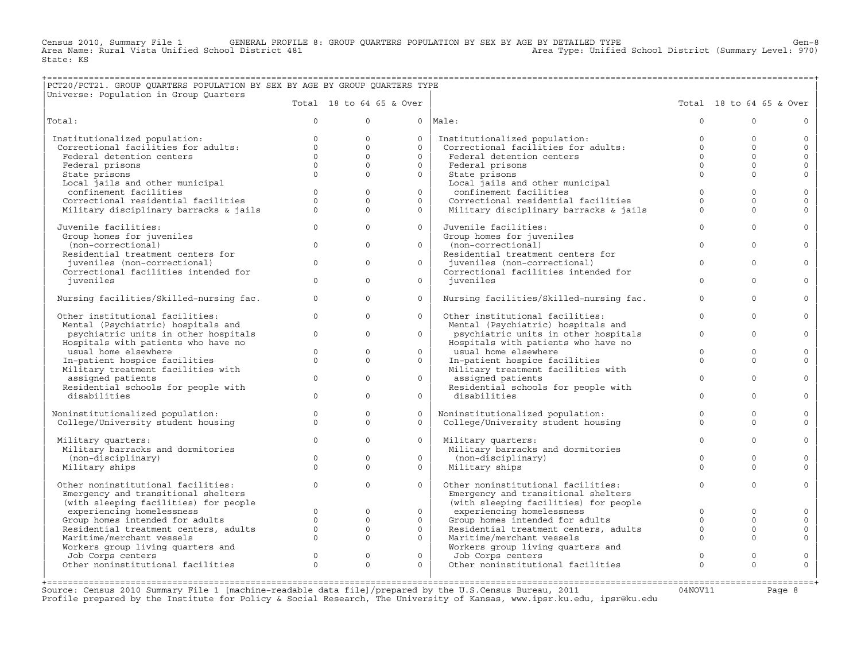Census 2010, Summary File 1 GENERAL PROFILE 8: GROUP QUARTERS POPULATION BY SEX BY AGE BY DETAILED TYPE Genol District (Summary Level: 970)<br>Area Name: Rural Vista Unified School District 481 Area Name: Rural Vista Unified School District 481 State: KS

## +===================================================================================================================================================+|PCT20/PCT21. GROUP QUARTERS POPULATION BY SEX BY AGE BY GROUP QUARTERS TYPE |

Universe: Population in Group Quarters<br>
Total 18 to 64 65 & Over | Total 18 to 64 65 & Over | Total 18 to 64 65 & Over | | | | |Total: 0 0 0 |Male: 0 0 0 | | | | | Institutionalized population: 0 0 0 | Institutionalized population: 0 0 0 | | Correctional facilities for adults: 0 0 0 | Correctional facilities for adults: 0 0 0 | | Federal detention centers 0 0 0 | Federal detention centers 0 0 0 | Pederal prisons and the contract of the contract of the contract of the contract of the contract of the contract of the contract of the contract of the contract of the contract of the contract of the contract of the contra State prisons<br>
Local jails and other municipal<br>  $\begin{array}{c|c} 0 & 0 & 0 & 0 & 0 \end{array}$  State prisons<br>
Local jails and other municipal | Local jails and other municipal | Local jails and other municipal | | confinement facilities 0 0 0 | confinement facilities 0 0 0 | | Correctional residential facilities 0 0 0 | Correctional residential facilities 0 0 0 | | Military disciplinary barracks & jails 0 0 0 | Military disciplinary barracks & jails 0 0 0 | | | | | Juvenile facilities: 0 0 0 | Juvenile facilities: 0 0 0 | | Group homes for juveniles | Group homes for juveniles | | (non−correctional) 0 0 0 | (non−correctional) 0 0 0 | Residential treatment centers for  $\begin{array}{c|c} \text{Residential treatment centers for} \end{array}$  (0 %) and the local treatment centers for the correctional) of the correctional (100 %) and (100 %) and (100 %) and (100 %) and (100 %) and (100 %) and (100 %) a | juveniles (non−correctional) 0 0 0 | juveniles (non−correctional) 0 0 0 | | Correctional facilities intended for | Correctional facilities intended for | | juveniles 0 0 0 | juveniles 0 0 0 | | | | | Nursing facilities/Skilled−nursing fac. 0 0 0 | Nursing facilities/Skilled−nursing fac. 0 0 0 | | | | | Other institutional facilities: 0 0 0 | Other institutional facilities: 0 0 0 | | Mental (Psychiatric) hospitals and | Mental (Psychiatric) hospitals and | | psychiatric units in other hospitals 0 0 0 | psychiatric units in other hospitals 0 0 0 | | Hospitals with patients who have no | Hospitals with patients who have no | | usual home elsewhere 0 0 0 | usual home elsewhere 0 0 0 | | In−patient hospice facilities 0 0 0 | In−patient hospice facilities 0 0 0 | Military treatment facilities with  $\begin{array}{c|c} 0 & 0 & 0 \end{array}$  Military treatment facilities with  $\begin{array}{c|c} 0 & 0 & 0 \end{array}$ assigned patients<br>Residential schools for people with  $\begin{array}{ccc} \text{Residential} \end{array}$  schools for people with  $\begin{array}{ccc} 0 & 0 & 0 \end{array}$  Residential schools for people with  $\begin{array}{ccc} 0 & 0 & 0 \end{array}$ | disabilities 0 0 0 | disabilities 0 0 0 | | | | | Noninstitutionalized population: 0 0 0 | Noninstitutionalized population: 0 0 0 | | College/University student housing 0 0 0 | College/University student housing 0 0 0 | | | | | Military quarters: 0 0 0 | Military quarters: 0 0 0 | | Military barracks and dormitories | Military barracks and dormitories | | (non−disciplinary) 0 0 0 | (non−disciplinary) 0 0 0 | | Military ships 0 0 0 | Military ships 0 0 0 | | | | | Other noninstitutional facilities: 0 0 0 | Other noninstitutional facilities: 0 0 0 | | Emergency and transitional shelters | Emergency and transitional shelters | | (with sleeping facilities) for people | (with sleeping facilities) for people | | experiencing homelessness 0 0 0 | experiencing homelessness 0 0 0 | | Group homes intended for adults 0 0 0 | Group homes intended for adults 0 0 0 | (with steeping factricies) for people<br>
experiencing homelessness<br>
croup homes intended for adults and treatment centers, adults and the server of the component of the component<br>
Residential treatment centers, adults and th Maritime/merchant vessels and the control of the control of the Maritime/merchant vessels of the merchant vessels of the control of the merchant vessels of the merchant vessels of the merchant vessels of the merchant vesse Workers group living quarters and<br>  $\begin{array}{ccc}\n\text{Job Corps centers} \\
\text{Job Corps centers} \\
\text{Other noninsstitutional facilities} \\
\text{Other noninsstitutional facilities} \\
\end{array} \qquad \begin{array}{ccc}\n\text{Workers group living quarters and} \\
\text{Job Corps centers} \\
\text{On this,} \\
\end{array} \qquad \begin{array}{ccc}\n\text{Vohers group living quarters} \\
\text{Sohers and} \\
\end{array} \qquad \begin{array}{ccc}\n\text{Vohers group living quarters} \\
\text{Sohers on the image} \\
\end{array} \qquad \begin{array}{ccc}\n\text{$ | Job Corps centers 0 0 0 | Job Corps centers 0 0 0 | | Other noninstitutional facilities 0 0 0 | Other noninstitutional facilities 0 0 0 | | | | +===================================================================================================================================================+

Source: Census 2010 Summary File 1 [machine−readable data file]/prepared by the U.S.Census Bureau, 2011 04NOV11 Page 8 Profile prepared by the Institute for Policy & Social Research, The University of Kansas, www.ipsr.ku.edu, ipsr@ku.edu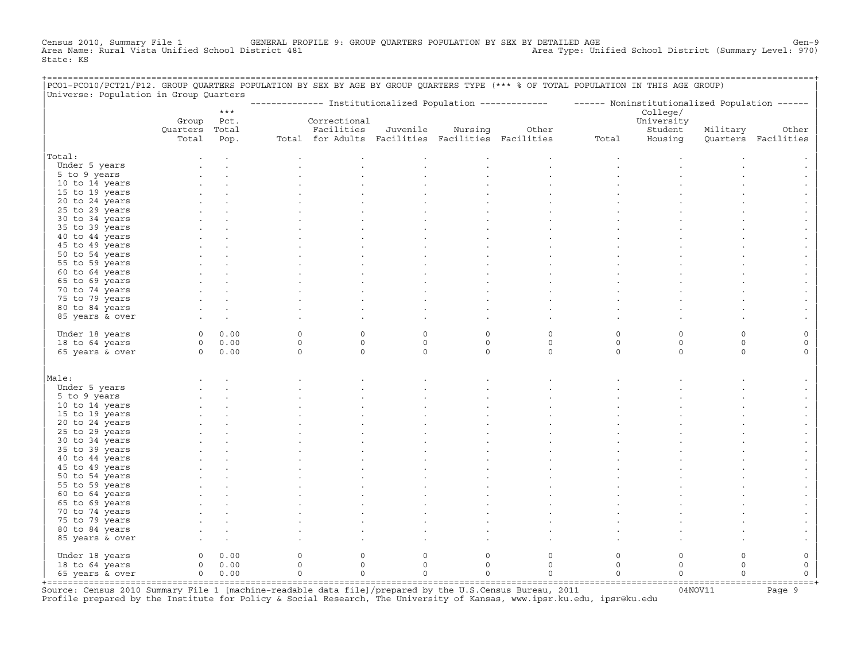Census 2010, Summary File 1 GENERAL PROFILE 9: GROUP QUARTERS POPULATION BY SEX BY DETAILED AGE GENOOL District (Summary Level: 970)<br>Area Name: Rural Vista Unified School District 481 area Type: Unified School District (S Area Type: Unified School District (Summary Level: 970) State: KS

| PCO1-PCO10/PCT21/P12. GROUP QUARTERS POPULATION BY SEX BY AGE BY GROUP QUARTERS TYPE (*** % OF TOTAL POPULATION IN THIS AGE GROUP)<br>Universe: Population in Group Quarters |                              |             |          |                                                   |             |          |                                                                                                         |          |                                   |          |                     |
|------------------------------------------------------------------------------------------------------------------------------------------------------------------------------|------------------------------|-------------|----------|---------------------------------------------------|-------------|----------|---------------------------------------------------------------------------------------------------------|----------|-----------------------------------|----------|---------------------|
|                                                                                                                                                                              |                              | $***$       |          |                                                   |             |          | -------------- Institutionalized Population ------------- ------ Noninstitutionalized Population ------ |          |                                   |          |                     |
|                                                                                                                                                                              | Group Pct.<br>Quarters Total |             |          | Correctional<br>Facilities                        | Juvenile    | Nursing  | Other                                                                                                   |          | College/<br>University<br>Student | Military | Other               |
|                                                                                                                                                                              | Total                        | Pop.        |          | Total for Adults Facilities Facilities Facilities |             |          |                                                                                                         | Total    | Housing                           |          | Quarters Facilities |
| Total:                                                                                                                                                                       |                              |             |          |                                                   |             |          |                                                                                                         |          |                                   |          |                     |
| Under 5 years                                                                                                                                                                |                              |             |          |                                                   |             |          |                                                                                                         |          |                                   |          |                     |
| 5 to 9 years                                                                                                                                                                 |                              |             |          |                                                   |             |          |                                                                                                         |          |                                   |          |                     |
| 10 to 14 years                                                                                                                                                               |                              |             |          |                                                   |             |          |                                                                                                         |          |                                   |          |                     |
| 15 to 19 years                                                                                                                                                               |                              |             |          |                                                   |             |          |                                                                                                         |          |                                   |          |                     |
| 20 to 24 years                                                                                                                                                               |                              |             |          |                                                   |             |          |                                                                                                         |          |                                   |          |                     |
| 25 to 29 years                                                                                                                                                               |                              |             |          |                                                   |             |          |                                                                                                         |          |                                   |          |                     |
| 30 to 34 years                                                                                                                                                               |                              |             |          |                                                   |             |          |                                                                                                         |          |                                   |          |                     |
| 35 to 39 years                                                                                                                                                               |                              |             |          |                                                   |             |          |                                                                                                         |          |                                   |          |                     |
| 40 to 44 years                                                                                                                                                               |                              |             |          |                                                   |             |          |                                                                                                         |          |                                   |          |                     |
| 45 to 49 years                                                                                                                                                               |                              |             |          |                                                   |             |          |                                                                                                         |          |                                   |          |                     |
| 50 to 54 years                                                                                                                                                               |                              |             |          |                                                   |             |          |                                                                                                         |          |                                   |          |                     |
| 55 to 59 years                                                                                                                                                               |                              |             |          |                                                   |             |          |                                                                                                         |          |                                   |          |                     |
| 60 to 64 years                                                                                                                                                               |                              |             |          |                                                   |             |          |                                                                                                         |          |                                   |          |                     |
| 65 to 69 years<br>70 to 74 years                                                                                                                                             |                              |             |          |                                                   |             |          |                                                                                                         |          |                                   |          |                     |
| 75 to 79 years                                                                                                                                                               |                              |             |          |                                                   |             |          |                                                                                                         |          |                                   |          |                     |
| 80 to 84 years                                                                                                                                                               |                              |             |          |                                                   |             |          |                                                                                                         |          |                                   |          |                     |
| 85 years & over                                                                                                                                                              |                              |             |          |                                                   |             |          |                                                                                                         |          |                                   |          |                     |
|                                                                                                                                                                              |                              |             |          |                                                   |             |          |                                                                                                         |          |                                   |          |                     |
| Under 18 years                                                                                                                                                               |                              | 0 0.00      | 0        | $\mathsf{O}$                                      | 0           | 0        | 0                                                                                                       | 0        | $\mathbf 0$                       | $\Omega$ | 0                   |
| 18 to 64 years                                                                                                                                                               |                              | 0 0.00      | $\circ$  | $\circ$                                           | $\mathbf 0$ | $\circ$  | $\circ$                                                                                                 | $\circ$  | $\circ$                           | $\circ$  | 0                   |
| 65 years & over                                                                                                                                                              |                              | $0 \t 0.00$ | $\circ$  | $\Omega$                                          | $\Omega$    | $\circ$  | $\Omega$                                                                                                | $\Omega$ | $\Omega$                          | $\Omega$ | $\Omega$            |
|                                                                                                                                                                              |                              |             |          |                                                   |             |          |                                                                                                         |          |                                   |          |                     |
| Male:                                                                                                                                                                        |                              |             |          |                                                   |             |          |                                                                                                         |          |                                   |          |                     |
| Under 5 years                                                                                                                                                                |                              |             |          |                                                   |             |          |                                                                                                         |          |                                   |          |                     |
| 5 to 9 years                                                                                                                                                                 |                              |             |          |                                                   |             |          |                                                                                                         |          |                                   |          |                     |
| 10 to 14 years                                                                                                                                                               |                              |             |          |                                                   |             |          |                                                                                                         |          |                                   |          |                     |
| 15 to 19 years                                                                                                                                                               |                              |             |          |                                                   |             |          |                                                                                                         |          |                                   |          |                     |
| 20 to 24 years                                                                                                                                                               |                              |             |          |                                                   |             |          |                                                                                                         |          |                                   |          |                     |
| 25 to 29 years                                                                                                                                                               |                              |             |          |                                                   |             |          |                                                                                                         |          |                                   |          |                     |
| 30 to 34 years                                                                                                                                                               |                              |             |          |                                                   |             |          |                                                                                                         |          |                                   |          |                     |
| 35 to 39 years                                                                                                                                                               |                              |             |          |                                                   |             |          |                                                                                                         |          |                                   |          |                     |
| 40 to 44 years<br>45 to 49 years                                                                                                                                             |                              |             |          |                                                   |             |          |                                                                                                         |          |                                   |          |                     |
| 50 to 54 years                                                                                                                                                               |                              |             |          |                                                   |             |          |                                                                                                         |          |                                   |          |                     |
| 55 to 59 years                                                                                                                                                               |                              |             |          |                                                   |             |          |                                                                                                         |          |                                   |          |                     |
| 60 to 64 years                                                                                                                                                               |                              |             |          |                                                   |             |          |                                                                                                         |          |                                   |          |                     |
| 65 to 69 years                                                                                                                                                               |                              |             |          |                                                   |             |          |                                                                                                         |          |                                   |          |                     |
| 70 to 74 years                                                                                                                                                               |                              |             |          |                                                   |             |          |                                                                                                         |          |                                   |          |                     |
| 75 to 79 years                                                                                                                                                               |                              |             |          |                                                   |             |          |                                                                                                         |          |                                   |          |                     |
| 80 to 84 years                                                                                                                                                               |                              |             |          |                                                   |             |          |                                                                                                         |          |                                   |          |                     |
| 85 years & over                                                                                                                                                              |                              |             |          |                                                   |             |          |                                                                                                         |          |                                   |          |                     |
| Under 18 years                                                                                                                                                               | $\circ$                      | 0.00        | $\circ$  | $\circ$                                           | $\mathbf 0$ | $\circ$  | $\mathbf 0$                                                                                             | $\circ$  | $\circ$                           | $\circ$  | 0                   |
| 18 to 64 years                                                                                                                                                               |                              | $0 \t 0.00$ | $\Omega$ | $\Omega$                                          | $\Omega$    | $\Omega$ | $\Omega$                                                                                                | $\Omega$ | $\Omega$                          | $\Omega$ | 0                   |
| 65 years & over                                                                                                                                                              |                              | $0 \t 0.00$ | $\circ$  | $\mathbf{0}$                                      | $\circ$     | $\Omega$ | $\Omega$                                                                                                | $\Omega$ | $\Omega$                          | $\Omega$ | $\Omega$            |
|                                                                                                                                                                              |                              |             |          |                                                   |             |          |                                                                                                         |          |                                   |          |                     |

+===================================================================================================================================================+Source: Census 2010 Summary File 1 [machine−readable data file]/prepared by the U.S.Census Bureau, 2011 04NOV11 Page 9 Profile prepared by the Institute for Policy & Social Research, The University of Kansas, www.ipsr.ku.edu, ipsr@ku.edu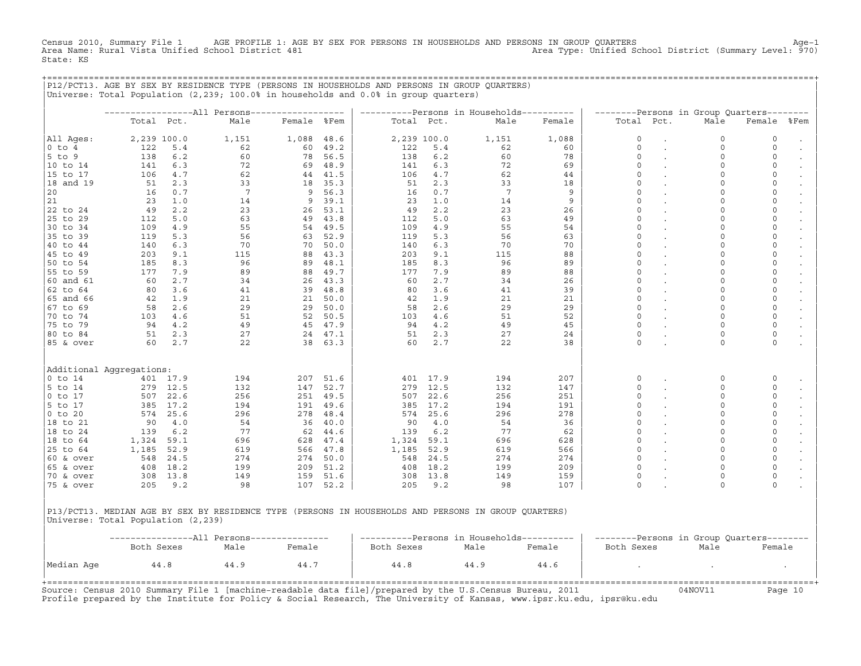Census 2010, Summary File 1 AGE PROFILE 1: AGE BY SEX FOR PERSONS IN HOUSEHOLDS AND PERSONS IN GROUP QUARTERS<br>Area Name: Rural Vista Unified School District 481 Area NouseHolds And Area Type: Unified School District (Summ State: KS

+===================================================================================================================================================+

|                          |             |          |                 |             |         |             |      | ----------Persons in Households---------- |        |             | --------Persons in Group Quarters-------- |              |           |
|--------------------------|-------------|----------|-----------------|-------------|---------|-------------|------|-------------------------------------------|--------|-------------|-------------------------------------------|--------------|-----------|
|                          | Total Pct.  |          | Male            | Female %Fem |         | Total Pct.  |      | Male                                      | Female | Total Pct.  | Male                                      | Female %Fem  |           |
| All Aqes:                | 2,239 100.0 |          | 1,151           | 1,088 48.6  |         | 2,239 100.0 |      | 1,151                                     | 1,088  | $\circ$     | 0                                         | 0            |           |
| $0$ to $4$               | 122         | $5.4$    | 62              | 60          | 49.2    | 122         | 5.4  | 62                                        | 60     | $\circ$     | 0                                         | 0            |           |
| 5 to 9                   | 138         | 6.2      | 60              | 78          | 56.5    | 138         | 6.2  | 60                                        | 78     | $\circ$     | $\circ$                                   | 0            |           |
| 10 to 14                 | 141         | 6.3      | 72              | 69          | 48.9    | 141         | 6.3  | 72                                        | 69     | $\circ$     | $\circ$                                   | $\mathsf O$  |           |
| 15 to 17                 | 106         | 4.7      | 62              |             | 44 41.5 | 106         | 4.7  | 62                                        | 44     | $\mathbf 0$ | $\circ$                                   | $\circ$      | $\bullet$ |
| 18 and 19                | 51          | 2.3      | 33              | 18          | 35.3    | 51          | 2.3  | 33                                        | 18     | $\circ$     | $\mathbf 0$                               | $\mathsf{O}$ | $\bullet$ |
| 20                       | 16          | 0.7      | $7\overline{ }$ | 9           | 56.3    | 16          | 0.7  | 7                                         | 9      | $\circ$     | $\mathbf 0$                               | 0            | $\bullet$ |
| 21                       | 23          | 1.0      | 14              | 9           | 39.1    | 23          | 1.0  | 14                                        | 9      | $\Omega$    | $\mathbf 0$                               | $\mathsf O$  | $\bullet$ |
| 22 to 24                 | 49          | 2.2      | 23              | 26          | 53.1    | 49          | 2.2  | 23                                        | 26     | $\mathbf 0$ | $\mathbf 0$                               | $\circ$      | $\bullet$ |
| 25 to 29                 | 112         | 5.0      | 63              |             | 49 43.8 | 112         | 5.0  | 63                                        | 49     | $\circ$     | $\mathbf 0$                               | $\mathsf{O}$ | $\bullet$ |
| 30 to 34                 | 109         | 4.9      | 55              | 54          | 49.5    | 109         | 4.9  | 55                                        | 54     | $\circ$     | 0                                         | $\mathsf{O}$ | $\bullet$ |
| 35 to 39                 | 119         | 5.3      | 56              | 63          | 52.9    | 119         | 5.3  | 56                                        | 63     | $\circ$     | $\circ$                                   | $\mathsf{O}$ | $\bullet$ |
| 40 to 44                 | 140         | 6.3      | 70              | 70          | 50.0    | 140         | 6.3  | 70                                        | 70     | $\circ$     | 0                                         | $\circ$      | $\bullet$ |
| 45 to 49                 | 203         | 9.1      | 115             | 88          | 43.3    | 203         | 9.1  | 115                                       | 88     | $\circ$     | $\mathbf 0$                               | 0            | $\bullet$ |
| 50 to 54                 | 185         | 8.3      | 96              | 89          | 48.1    | 185         | 8.3  | 96                                        | 89     | $\circ$     | 0                                         | 0            | $\bullet$ |
| 55 to 59                 | 177         | 7.9      | 89              | 88          | 49.7    | 177         | 7.9  | 89                                        | 88     | $\circ$     | $\circ$                                   | 0            | $\bullet$ |
| 60 and 61                | 60          | 2.7      | 34              | 26          | 43.3    | 60          | 2.7  | 34                                        | 26     | $\circ$     | $\mathbf 0$                               | $\mathbf 0$  | $\bullet$ |
| 62 to 64                 | 80          | 3.6      | 41              | 39          | 48.8    | 80          | 3.6  | 41                                        | 39     | $\circ$     | $\mathbf 0$                               | $\circ$      | $\bullet$ |
| 65 and 66                | 42          | 1.9      | 21              | 21          | 50.0    | 42          | 1.9  | 21                                        | 21     | $\circ$     | $\mathbf 0$                               | $\mathsf{O}$ | $\bullet$ |
| 67 to 69                 | 58          | 2.6      | 29              | 29          | 50.0    | 58          | 2.6  | 29                                        | 29     | $\circ$     | $\circ$                                   | $\mathbf 0$  |           |
| 70 to 74                 | 103         | 4.6      | 51              | 52          | 50.5    | 103         | 4.6  | 51                                        | 52     | $\circ$     | $\Omega$                                  | $\mathbb O$  |           |
| 75 to 79                 | 94          | 4.2      | 49              |             | 45 47.9 | 94          | 4.2  | 49                                        | 45     | $\circ$     | $\circ$                                   | $\circ$      |           |
| 80 to 84                 | 51          | 2.3      | 27              |             | 24 47.1 | 51          | 2.3  | 27                                        | 24     | $\circ$     | $\mathbf 0$                               | $\mathsf{O}$ |           |
| 85 & over                | 60          | 2.7      | 22              |             | 38 63.3 | 60          | 2.7  | 22                                        | 38     | $\Omega$    | $\Omega$                                  | $\circ$      |           |
| Additional Aqqreqations: |             |          |                 |             |         |             |      |                                           |        |             |                                           |              |           |
| $0$ to $14$              |             | 401 17.9 | 194             | 207         | 51.6    | 401         | 17.9 | 194                                       | 207    | $\circ$     | 0                                         | 0            |           |
| $5$ to $14$              |             | 279 12.5 | 132             | 147         | 52.7    | 279         | 12.5 | 132                                       | 147    | $\circ$     | $\circ$                                   | $\circ$      |           |
| $0$ to $17$              | 507         | 22.6     | 256             | 251         | 49.5    | 507         | 22.6 | 256                                       | 251    | $\circ$     | $\circ$                                   | $\circ$      | $\bullet$ |
| 5 to 17                  | 385         | 17.2     | 194             | 191         | 49.6    | 385         | 17.2 | 194                                       | 191    | $\mathbf 0$ | 0                                         | 0            | $\bullet$ |
| $0$ to $20$              | 574         | 25.6     | 296             | 278         | 48.4    | 574         | 25.6 | 296                                       | 278    | $\mathbf 0$ | 0                                         | 0            | $\bullet$ |
| 18 to 21                 | 90          | 4.0      | 54              | 36          | 40.0    | 90          | 4.0  | 54                                        | 36     | $\Omega$    | $\circ$                                   | $\mathbf 0$  | $\bullet$ |
| 18 to 24                 | 139         | 6.2      | 77              | 62          | 44.6    | 139         | 6.2  | 77                                        | 62     | $\circ$     | 0                                         | 0            | $\bullet$ |
| 18 to 64                 | 1,324       | 59.1     | 696             | 628         | 47.4    | 1,324       | 59.1 | 696                                       | 628    | $\circ$     | 0                                         | $\circ$      | $\bullet$ |
| 25 to 64                 | 1,185       | 52.9     | 619             | 566         | 47.8    | 1,185       | 52.9 | 619                                       | 566    | $\circ$     | 0                                         | $\circ$      | $\bullet$ |
| 60 & over                | 548         | 24.5     | 274             | 274         | 50.0    | 548         | 24.5 | 274                                       | 274    | $\circ$     | $\circ$                                   | $\circ$      |           |
| 65 & over                | 408         | 18.2     | 199             | 209         | 51.2    | 408         | 18.2 | 199                                       | 209    | $\circ$     | $\Omega$                                  | $\mathbb O$  |           |
| 70 & over                | 308         | 13.8     | 149             | 159         | 51.6    | 308         | 13.8 | 149                                       | 159    | $\circ$     | $\circ$                                   | $\circ$      |           |
| 75 & over                | 205         | 9.2      | 98              | 107         | 52.2    | 205         | 9.2  | 98                                        | 107    | $\Omega$    | $\Omega$                                  | $\circ$      |           |
|                          |             |          |                 |             |         |             |      |                                           |        |             |                                           |              |           |

|            |            |      | -----All Persons---------------- | ----------Persons in Households---------- |      |        | --------Persons in Group Quarters-------- |      |        |  |
|------------|------------|------|----------------------------------|-------------------------------------------|------|--------|-------------------------------------------|------|--------|--|
|            | Both Sexes | Male | Female                           | Both Sexes                                | Male | Female | Both Sexes                                | Male | Female |  |
| Median Age | 44.8       | 44.9 | 44.7                             | 44.8                                      | 44.9 | 44.6   |                                           |      |        |  |

| | | | +===================================================================================================================================================+ Source: Census 2010 Summary File 1 [machine−readable data file]/prepared by the U.S.Census Bureau, 2011 04NOV11 Page 10 Profile prepared by the Institute for Policy & Social Research, The University of Kansas, www.ipsr.ku.edu, ipsr@ku.edu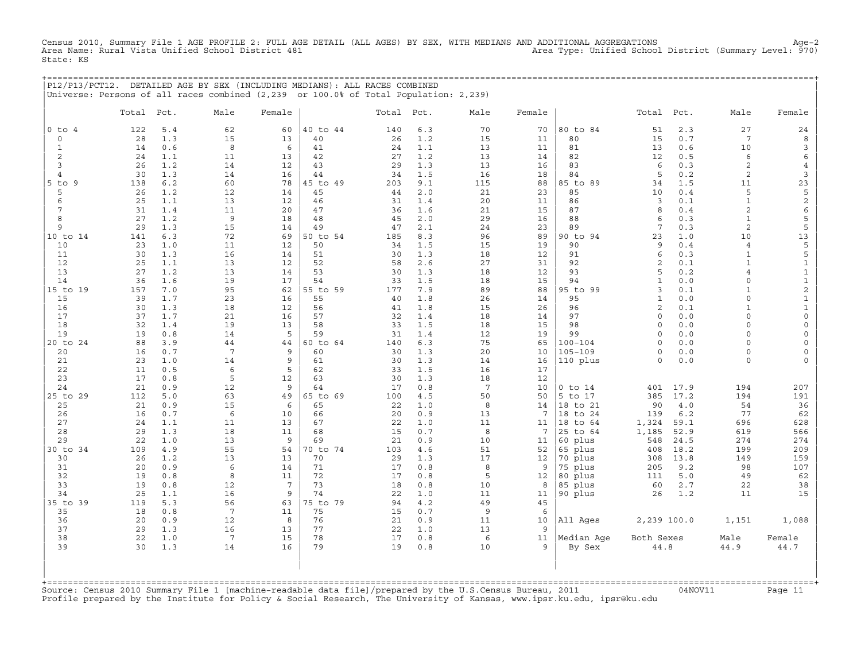Census 2010, Summary File 1 AGE PROFILE 2: FULL AGE DETAIL (ALL AGES) BY SEX, WITH MEDIANS AND ADDITIONAL AGGREGATIONS<br>Area Name: Rural Vista Unified School District 481 State: KS

| P12/P13/PCT12. DETAILED AGE BY SEX (INCLUDING MEDIANS): ALL RACES COMBINED |  |  |  |                                                                                      |
|----------------------------------------------------------------------------|--|--|--|--------------------------------------------------------------------------------------|
|                                                                            |  |  |  | Universe: Persons of all races combined (2,239 or 100.0% of Total Population: 2,239) |

|                           | Total    | Pct.       | Male                  | Female   |                | Total Pct. |            | Male            | Female       |                            | Total               | Pct.       | Male                           | Female                     |
|---------------------------|----------|------------|-----------------------|----------|----------------|------------|------------|-----------------|--------------|----------------------------|---------------------|------------|--------------------------------|----------------------------|
| $0$ to $4$                | 122      | 5.4        | 62                    | 60       | 40 to 44       | 140        | 6.3        | 70              | 70           | 80 to 84                   | 51                  | 2.3        | 27                             | 24                         |
| $\circ$                   | 28       | 1.3        | 15                    | 13       | 40             | 26         | 1.2        | 15              | 11           | 80                         | 15                  | 0.7        | 7                              | 8                          |
| $\mathbf{1}$              | 14       | 0.6        | 8                     | 6        | 41             | 24         | 1.1        | 13              | 11           | 81                         | 13                  | 0.6        | 10                             | 3                          |
| 2                         | 24       | 1.1        | 11                    | 13       | 42             | 27         | 1.2        | 13              | 14           | 82                         | 12                  | 0.5        | 6                              | $\epsilon$                 |
| 3                         | 26       | 1.2        | 14                    | 12       | 43             | 29         | 1.3        | 13              | 16           | 83                         | 6                   | 0.3        | 2                              | $\overline{4}$             |
| $\overline{4}$            | 30       | 1.3        | 14                    | 16       | 44             | 34         | 1.5        | 16              | 18           | 84                         | 5                   | 0.2        | $\overline{c}$                 | $\overline{3}$             |
| $5$ to<br>9               | 138      | 6.2        | 60                    | 78       | 45 to 49       | 203        | 9.1        | 115             | 88           | 85 to 89                   | 34                  | 1.5        | 11                             | $23\,$                     |
| 5                         | 26       | 1.2        | 12                    | 14       | 45             | 44         | 2.0        | 21              | 23           | 85                         | 10                  | 0.4        | 5                              | $\mathsf S$                |
| 6<br>$7\phantom{.0}$      | 25<br>31 | 1.1        | 13                    | 12<br>20 | 46<br>47       | 31         | 1.4        | 20              | 11           | 86<br>87                   | $\overline{3}$<br>8 | 0.1        | $\mathbf{1}$<br>$\overline{c}$ | $\mathbf{2}$<br>$\epsilon$ |
| 8                         | 27       | 1.4<br>1.2 | 11<br>9               | 18       | 48             | 36<br>45   | 1.6<br>2.0 | 21<br>29        | 15<br>16     | 88                         | 6                   | 0.4<br>0.3 | $\mathbf{1}$                   | 5                          |
| 9                         | 29       | 1.3        | 15                    | 14       | 49             | 47         | 2.1        | 24              | 23           | 89                         | $7\phantom{.0}$     | 0.3        | $\overline{\mathbf{c}}$        | 5                          |
| 10 to 14                  | 141      | 6.3        | 72                    | 69       | 50 to 54       | 185        | 8.3        | 96              | 89           | 90 to 94                   | 23                  | 1.0        | 10                             | 13                         |
| 10                        | 23       | 1.0        | 11                    | 12       | 50             | 34         | 1.5        | 15              | 19           | 90                         | 9                   | 0.4        | $\overline{4}$                 | 5                          |
| 11                        | 30       | 1.3        | 16                    | 14       | 51             | 30         | 1.3        | 18              | 12           | 91                         | 6                   | 0.3        | $\mathbf{1}$                   | 5                          |
| 12                        | 25       | 1.1        | 13                    | 12       | 52             | 58         | 2.6        | 27              | 31           | 92                         | $\overline{c}$      | 0.1        | $\mathbf{1}$                   | $\mathbf{1}$               |
| 13                        | 27       | 1.2        | 13                    | 14       | 53             | 30         | 1.3        | 18              | 12           | 93                         | 5                   | 0.2        | $\overline{4}$                 | $\mathbf{1}$               |
| 14                        | 36       | 1.6        | 19                    | 17       | 54             | 33         | 1.5        | 18              | 15           | 94                         | $\mathbf{1}$        | 0.0        | $\circ$                        | $\mathbf 1$                |
| 15 to 19                  | 157      | 7.0        | 95                    | 62       | 55 to 59       | 177        | 7.9        | 89              | 88           | 95 to 99                   | 3                   | 0.1        | $\mathbf{1}$                   | $\overline{a}$             |
| 15                        | 39       | 1.7        | 23                    | 16       | 55             | 40         | 1.8        | 26              | 14           | 95                         | $\mathbf{1}$        | 0.0        | $\Omega$                       | $\,1\,$                    |
| 16                        | 30       | 1.3        | 18                    | 12       | 56             | 41         | 1.8        | 15              | 26           | 96                         | $\overline{c}$      | 0.1        | $\mathbf{1}$                   | $\mathtt 1$                |
| 17                        | 37       | 1.7        | 21                    | 16       | 57             | 32         | 1.4        | 18              | 14           | 97                         | $\Omega$            | 0.0        | $\Omega$                       | $\mathsf{O}\xspace$        |
| 18                        | 32       | 1.4        | 19                    | 13       | 58             | 33         | 1.5        | 18              | 15           | 98                         | $\circ$             | $0.0$      | $\circ$                        | $\mathsf{O}\xspace$        |
| 19                        | 19       | 0.8        | 14                    | 5        | 59             | 31         | 1.4        | 12              | 19           | 99                         | $\circ$             | 0.0        | 0                              | $\mathsf{O}$               |
| 20 to 24                  | 88<br>16 | 3.9<br>0.7 | 44<br>$7\phantom{.0}$ | 44<br>9  | 60 to 64<br>60 | 140<br>30  | 6.3<br>1.3 | 75<br>20        | 65<br>10     | $100 - 104$<br>$105 - 109$ | $\Omega$<br>$\circ$ | 0.0<br>0.0 | $\Omega$<br>$\circ$            | 0<br>$\mathsf{O}\xspace$   |
| 20<br>21                  | 23       | 1.0        | 14                    | 9        | 61             | 30         | 1.3        | 14              | 16           | 110 plus                   | $\Omega$            | 0.0        | $\circ$                        | $\mathbf 0$                |
| 22                        | 11       | 0.5        | 6                     | 5        | 62             | 33         | 1.5        | 16              | 17           |                            |                     |            |                                |                            |
| 23                        | 17       | 0.8        | 5                     | 12       | 63             | 30         | 1.3        | 18              | 12           |                            |                     |            |                                |                            |
| 24                        | 21       | 0.9        | 12                    | 9        | 64             | 17         | 0.8        | $7\phantom{.0}$ | 10           | $0$ to $14$                | 401                 | 17.9       | 194                            | 207                        |
| 25 to 29                  | 112      | 5.0        | 63                    | 49       | 65 to 69       | 100        | 4.5        | 50              | 50           | 5 to 17                    | 385                 | 17.2       | 194                            | 191                        |
| 25                        | 21       | 0.9        | 15                    | 6        | 65             | 22         | 1.0        | 8               | 14           | 18 to 21                   | 90                  | 4.0        | 54                             | 36                         |
| 26                        | 16       | 0.7        | 6                     | 10       | 66             | 20         | 0.9        | 13              | 7            | 18 to 24                   | 139                 | $6.2$      | 77                             | 62                         |
| 27                        | 24       | 1.1        | 11                    | 13       | 67             | 22         | 1.0        | 11              | 11           | 18<br>to 64                | 1,324               | 59.1       | 696                            | 628                        |
| 28                        | 29       | 1.3        | 18                    | 11       | 68             | 15         | 0.7        | 8               | 7            | 25 to 64                   | 1,185               | 52.9       | 619                            | 566                        |
| 29                        | 22       | 1.0        | 13                    | 9        | 69             | 21         | 0.9        | 10              | 11           | 60 plus                    | 548                 | 24.5       | 274                            | 274                        |
| 30 to 34                  | 109      | 4.9        | 55                    | 54       | 70 to 74       | 103        | 4.6        | 51              | 52           | 65 plus                    | 408                 | 18.2       | 199                            | 209                        |
| 30                        | 26       | 1.2        | 13                    | 13       | 70             | 29         | 1.3        | 17              | 12           | 70 plus                    | 308                 | 13.8       | 149                            | 159                        |
| 31                        | 20       | 0.9        | 6                     | 14       | 71             | 17         | 0.8        | 8               | 9            | 75 plus                    | 205                 | 9.2        | 98                             | 107                        |
| 32                        | 19       | 0.8        | 8                     | 11       | 72             | 17         | 0.8        | 5               | 12           | 80 plus                    | 111                 | $5.0$      | 49                             | 62                         |
| 33<br>34                  | 19<br>25 | 0.8<br>1.1 | 12<br>16              | 7<br>9   | 73<br>74       | 18<br>22   | 0.8<br>1.0 | 10<br>11        | 8<br>11      | 85 plus<br>90 plus         | 60<br>26            | 2.7<br>1.2 | 22<br>11                       | 38<br>15                   |
| 35 to 39                  | 119      | 5.3        | 56                    | 63       | 75 to 79       | 94         | 4.2        | 49              | 45           |                            |                     |            |                                |                            |
| 35                        | 18       | 0.8        | $7\overline{ }$       | 11       | 75             | 15         | 0.7        | 9               | 6            |                            |                     |            |                                |                            |
| 36                        | 20       | 0.9        | 12                    | 8        | 76             | 21         | 0.9        | 11              | 10           | All Ages                   | 2,239 100.0         |            | 1,151                          | 1,088                      |
| 37                        | 29       | 1.3        | 16                    | 13       | 77             | 22         | 1.0        | 13              | 9            |                            |                     |            |                                |                            |
| 38                        | 22       | 1.0        | $7\phantom{.0}$       | 15       | 78             | 17         | 0.8        | 6               | 11           | Median Age                 | Both Sexes          |            | Male                           | Female                     |
| 39                        | 30       | 1.3        | 14                    | 16       | 79             | 19         | 0.8        | 10              | $\mathsf{Q}$ | By Sex                     | 44.8                |            | 44.9                           | 44.7                       |
| $+$ = = = = = = = = = = = |          |            |                       |          |                |            |            |                 |              |                            |                     |            |                                |                            |

+===================================================================================================================================================+Source: Census 2010 Summary File 1 [machine−readable data file]/prepared by the U.S.Census Bureau, 2011 04NOV11 Page 11 Profile prepared by the Institute for Policy & Social Research, The University of Kansas, www.ipsr.ku.edu, ipsr@ku.edu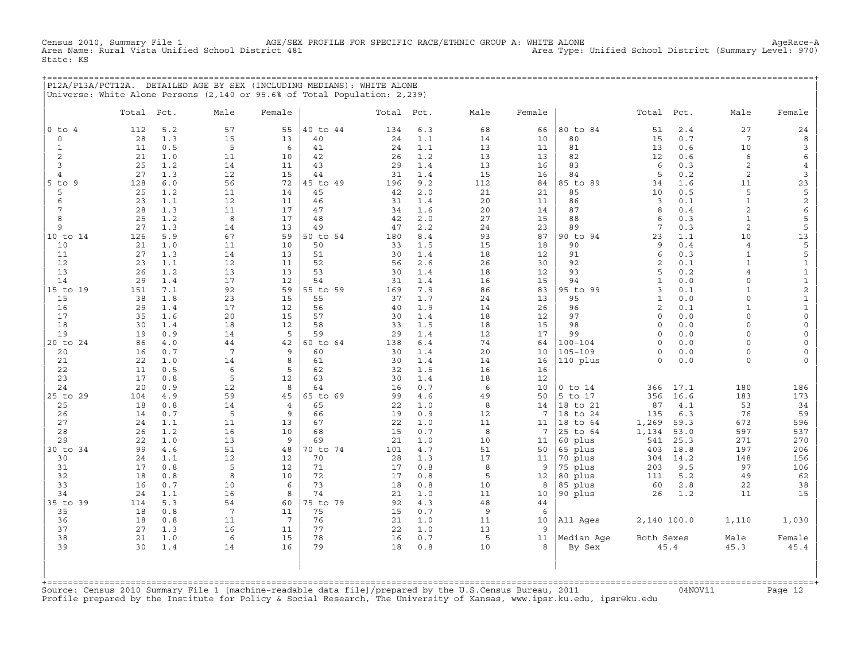AGE/SEX PROFILE FOR SPECIFIC RACE/ETHNIC GROUP A: WHITE ALONE<br>Chrea Type: Unified School District (Summary Level: 970) Area Type: Unified School District (Summary Level: 9 Census 2010, Summary File 1 AGE/SEX<br>Area Name: Rural Vista Unified School District 481 State: KS

+===================================================================================================================================================+ |P12A/P13A/PCT12A. DETAILED AGE BY SEX (INCLUDING MEDIANS): WHITE ALONE | |Universe: White Alone Persons (2,140 or 95.6% of Total Population: 2,239) |

|                 | Total    | Pct.       | Male                  | Female                |          | Total Pct. |            | Male                 | Female                |                         | Total                | Pct.       | Male                    | Female                             |
|-----------------|----------|------------|-----------------------|-----------------------|----------|------------|------------|----------------------|-----------------------|-------------------------|----------------------|------------|-------------------------|------------------------------------|
| $0$ to $4$      | 112      | 5.2        | 57                    | 55                    | 40 to 44 | 134        | 6.3        | 68                   | 66                    | 80 to 84                | 51                   | 2.4        | 27                      | 24                                 |
| $\circ$         | 28       | 1.3        | 15                    | 13                    | 40       | 24         | 1.1        | 14                   | 10                    | 80                      | 15                   | 0.7        | 7                       | 8                                  |
| $\mathbf{1}$    | 11       | 0.5        | 5                     | 6                     | 41       | 24         | 1.1        | 13                   | 11                    | 81                      | 13                   | 0.6        | 10                      | $\mathbf{3}$                       |
| 2               | 21       | 1.0        | 11                    | 10                    | 42       | 26         | 1.2        | 13                   | 13                    | 82                      | 12                   | 0.6        | 6                       | $\epsilon$                         |
| 3               | 25       | 1.2        | 14                    | 11                    | 43       | 29         | 1.4        | 13                   | 16                    | 83                      | 6                    | 0.3        | 2                       | $\,4\,$                            |
| $\overline{4}$  | 27       | 1.3        | 12                    | 15                    | 44       | 31         | 1.4        | 15                   | 16                    | 84                      | 5                    | 0.2        | $\overline{a}$          | $\overline{3}$                     |
| $5$ to<br>9     | 128      | 6.0        | 56                    | 72                    | 45 to 49 | 196        | 9.2        | 112                  | 84                    | 85 to 89                | 34                   | 1.6        | 11                      | $23\,$                             |
| 5<br>6          | 25<br>23 | 1.2<br>1.1 | 11<br>12              | 14<br>11              | 45<br>46 | 42<br>31   | 2.0<br>1.4 | 21<br>20             | 21<br>11              | 85<br>86                | 10<br>$\overline{3}$ | 0.5<br>0.1 | 5<br>$\mathbf{1}$       | 5                                  |
| $7\phantom{.0}$ | 28       | 1.3        | 11                    | 17                    | 47       | 34         | 1.6        | 20                   | 14                    | 87                      | 8                    | 0.4        | $\overline{a}$          | $\mathbf{2}$<br>$\epsilon$         |
| 8               | 25       | 1.2        | 8                     | 17                    | 48       | 42         | 2.0        | 27                   | 15                    | 88                      | 6                    | 0.3        | $\mathbf{1}$            | 5                                  |
| 9               | 27       | 1.3        | 14                    | 13                    | 49       | 47         | 2.2        | 24                   | 23                    | 89                      | $7\phantom{.0}$      | 0.3        | $\overline{a}$          | $\mathsf S$                        |
| 10 to 14        | 126      | 5.9        | 67                    | 59                    | 50 to 54 | 180        | 8.4        | 93                   | 87                    | 90 to 94                | 23                   | 1.1        | 10                      | 13                                 |
| 10              | 21       | 1.0        | 11                    | 10                    | 50       | 33         | 1.5        | 15                   | 18                    | 90                      | 9                    | $0.4\,$    | 4                       | $\mathsf S$                        |
| 11              | 27       | 1.3        | 14                    | 13                    | 51       | 30         | 1.4        | 18                   | 12                    | 91                      | 6                    | 0.3        | $\mathbf{1}$            | $\mathsf S$                        |
| 12              | 23       | 1.1        | 12                    | 11                    | 52       | 56         | 2.6        | 26                   | 30                    | 92                      | $\overline{c}$       | 0.1        | $\mathbf{1}$            | $\mathbf{1}$                       |
| 13              | 26       | 1.2        | 13                    | 13                    | 53       | 30         | 1.4        | 18                   | 12                    | 93                      | 5                    | 0.2        | $\overline{4}$          | $\mathbf{1}$                       |
| 14              | 29       | 1.4        | 17                    | 12                    | 54       | 31         | 1.4        | 16                   | 15                    | 94                      | $\mathbf{1}$         | 0.0        | $\circ$                 | $\mathbf 1$                        |
| 15 to 19        | 151      | 7.1        | 92                    | 59                    | 55 to 59 | 169        | 7.9        | 86                   | 83                    | 95 to 99                | 3                    | 0.1        | $\mathbf{1}$            | $\mathbf{2}$                       |
| 15<br>16        | 38       | 1.8        | 23<br>17              | 15<br>12              | 55<br>56 | 37         | 1.7<br>1.9 | 24                   | 13                    | 95<br>96                | $\mathbf{1}$<br>2    | 0.0<br>0.1 | $\circ$                 | $\mathbf 1$                        |
| 17              | 29<br>35 | 1.4<br>1.6 | 20                    | 15                    | 57       | 40<br>30   | 1.4        | 14<br>18             | 26<br>12              | 97                      | $\circ$              | 0.0        | $\mathbf{1}$<br>$\circ$ | $\mathbf 1$<br>$\mathsf{O}\xspace$ |
| 18              | 30       | 1.4        | 18                    | 12                    | 58       | 33         | 1.5        | 18                   | 15                    | 98                      | $\Omega$             | 0.0        | $\circ$                 | $\mathsf{O}$                       |
| 19              | 19       | 0.9        | 14                    | 5                     | 59       | 29         | 1.4        | 12                   | 17                    | 99                      | $\circ$              | 0.0        | $\circ$                 | $\mathsf{O}$                       |
| 20 to 24        | 86       | 4.0        | 44                    | 42                    | 60 to 64 | 138        | 6.4        | 74                   | 64                    | $100 - 104$             | $\Omega$             | 0.0        | $\Omega$                | $\circ$                            |
| 20              | 16       | 0.7        | $7\phantom{.0}$       | 9                     | 60       | 30         | 1.4        | 20                   | 10                    | $105 - 109$             | $\circ$              | 0.0        | 0                       | $\circ$                            |
| 21              | 22       | 1.0        | 14                    | 8                     | 61       | 30         | 1.4        | 14                   | 16                    | 110 plus                | $\circ$              | 0.0        | $\circ$                 | $\mathsf{O}$                       |
| 22              | 11       | 0.5        | 6                     | 5                     | 62       | 32         | 1.5        | 16                   | 16                    |                         |                      |            |                         |                                    |
| 23              | 17       | 0.8        | 5                     | 12                    | 63       | 30         | 1.4        | 18                   | 12                    |                         |                      |            |                         |                                    |
| 24              | 20       | 0.9        | 12                    | 8                     | 64       | 16         | 0.7        | 6                    | 10                    | $0$ to $14$             | 366                  | 17.1       | 180                     | 186                                |
| 25 to 29        | 104      | 4.9        | 59                    | 45                    | 65 to 69 | 99         | 4.6        | 49                   | 50                    | 5 to 17                 | 356                  | 16.6       | 183                     | 173                                |
| 25<br>26        | 18<br>14 | 0.8<br>0.7 | 14<br>5               | $\overline{4}$<br>9   | 65<br>66 | 22<br>19   | 1.0<br>0.9 | 8<br>12              | 14<br>$7\phantom{.0}$ | 18 to 21<br>18<br>to 24 | 87<br>135            | 4.1<br>6.3 | 53<br>76                | 34<br>59                           |
| 27              | 24       | 1.1        | 11                    | 13                    | 67       | 22         | 1.0        | 11                   | 11                    | 18 to 64                | 1,269                | 59.3       | 673                     | 596                                |
| 28              | 26       | 1.2        | 16                    | 10                    | 68       | 15         | 0.7        | 8                    | $7\phantom{.0}$       | 25 to 64                | 1,134                | 53.0       | 597                     | 537                                |
| 29              | 22       | 1.0        | 13                    | 9                     | 69       | 21         | 1.0        | 10                   | 11                    | 60 plus                 | 541                  | 25.3       | 271                     | 270                                |
| 30 to 34        | 99       | 4.6        | 51                    | 48                    | 70 to 74 | 101        | 4.7        | 51                   | 50                    | 65 plus                 | 403                  | 18.8       | 197                     | 206                                |
| 30              | 24       | 1.1        | 12                    | 12                    | 70       | 28         | 1.3        | 17                   | 11                    | 70 plus                 | 304                  | 14.2       | 148                     | 156                                |
| 31              | 17       | 0.8        | 5                     | 12                    | 71       | 17         | 0.8        | 8                    | 9                     | 75 plus                 | 203                  | 9.5        | 97                      | 106                                |
| 32              | 18       | 0.8        | 8                     | 10                    | 72       | 17         | 0.8        | 5                    | 12                    | 80 plus                 | 111                  | 5.2        | 49                      | 62                                 |
| 33              | 16       | 0.7        | 10                    | 6                     | 73       | 18         | 0.8        | 10                   | 8                     | 85 plus                 | 60                   | 2.8        | 22                      | 38                                 |
| 34              | 24       | 1.1        | 16                    | 8                     | 74       | 21         | 1.0        | 11                   | 10                    | 90 plus                 | 26                   | 1.2        | 11                      | 15                                 |
| 35 to 39        | 114      | 5.3        | 54                    | 60                    | 75 to 79 | 92         | 4.3        | 48                   | 44                    |                         |                      |            |                         |                                    |
| 35<br>36        | 18<br>18 | 0.8<br>0.8 | $7\phantom{.0}$<br>11 | 11<br>$7\overline{ }$ | 75<br>76 | 15<br>21   | 0.7<br>1.0 | $\overline{9}$<br>11 | 6<br>10               | All Ages                | 2,140 100.0          |            | 1,110                   | 1,030                              |
| 37              | 27       | 1.3        | 16                    | 11                    | 77       | 22         | 1.0        | 13                   | 9                     |                         |                      |            |                         |                                    |
| 38              | 21       | 1.0        | 6                     | 15                    | 78       | 16         | 0.7        | 5                    | 11                    | Median Age              | Both Sexes           |            | Male                    | Female                             |
| 39              | 30       | 1.4        | 14                    | 16                    | 79       | 18         | 0.8        | 10                   | 8                     | By Sex                  |                      | 45.4       | 45.3                    | 45.4                               |
| +=======        |          |            |                       |                       |          |            |            |                      |                       |                         |                      |            |                         |                                    |

+===================================================================================================================================================+Source: Census 2010 Summary File 1 [machine−readable data file]/prepared by the U.S.Census Bureau, 2011 04NOV11 Page 12 Profile prepared by the Institute for Policy & Social Research, The University of Kansas, www.ipsr.ku.edu, ipsr@ku.edu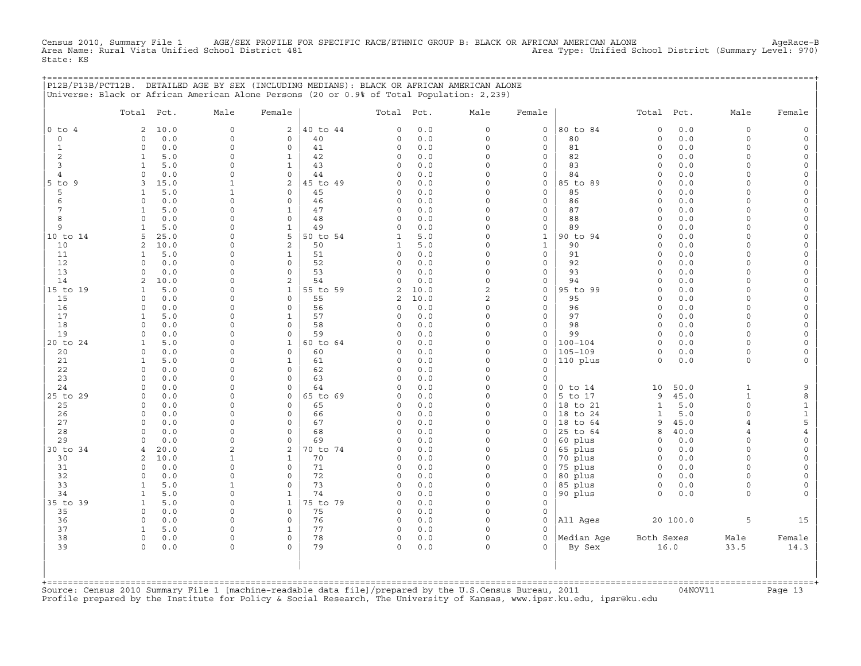Census 2010, Summary File 1 AGE/SEX PROFILE FOR SPECIFIC RACE/ETHNIC GROUP B: BLACK OR AFRICAN AMERICAN ALONE AgeRace−B Area Name: Rural Vista Unified School District 481 Area Type: Unified School District (Summary Level: 970) State: KS

+===================================================================================================================================================+

|                | P12B/P13B/PCT12B. DETAILED AGE BY SEX (INCLUDING MEDIANS): BLACK OR AFRICAN AMERICAN ALONE<br>Universe: Black or African American Alone Persons (20 or 0.9% of Total Population: 2,239) |                          |                            |                |              |            |                      |                                    |                    |                     |            |                      |                                     |
|----------------|-----------------------------------------------------------------------------------------------------------------------------------------------------------------------------------------|--------------------------|----------------------------|----------------|--------------|------------|----------------------|------------------------------------|--------------------|---------------------|------------|----------------------|-------------------------------------|
|                | Total Pct.                                                                                                                                                                              | Male                     | Female                     |                | Total        | Pct.       | Male                 | Female                             |                    | Total               | Pct.       | Male                 | Female                              |
| $0$ to $4$     | 10.0<br>2                                                                                                                                                                               | $\circ$                  | 2                          | 40 to 44       | 0            | 0.0        | $\Omega$             | $\mathbf 0$                        | 80 to 84           | $\mathbf 0$         | $0.0$      | $\circ$              | $\mathsf{O}$                        |
| 0              | 0.0<br>$\Omega$                                                                                                                                                                         | $\Omega$                 | $\mathbf 0$                | 40             | 0            | 0.0        | $\Omega$             | $\mathbf 0$                        | 80                 | $\mathsf{O}\xspace$ | 0.0        | $\circ$              | $\mathsf{O}\xspace$                 |
| $\mathbf{1}$   | 0.0<br>$\circ$                                                                                                                                                                          | $\Omega$                 | $\mathbf 0$                | 41             | 0            | 0.0        | $\Omega$             | $\mathbf 0$                        | 81                 | $\circ$             | 0.0        | $\circ$              | $\mathsf{O}\xspace$                 |
| 2              | $\mathbf{1}$<br>5.0                                                                                                                                                                     | $\Omega$                 | $\mathbf{1}$               | 42             | 0            | $0.0$      | $\Omega$             | $\mathbf 0$                        | 82                 | $\circ$             | 0.0        | $\Omega$             | $\mathbf{0}$                        |
| 3              | 5.0<br>$\mathbf{1}$                                                                                                                                                                     | $\Omega$                 | $\mathbf{1}$               | 43             | 0            | 0.0        | $\Omega$             | $\mathbf 0$                        | 83                 | $\circ$             | 0.0        | $\Omega$             | 0                                   |
| $\overline{4}$ | 0.0<br>$\mathbf 0$                                                                                                                                                                      | $\Omega$                 | $\mathbf 0$                | 44             | 0            | 0.0        | $\Omega$             | $\mathsf O$                        | 84                 | $\mathbf 0$         | 0.0        | $\Omega$             | $\mathsf{O}\xspace$                 |
| 5 to 9         | 15.0<br>3                                                                                                                                                                               | $\mathbf{1}$             | 2                          | 45 to 49       | 0            | 0.0        | $\Omega$             | $\mathsf O$                        | 85 to 89           | $\Omega$            | $0.0$      | $\Omega$             | $\mathsf{O}\xspace$                 |
| 5<br>6         | 5.0<br>1<br>0.0<br>$\mathbf 0$                                                                                                                                                          | $\mathbf{1}$<br>$\Omega$ | $\mathbf 0$<br>$\mathbf 0$ | 45             | 0            | 0.0<br>0.0 | $\Omega$<br>$\Omega$ | $\mathbf 0$<br>$\mathbf 0$         | 85<br>86           | $\circ$<br>$\circ$  | 0.0<br>0.0 | $\Omega$<br>$\Omega$ | 0                                   |
| 7              | 5.0<br>1                                                                                                                                                                                | $\Omega$                 | 1                          | 46<br>47       | 0<br>0       | 0.0        | $\Omega$             | $\mathsf{O}\xspace$                | 87                 | $\Omega$            | 0.0        | $\Omega$             | $\mathsf{O}$<br>$\mathsf{O}\xspace$ |
| 8              | $\Omega$<br>0.0                                                                                                                                                                         | $\Omega$                 | $\mathbf 0$                | 48             | 0            | 0.0        | $\Omega$             | $\mathbf 0$                        | 88                 | $\circ$             | 0.0        | $\Omega$             | 0                                   |
| 9              | 5.0<br>$\mathbf{1}$                                                                                                                                                                     | $\Omega$                 | $\mathbf{1}$               | 49             | $\circ$      | 0.0        | $\mathbf 0$          | $\mathsf O$                        | 89                 | $\circ$             | 0.0        | $\circ$              | $\mathsf O$                         |
| 10 to 14       | 25.0<br>5                                                                                                                                                                               | $\Omega$                 | 5                          | 50 to 54       | $\mathbf{1}$ | 5.0        | $\Omega$             | $\mathbf 1$                        | 90 to 94           | $\Omega$            | $0.0$      | $\Omega$             | $\mathsf{O}\xspace$                 |
| 10             | 2<br>10.0                                                                                                                                                                               | $\cap$                   | 2                          | 50             | 1            | 5.0        | $\Omega$             | $\mathbf{1}$                       | 90                 | $\Omega$            | 0.0        | $\Omega$             | 0                                   |
| 11             | 5.0<br>$\mathbf{1}$                                                                                                                                                                     | $\Omega$                 | $\mathbf{1}$               | 51             | 0            | 0.0        | $\mathbf 0$          | $\mathsf{O}\xspace$                | 91                 | $\mathsf{O}\xspace$ | 0.0        | $\Omega$             | $\mathsf{O}\xspace$                 |
| 12             | 0.0<br>$\Omega$                                                                                                                                                                         | $\Omega$                 | 0                          | 52             | 0            | 0.0        | $\Omega$             | $\mathsf{O}$                       | 92                 | $\Omega$            | 0.0        | $\Omega$             | $\mathsf{O}\xspace$                 |
| 13             | 0.0<br>$\Omega$                                                                                                                                                                         | $\Omega$                 | $\Omega$                   | 53             | 0            | 0.0        | $\Omega$             | $\mathbf 0$                        | 93                 | $\Omega$            | 0.0        | $\Omega$             | 0                                   |
| 14             | 10.0<br>2                                                                                                                                                                               | $\Omega$                 | $\overline{2}$             | 54             | 0            | 0.0        | $\mathbf 0$          | $\mathsf{O}\xspace$                | 94                 | $\Omega$            | 0.0        | $\circ$              | $\mathsf{O}\xspace$                 |
| 15 to 19       | $\mathbf{1}$<br>5.0                                                                                                                                                                     | 0                        | $\mathbf{1}$               | 55 to 59       | $\mathbf{2}$ | 10.0       | $\overline{a}$       | $\mathsf O$                        | 95 to 99           | $\circ$             | 0.0        | $\Omega$             | $\mathsf{O}\xspace$                 |
| 15             | 0.0<br>$\Omega$                                                                                                                                                                         | $\Omega$                 | $\Omega$                   | 55             | 2            | 10.0       | $\overline{a}$       | $\mathbf 0$                        | 95                 | $\Omega$            | 0.0        | $\Omega$             | 0                                   |
| 16             | $\Omega$<br>0.0                                                                                                                                                                         | $\Omega$                 | $\mathbf 0$                | 56             | 0            | 0.0        | $\mathbf 0$          | $\mathsf{O}\xspace$                | 96                 | $\mathbf 0$         | 0.0        | $\Omega$             | $\mathsf{O}\xspace$                 |
| 17<br>18       | $\mathbf{1}$<br>5.0<br>$\Omega$                                                                                                                                                         | $\Omega$<br>$\Omega$     | $\mathbf{1}$               | 57<br>58       | 0<br>0       | 0.0<br>0.0 | $\Omega$<br>$\Omega$ | $\mathsf{O}$                       | 97<br>98           | $\circ$             | 0.0        | $\Omega$             | 0                                   |
| 19             | 0.0<br>0.0<br>$\Omega$                                                                                                                                                                  | $\Omega$                 | $\mathbf 0$<br>$\mathbf 0$ | 59             | 0            | 0.0        | $\mathbf 0$          | $\mathbf 0$<br>$\mathsf{O}\xspace$ | 99                 | $\circ$<br>$\circ$  | 0.0<br>0.0 | $\circ$<br>$\Omega$  | $\mathsf O$<br>$\mathsf{O}\xspace$  |
| 20 to 24       | $\mathbf{1}$<br>5.0                                                                                                                                                                     | $\Omega$                 | $\mathbf{1}$               | 60 to 64       | 0            | 0.0        | $\Omega$             | $\mathsf{O}\xspace$                | $100 - 104$        | $\circ$             | 0.0        | $\Omega$             | 0                                   |
| 20             | $\circ$<br>0.0                                                                                                                                                                          | $\Omega$                 | $\mathbf 0$                | 60             | 0            | 0.0        | $\Omega$             | $\mathbf 0$                        | $105 - 109$        | $\circ$             | 0.0        | $\circ$              | 0                                   |
| 21             | 5.0<br>$\mathbf{1}$                                                                                                                                                                     | $\Omega$                 | $\mathbf 1$                | 61             | 0            | 0.0        | $\Omega$             | $\mathsf{O}\xspace$                | 110 plus           | $\circ$             | $0.0$      | $\circ$              | $\mathsf{O}\xspace$                 |
| 22             | $\Omega$<br>0.0                                                                                                                                                                         | $\Omega$                 | 0                          | 62             | 0            | 0.0        | $\Omega$             | $\mathbf 0$                        |                    |                     |            |                      |                                     |
| 23             | 0.0<br>$\Omega$                                                                                                                                                                         | $\Omega$                 | $\Omega$                   | 63             | 0            | 0.0        | $\Omega$             | $\mathbf 0$                        |                    |                     |            |                      |                                     |
| 24             | 0.0<br>$\Omega$                                                                                                                                                                         | $\Omega$                 | $\Omega$                   | 64             | 0            | 0.0        | $\Omega$             | $\mathbf 0$                        | $0$ to $14$        | 10                  | 50.0       | $\mathbf{1}$         | 9                                   |
| 25 to 29       | 0.0<br>$\mathbf 0$                                                                                                                                                                      | $\Omega$                 | $\mathsf{O}\xspace$        | 65 to 69       | 0            | 0.0        | $\Omega$             | $\mathsf{O}\xspace$                | 5 to 17            | 9                   | 45.0       | $\mathbf{1}$         | 8                                   |
| 25             | 0.0<br>$\Omega$                                                                                                                                                                         | $\Omega$                 | 0                          | 65             | 0            | 0.0        | $\Omega$             | $\mathbf 0$                        | 18 to 21           | $\mathbf{1}$        | 5.0        | $\circ$              | $\mathbf{1}$                        |
| 26             | 0.0<br>$\Omega$                                                                                                                                                                         | $\Omega$                 | $\Omega$                   | 66             | 0            | 0.0        | $\Omega$             | $\Omega$                           | 18 to 24           | $\mathbf{1}$        | 5.0        | $\Omega$             | $\mathbf 1$                         |
| 27             | 0<br>0.0                                                                                                                                                                                | $\Omega$                 | $\mathsf{O}\xspace$        | 67             | 0            | 0.0        | $\Omega$             | $\mathsf{O}$                       | 18 to 64           | 9                   | 45.0       | $\overline{4}$       | 5                                   |
| 28             | 0.0<br>$\Omega$<br>$\Omega$                                                                                                                                                             | $\Omega$<br>$\Omega$     | $\mathbf 0$<br>$\Omega$    | 68             | 0            | 0.0        | $\Omega$<br>$\Omega$ | $\Omega$                           | 25 to 64           | 8                   | 40.0       | $\overline{4}$       | $\overline{4}$                      |
| 29<br>30 to 34 | 0.0<br>20.0<br>4                                                                                                                                                                        | 2                        | 2                          | 69<br>70 to 74 | 0<br>0       | 0.0<br>0.0 | $\Omega$             | $\mathbf 0$<br>$\mathsf{O}$        | 60 plus<br>65 plus | $\circ$<br>$\circ$  | 0.0<br>0.0 | $\circ$<br>0         | $\mathsf{O}\xspace$<br>0            |
| 30             | 10.0<br>2                                                                                                                                                                               | 1                        | 1                          | 70             | 0            | 0.0        | $\Omega$             | $\Omega$                           | 70 plus            | $\circ$             | 0.0        | $\circ$              | $\mathsf{O}\xspace$                 |
| 31             | 0.0<br>$\Omega$                                                                                                                                                                         | $\Omega$                 | $\circ$                    | 71             | 0            | 0.0        | $\Omega$             | $\mathbf 0$                        | 75 plus            | $\circ$             | 0.0        | $\Omega$             | $\mathsf{O}\xspace$                 |
| 32             | $\mathbf 0$<br>0.0                                                                                                                                                                      | $\mathbf 0$              | $\mathsf{O}\xspace$        | 72             | 0            | 0.0        | $\mathbf 0$          | $\mathsf{O}$                       | 80 plus            | $\circ$             | 0.0        | $\circ$              | $\mathsf{O}\xspace$                 |
| 33             | 5.0<br>1                                                                                                                                                                                | $\mathbf{1}$             | $\mathbf 0$                | 73             | 0            | 0.0        | $\Omega$             | $\mathbf 0$                        | 85 plus            | $\mathsf{O}$        | 0.0        | $\circ$              | 0                                   |
| 34             | 5.0<br>$\mathbf{1}$                                                                                                                                                                     | $\Omega$                 | $\mathbf{1}$               | 74             | 0            | 0.0        | $\Omega$             | $\mathbf 0$                        | 90 plus            | $\circ$             | 0.0        | $\circ$              | $\mathsf O$                         |
| 35 to 39       | $\mathbf{1}$<br>5.0                                                                                                                                                                     | $\Omega$                 | $\mathbf{1}$               | 75 to 79       | 0            | 0.0        | $\mathbf 0$          | $\mathsf{O}\xspace$                |                    |                     |            |                      |                                     |
| 35             | $\Omega$<br>0.0                                                                                                                                                                         | $\Omega$                 | $\mathbf 0$                | 75             | 0            | 0.0        | $\Omega$             | $\mathbf 0$                        |                    |                     |            |                      |                                     |
| 36             | 0.0<br>$\circ$                                                                                                                                                                          | $\Omega$                 | $\mathbf 0$                | 76             | $\circ$      | 0.0        | $\Omega$             | $\mathbf 0$                        | All Ages           |                     | 20 100.0   | 5                    | 15                                  |
| 37             | $\mathbf{1}$<br>5.0                                                                                                                                                                     | $\Omega$                 | $\mathbf{1}$               | 77             | 0            | 0.0        | $\mathbf 0$          | $\mathbf 0$                        |                    |                     |            |                      |                                     |
| 38             | $\circ$<br>0.0                                                                                                                                                                          | $\Omega$                 | $\Omega$                   | 78             | 0            | 0.0        | $\Omega$             | $\Omega$                           | Median Age         | Both Sexes          |            | Male                 | Female                              |
| 39             | 0.0<br>$\circ$                                                                                                                                                                          | $\Omega$                 | $\Omega$                   | 79             | $\circ$      | 0.0        | $\Omega$             | $\Omega$                           | By Sex             |                     | 16.0       | 33.5                 | 14.3                                |
|                |                                                                                                                                                                                         |                          |                            |                |              |            |                      |                                    |                    |                     |            |                      |                                     |
|                |                                                                                                                                                                                         |                          |                            |                |              |            |                      |                                    |                    |                     |            |                      |                                     |
|                | +============================                                                                                                                                                           |                          |                            |                |              |            |                      |                                    |                    |                     |            |                      |                                     |

+===================================================================================================================================================+Source: Census 2010 Summary File 1 [machine−readable data file]/prepared by the U.S.Census Bureau, 2011 04NOV11 Page 13 Profile prepared by the Institute for Policy & Social Research, The University of Kansas, www.ipsr.ku.edu, ipsr@ku.edu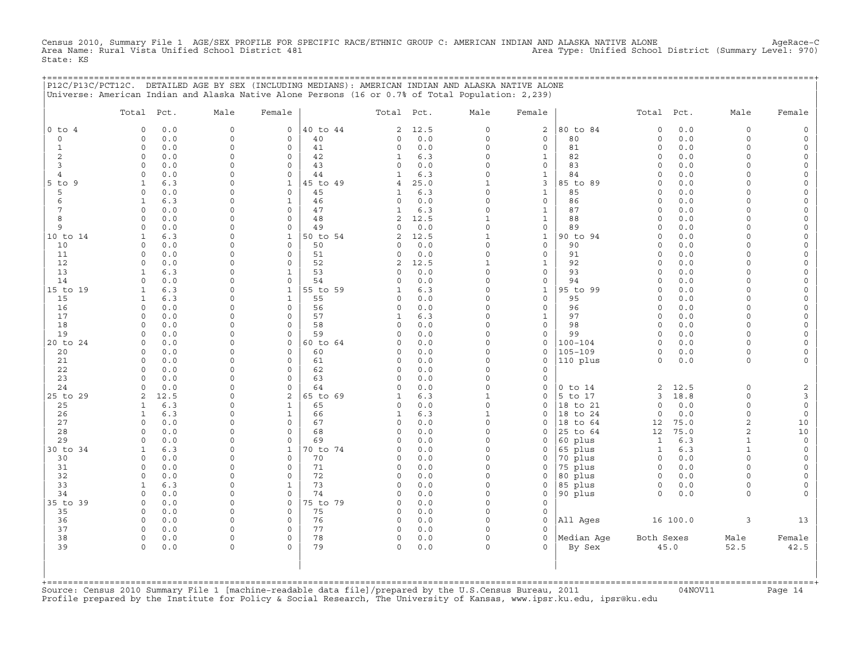Census 2010, Summary File 1 AGE/SEX PROFILE FOR SPECIFIC RACE/ETHNIC GROUP C: AMERICAN INDIAN AND ALASKA NATIVE ALONE AgeRace−C Area Name: Rural Vista Unified School District 481 Area Type: Unified School District (Summary Level: 970) State: KS

|                     | P12C/P13C/PCT12C. DETAILED AGE BY SEX (INCLUDING MEDIANS): AMERICAN INDIAN AND ALASKA NATIVE ALONE |                              |                              |          |                |             |                      |                          | ========================== |                                |              |                                  |                |
|---------------------|----------------------------------------------------------------------------------------------------|------------------------------|------------------------------|----------|----------------|-------------|----------------------|--------------------------|----------------------------|--------------------------------|--------------|----------------------------------|----------------|
|                     | Universe: American Indian and Alaska Native Alone Persons (16 or 0.7% of Total Population: 2,239)  |                              |                              |          |                |             |                      |                          |                            |                                |              |                                  |                |
|                     | Total Pct.                                                                                         | Male                         | Female                       |          | Total Pct.     |             | Male                 | Female                   |                            | Total Pct.                     |              | Male                             | Female         |
| $0$ to $4$          | 0.0<br>$\circ$                                                                                     | $\circ$                      | $\circ$                      | 40 to 44 | $\overline{2}$ | 12.5        | $\circ$              | 2                        | 80 to 84                   | $\mathsf O$                    | 0.0          | $\circ$                          |                |
| $\circ$             | 0.0<br>$\Omega$                                                                                    | $\circ$                      | $\mathsf{O}$                 | 40       | 0              | 0.0         | $\circ$              | 0                        | 80                         | $\circ$                        | 0.0          | $\circ$                          |                |
| 1                   | $0.0$<br>$\circ$<br>0                                                                              | $\Omega$<br>$\Omega$         | $\circ$<br>$\mathsf{O}$      | 41       | 0              | 0.0         | $\Omega$<br>$\circ$  | $\circ$                  | 81<br>82                   | $\circ$<br>$\mathbf 0$         | 0.0<br>0.0   | $\Omega$<br>$\Omega$             |                |
| $\overline{c}$<br>3 | 0.0<br>$\circ$<br>0.0                                                                              | ∩                            | $\mathbf 0$                  | 42<br>43 | 1<br>0         | 6.3<br>0.0  | $\circ$              | $\mathbf{1}$<br>0        | 83                         | $\circ$                        | 0.0          | $\cap$                           |                |
| 4                   | 0.0<br>$\Omega$                                                                                    | $\cap$                       | $\circ$                      | 44       | 1              | 6.3         | $\Omega$             | $\mathbf{1}$             | 84                         | $\Omega$                       | 0.0          | $\cap$                           |                |
| 5 to 9              | 6.3<br>$\mathbf{1}$                                                                                |                              | $\mathbf{1}$                 | 45 to 49 | $\overline{4}$ | 25.0        | $\mathbf{1}$         | 3                        | 85 to 89                   | $\Omega$                       | 0.0          |                                  |                |
| 5                   | $\Omega$<br>0.0                                                                                    | $\Omega$                     | $\circ$                      | 45       | 1              | 6.3         | $\Omega$             | $\mathbf{1}$             | 85                         | $\Omega$                       | 0.0          |                                  |                |
| 6<br>7              | 6.3<br>$\mathbf{1}$<br>0.0<br>$\circ$                                                              | $\circ$<br>$\cap$            | $\mathbf{1}$<br>$\mathbf{0}$ | 46<br>47 | 0<br>1         | 0.0<br>6.3  | $\circ$<br>$\circ$   | $\circ$<br>$\mathbf{1}$  | 86<br>87                   | $\mathbf 0$<br>$\circ$         | 0.0<br>0.0   | ∩<br>$\cap$                      |                |
| 8                   | 0.0<br>$\circ$                                                                                     | $\Omega$                     | $\circ$                      | 48       | 2              | 12.5        | $\mathbf{1}$         | $\mathbf{1}$             | 88                         | $\mathbf 0$                    | $0.0$        | $\Omega$                         |                |
| 9                   | 0.0<br>$\Omega$                                                                                    | $\Omega$                     | $\mathsf{O}$                 | 49       | 0              | 0.0         | 0                    | 0                        | 89                         | $\Omega$                       | 0.0          | $\Omega$                         |                |
| 10 to 14            | 6.3<br>1                                                                                           | $\cap$                       | $\mathbf{1}$                 | 50 to 54 | $\overline{2}$ | 12.5        | $\mathbf{1}$         | $\mathbf{1}$             | 90 to 94                   | $\cap$                         | 0.0          | $\cap$                           |                |
| 10                  | 0.0<br>$\circ$                                                                                     | $\Omega$                     | $\mathbf 0$                  | 50       | 0              | 0.0         | $\circ$              | $\mathbf{0}$             | 90                         | $\Omega$                       | 0.0          | $\cap$                           |                |
| 11                  | 0.0<br>$\Omega$                                                                                    |                              | $\circ$                      | 51       | 0              | 0.0         | $\Omega$             | $\mathbf{0}$             | 91                         | $\mathbf 0$                    | 0.0          | $\cap$                           |                |
| 12<br>13            | 0.0<br>$\Omega$<br>6.3<br>1                                                                        | n<br>$\Omega$                | $\Omega$<br>$\mathbf{1}$     | 52<br>53 | 2<br>0         | 12.5<br>0.0 | 1<br>$\circ$         | 1<br>0                   | 92<br>93                   | $\Omega$<br>$\Omega$           | 0.0<br>0.0   |                                  |                |
| 14                  | 0.0<br>$\Omega$                                                                                    | $\cap$                       | $\mathbf 0$                  | 54       | 0              | 0.0         | $\circ$              | 0                        | 94                         | $\mathbf 0$                    | 0.0          | $\Omega$                         |                |
| 15 to 19            | 6.3<br>$\mathbf{1}$                                                                                | $\Omega$                     | $\mathbf{1}$                 | 55 to 59 | 1              | 6.3         | $\circ$              | $\mathbf{1}$             | 95 to 99                   | $\Omega$                       | 0.0          | $\Omega$                         |                |
| 15                  | 6.3<br>1                                                                                           |                              | $\mathbf{1}$                 | 55       | 0              | 0.0         | $\Omega$             | $\mathbf{0}$             | 95                         | $\Omega$                       | 0.0          | $\Omega$                         |                |
| 16                  | 0.0<br>$\Omega$                                                                                    | n                            | $\Omega$                     | 56       | $\mathbf 0$    | 0.0         | $\Omega$             | $\mathbf{0}$             | 96                         | $\Omega$                       | 0.0          | $\cap$<br>$\cap$                 |                |
| 17<br>18            | 0.0<br>$\Omega$<br>0.0<br>$\Omega$                                                                 | <sup>n</sup><br>$\Omega$     | $\mathbf 0$<br>$\mathbf 0$   | 57<br>58 | 1<br>0         | 6.3<br>0.0  | $\Omega$<br>$\Omega$ | 1<br>$\mathbf{0}$        | 97<br>98                   | $\Omega$<br>$\Omega$           | 0.0<br>0.0   | $\cap$                           |                |
| 19                  | 0.0<br>$\Omega$                                                                                    | $\Omega$                     | $\circ$                      | 59       | 0              | 0.0         | $\Omega$             | $\mathbf{0}$             | 99                         | $\mathbf 0$                    | 0.0          | $\cap$                           |                |
| 20 to 24            | 0.0<br>$\Omega$                                                                                    |                              | $\mathsf{O}$                 | 60 to 64 | 0              | 0.0         | 0                    | 0                        | $100 - 104$                | $\mathbf 0$                    | 0.0          | $\Omega$                         |                |
| 20                  | 0.0<br>$\Omega$                                                                                    | $\Omega$                     | $\Omega$                     | 60       | 0              | 0.0         | O                    | $\mathbf{0}$             | $105 - 109$                | $\Omega$                       | $0.0$        | $\Omega$                         |                |
| 21                  | $\circ$<br>0.0                                                                                     | $\Omega$                     | $\mathsf O$                  | 61       | $\circ$        | 0.0         | $\circ$              | 0                        | 110 plus                   | $\mathbf 0$                    | 0.0          | $\Omega$                         |                |
| 22<br>23            | 0.0<br>$\Omega$<br>0.0<br>$\Omega$                                                                 | O<br>$\cap$                  | $\mathsf{O}$<br>$\circ$      | 62<br>63 | 0<br>0         | 0.0<br>0.0  | 0<br>$\Omega$        | 0<br>0                   |                            |                                |              |                                  |                |
| 24                  | 0.0<br>$\Omega$                                                                                    | $\Omega$                     | $\mathbf 0$                  | 64       | $\Omega$       | 0.0         | $\circ$              | 0                        | $0$ to $14$                | 2                              | 12.5         | $\Omega$                         | $\overline{2}$ |
| 25 to 29            | 12.5<br>2                                                                                          | $\cap$                       | 2                            | 65 to 69 | 1              | 6.3         | $\mathbf{1}$         | 0                        | 5 to 17                    | 3                              | 18.8         | $\Omega$                         | 3              |
| 25                  | 6.3<br>1                                                                                           | $\Omega$                     | $\mathbf{1}$                 | 65       | 0              | 0.0         | $\circ$              | 0                        | 18 to 21                   | $\mathbf 0$                    | 0.0          | $\Omega$                         | $\circ$        |
| 26                  | 6.3<br>$\mathbf{1}$                                                                                | $\Omega$                     | $\mathbf{1}$                 | 66       | 1              | 6.3         | $\mathbf{1}$         | $\mathbf{0}$             | 18 to 24                   | $\circ$                        | 0.0          | $\Omega$                         | $\mathsf O$    |
| 27<br>28            | $\circ$<br>0.0<br>0.0<br>$\Omega$                                                                  | $\Omega$                     | $\mathbf{0}$<br>$\mathbf 0$  | 67<br>68 | 0<br>0         | 0.0<br>0.0  | $\Omega$<br>0        | 0<br>0                   | 18 to 64<br>25 to 64       | 12<br>12                       | 75.0<br>75.0 | $\overline{2}$<br>$\overline{2}$ | 10<br>10       |
| 29                  | 0.0<br>$\Omega$                                                                                    | $\cap$                       | $\mathbf 0$                  | 69       | 0              | 0.0         | $\Omega$             | 0                        | 60 plus                    | 1                              | 6.3          | $\mathbf{1}$                     | $\Omega$       |
| 30 to 34            | 6.3<br>1                                                                                           | $\Omega$                     | $\mathbf{1}$                 | 70 to 74 | $\circ$        | 0.0         | $\circ$              | 0                        | 65 plus                    | 1                              | 6.3          | $\mathbf{1}$                     |                |
| 30                  | 0.0<br>$\Omega$                                                                                    |                              | $\circ$                      | 70       | 0              | 0.0         | O                    | 0                        | 70 plus                    | $\circ$                        | 0.0          | $\cap$                           |                |
| 31                  | 0.0<br>$\Omega$                                                                                    | n                            | $\Omega$                     | 71       | 0              | 0.0         | $\Omega$             | 0                        | 75 plus                    | $\Omega$                       | 0.0          |                                  |                |
| 32<br>33            | 0.0<br>$\circ$<br>6.3<br>$\mathbf{1}$                                                              | $\Omega$<br>$\Omega$         | $\mathbf 0$<br>$\mathbf{1}$  | 72<br>73 | $\circ$<br>0   | 0.0<br>0.0  | $\circ$<br>$\circ$   | 0<br>0                   | 80 plus<br>85 plus         | $\circ$<br>$\mathsf{O}\xspace$ | 0.0<br>0.0   | $\Omega$<br>$\Omega$             |                |
| 34                  | 0.0<br>0                                                                                           | $\Omega$                     | $\circ$                      | 74       | 0              | 0.0         | $\circ$              | $\circ$                  | 90 plus                    | $\circ$                        | 0.0          | $\Omega$                         |                |
| 35 to 39            | 0.0<br>0                                                                                           | $\Omega$                     | $\mathsf{O}$                 | 75 to 79 | $\mathbf 0$    | 0.0         | $\Omega$             | $\mathbf 0$              |                            |                                |              |                                  |                |
| 35                  | 0.0<br>$\Omega$                                                                                    | $\cap$                       | $\Omega$                     | 75       | 0              | 0.0         | $\Omega$             | 0                        |                            |                                |              |                                  |                |
| 36                  | 0.0<br>$\Omega$                                                                                    | <sup>n</sup>                 | $\mathbf 0$                  | 76       | $\circ$        | 0.0         | $\Omega$             | $\mathbf 0$              | All Ages                   |                                | 16 100.0     | 3                                | 13             |
| 37<br>38            | 0.0<br>$\Omega$<br>$\circ$<br>0.0                                                                  | <sup>n</sup><br><sup>0</sup> | $\mathbf 0$<br>$\circ$       | 77<br>78 | $\circ$<br>0   | 0.0<br>0.0  | $\Omega$<br>$\Omega$ | $\Omega$<br>$\mathbf{0}$ | Median Age                 | Both Sexes                     |              | Male                             |                |
| 39                  | $\Omega$<br>0.0                                                                                    | $\Omega$                     | $\Omega$                     | 79       | $\Omega$       | 0.0         | $\Omega$             | $\Omega$                 | By Sex                     |                                | 45.0         | 52.5                             | Female<br>42.5 |
|                     |                                                                                                    |                              |                              |          |                |             |                      |                          |                            |                                |              |                                  |                |
|                     |                                                                                                    |                              |                              |          |                |             |                      |                          |                            |                                |              |                                  |                |
|                     |                                                                                                    |                              |                              |          |                |             |                      |                          |                            |                                |              |                                  |                |

+===================================================================================================================================================+Source: Census 2010 Summary File 1 [machine−readable data file]/prepared by the U.S.Census Bureau, 2011 04NOV11 Page 14 Profile prepared by the Institute for Policy & Social Research, The University of Kansas, www.ipsr.ku.edu, ipsr@ku.edu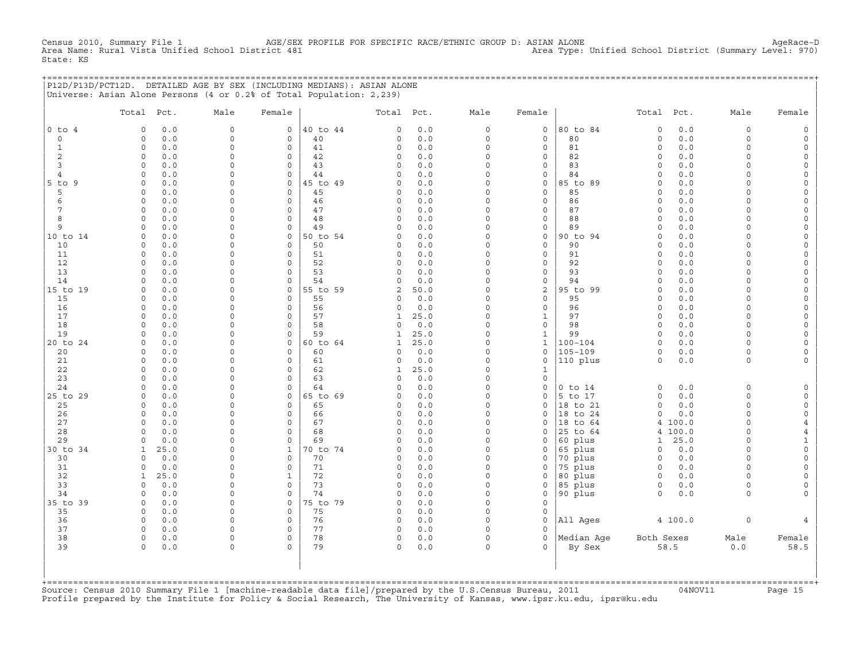Census 2010, AGE/SEX PROFILE FOR SPECIFIC RACE/ETHNIC GROUP D: ASIAN ALONE<br>(1970) Area Type: Unified School District (Summary Level: 970 Census 2010, Summary File 1 AGE/SEX<br>Area Name: Rural Vista Unified School District 481 State: KS

+===================================================================================================================================================+ |P12D/P13D/PCT12D. DETAILED AGE BY SEX (INCLUDING MEDIANS): ASIAN ALONE | |Universe: Asian Alone Persons (4 or 0.2% of Total Population: 2,239) |

|                      | Total Pct.           |            | Male                 | Female                     |                | Total Pct.              |             | Male                 | Female                     |                            | Total                   | Pct.       | Male                 | Female                                     |
|----------------------|----------------------|------------|----------------------|----------------------------|----------------|-------------------------|-------------|----------------------|----------------------------|----------------------------|-------------------------|------------|----------------------|--------------------------------------------|
| $0$ to $4$           | $\circ$              | 0.0        | $\mathbf{0}$         | $\mathbf{0}$               | 40 to 44       | $\mathbf 0$             | 0.0         | $\mathbf 0$          | $\mathbf 0$                | 80 to 84                   | $\Omega$                | 0.0        | $\circ$              | $\mathbb O$                                |
| $\circ$              | $\circ$              | 0.0        | 0                    | $\mathbf 0$                | 40             | $\mathbf 0$             | $0.0$       | $\mathsf O$          | $\mathsf{O}$               | 80                         | $\circ$                 | 0.0        | 0                    | $\mathsf{O}\xspace$                        |
| $\mathbf{1}$         | $\Omega$             | 0.0        | $\Omega$             | $\Omega$                   | 41             | $\Omega$                | 0.0         | $\Omega$             | $\mathbf 0$                | 81                         | $\Omega$                | 0.0        | $\circ$              | $\mathsf{O}\xspace$                        |
| $\overline{2}$       | $\circ$              | 0.0        | $\Omega$             | $\mathbf 0$                | 42             | $\mathbf 0$             | 0.0         | $\Omega$             | $\mathbf 0$                | 82                         | $\circ$                 | 0.0        | $\circ$              | $\mathsf{O}\xspace$                        |
| $\overline{3}$       | $\Omega$             | 0.0        | $\mathsf{O}$         | $\circ$                    | 43             | $\circ$                 | 0.0         | $\Omega$             | $\mathbf 0$                | 83                         | $\circ$                 | 0.0        | $\circ$              | $\mathsf{O}\xspace$                        |
| $\overline{4}$       | $\Omega$             | 0.0        | $\Omega$             | $\circ$                    | 44             | $\Omega$                | 0.0         | $\Omega$             | $\mathsf O$                | 84                         | $\Omega$                | 0.0        | $\Omega$             | $\mathsf{O}\xspace$                        |
| $5$ to $9$           | $\circ$              | 0.0        | $\Omega$             | $\circ$                    | 45 to 49       | $\Omega$                | 0.0         | $\Omega$             | $\mathsf{O}$               | 85 to 89                   | $\circ$                 | 0.0        | $\Omega$             | $\mathsf{O}$                               |
| 5                    | $\circ$              | 0.0        | 0                    | $\circ$                    | 45             | $\mathbf 0$             | 0.0         | $\Omega$             | $\mathsf{O}$               | 85                         | $\mathbf 0$             | 0.0        | $\Omega$             | $\mathsf{O}\xspace$                        |
| 6<br>$7\phantom{.0}$ | $\Omega$<br>$\Omega$ | 0.0<br>0.0 | $\Omega$<br>$\Omega$ | $\Omega$<br>$\Omega$       | 46<br>47       | $\circ$<br>$\circ$      | 0.0<br>0.0  | $\Omega$<br>$\Omega$ | $\mathbf{0}$<br>$\circ$    | 86<br>87                   | $\Omega$<br>$\circ$     | 0.0<br>0.0 | $\Omega$<br>$\Omega$ | $\mathsf{O}\xspace$<br>$\mathsf{O}\xspace$ |
| 8                    | $\Omega$             | 0.0        | $\Omega$             | $\circ$                    | 48             | $\circ$                 | 0.0         | $\Omega$             | $\mathbf 0$                | 88                         | $\circ$                 | 0.0        | $\circ$              | $\mathsf{O}$                               |
| 9                    | $\circ$              | 0.0        | $\Omega$             | $\circ$                    | 49             | $\Omega$                | 0.0         | $\Omega$             | $\mathsf O$                | 89                         | $\Omega$                | 0.0        | $\Omega$             | $\mathsf{O}\xspace$                        |
| 10 to 14             | $\circ$              | 0.0        | 0                    | 0                          | 50 to 54       | $\circ$                 | 0.0         | $\Omega$             | $\mathsf O$                | 90 to 94                   | $\circ$                 | 0.0        | $\circ$              | 0                                          |
| 10                   | $\Omega$             | 0.0        | $\Omega$             | $\Omega$                   | 50             | $\Omega$                | 0.0         | $\Omega$             | $\Omega$                   | 90                         | $\Omega$                | 0.0        | $\Omega$             | $\mathsf{O}\xspace$                        |
| 11                   | $\circ$              | 0.0        | $\Omega$             | $\Omega$                   | 51             | $\mathbf 0$             | 0.0         | $\Omega$             | $\circ$                    | 91                         | $\circ$                 | 0.0        | $\circ$              | $\mathbb O$                                |
| 12                   | $\circ$              | 0.0        | 0                    | $\circ$                    | 52             | $\circ$                 | 0.0         | $\Omega$             | $\mathsf O$                | 92                         | $\Omega$                | 0.0        | $\Omega$             | $\mathsf{O}\xspace$                        |
| 13                   | $\Omega$             | 0.0        | $\mathsf{O}$         | $\circ$                    | 53             | $\mathbf 0$             | 0.0         | $\Omega$             | $\mathsf O$                | 93                         | $\circ$                 | 0.0        | $\circ$              | $\mathsf{O}\xspace$                        |
| 14                   | $\Omega$             | 0.0        | 0                    | $\circ$                    | 54             | $\mathbf 0$             | 0.0         | $\Omega$             | $\mathsf O$                | 94                         | $\circ$                 | 0.0        | $\Omega$             | $\mathsf{O}\xspace$                        |
| 15 to 19             | $\circ$              | 0.0        | 0                    | 0                          | 55 to 59       | $\overline{2}$          | 50.0        | $\Omega$             | 2                          | 95 to 99                   | $\Omega$                | 0.0        | $\Omega$             | $\mathbb O$                                |
| 15                   | $\Omega$             | 0.0        | $\Omega$             | $\Omega$                   | 55             | $\circ$                 | 0.0         | $\Omega$             | $\mathbf{0}$               | 95                         | $\Omega$                | 0.0        | $\Omega$             | $\circ$                                    |
| 16                   | $\Omega$             | 0.0        | $\Omega$             | $\circ$                    | 56             | $\mathbf 0$             | 0.0         | $\Omega$             | $\mathsf O$                | 96                         | $\circ$                 | 0.0        | $\Omega$             | $\mathsf{O}\xspace$                        |
| 17                   | $\Omega$             | 0.0        | $\Omega$             | $\Omega$                   | 57             | $\mathbf{1}$            | 25.0        | $\Omega$             | $\mathbf{1}$               | 97                         | $\circ$                 | 0.0        | $\Omega$             | $\mathsf{O}\xspace$                        |
| 18                   | $\circ$              | 0.0        | $\Omega$             | $\circ$                    | 58             | $\circ$                 | 0.0         | $\Omega$             | $\mathsf{O}$               | 98                         | $\circ$                 | 0.0        | $\circ$              | $\mathsf{O}\xspace$                        |
| 19                   | $\circ$              | 0.0        | 0                    | 0                          | 59             | $\mathbf{1}$            | 25.0        | $\Omega$<br>$\Omega$ | $\mathbf{1}$               | 99                         | $\circ$                 | 0.0        | $\Omega$             | $\mathsf{O}\xspace$                        |
| 20 to 24<br>20       | $\Omega$<br>$\Omega$ | 0.0<br>0.0 | $\Omega$<br>$\Omega$ | $\circ$<br>$\Omega$        | 60 to 64<br>60 | $\mathbf{1}$<br>$\circ$ | 25.0<br>0.0 | $\Omega$             | $\mathbf{1}$<br>$\circ$    | $100 - 104$<br>$105 - 109$ | $\Omega$<br>$\mathbf 0$ | 0.0<br>0.0 | $\Omega$<br>$\circ$  | $\circ$                                    |
| 21                   | $\circ$              | 0.0        | $\Omega$             | $\circ$                    | 61             | $\mathbf 0$             | 0.0         | $\Omega$             | $\mathsf{O}$               | 110 plus                   | $\circ$                 | 0.0        | $\circ$              | $\mathsf{O}\xspace$<br>$\circ$             |
| 22                   | $\circ$              | 0.0        | $\Omega$             | $\mathbf 0$                | 62             | $\mathbf{1}$            | 25.0        | $\Omega$             | $\mathbf{1}$               |                            |                         |            |                      |                                            |
| 23                   | $\Omega$             | 0.0        | 0                    | $\mathbf 0$                | 63             | 0                       | 0.0         | $\Omega$             | $\mathsf O$                |                            |                         |            |                      |                                            |
| 24                   | $\Omega$             | 0.0        | $\Omega$             | $\mathbf 0$                | 64             | $\Omega$                | 0.0         | $\Omega$             | $\circ$                    | $0$ to $14$                | $\circ$                 | $0.0$      | 0                    | $\mathsf{O}$                               |
| 25 to 29             | $\circ$              | 0.0        | $\Omega$             | $\mathbf 0$                | 65 to 69       | $\Omega$                | 0.0         | $\Omega$             | $\mathsf O$                | 5 to 17                    | $\circ$                 | 0.0        | $\circ$              | $\mathsf{O}\xspace$                        |
| 25                   | $\Omega$             | 0.0        | $\Omega$             | $\mathbf 0$                | 65             | $\Omega$                | 0.0         | $\Omega$             | $\circ$                    | 18 to 21                   | $\circ$                 | 0.0        | $\circ$              | $\mathsf{O}\xspace$                        |
| 26                   | $\Omega$             | 0.0        | $\Omega$             | $\Omega$                   | 66             | $\Omega$                | 0.0         | $\Omega$             | $\Omega$                   | 18 to 24                   | $\Omega$                | 0.0        | $\Omega$             | $\mathsf{O}\xspace$                        |
| 27                   | $\circ$              | 0.0        | $\Omega$             | $\mathbf 0$                | 67             | $\circ$                 | 0.0         | $\Omega$             | $\mathbf 0$                | 18<br>to 64                | 4                       | 100.0      | $\Omega$             | $\overline{4}$                             |
| 28                   | $\circ$              | 0.0        | 0                    | $\mathbf 0$                | 68             | $\mathsf O$             | 0.0         | $\Omega$             | $\circ$                    | 25 to 64                   | 4                       | 100.0      | $\Omega$             | $\overline{4}$                             |
| 29                   | $\Omega$             | 0.0        | $\Omega$             | $\Omega$                   | 69             | $\Omega$                | 0.0         | $\Omega$             | $\mathbf 0$                | 60 plus                    | $\mathbf{1}$            | 25.0       | $\Omega$             | $1\,$                                      |
| 30 to 34             | $\mathbf{1}$         | 25.0       | $\Omega$             | $\mathbf{1}$               | 70 to 74       | $\Omega$                | 0.0         | $\Omega$             | $\mathsf{O}$               | 65 plus                    | $\Omega$                | 0.0        | $\circ$              | $\circ$                                    |
| 30                   | $\Omega$             | 0.0        | $\Omega$             | $\mathbf 0$                | 70             | $\Omega$                | 0.0         | $\Omega$             | $\circ$                    | 70 plus                    | $\circ$                 | 0.0        | $\circ$              | $\mathsf{O}$                               |
| 31                   | $\circ$              | 0.0        | $\Omega$             | $\mathbf 0$                | 71             | $\circ$                 | 0.0         | $\Omega$             | $\circ$                    | 75 plus                    | $\circ$                 | 0.0        | $\circ$              | $\mathsf{O}\xspace$                        |
| 32                   | 1                    | 25.0       | 0                    | $\mathbf{1}$               | 72             | $\circ$                 | 0.0         | $\Omega$             | $\circ$                    | 80 plus                    | $\circ$                 | 0.0        | $\Omega$             | $\mathsf{O}\xspace$                        |
| 33<br>34             | $\Omega$<br>$\circ$  | 0.0<br>0.0 | 0<br>$\Omega$        | $\mathbf 0$<br>$\mathbf 0$ | 73<br>74       | $\Omega$<br>$\circ$     | 0.0<br>0.0  | $\Omega$<br>$\Omega$ | $\mathbf 0$<br>$\mathbf 0$ | 85 plus                    | $\circ$<br>$\circ$      | 0.0<br>0.0 | $\circ$<br>$\circ$   | 0<br>$\circ$                               |
| 35 to 39             | $\Omega$             | 0.0        | 0                    | $\mathsf{O}\xspace$        | 75 to 79       | $\Omega$                | 0.0         | $\Omega$             | $\mathbf{0}$               | 90 plus                    |                         |            |                      |                                            |
| 35                   | $\circ$              | 0.0        | 0                    | $\mathbf 0$                | 75             | $\circ$                 | 0.0         | $\Omega$             | $\mathsf O$                |                            |                         |            |                      |                                            |
| 36                   | $\Omega$             | 0.0        | $\Omega$             | $\mathbf 0$                | 76             | $\circ$                 | 0.0         | $\Omega$             | $\mathsf O$                | All Ages                   |                         | 4 100.0    | 0                    | $\overline{4}$                             |
| 37                   | 0                    | 0.0        | 0                    | $\mathbf 0$                | 77             | $\circ$                 | 0.0         | $\Omega$             | $\mathbf 0$                |                            |                         |            |                      |                                            |
| 38                   | $\circ$              | 0.0        | $\Omega$             | $\mathbf 0$                | 78             | $\mathbf 0$             | 0.0         | $\Omega$             | $\Omega$                   | Median Age                 | Both Sexes              |            | Male                 | Female                                     |
| 39                   | $\Omega$             | 0.0        | 0                    | $\Omega$                   | 79             | $\circ$                 | 0.0         | $\Omega$             | $\Omega$                   | By Sex                     |                         | 58.5       | 0.0                  | 58.5                                       |
|                      |                      |            |                      |                            |                |                         |             |                      |                            |                            |                         |            |                      |                                            |

+===================================================================================================================================================+Source: Census 2010 Summary File 1 [machine−readable data file]/prepared by the U.S.Census Bureau, 2011 04NOV11 Page 15 Profile prepared by the Institute for Policy & Social Research, The University of Kansas, www.ipsr.ku.edu, ipsr@ku.edu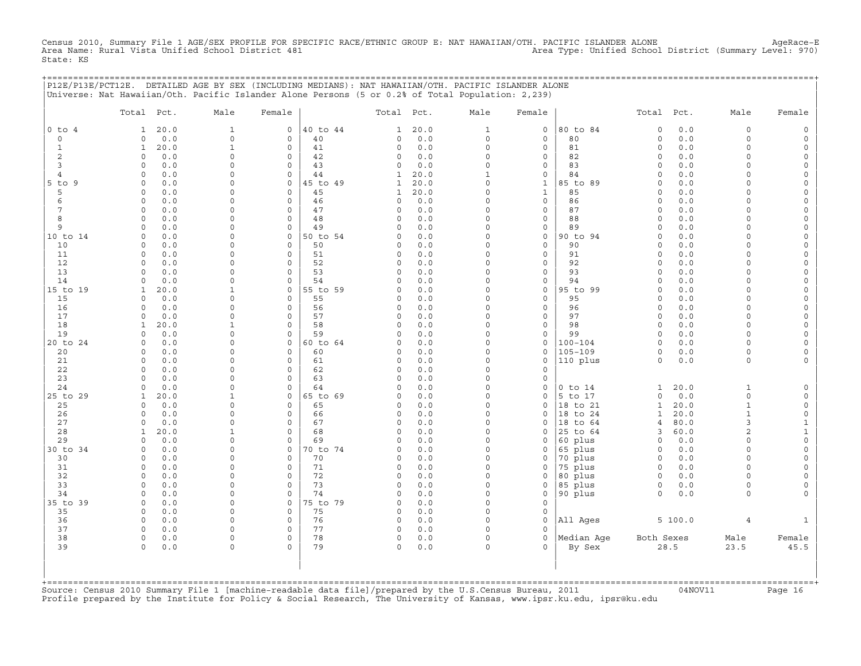Census 2010, Summary File 1 AGE/SEX PROFILE FOR SPECIFIC RACE/ETHNIC GROUP E: NAT HAWAIIAN/OTH. PACIFIC ISLANDER ALONE AgeRace-E<br>Area Name: Rural Vista Unified School District 481 State: KS

|                     | P12E/P13E/PCT12E. DETAILED AGE BY SEX (INCLUDING MEDIANS): NAT HAWAIIAN/OTH. PACIFIC ISLANDER ALONE |                     |                            |                |                         |             |                      |              | ============================== |                         |             |                         |                      |
|---------------------|-----------------------------------------------------------------------------------------------------|---------------------|----------------------------|----------------|-------------------------|-------------|----------------------|--------------|--------------------------------|-------------------------|-------------|-------------------------|----------------------|
|                     | Universe: Nat Hawaiian/Oth. Pacific Islander Alone Persons (5 or 0.2% of Total Population: 2,239)   |                     |                            |                |                         |             |                      |              |                                |                         |             |                         |                      |
|                     | Total Pct.                                                                                          | Male                | Female                     |                | Total Pct.              |             | Male                 | Female       |                                | Total Pct.              |             | Male                    | Female               |
| $0$ to $4$          | 20.0<br>$\mathbf{1}$                                                                                | $\mathbf{1}$        | $\mathsf{O}\xspace$        | 40 to 44       | $\mathbf{1}$            | 20.0        | $\mathbf{1}$         | $\circ$      | 80 to 84                       | $\mathsf{O}\xspace$     | 0.0         | $\Omega$                |                      |
| $\mathsf{O}$        | $0.0$<br>$\circ$                                                                                    | $\mathsf{O}\xspace$ | 0                          | 40             | 0                       | 0.0         | 0                    | 0            | 80                             | $\circ$                 | 0.0         | $\circ$                 | $\Omega$             |
| 1                   | $\mathbf{1}$<br>20.0                                                                                | $\mathbf{1}$        | $\mathbf 0$                | 41             | 0                       | 0.0         | $\Omega$             | 0            | 81                             | $\circ$                 | 0.0         | $\Omega$                | $\Omega$             |
| $\overline{c}$<br>3 | 0.0<br>0<br>0.0<br>$\Omega$                                                                         | 0<br>$\Omega$       | 0<br>$\mathbf 0$           | 42<br>43       | 0<br>0                  | 0.0         | $\Omega$<br>$\circ$  | 0<br>0       | 82<br>83                       | 0<br>$\Omega$           | 0.0<br>0.0  | $\Omega$<br>$\cap$      | $\Omega$<br>$\Omega$ |
| $\overline{4}$      | 0.0<br>$\Omega$                                                                                     | $\Omega$            | 0                          | 44             | 1                       | 0.0<br>20.0 | 1                    | 0            | 84                             | $\Omega$                | 0.0         | $\Omega$                |                      |
| $5$ to<br>9         | $\mathbf 0$<br>0.0                                                                                  | $\Omega$            | $\mathbf 0$                | 45 to 49       | 1                       | 20.0        | $\Omega$             | 1            | 85 to 89                       | $\Omega$                | $0.0$       | $\Omega$                |                      |
| 5                   | 0.0<br>$\mathbf 0$                                                                                  | $\Omega$            | $\mathbf 0$                | 45             | 1                       | 20.0        | $\Omega$             | $\mathbf{1}$ | 85                             | $\circ$                 | 0.0         | $\Omega$                |                      |
| 6                   | 0.0<br>$\circ$                                                                                      | $\Omega$            | 0                          | 46             | 0                       | 0.0         | $\Omega$             | 0            | 86                             | $\circ$                 | 0.0         | $\Omega$                |                      |
| 7                   | 0.0<br>$\circ$                                                                                      | $\Omega$            | $\mathbf 0$                | 47             | 0                       | 0.0         | 0                    | 0            | 87                             | $\circ$                 | 0.0         | $\Omega$                |                      |
| 8                   | 0.0<br>$\Omega$                                                                                     | $\Omega$            | $\Omega$                   | 48             | $\Omega$                | 0.0         | $\Omega$             | 0            | 88                             | $\Omega$                | 0.0         | $\Omega$                |                      |
| 9                   | $\Omega$<br>0.0                                                                                     | $\Omega$            | 0                          | 49             | $\Omega$                | 0.0         | $\Omega$<br>$\Omega$ | 0            | 89                             | $\Omega$                | 0.0         | $\Omega$<br>$\cap$      |                      |
| 10 to 14<br>10      | 0.0<br>$\Omega$<br>$\circ$<br>0.0                                                                   | $\Omega$<br>0       | $\mathbf 0$<br>$\mathbf 0$ | 50 to 54<br>50 | $\Omega$<br>$\circ$     | 0.0<br>0.0  | 0                    | 0<br>$\circ$ | 90 to 94<br>90                 | $\Omega$<br>$\circ$     | 0.0<br>0.0  | $\Omega$                |                      |
| 11                  | 0.0<br>$\mathbf 0$                                                                                  | $\Omega$            | $\mathbf 0$                | 51             | 0                       | 0.0         | $\Omega$             | 0            | 91                             | $\circ$                 | 0.0         | $\Omega$                |                      |
| 12                  | 0.0<br>$\circ$                                                                                      | $\Omega$            | $\mathbf 0$                | 52             | $\Omega$                | 0.0         | $\Omega$             | 0            | 92                             | $\Omega$                | 0.0         | $\Omega$                | $\Omega$             |
| 13                  | 0.0<br>$\mathbf 0$                                                                                  | 0                   | 0                          | 53             | 0                       | 0.0         | 0                    | 0            | 93                             | $\circ$                 | 0.0         | $\Omega$                | $\Omega$             |
| 14                  | 0.0<br>$\Omega$                                                                                     | 0                   | $\mathbf 0$                | 54             | $\Omega$                | 0.0         | $\Omega$             | 0            | 94                             | $\Omega$                | 0.0         | $\Omega$                | $\Omega$             |
| 15 to 19            | 20.0<br>1                                                                                           | $\mathbf{1}$        | 0                          | 55 to 59       | $\Omega$                | 0.0         | $\Omega$             | 0            | 95 to 99                       | $\Omega$                | 0.0         | $\Omega$                |                      |
| 15                  | 0.0<br>$\Omega$                                                                                     | $\Omega$            | $\mathbf 0$                | 55             | $\Omega$                | 0.0         | $\Omega$             | 0            | 95                             | $\Omega$                | $0.0$       | $\Omega$                |                      |
| 16                  | $\circ$<br>0.0                                                                                      | O<br>$\Omega$       | $\mathbf 0$                | 56             | $\Omega$                | 0.0         | $\Omega$             | 0            | 96                             | $\circ$                 | 0.0         | $\Omega$<br>$\Omega$    | $\Omega$             |
| 17<br>18            | 0.0<br>$\mathbf 0$<br>20.0<br>1                                                                     | $\mathbf{1}$        | 0<br>$\mathbf 0$           | 57<br>58       | 0<br>$\Omega$           | 0.0<br>0.0  | 0<br>$\Omega$        | 0<br>0       | 97<br>98                       | $\circ$<br>$\circ$      | 0.0<br>0.0  | $\Omega$                |                      |
| 19                  | 0.0<br>$\mathbf 0$                                                                                  | $\Omega$            | $\mathbf 0$                | 59             | $\Omega$                | 0.0         | $\Omega$             | 0            | 99                             | $\circ$                 | 0.0         | $\Omega$                |                      |
| 20 to 24            | $\Omega$<br>0.0                                                                                     | $\Omega$            | 0                          | 60 to 64       | <sup>0</sup>            | 0.0         | $\Omega$             | 0            | $100 - 104$                    | $\Omega$                | 0.0         | $\Omega$                |                      |
| 20                  | 0.0<br>$\Omega$                                                                                     | $\Omega$            | $\Omega$                   | 60             | <sup>0</sup>            | 0.0         | $\Omega$             | 0            | $105 - 109$                    | $\Omega$                | 0.0         | $\Omega$                |                      |
| 21                  | 0.0<br>$\circ$                                                                                      | 0                   | $\mathbf 0$                | 61             | $\mathbf 0$             | 0.0         | 0                    | 0            | 110 plus                       | $\circ$                 | 0.0         | $\circ$                 |                      |
| 22                  | $\circ$<br>0.0                                                                                      | $\Omega$            | $\mathbf 0$                | 62             | $\Omega$                | 0.0         | $\Omega$             | 0            |                                |                         |             |                         |                      |
| 23                  | 0.0<br>$\circ$                                                                                      | $\Omega$            | $\mathbf 0$                | 63             | $\Omega$                | 0.0         | $\Omega$             | $\Omega$     |                                |                         |             |                         |                      |
| 24                  | 0.0<br>$\mathbf 0$                                                                                  | $\Omega$            | 0                          | 64             | $\Omega$<br>$\Omega$    | 0.0         | 0                    | 0            | $0$ to $14$                    | $\mathbf 1$             | 20.0        | $\mathbf{1}$<br>$\circ$ |                      |
| 25 to 29<br>25      | 20.0<br>$\mathbf{1}$<br>0.0<br>$\Omega$                                                             | 1<br>$\Omega$       | 0<br>$\Omega$              | 65 to 69<br>65 | $\Omega$                | 0.0<br>0.0  | 0<br>$\Omega$        | 0<br>0       | 5 to 17<br>18 to 21            | $\circ$<br>$\mathbf{1}$ | 0.0<br>20.0 | $\mathbf{1}$            |                      |
| 26                  | $\mathbf 0$<br>0.0                                                                                  | 0                   | $\mathbf 0$                | 66             | 0                       | 0.0         | $\Omega$             | 0            | 18 to 24                       | 1                       | 20.0        | 1                       | $\Omega$             |
| 27                  | $\mathbf 0$<br>0.0                                                                                  | 0                   | 0                          | 67             | $\circ$                 | 0.0         | $\Omega$             | 0            | 18 to 64                       | 4                       | 80.0        | 3                       | 1                    |
| 28                  | 20.0<br>$\mathbf{1}$                                                                                | $\mathbf{1}$        | 0                          | 68             | 0                       | 0.0         | $\Omega$             | 0            | 25 to 64                       | 3                       | 60.0        | $\overline{2}$          | $\mathbf{1}$         |
| 29                  | 0.0<br>$\circ$                                                                                      | $\Omega$            | $\mathbf 0$                | 69             | $\Omega$                | 0.0         | $\Omega$             | 0            | 60 plus                        | $\circ$                 | 0.0         | $\Omega$                | $\Omega$             |
| 30 to 34            | 0.0<br>$\mathbf 0$                                                                                  | 0                   | 0                          | 70 to 74       | 0                       | 0.0         | 0                    | 0            | 65 plus                        | 0                       | 0.0         | $\Omega$                |                      |
| 30                  | 0.0<br>$\Omega$                                                                                     | $\Omega$            | $\Omega$                   | 70             | <sup>0</sup>            | 0.0         | $\Omega$             | 0            | 70 plus                        | $\Omega$                | 0.0         | $\Omega$                |                      |
| 31<br>32            | 0.0<br>$\Omega$<br>$\circ$<br>0.0                                                                   | $\cap$<br>0         | $\mathbf 0$<br>$\mathbf 0$ | 71<br>72       | $\Omega$<br>$\mathbf 0$ | 0.0<br>0.0  | $\Omega$<br>0        | $\Omega$     | 75 plus<br>80 plus             | $\Omega$<br>$\circ$     | 0.0<br>0.0  | $\cap$<br>$\Omega$      |                      |
| 33                  | 0.0<br>$\Omega$                                                                                     | $\Omega$            | 0                          | 73             | 0                       | 0.0         | $\Omega$             | 0<br>0       | 85 plus                        | $\circ$                 | $0.0$       | $\Omega$                |                      |
| 34                  | 0.0<br>$\circ$                                                                                      | $\Omega$            | $\mathbf 0$                | 74             | 0                       | 0.0         | $\Omega$             | 0            | 90 plus                        | $\Omega$                | $0.0$       | $\Omega$                |                      |
| 35 to 39            | 0.0<br>$\mathbf 0$                                                                                  | $\mathbf 0$         | 0                          | 75 to 79       | $\mathbf 0$             | 0.0         | $\mathbf 0$          | 0            |                                |                         |             |                         |                      |
| 35                  | 0.0<br>$\circ$                                                                                      | 0                   | 0                          | 75             | $\mathbf 0$             | 0.0         | $\circ$              | 0            |                                |                         |             |                         |                      |
| 36                  | 0.0<br>0                                                                                            | $\Omega$            | 0                          | 76             | 0                       | 0.0         | $\Omega$             | $\Omega$     | All Ages                       |                         | 5 100.0     | $\overline{4}$          |                      |
| 37                  | $\circ$<br>0.0                                                                                      | $\Omega$            | $\mathbf 0$                | 77             | $\mathbf 0$             | 0.0         | $\Omega$             | $\Omega$     |                                |                         |             |                         |                      |
| 38                  | $\mathbf 0$<br>0.0                                                                                  | 0                   | 0                          | 78             | $\circ$                 | 0.0         | 0                    | $\mathbf{0}$ | Median Age                     | Both Sexes              |             | Male                    | Female               |
| 39                  | $\Omega$<br>0.0                                                                                     | $\Omega$            | $\Omega$                   | 79             | $\Omega$                | 0.0         | $\Omega$             | $\Omega$     | By Sex                         |                         | 28.5        | 23.5                    | 45.5                 |
|                     |                                                                                                     |                     |                            |                |                         |             |                      |              |                                |                         |             |                         |                      |
|                     |                                                                                                     |                     |                            |                |                         |             |                      |              |                                |                         |             |                         |                      |
|                     |                                                                                                     |                     |                            |                |                         |             |                      |              |                                |                         |             |                         |                      |

+===================================================================================================================================================+Source: Census 2010 Summary File 1 [machine−readable data file]/prepared by the U.S.Census Bureau, 2011 04NOV11 Page 16 Profile prepared by the Institute for Policy & Social Research, The University of Kansas, www.ipsr.ku.edu, ipsr@ku.edu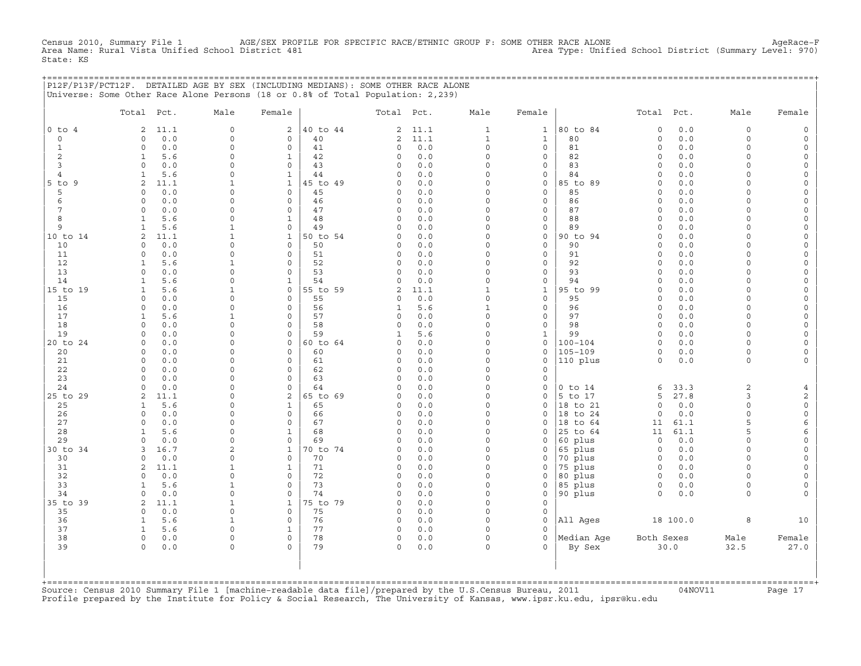CHE 1 AGE/SEX PROFILE FOR SPECIFIC RACE/ETHNIC GROUP F: SOME OTHER RACE ALONE Agerace-F<br>2010, Area Type: Unified School District (Summary Level: 970 Census 2010, Summary File 1 AGE/SEX PROFI<br>Area Name: Rural Vista Unified School District 481 State: KS

+===================================================================================================================================================+

|              |                |       | P12F/P13F/PCT12F. DETAILED AGE BY SEX (INCLUDING MEDIANS): SOME OTHER RACE ALONE<br>Universe: Some Other Race Alone Persons (18 or 0.8% of Total Population: 2,239) |                |          |                |       |              |                     |             |             |          |                |                     |
|--------------|----------------|-------|---------------------------------------------------------------------------------------------------------------------------------------------------------------------|----------------|----------|----------------|-------|--------------|---------------------|-------------|-------------|----------|----------------|---------------------|
|              | Total Pct.     |       | Male                                                                                                                                                                | Female         |          | Total Pct.     |       | Male         | Female              |             | Total       | Pct.     | Male           | Female              |
| $0$ to $4$   | 2              | 11.1  | $\circ$                                                                                                                                                             | 2              | 40 to 44 | $\overline{a}$ | 11.1  | $\mathbf{1}$ | $1\,$               | 80 to 84    | $\circ$     | 0.0      | 0              | $\mathsf{O}\xspace$ |
| $\circ$      | $\circ$        | 0.0   | $\circ$                                                                                                                                                             | 0              | 40       | $\overline{a}$ | 11.1  | $\mathbf{1}$ | $\mathbf{1}$        | 80          | $\mathsf O$ | 0.0      | 0              | $\mathsf{O}\xspace$ |
| 1            | $\mathbf 0$    | 0.0   | $\Omega$                                                                                                                                                            | 0              | 41       | 0              | 0.0   | $\Omega$     | $\mathbf 0$         | 81          | 0           | 0.0      | 0              | 0                   |
| 2            | $\mathbf{1}$   | 5.6   | $\Omega$                                                                                                                                                            | $\mathbf{1}$   | 42       | 0              | 0.0   | $\Omega$     | $\mathbf 0$         | 82          | $\mathbf 0$ | 0.0      | 0              | $\mathsf{O}$        |
| 3            | $\Omega$       | 0.0   | $\Omega$                                                                                                                                                            | $\mathbf 0$    | 43       | $\Omega$       | 0.0   | $\Omega$     | $\mathbf 0$         | 83          | $\Omega$    | 0.0      | $\Omega$       | $\mathbf{0}$        |
| 4            | 1              | 5.6   | $\Omega$                                                                                                                                                            | $\mathbf{1}$   | 44       | $\circ$        | $0.0$ | $\Omega$     | $\mathsf{O}$        | 84          | $\circ$     | 0.0      | $\Omega$       | 0                   |
| $5$ to<br>-9 | 2              | 11.1  | $\mathbf{1}$                                                                                                                                                        | $\mathbf{1}$   | 45 to 49 | $\circ$        | 0.0   | $\Omega$     | $\mathbf 0$         | 85 to 89    | $\mathbf 0$ | 0.0      | $\Omega$       | $\mathsf{O}$        |
| 5            | $\Omega$       | 0.0   | $\Omega$                                                                                                                                                            | $\mathbf 0$    | 45       | 0              | 0.0   | $\Omega$     | $\mathbf 0$         | 85          | $\mathbf 0$ | 0.0      | 0              | 0                   |
| 6            | $\Omega$       | 0.0   | $\mathbf 0$                                                                                                                                                         | 0              | 46       | 0              | 0.0   | $\Omega$     | $\mathbf 0$         | 86          | $\Omega$    | 0.0      | $\Omega$       | 0                   |
| 7            | $\Omega$       | 0.0   | $\Omega$                                                                                                                                                            | $\mathbf 0$    | 47       | $\circ$        | 0.0   | $\Omega$     | $\mathbf 0$         | 87          | $\mathbf 0$ | 0.0      | $\Omega$       | 0                   |
| 8            | $\mathbf{1}$   | 5.6   | $\mathbf 0$                                                                                                                                                         | $\mathbf{1}$   | 48       | 0              | 0.0   | $\Omega$     | $\mathbf 0$         | 88          | $\Omega$    | 0.0      | $\Omega$       | 0                   |
| 9            |                | 5.6   | $\mathbf{1}$                                                                                                                                                        | $\circ$        | 49       | $\Omega$       | 0.0   | $\Omega$     | $\mathsf{O}\xspace$ | 89          | $\Omega$    | 0.0      | $\Omega$       | 0                   |
| 10 to 14     | $\overline{2}$ | 11.1  | $\mathbf{1}$                                                                                                                                                        | $\mathbf{1}$   | 50 to 54 | $\circ$        | 0.0   | $\Omega$     | $\mathbf 0$         | 90 to 94    | $\mathsf O$ | 0.0      | $\Omega$       | 0                   |
| 10           | $\Omega$       | 0.0   | $\Omega$                                                                                                                                                            | 0              | 50       | 0              | 0.0   | $\Omega$     | $\mathbf 0$         | 90          | $\Omega$    | 0.0      | $\Omega$       | 0                   |
| 11           | $\Omega$       | 0.0   | $\Omega$                                                                                                                                                            | $\circ$        | 51       | 0              | 0.0   | $\Omega$     | $\mathbf 0$         | 91          | $\mathbf 0$ | 0.0      | $\Omega$       | 0                   |
| 12           | $\mathbf{1}$   | 5.6   | $\mathbf{1}$                                                                                                                                                        | 0              | 52       | 0              | 0.0   | $\circ$      | $\mathsf{O}$        | 92          | $\mathsf O$ | 0.0      | $\Omega$       | 0                   |
| 13           | $\Omega$       | 0.0   | $\Omega$                                                                                                                                                            | $\mathbf 0$    | 53       | $\Omega$       | 0.0   | $\Omega$     | $\mathbf 0$         | 93          | $\mathbf 0$ | 0.0      | $\Omega$       | 0                   |
| 14           | $\mathbf{1}$   | 5.6   | $\Omega$                                                                                                                                                            | $\mathbf{1}$   | 54       | 0              | 0.0   | $\Omega$     | $\mathbf 0$         | 94          | $\Omega$    | 0.0      | $\Omega$       | $\mathsf{O}\xspace$ |
| 15 to 19     | 1              | 5.6   | 1                                                                                                                                                                   | 0              | 55 to 59 | 2              | 11.1  | $\mathbf{1}$ | 1                   | 95 to 99    | $\mathbf 0$ | 0.0      | 0              | 0                   |
| 15           | $\circ$        | 0.0   | $\Omega$                                                                                                                                                            | $\mathbf 0$    | 55       | 0              | 0.0   | $\Omega$     | $\mathbf 0$         | 95          | $\mathbf 0$ | 0.0      | $\Omega$       | 0                   |
| 16           | $\circ$        | 0.0   | $\mathbf 0$                                                                                                                                                         | 0              | 56       | 1              | 5.6   | $\mathbf{1}$ | $\mathsf{O}$        | 96          | $\mathsf O$ | 0.0      | 0              | 0                   |
| 17           | $\mathbf{1}$   | 5.6   | $\mathbf{1}$                                                                                                                                                        | $\mathbf 0$    | 57       | $\circ$        | 0.0   | $\Omega$     | $\mathsf{O}$        | 97          | $\mathbf 0$ | 0.0      | 0              | 0                   |
| 18           | $\Omega$       | 0.0   | $\Omega$                                                                                                                                                            | $\circ$        | 58       | $\circ$        | 0.0   | $\Omega$     | $\mathbf 0$         | 98          | $\circ$     | 0.0      | $\Omega$       | $\mathsf{O}\xspace$ |
| 19           | $\Omega$       | 0.0   | $\Omega$                                                                                                                                                            | $\mathbf 0$    | 59       | $\mathbf{1}$   | 5.6   | $\Omega$     | 1                   | 99          | $\mathbf 0$ | 0.0      | $\Omega$       | $\mathsf{O}$        |
| 20 to 24     | $\Omega$       | 0.0   | $\Omega$                                                                                                                                                            | 0              | 60 to 64 | 0              | 0.0   | $\Omega$     | $\mathbf 0$         | $100 - 104$ | $\mathbf 0$ | 0.0      | $\Omega$       | $\mathbf 0$         |
| 20           | $\Omega$       | 0.0   | $\Omega$                                                                                                                                                            | $\mathbf 0$    | 60       | 0              | 0.0   | $\Omega$     | $\mathbf 0$         | $105 - 109$ | $\mathbf 0$ | 0.0      | $\circ$        | 0                   |
| 21           | $\circ$        | 0.0   | $\Omega$                                                                                                                                                            | 0              | 61       | 0              | 0.0   | $\Omega$     | $\mathsf{O}$        | 110 plus    | $\mathbf 0$ | 0.0      | $\circ$        | 0                   |
| 22           | $\Omega$       | 0.0   | $\Omega$                                                                                                                                                            | $\circ$        | 62       | $\circ$        | 0.0   | $\Omega$     | $\mathbf 0$         |             |             |          |                |                     |
| 23           | $\Omega$       | 0.0   | $\Omega$                                                                                                                                                            | $\mathbf 0$    | 63       | 0              | 0.0   | $\Omega$     | $\mathbf 0$         |             |             |          |                |                     |
| 24           | $\Omega$       | 0.0   | $\Omega$                                                                                                                                                            | $\mathbf 0$    | 64       | 0              | 0.0   | $\Omega$     | $\mathbf 0$         | $0$ to $14$ | 6           | 33.3     | $\overline{a}$ | 4                   |
| 25 to 29     | $\mathfrak{D}$ | 11.1  | $\Omega$                                                                                                                                                            | $\overline{c}$ | 65 to 69 | 0              | 0.0   | $\Omega$     | $\mathbf 0$         | 5 to 17     | 5           | 27.8     | 3              | 2                   |
| 25           | $\mathbf{1}$   | 5.6   | $\Omega$                                                                                                                                                            | $\mathbf{1}$   | 65       | $\circ$        | 0.0   | $\Omega$     | $\mathbf 0$         | 18 to 21    | $\mathbf 0$ | 0.0      | $\circ$        | $\mathsf{O}\xspace$ |
| 26           | $\Omega$       | 0.0   | $\Omega$                                                                                                                                                            | 0              | 66       | 0              | 0.0   | $\Omega$     | $\mathbf 0$         | 18 to 24    | $\mathsf O$ | 0.0      | $\circ$        | $\circ$             |
| 27           | $\Omega$       | 0.0   | $\Omega$                                                                                                                                                            | $\mathbf 0$    | 67       | 0              | 0.0   | $\Omega$     | $\Omega$            | 18 to 64    | 11          | 61.1     | 5              | 6                   |
| 28           | $\mathbf{1}$   | 5.6   | $\Omega$                                                                                                                                                            | $\mathbf{1}$   | 68       | $\circ$        | 0.0   | $\Omega$     | $\mathbf 0$         | 25 to 64    | 11          | 61.1     | 5              | 6                   |
| 29           | $\cap$         | 0.0   | $\Omega$                                                                                                                                                            | $\mathbf 0$    | 69       | 0              | 0.0   | $\Omega$     | $\Omega$            | 60 plus     | $\mathbf 0$ | 0.0      | 0              | 0                   |
| 30 to 34     | 3              | 16.7  | $\overline{c}$                                                                                                                                                      | $\mathbf{1}$   | 70 to 74 | 0              | 0.0   | $\Omega$     | 0                   | 65 plus     | 0           | 0.0      | $\circ$        | 0                   |
| 30           | $\Omega$       | 0.0   | $\mathbf 0$                                                                                                                                                         | 0              | 70       | 0              | 0.0   | $\Omega$     | 0                   | 70 plus     | 0           | 0.0      | $\circ$        | 0                   |
| 31           | 2              | 11.1  | $\mathbf{1}$                                                                                                                                                        | $\mathbf{1}$   | 71       | $\circ$        | 0.0   | $\Omega$     | $\mathbf 0$         | 75 plus     | $\circ$     | 0.0      | $\Omega$       | 0                   |
| 32           | $\Omega$       | 0.0   | $\Omega$                                                                                                                                                            | $\mathbf 0$    | 72       | $\circ$        | 0.0   | $\Omega$     | $\Omega$            | 80 plus     | 0           | 0.0      | $\Omega$       | 0                   |
| 33           |                | 5.6   | $\mathbf{1}$                                                                                                                                                        | $\mathbf 0$    | 73       | $\Omega$       | 0.0   | $\Omega$     | $\mathbf 0$         | 85 plus     | $\circ$     | 0.0      | $\circ$        | $\mathsf{O}$        |
| 34           | $\Omega$       | 0.0   | $\mathbf 0$                                                                                                                                                         | $\mathbf 0$    | 74       | $\Omega$       | 0.0   | $\circ$      | 0                   | 90 plus     | $\mathsf O$ | 0.0      | 0              | 0                   |
| 35 to 39     | 2              | 11.1  | 1                                                                                                                                                                   | $\mathbf{1}$   | 75 to 79 | $\Omega$       | 0.0   | $\Omega$     | $\mathbf 0$         |             |             |          |                |                     |
| 35           | $\Omega$       | $0.0$ | $\Omega$                                                                                                                                                            | $\circ$        | 75       | $\circ$        | 0.0   | $\Omega$     | $\mathbf 0$         |             |             |          |                |                     |
| 36           | 1              | 5.6   | $\mathbf{1}$                                                                                                                                                        | $\mathbf 0$    | 76       | 0              | 0.0   | $\Omega$     | $\mathbf 0$         | All Ages    |             | 18 100.0 | 8              | 10                  |
| 37           | 1              | 5.6   | $\Omega$                                                                                                                                                            | $\mathbf{1}$   | 77       | 0              | 0.0   | $\Omega$     | $\Omega$            |             |             |          |                |                     |
| 38           | $\circ$        | 0.0   | $\mathbf 0$                                                                                                                                                         | $\circ$        | 78       | $\circ$        | 0.0   | $\Omega$     | $\mathbf 0$         | Median Age  | Both Sexes  |          | Male           | Female              |
| 39           | $\Omega$       | 0.0   | $\Omega$                                                                                                                                                            | $\circ$        | 79       | $\circ$        | 0.0   | $\Omega$     | $\Omega$            | By Sex      |             | 30.0     | 32.5           | 27.0                |

| | +===================================================================================================================================================+ Source: Census 2010 Summary File 1 [machine-readable data file]/prepared by the U.S.Census Bureau, 2011 Page 17<br>Profile prepared by the Institute for Policy & Social Research, The University of Kansas, www

| | | | | | | |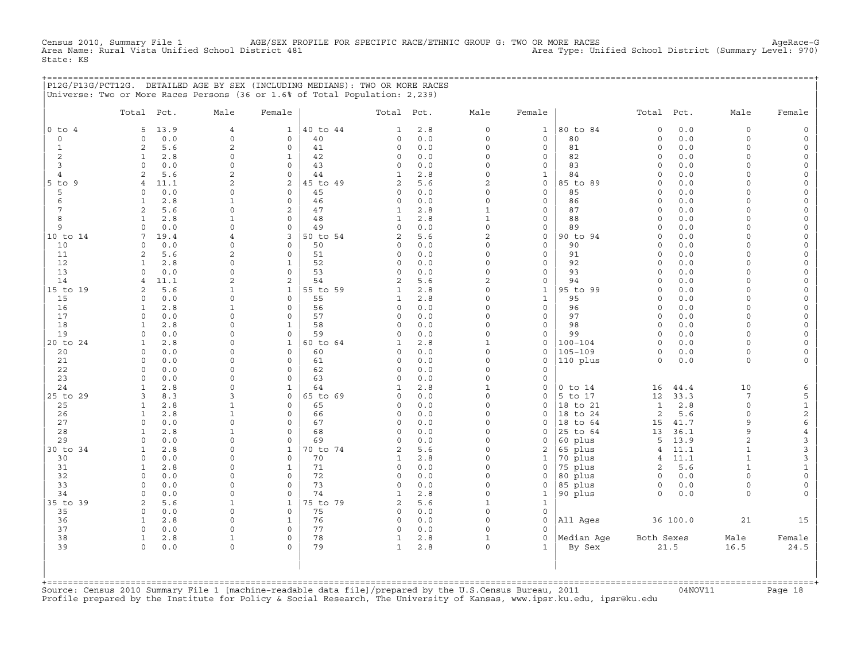Census 2010, Summary File 1 AGE/SEX PROFILE FOR SPECIFIC RACE/ETHNIC GROUP G: TWO OR MORE RACES AgeRace−G Area Name: Rural Vista Unified School District 481 Area Type: Unified School District (Summary Level: 970) State: KS

|                | P12G/P13G/PCT12G. DETAILED AGE BY SEX (INCLUDING MEDIANS): TWO OR MORE RACES |                |                     |          |                |     |                     |              |             |                     |              |                |               |
|----------------|------------------------------------------------------------------------------|----------------|---------------------|----------|----------------|-----|---------------------|--------------|-------------|---------------------|--------------|----------------|---------------|
|                | Universe: Two or More Races Persons (36 or 1.6% of Total Population: 2,239)  |                |                     |          |                |     |                     |              |             |                     |              |                |               |
|                |                                                                              |                |                     |          |                |     |                     |              |             |                     |              |                |               |
|                | Total Pct.                                                                   | Male           | Female              |          | Total Pct.     |     | Male                | Female       |             | Total Pct.          |              | Male           | Female        |
| $0$ to $4$     | 5<br>13.9                                                                    | $\overline{4}$ | 1                   | 40 to 44 | $\mathbf{1}$   | 2.8 | $\circ$             | $\mathbf{1}$ | 80 to 84    | $\circ$             | 0.0          | $\circ$        | $\mathsf{O}$  |
| $\circ$        | $\mathbf 0$<br>0.0                                                           | $\mathbf 0$    | $\circ$             | 40       | $\circ$        | 0.0 | $\mathsf{O}$        | $\mathsf{O}$ | 80          | $\circ$             | 0.0          | $\circ$        | $\mathsf{O}$  |
| $\mathbf{1}$   | 5.6<br>2                                                                     | $\mathbf{2}$   | $\mathbf 0$         | 41       | 0              | 0.0 | $\circ$             | 0            | 81          | 0                   | 0.0          | $\Omega$       | 0             |
| 2              | 2.8<br>$\mathbf{1}$                                                          | $\Omega$       | $\mathbf{1}$        | 42       | $\Omega$       | 0.0 | $\Omega$            | $\Omega$     | 82          | $\Omega$            | 0.0          | $\cap$         | 0             |
| 3              | $\mathbf 0$<br>0.0                                                           | $\mathbf 0$    | $\mathbf 0$         | 43       | $\circ$        | 0.0 | $\mathbf 0$         | $\mathsf{O}$ | 83          | $\circ$             | 0.0          | $\Omega$       | 0             |
| $\overline{4}$ | 5.6<br>2                                                                     | 2              | $\mathbf 0$         | 44       | 1              | 2.8 | $\circ$             | 1            | 84          | 0                   | 0.0          | $\Omega$       | 0             |
| 5 to 9         | 11.1<br>$\overline{4}$                                                       | 2              | 2                   | 45 to 49 | $\overline{2}$ | 5.6 | 2                   | $\mathbf 0$  | 85 to 89    | $\Omega$            | 0.0          | $\cap$         | 0             |
| 5              | 0.0<br>$\mathbf 0$                                                           | $\mathbf 0$    | $\mathbf 0$         | 45       | $\circ$        | 0.0 | $\mathsf{O}\xspace$ | $\circ$      | 85          | $\circ$             | 0.0          | $\Omega$       | 0             |
| 6              | 2.8<br>1                                                                     | $\mathbf{1}$   | $\mathbf 0$         | 46       | $\mathbf 0$    | 0.0 | $\circ$             | 0            | 86          | 0                   | 0.0          | $\Omega$       | 0             |
| 7              | 5.6<br>2                                                                     | $\Omega$       | 2                   | 47       | $\mathbf{1}$   | 2.8 | $\mathbf{1}$        | $\mathbf 0$  | 87          | $\circ$             | 0.0          | $\Omega$       | 0             |
| 8              | 2.8<br>$\mathbf{1}$                                                          | $\mathbf{1}$   | $\mathbf 0$         | 48       | $\mathbf{1}$   | 2.8 | $1\,$               | $\mathbf{0}$ | 88          | $\circ$             | 0.0          | $\Omega$       | $\mathbf 0$   |
| 9              | 0.0<br>$\Omega$                                                              | $\mathbf 0$    | $\mathbf 0$         | 49       | $\mathbf 0$    | 0.0 | $\circ$             | 0            | 89          | 0                   | 0.0          | $\Omega$       | 0             |
| 10 to 14       | 19.4<br>7                                                                    | $\overline{4}$ | 3                   | 50 to 54 | $\overline{2}$ | 5.6 | $\overline{a}$      | $\mathbf 0$  | 90 to 94    | 0                   | 0.0          | $\Omega$       | 0             |
| 10             | 0.0<br>$\Omega$                                                              | $\Omega$       | $\Omega$            | 50       | $\circ$        | 0.0 | $\Omega$            | $\Omega$     | 90          | $\Omega$            | 0.0          | $\Omega$       | $\mathbf 0$   |
| 11             | 5.6<br>2                                                                     | 2              | $\mathbf 0$         | 51       | 0              | 0.0 | $\Omega$            | $\mathsf{O}$ | 91          | 0                   | 0.0          | $\Omega$       | 0             |
| 12             | 2.8<br>$\mathbf{1}$                                                          | $\Omega$       | $\mathbf{1}$        | 52       | $\circ$        | 0.0 | $\circ$             | $\mathbf{0}$ | 92          | $\circ$             | 0.0          | $\Omega$       | 0             |
| 13             | $\Omega$<br>0.0                                                              | $\Omega$       | $\Omega$            | 53       | $\circ$        | 0.0 | $\Omega$            | $\circ$      | 93          | $\circ$             | 0.0          | $\Omega$       | 0             |
| 14             | 11.1                                                                         | 2              | 2                   | 54       | $\overline{2}$ | 5.6 | $\overline{c}$      | $\circ$      | 94          | 0                   | 0.0          | $\Omega$       | 0             |
| 15 to 19       | 5.6<br>2                                                                     | $\mathbf{1}$   | $\mathbf{1}$        | 55 to 59 | $\mathbf{1}$   | 2.8 | $\circ$             | $\mathbf 1$  | 95 to 99    | 0                   | 0.0          | $\Omega$       | 0             |
| 15             | 0.0<br>$\Omega$                                                              | $\Omega$       | $\Omega$            | 55       | $\mathbf{1}$   | 2.8 | $\Omega$            | $\mathbf{1}$ | 95          | $\Omega$            | 0.0          | $\Omega$       | $\mathbf 0$   |
| 16             | 2.8<br>$\mathbf{1}$                                                          | $\mathbf 1$    | $\mathbf 0$         | 56       | $\circ$        | 0.0 | $\Omega$            | $\circ$      | 96          | $\mathsf{O}\xspace$ | 0.0          | $\Omega$       | 0             |
| 17             | 0.0<br>$\Omega$                                                              | $\Omega$       | $\mathbf 0$         | 57       | $\mathbf 0$    | 0.0 | $\circ$             | $\circ$      | 97          | $\circ$             | 0.0          | $\Omega$       | 0             |
| 18             | 2.8<br>$\mathbf{1}$                                                          | $\Omega$       | $\mathbf{1}$        | 58       | $\Omega$       | 0.0 | $\Omega$            | $\mathbf 0$  | 98          | $\Omega$            | 0.0          | $\Omega$       | 0             |
| 19             | $\circ$<br>0.0                                                               | $\mathbf 0$    | $\mathbf 0$         | 59       | $\circ$        | 0.0 | $\Omega$            | $\circ$      | 99          | $\circ$             | 0.0          | $\Omega$       | 0             |
| 20 to 24       | 2.8<br>1                                                                     | $\mathbf 0$    | 1                   | 60 to 64 | 1              | 2.8 | $\mathbf{1}$        | $\circ$      | $100 - 104$ | $\circ$             | 0.0          | $\Omega$       | 0             |
| 20             | $\Omega$<br>0.0                                                              | $\Omega$       | $\mathbf 0$         | 60       | $\mathbf 0$    | 0.0 | $\Omega$            | $\mathbf 0$  | $105 - 109$ | $\circ$             | 0.0          | $\circ$        | 0             |
| 21             | 0.0<br>$\Omega$                                                              | $\Omega$       | $\mathbf 0$         | 61       | $\circ$        | 0.0 | $\Omega$            | $\mathbf{0}$ | 110 plus    | $\Omega$            | 0.0          | $\Omega$       | 0             |
| 22             | 0.0<br>$\Omega$                                                              | $\Omega$       | $\mathbf 0$         | 62       | $\circ$        | 0.0 | $\Omega$            | $\mathbf 0$  |             |                     |              |                |               |
| 23             | $\Omega$<br>0.0                                                              | $\Omega$       | $\Omega$            | 63       | $\circ$        | 0.0 | $\Omega$            | $\mathbf 0$  |             |                     |              |                |               |
| 24             | 2.8<br>$\mathbf{1}$                                                          | $\Omega$       | $\mathbf{1}$        | 64       | 1              | 2.8 | $\mathbf{1}$        | $\mathbf{0}$ | $0$ to $14$ | 16                  | $4\,4$ . $4$ | 10             | 6             |
| 25 to 29       | 3<br>8.3                                                                     | 3              | $\circ$             | 65 to 69 | $\circ$        | 0.0 | $\circ$             | 0            | 5 to 17     | 12                  | 33.3         | 7              | 5             |
| 25             | 2.8<br>$\mathbf{1}$                                                          |                | $\mathbf 0$         | 65       | $\mathbf 0$    | 0.0 | $\circ$             | $\mathbf 0$  | 18 to 21    | $\mathbf{1}$        | 2.8          | $\circ$        | $\frac{1}{2}$ |
| 26             | 2.8<br>$\mathbf{1}$                                                          | $\mathbf{1}$   | $\mathbf 0$         | 66       | $\mathbf 0$    | 0.0 | $\Omega$            | $\Omega$     | 18 to 24    | 2                   | 5.6          | $\Omega$       |               |
| 27             | $\circ$<br>0.0                                                               | $\mathbf 0$    | $\mathsf{O}\xspace$ | 67       | $\circ$        | 0.0 | $\Omega$            | $\mathbf 0$  | 18 to 64    | 15                  | 41.7         | 9              | 6             |
| 28             | $\mathbf{1}$<br>2.8                                                          | $\mathbf{1}$   | $\mathbf 0$         | 68       | $\circ$        | 0.0 | $\circ$             | 0            | 25 to 64    | 13                  | 36.1         | 9              | 4             |
| 29             | 0.0<br>$\Omega$                                                              | $\Omega$       | $\Omega$            | 69       | $\Omega$       | 0.0 | $\Omega$            | $\Omega$     | 60 plus     | 5                   | 13.9         | $\overline{a}$ | 3             |
| 30 to 34       | 2.8<br>$\mathbf{1}$                                                          | $\Omega$       | $\mathbf{1}$        | 70 to 74 | $\overline{2}$ | 5.6 | $\Omega$            | 2            | 65 plus     |                     | 4 11.1       | $\mathbf{1}$   | $\mathsf{3}$  |
| 30             | 0.0<br>$\circ$                                                               | $\Omega$       | $\mathsf{O}$        | 70       | 1              | 2.8 | $\circ$             | 1            | 70 plus     | $\overline{4}$      | 11.1         | $\mathbf{1}$   | $\mathsf{3}$  |
| 31             | 2.8<br>$\mathbf{1}$                                                          | $\Omega$       | $\mathbf{1}$        | 71       | $\mathbf 0$    | 0.0 | $\Omega$            | $\mathbf 0$  | 75 plus     | 2                   | 5.6          | $\mathbf{1}$   | $\mathbf 1$   |
| 32             | 0.0<br>$\Omega$                                                              | $\Omega$       | $\mathbf 0$         | 72       | $\circ$        | 0.0 | $\Omega$            | $\mathbf 0$  | 80 plus     | $\circ$             | 0.0          | $\circ$        | $\mathsf{O}$  |
| 33             | 0.0<br>$\Omega$                                                              | $\mathbf 0$    | $\mathbf 0$         | 73       | $\mathbf 0$    | 0.0 | $\circ$             | 0            | 85 plus     | $\circ$             | 0.0          | $\circ$        | 0             |
| 34             | 0.0<br>$\Omega$                                                              | $\Omega$       | $\Omega$            | 74       | 1              | 2.8 | $\Omega$            | $\mathbf 1$  | 90 plus     | $\Omega$            | 0.0          | $\Omega$       | 0             |
| 35 to 39       | 2<br>5.6                                                                     | $\mathbf 1$    | $\mathbf{1}$        | 75 to 79 | $\overline{2}$ | 5.6 | $\mathbf{1}$        | $\mathbf{1}$ |             |                     |              |                |               |
| 35             | 0.0<br>$\mathbf 0$                                                           | $\mathbf 0$    | $\mathsf{O}$        | 75       | $\circ$        | 0.0 | $\circ$             | $\mathbf 0$  |             |                     |              |                |               |
| 36             | 2.8<br>$\mathbf{1}$                                                          | $\Omega$       | $\mathbf{1}$        | 76       | $\mathbf 0$    | 0.0 | $\Omega$            | $\Omega$     | All Ages    |                     | 36 100.0     | 21             | 15            |
| 37             | $\mathbf 0$<br>0.0                                                           | $\mathbf 0$    | $\mathbf 0$         | 77       | $\circ$        | 0.0 | $\circ$             | $\mathbf 0$  |             |                     |              |                |               |
| 38             | 2.8<br>$\mathbf{1}$                                                          | $\mathbf{1}$   | $\mathsf{O}\xspace$ | 78       | $\mathbf{1}$   | 2.8 | $\mathbf{1}$        | $\circ$      | Median Aqe  | Both Sexes          |              | Male           | Female        |
| 39             | $\Omega$<br>0.0                                                              | $\Omega$       | $\Omega$            | 79       | $\mathbf{1}$   | 2.8 | $\Omega$            | $\mathbf{1}$ | By Sex      |                     | 21.5         | 16.5           | 24.5          |
|                |                                                                              |                |                     |          |                |     |                     |              |             |                     |              |                |               |
|                |                                                                              |                |                     |          |                |     |                     |              |             |                     |              |                |               |

| | +===================================================================================================================================================+ Source: Census 2010 Summary File 1 [machine-readable data file]/prepared by the U.S.Census Bureau, 2011 Page 18<br>Profile prepared by the Institute for Policy & Social Research, The University of Kansas, www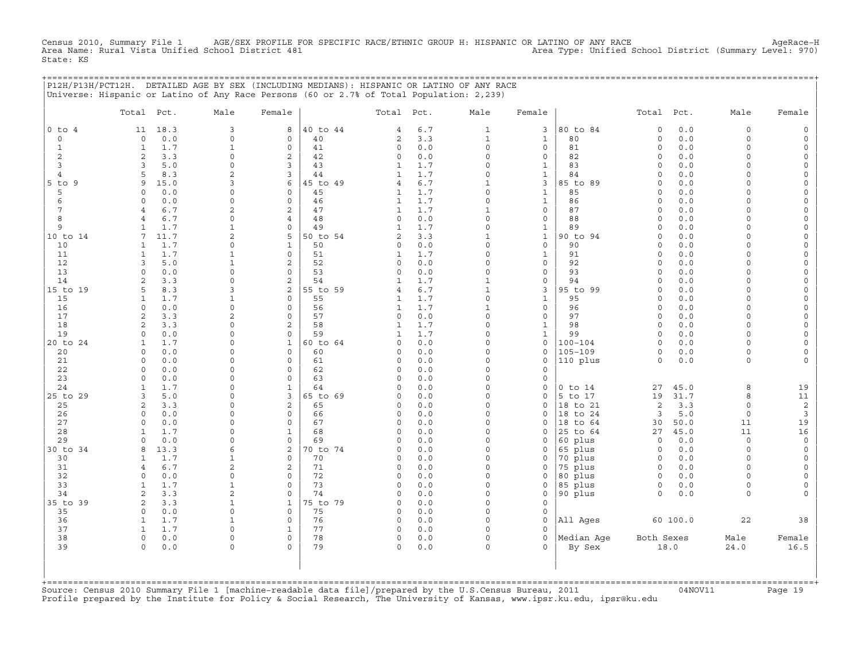Census 2010, Summary File 1 AGE/SEX PROFILE FOR SPECIFIC RACE/ETHNIC GROUP H: HISPANIC OR LATINO OF ANY RACE AgeRace−H Area Name: Rural Vista Unified School District 481 Area Type: Unified School District (Summary Level: 970) State: KS

|                |                              |             | P12H/P13H/PCT12H. DETAILED AGE BY SEX (INCLUDING MEDIANS): HISPANIC OR LATINO OF ANY RACE |                             |                |                          |            |                      |                              |                    |                        |            |                      |                         |
|----------------|------------------------------|-------------|-------------------------------------------------------------------------------------------|-----------------------------|----------------|--------------------------|------------|----------------------|------------------------------|--------------------|------------------------|------------|----------------------|-------------------------|
|                |                              |             | Universe: Hispanic or Latino of Any Race Persons (60 or 2.7% of Total Population: 2,239)  |                             |                |                          |            |                      |                              |                    |                        |            |                      |                         |
|                | Total Pct.                   |             | Male                                                                                      | Female                      |                | Total Pct.               |            | Male                 | Female                       |                    | Total Pct.             |            | Male                 | Female                  |
| $0$ to $4$     | 11                           | 18.3        | 3                                                                                         | 8                           | 40 to 44       | 4                        | 6.7        | $\mathbf{1}$         | 3                            | 80 to 84           | $\mathsf{O}\xspace$    | 0.0        | $\mathbf 0$          |                         |
| $\circ$        | $\circ$                      | 0.0         | 0                                                                                         | 0                           | 40             | 2                        | 3.3        | 1                    | 1                            | 80                 | $\circ$                | 0.0        | $\mathbf 0$          | $\Omega$                |
| 1              | 1                            | 1.7         | $\mathbf{1}$                                                                              | $\mathbf 0$                 | 41             | $\Omega$                 | 0.0        | $\Omega$             | 0                            | 81                 | $\Omega$               | 0.0        | $\Omega$             | $\Omega$                |
| 2<br>3         | 2<br>3                       | 3.3<br>5.0  | 0<br>$\Omega$                                                                             | 2<br>3                      | 42<br>43       | 0<br>1                   | 0.0<br>1.7 | 0<br>$\Omega$        | 0<br>1                       | 82<br>83           | $\circ$<br>$\circ$     | 0.0<br>0.0 | $\Omega$<br>$\Omega$ | $\Omega$<br>$\Omega$    |
| $\overline{4}$ | 5                            | 8.3         | $\overline{2}$                                                                            | 3                           | 44             | 1                        | 1.7        | $\Omega$             | $\mathbf{1}$                 | 84                 | $\Omega$               | 0.0        | $\Omega$             |                         |
| $5$ to<br>9    | 9                            | 15.0        | 3                                                                                         | 6                           | 45 to 49       | 4                        | 6.7        | 1                    | 3                            | 85 to 89           | $\circ$                | 0.0        | $\Omega$             |                         |
| 5              | $\Omega$                     | 0.0         | $\Omega$                                                                                  | 0                           | 45             | 1                        | 1.7        | $\Omega$             | $\mathbf{1}$                 | 85                 | $\Omega$               | 0.0        | $\cap$               | $\Omega$                |
| 6              | $\circ$                      | 0.0         | 0                                                                                         | $\mathbf 0$                 | 46             | 1                        | 1.7        | $\Omega$             | $\mathbf{1}$                 | 86                 | $\circ$                | 0.0        | $\Omega$             |                         |
| 7              | $\overline{4}$               | 6.7         | $\overline{a}$                                                                            | 2                           | 47             | 1                        | 1.7        | 1                    | 0                            | 87                 | $\circ$                | 0.0        | $\Omega$             |                         |
| 8<br>9         | $\overline{4}$               | 6.7         | $\mathbf 0$<br>$\mathbf{1}$                                                               | $\overline{4}$              | 48             | $\circ$                  | 0.0        | $\Omega$             | 0                            | 88                 | $\circ$<br>$\Omega$    | 0.0        | $\Omega$<br>$\Omega$ | $\Omega$                |
| 10 to 14       | 1<br>$7\overline{ }$         | 1.7<br>11.7 | $\overline{a}$                                                                            | 0<br>5                      | 49<br>50 to 54 | 1<br>2                   | 1.7<br>3.3 | 0<br>1               | $\mathbf{1}$<br>$\mathbf{1}$ | 89<br>90 to 94     | $\circ$                | 0.0<br>0.0 | $\Omega$             | $\Omega$<br>$\Omega$    |
| 10             | 1                            | 1.7         | $\Omega$                                                                                  | $\mathbf{1}$                | 50             | $\mathbf 0$              | 0.0        | $\Omega$             | $\mathbf{0}$                 | 90                 | $\circ$                | 0.0        | $\Omega$             |                         |
| 11             | 1                            | 1.7         | $\mathbf{1}$                                                                              | 0                           | 51             | 1                        | 1.7        | $\Omega$             | $\mathbf{1}$                 | 91                 | $\Omega$               | 0.0        | $\Omega$             | $\Omega$                |
| 12             | 3                            | 5.0         | 1                                                                                         | 2                           | 52             | $\Omega$                 | 0.0        | $\Omega$             | 0                            | 92                 | $\Omega$               | 0.0        | $\cap$               | $\Omega$                |
| 13             | $\circ$                      | 0.0         | $\mathbf 0$                                                                               | 0                           | 53             | 0                        | 0.0        | 0                    | 0                            | 93                 | $\circ$                | 0.0        | $\Omega$             | $\Omega$                |
| 14             | $\overline{2}$               | 3.3         | $\Omega$                                                                                  | 2                           | 54             | 1                        | 1.7        | 1                    | 0                            | 94                 | $\circ$                | 0.0        | $\Omega$             |                         |
| 15 to 19       | 5                            | 8.3         | 3                                                                                         | 2                           | 55 to 59       | 4                        | 6.7        | 1                    | 3                            | 95 to 99           | $\Omega$               | 0.0        | $\Omega$             |                         |
| 15<br>16       | $\mathbf{1}$<br>$\circ$      | 1.7<br>0.0  | $\mathbf{1}$<br>0                                                                         | $\mathbf 0$<br>$\mathbf 0$  | 55<br>56       | 1<br>1                   | 1.7<br>1.7 | $\Omega$<br>1        | $\mathbf{1}$<br>0            | 95<br>96           | $\Omega$<br>$\Omega$   | 0.0<br>0.0 | $\cap$<br>$\cap$     | $\Omega$<br>$\Omega$    |
| 17             | 2                            | 3.3         | $\overline{a}$                                                                            | $\mathbf 0$                 | 57             | $\circ$                  | 0.0        | 0                    | 0                            | 97                 | $\circ$                | 0.0        | $\Omega$             | $\Omega$                |
| 18             | $\mathbf{2}$                 | 3.3         | $\Omega$                                                                                  | 2                           | 58             | 1                        | 1.7        | $\Omega$             | $\mathbf{1}$                 | 98                 | $\circ$                | 0.0        | $\Omega$             |                         |
| 19             | $\mathbf 0$                  | 0.0         | $\Omega$                                                                                  | 0                           | 59             | 1                        | 1.7        | $\Omega$             | 1                            | 99                 | $\circ$                | 0.0        | $\Omega$             | $\Omega$                |
| 20 to 24       | 1                            | 1.7         | $\Omega$                                                                                  | 1                           | 60 to 64       | $\Omega$                 | 0.0        | $\Omega$             | 0                            | $100 - 104$        | $\Omega$               | 0.0        | $\Omega$             | $\Omega$                |
| 20             | $\Omega$                     | 0.0         | $\Omega$                                                                                  | $\mathbf 0$                 | 60             | $\Omega$                 | 0.0        | $\Omega$             | 0                            | $105 - 109$        | $\circ$                | 0.0        | $\Omega$             | $\Omega$                |
| 21             | $\mathbf 0$                  | 0.0         | $\Omega$                                                                                  | 0                           | 61             | $\Omega$                 | 0.0        | $\Omega$             | $\Omega$                     | 110 plus           | $\circ$                | 0.0        | $\circ$              |                         |
| 22<br>23       | $\circ$<br>$\circ$           | 0.0         | $\Omega$<br>$\Omega$                                                                      | 0<br>$\mathbf 0$            | 62<br>63       | $\Omega$<br>$\Omega$     | 0.0        | $\Omega$<br>$\Omega$ | 0                            |                    |                        |            |                      |                         |
| 24             | $\mathbf{1}$                 | 0.0<br>1.7  | $\Omega$                                                                                  | $\mathbf{1}$                | 64             | $\Omega$                 | 0.0<br>0.0 | $\Omega$             | 0<br>0                       | $0$ to $14$        | 27                     | 45.0       | 8                    | 19                      |
| 25 to 29       | 3                            | 5.0         | $\Omega$                                                                                  | 3                           | 65 to 69       |                          | 0.0        | $\Omega$             | $\Omega$                     | 5 to 17            | 19                     | 31.7       | 8                    | 11                      |
| 25             | 2                            | 3.3         | $\Omega$                                                                                  | 2                           | 65             | <sup>0</sup>             | 0.0        | $\Omega$             | $\Omega$                     | 18 to 21           | 2                      | 3.3        | $\Omega$             | 2                       |
| 26             | $\circ$                      | 0.0         | $\Omega$                                                                                  | 0                           | 66             | $\Omega$                 | 0.0        | $\Omega$             | 0                            | 18 to 24           | 3                      | 5.0        | $\Omega$             | 3                       |
| 27             | $\circ$                      | 0.0         | $\Omega$                                                                                  | 0                           | 67             | $\Omega$                 | 0.0        | $\Omega$             | $\Omega$                     | 18 to 64           | 30                     | 50.0       | 11                   | 19                      |
| 28             | $\mathbf{1}$                 | 1.7         | $\Omega$                                                                                  | $\mathbf{1}$                | 68             | $\Omega$                 | 0.0        | 0                    | 0                            | 25 to 64           | 27                     | 45.0       | 11                   | 16                      |
| 29             | $\Omega$<br>8                | 0.0         | $\Omega$<br>6                                                                             | $\mathbf 0$<br>2            | 69<br>70 to 74 | <sup>0</sup><br>$\Omega$ | 0.0        | $\Omega$<br>$\Omega$ | $\Omega$<br>$\Omega$         | 60 plus            | $\mathbf 0$<br>$\circ$ | 0.0<br>0.0 | $\circ$<br>$\Omega$  | $\mathbf 0$<br>$\Omega$ |
| 30 to 34<br>30 | 1                            | 13.3<br>1.7 | 1                                                                                         | 0                           | 70             | $\Omega$                 | 0.0<br>0.0 | $\Omega$             | 0                            | 65 plus<br>70 plus | $\circ$                | 0.0        | $\Omega$             | $\Omega$                |
| 31             | $\overline{4}$               | 6.7         | $\overline{a}$                                                                            | 2                           | 71             | $\Omega$                 | 0.0        | $\Omega$             | $\Omega$                     | 75 plus            | $\mathbf 0$            | 0.0        | $\Omega$             |                         |
| 32             | $\circ$                      | 0.0         | $\Omega$                                                                                  | $\mathbf 0$                 | 72             | $\Omega$                 | 0.0        | $\Omega$             | 0                            | 80 plus            | $\mathbf 0$            | 0.0        | $\Omega$             |                         |
| 33             | $\mathbf{1}$                 | 1.7         | 1                                                                                         | 0                           | 73             | 0                        | 0.0        | 0                    | 0                            | 85 plus            | 0                      | 0.0        | $\Omega$             | $\Omega$                |
| 34             | $\overline{c}$               | 3.3         | $\mathfrak{D}$                                                                            | $\Omega$                    | 74             | <sup>0</sup>             | 0.0        | $\Omega$             | $\Omega$                     | 90 plus            | $\Omega$               | 0.0        | $\Omega$             |                         |
| 35 to 39       | 2                            | 3.3         | $\mathbf{1}$                                                                              | $\mathbf{1}$                | 75 to 79       | $\mathbf 0$              | 0.0        | $\Omega$             | 0                            |                    |                        |            |                      |                         |
| 35             | $\circ$                      | 0.0         | $\mathbf 0$                                                                               | $\mathbf 0$                 | 75             | $\Omega$                 | 0.0        | $\Omega$             | 0                            |                    |                        |            |                      |                         |
| 36<br>37       | $\mathbf{1}$<br>$\mathbf{1}$ | 1.7<br>1.7  | 1<br>0                                                                                    | $\mathbf 0$<br>$\mathbf{1}$ | 76<br>77       | $\mathbf 0$<br>0         | 0.0<br>0.0 | $\Omega$<br>0        | $\Omega$<br>$\Omega$         | All Ages           |                        | 60 100.0   | 22                   | 38                      |
| 38             | $\circ$                      | 0.0         | 0                                                                                         | $\mathbf 0$                 | 78             | 0                        | 0.0        | $\circ$              | 0                            | Median Age         | Both Sexes             |            | Male                 | Female                  |
| 39             | $\Omega$                     | 0.0         | $\Omega$                                                                                  | $\Omega$                    | 79             | $\Omega$                 | 0.0        | $\Omega$             | $\Omega$                     | By Sex             |                        | 18.0       | 24.0                 | 16.5                    |
|                |                              |             |                                                                                           |                             |                |                          |            |                      |                              |                    |                        |            |                      |                         |
|                |                              |             |                                                                                           |                             |                |                          |            |                      |                              |                    |                        |            |                      |                         |
| +===========   |                              |             |                                                                                           |                             |                |                          |            |                      |                              |                    |                        |            |                      |                         |

+===================================================================================================================================================+Source: Census 2010 Summary File 1 [machine−readable data file]/prepared by the U.S.Census Bureau, 2011 04NOV11 Page 19 Profile prepared by the Institute for Policy & Social Research, The University of Kansas, www.ipsr.ku.edu, ipsr@ku.edu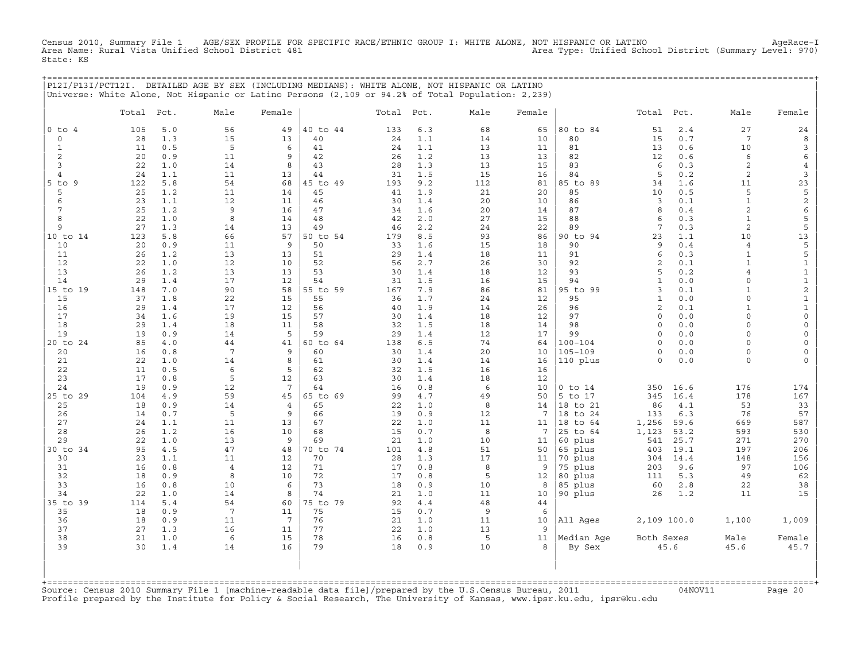Census 2010, Summary File 1 AGE/SEX PROFILE FOR SPECIFIC RACE/ETHNIC GROUP I: WHITE ALONE, NOT HISPANIC OR LATINO<br>Area Name: Rural Vista Unified School District 481 Area Type: Unified Sc State: KS

|  |  | P12I/P13I/PCT12I. DETAILED AGE BY SEX (INCLUDING MEDIANS): WHITE ALONE, NOT HISPANIC OR LATINO    |  |  |
|--|--|---------------------------------------------------------------------------------------------------|--|--|
|  |  |                                                                                                   |  |  |
|  |  | Universe: White Alone, Not Hispanic or Latino Persons (2,109 or 94.2% of Total Population: 2,239) |  |  |

|                               | Total     | Pct.       | Male                  | Female          |                | Total Pct. |            | Male      | Female          |                            | Total                   | Pct.         | Male                           | Female                         |
|-------------------------------|-----------|------------|-----------------------|-----------------|----------------|------------|------------|-----------|-----------------|----------------------------|-------------------------|--------------|--------------------------------|--------------------------------|
| $0$ to $4$                    | 105       | 5.0        | 56                    | 49              | 40 to 44       | 133        | 6.3        | 68        | 65              | 80 to 84                   | 51                      | 2.4          | 27                             | 24                             |
| $\mathbf 0$                   | 28        | 1.3        | 15                    | 13              | 40             | 24         | 1.1        | 14        | 10              | 80                         | 15                      | 0.7          | 7                              | 8                              |
| $\mathbf{1}$                  | 11        | 0.5        | 5                     | 6               | 41             | 24         | 1.1        | 13        | 11              | 81                         | 13                      | 0.6          | 10                             | $\mathbf{3}$                   |
| 2                             | 20        | 0.9        | 11                    | 9               | 42             | 26         | 1.2        | 13        | 13              | 82                         | 12                      | 0.6          | 6                              | $\epsilon$                     |
| 3                             | 22        | 1.0        | 14                    | 8               | 43             | 28         | 1.3        | 13        | 15              | 83                         | 6                       | 0.3          | 2                              | $\overline{4}$                 |
| $\overline{4}$<br>$5$ to<br>9 | 24        | 1.1<br>5.8 | 11<br>54              | 13<br>68        | 44<br>45 to 49 | 31<br>193  | 1.5<br>9.2 | 15<br>112 | 16<br>81        | 84<br>85 to 89             | 5<br>34                 | 0.2<br>1.6   | $\overline{a}$<br>11           | $\overline{3}$                 |
| 5                             | 122<br>25 | 1.2        | 11                    | 14              | 45             | 41         | 1.9        | 21        | 20              | 85                         | 10                      | 0.5          | 5                              | 23<br>$\mathsf S$              |
| 6                             | 23        | 1.1        | 12                    | 11              | 46             | 30         | 1.4        | 20        | 10              | 86                         | $\overline{3}$          | 0.1          | $\mathbf{1}$                   | $\mathbf{2}$                   |
| 7                             | 25        | 1.2        | 9                     | 16              | 47             | 34         | 1.6        | 20        | 14              | 87                         | 8                       | 0.4          | $\overline{a}$                 | $\epsilon$                     |
| 8                             | 22        | 1.0        | 8                     | 14              | 48             | 42         | 2.0        | 27        | 15              | 88                         | 6                       | 0.3          | $\mathbf{1}$                   | 5                              |
| 9                             | 27        | 1.3        | 14                    | 13              | 49             | 46         | 2.2        | 24        | 22              | 89                         | $7\phantom{.0}$         | 0.3          | $\overline{a}$                 | 5                              |
| 10 to 14                      | 123       | 5.8        | 66                    | 57              | 50 to 54       | 179        | 8.5        | 93        | 86              | 90 to 94                   | 23                      | 1.1          | 10                             | 13                             |
| 10                            | 20        | 0.9        | 11                    | 9               | 50             | 33         | 1.6        | 15        | 18              | 90                         | 9                       | 0.4          | 4                              | 5                              |
| 11                            | 26        | 1.2        | 13                    | 13              | 51             | 29         | 1.4        | 18        | 11              | 91                         | 6                       | 0.3          | $\mathbf{1}$                   | 5                              |
| 12<br>13                      | 22<br>26  | 1.0<br>1.2 | 12<br>13              | 10<br>13        | 52<br>53       | 56<br>30   | 2.7<br>1.4 | 26<br>18  | 30<br>12        | 92<br>93                   | 2<br>5                  | 0.1<br>0.2   | $\mathbf{1}$<br>$\overline{4}$ | $\mathbf 1$<br>$\mathbf{1}$    |
| 14                            | 29        | 1.4        | 17                    | 12              | 54             | 31         | 1.5        | 16        | 15              | 94                         | $\mathbf{1}$            | 0.0          | 0                              | $\mathbf 1$                    |
| 15 to 19                      | 148       | 7.0        | 90                    | 58              | 55 to 59       | 167        | 7.9        | 86        | 81              | 95 to 99                   | 3                       | $0.1$        | $\mathbf{1}$                   | $\overline{c}$                 |
| 15                            | 37        | 1.8        | 22                    | 15              | 55             | 36         | 1.7        | 24        | 12              | 95                         | $\mathbf{1}$            | 0.0          | $\circ$                        | $\mathbf 1$                    |
| 16                            | 29        | 1.4        | 17                    | 12              | 56             | 40         | 1.9        | 14        | 26              | 96                         | 2                       | 0.1          | $\mathbf{1}$                   | $\mathbf 1$                    |
| 17                            | 34        | 1.6        | 19                    | 15              | 57             | 30         | 1.4        | 18        | 12              | 97                         | $\Omega$                | 0.0          | $\circ$                        | $\mathsf{O}\xspace$            |
| 18                            | 29        | 1.4        | 18                    | 11              | 58             | 32         | 1.5        | 18        | 14              | 98                         | $\Omega$                | 0.0          | $\circ$                        | $\mathsf O$                    |
| 19                            | 19        | 0.9        | 14                    | 5               | 59             | 29         | 1.4        | 12        | 17              | 99                         | $\mathbf 0$<br>$\Omega$ | 0.0          | $\circ$                        | $\mathsf O$                    |
| 20 to 24<br>20                | 85<br>16  | 4.0<br>0.8 | 44<br>$7\phantom{.0}$ | 41<br>9         | 60 to 64<br>60 | 138<br>30  | 6.5<br>1.4 | 74<br>20  | 64<br>10        | $100 - 104$<br>$105 - 109$ | $\circ$                 | 0.0<br>0.0   | $\circ$<br>0                   | $\mathsf{O}\xspace$<br>$\circ$ |
| 21                            | 22        | 1.0        | 14                    | 8               | 61             | 30         | 1.4        | 14        | 16              | 110 plus                   | $\Omega$                | 0.0          | $\Omega$                       | $\circ$                        |
| 22                            | 11        | 0.5        | 6                     | 5               | 62             | 32         | 1.5        | 16        | 16              |                            |                         |              |                                |                                |
| 23                            | 17        | 0.8        | 5                     | 12              | 63             | 30         | 1.4        | 18        | 12              |                            |                         |              |                                |                                |
| 24                            | 19        | 0.9        | 12                    | 7               | 64             | 16         | 0.8        | 6         | 10              | $0$ to $14$                | 350                     | 16.6         | 176                            | 174                            |
| 25 to 29                      | 104       | 4.9        | 59                    | 45              | 65 to 69       | 99         | 4.7        | 49        | 50              | 5 to 17                    | 345                     | 16.4         | 178                            | 167                            |
| 25                            | 18        | 0.9        | 14                    | $\overline{4}$  | 65             | 22         | 1.0        | 8         | 14              | 18 to 21                   | 86                      | 4.1          | 53                             | 33                             |
| 26                            | 14        | 0.7        | 5                     | 9               | 66             | 19         | 0.9        | 12        | $7\phantom{.0}$ | 18<br>to 24                | 133                     | 6.3          | 76                             | 57                             |
| 27<br>28                      | 24<br>26  | 1.1<br>1.2 | 11<br>16              | 13<br>10        | 67<br>68       | 22<br>15   | 1.0<br>0.7 | 11<br>8   | 11<br>7         | 18 to 64<br>25 to 64       | 1,256<br>1,123          | 59.6<br>53.2 | 669<br>593                     | 587<br>530                     |
| 29                            | 22        | 1.0        | 13                    | 9               | 69             | 21         | 1.0        | 10        | 11              | 60 plus                    | 541                     | 25.7         | 271                            | 270                            |
| 30 to 34                      | 95        | 4.5        | 47                    | 48              | 70 to 74       | 101        | 4.8        | 51        | 50              | 65 plus                    | 403                     | 19.1         | 197                            | 206                            |
| 30                            | 23        | 1.1        | 11                    | 12              | 70             | 28         | 1.3        | 17        | 11              | 70 plus                    | 304                     | 14.4         | 148                            | 156                            |
| 31                            | 16        | 0.8        | $\overline{4}$        | 12              | 71             | 17         | 0.8        | 8         | 9               | 75 plus                    | 203                     | 9.6          | 97                             | 106                            |
| 32                            | 18        | 0.9        | 8                     | 10              | 72             | 17         | 0.8        | 5         | 12              | 80 plus                    | 111                     | 5.3          | 49                             | 62                             |
| 33                            | 16        | 0.8        | 10                    | 6               | 73             | 18         | 0.9        | 10        | 8               | 85 plus                    | 60                      | $2.8$        | 22                             | $38$                           |
| 34                            | 22        | 1.0        | 14                    | 8               | 74             | 21         | 1.0        | 11        | 10              | 90 plus                    | 26                      | 1.2          | 11                             | 15                             |
| 35 to 39<br>35                | 114<br>18 | 5.4<br>0.9 | 54<br>$7\phantom{.0}$ | 60<br>11        | 75 to 79<br>75 | 92<br>15   | 4.4<br>0.7 | 48<br>9   | 44<br>6         |                            |                         |              |                                |                                |
| 36                            | 18        | 0.9        | 11                    | $7\phantom{.0}$ | 76             | 21         | 1.0        | 11        | 10              | All Ages                   | 2,109 100.0             |              | 1,100                          | 1,009                          |
| 37                            | 27        | 1.3        | 16                    | 11              | 77             | 22         | 1.0        | 13        | 9               |                            |                         |              |                                |                                |
| 38                            | 21        | 1.0        | $\epsilon$            | 15              | 78             | 16         | 0.8        | 5         | 11              | Median Aqe                 | Both Sexes              |              | Male                           | Female                         |
| 39                            | 30        | 1.4        | 14                    | 16              | 79             | 18         | 0.9        | 10        | 8               | By Sex                     |                         | 45.6         | 45.6                           | 45.7                           |
|                               |           |            |                       |                 |                |            |            |           |                 |                            |                         |              |                                |                                |

+===================================================================================================================================================+Source: Census 2010 Summary File 1 [machine−readable data file]/prepared by the U.S.Census Bureau, 2011 04NOV11 Page 20 Profile prepared by the Institute for Policy & Social Research, The University of Kansas, www.ipsr.ku.edu, ipsr@ku.edu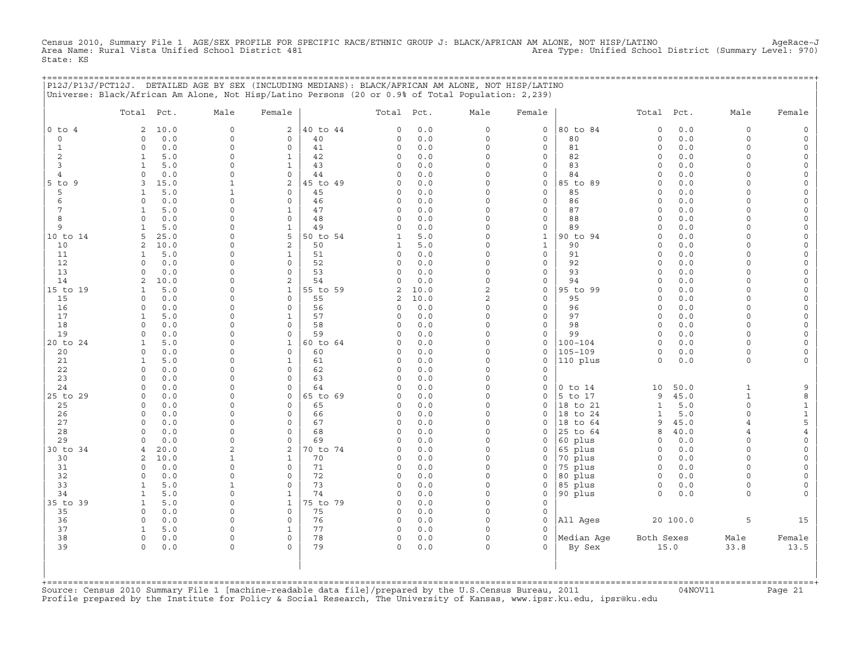Census 2010, Summary File 1 AGE/SEX PROFILE FOR SPECIFIC RACE/ETHNIC GROUP J: BLACK/AFRICAN AM ALONE, NOT HISP/LATINO<br>Area Name: Rural Vista Unified School District 481 Area Type: Unified Sc State: KS

| +================= | P12J/P13J/PCT12J. DETAILED AGE BY SEX (INCLUDING MEDIANS): BLACK/AFRICAN AM ALONE, NOT HISP/LATINO |                  |                              |                |               |            |                                 |                                    |                      |                     |              |                                  |                      |
|--------------------|----------------------------------------------------------------------------------------------------|------------------|------------------------------|----------------|---------------|------------|---------------------------------|------------------------------------|----------------------|---------------------|--------------|----------------------------------|----------------------|
|                    | Universe: Black/African Am Alone, Not Hisp/Latino Persons (20 or 0.9% of Total Population: 2,239)  |                  |                              |                |               |            |                                 |                                    |                      |                     |              |                                  |                      |
|                    | Total Pct.                                                                                         | Male             | Female                       |                | Total Pct.    |            | Male                            | Female                             |                      | Total Pct.          |              | Male                             | Female               |
| $0$ to $4$         | 2<br>10.0                                                                                          | $\mathbf 0$      | $\overline{a}$               | 40 to 44       | $\circ$       | 0.0        | $\circ$                         | $\mathbf 0$                        | 80 to 84             | $\Omega$            | 0.0          | $\mathbf 0$                      |                      |
| $\circ$            | 0.0<br>0                                                                                           | $\circ$          | 0                            | 40             | 0             | 0.0        | $\circ$                         | 0                                  | 80                   | 0                   | 0.0          | $\mathbf 0$                      | $\Omega$             |
| $\mathbf{1}$       | $\Omega$<br>0.0                                                                                    | $\Omega$         | $\mathbf 0$                  | 41             | $\circ$       | 0.0        | $\Omega$                        | $\mathbf 0$                        | 81                   | $\circ$             | 0.0          | $\Omega$                         | $\Omega$             |
| 2<br>3             | $\mathbf{1}$<br>5.0<br>$\mathbf{1}$                                                                | 0<br>$\Omega$    | $\mathbf{1}$<br>$\mathbf{1}$ | 42<br>43       | 0<br>$\Omega$ | 0.0<br>0.0 | $\mathsf{O}\xspace$<br>$\Omega$ | $\mathsf{O}\xspace$<br>$\mathbf 0$ | 82<br>83             | $\circ$<br>$\Omega$ | 0.0<br>0.0   | $\Omega$<br>$\cap$               | $\Omega$<br>$\Omega$ |
| $\overline{4}$     | 5.0<br>0.0<br>$\Omega$                                                                             | $\Omega$         | $\Omega$                     | 44             | $\Omega$      | 0.0        | $\Omega$                        | $\mathbf 0$                        | 84                   | $\Omega$            | 0.0          | $\Omega$                         |                      |
| 5 to 9             | 15.0<br>3                                                                                          | 1                | $\overline{2}$               | 45 to 49       | 0             | 0.0        | $\circ$                         | 0                                  | 85 to 89             | $\mathbf 0$         | 0.0          | $\Omega$                         | $\Omega$             |
| 5                  | $\mathbf{1}$<br>5.0                                                                                | $\mathbf{1}$     | $\mathbf 0$                  | 45             | 0             | 0.0        | $\circ$                         | $\mathbf 0$                        | 85                   | $\circ$             | 0.0          | $\Omega$                         | $\Omega$             |
| 6                  | $\circ$<br>0.0                                                                                     | 0                | $\mathbf{0}$                 | 46             | 0             | 0.0        | $\circ$                         | $\mathsf{O}\xspace$                | 86                   | $\Omega$            | 0.0          | $\Omega$                         |                      |
| 7                  | 5.0<br>1                                                                                           | $\Omega$         | $\mathbf{1}$                 | 47             | 0             | 0.0        | $\Omega$                        | $\mathbf 0$                        | 87                   | $\Omega$            | 0.0          | $\Omega$                         |                      |
| 8                  | $\Omega$<br>0.0                                                                                    | $\Omega$         | $\Omega$                     | 48             | $\circ$       | 0.0        | $\Omega$                        | $\mathbf 0$                        | 88                   | $\Omega$            | 0.0          | $\cap$                           | $\Omega$             |
| 9                  | 5.0<br>1                                                                                           | 0                | $\mathbf{1}$                 | 49             | $\circ$       | 0.0        | $\circ$                         | $\mathsf{O}\xspace$                | 89                   | $\Omega$            | 0.0          | $\Omega$                         | $\Omega$             |
| 10 to 14           | 5<br>25.0                                                                                          | $\Omega$         | 5                            | 50 to 54       | 1             | 5.0        | $\Omega$                        | $\mathbf{1}$                       | 90 to 94             | $\circ$             | 0.0          | $\Omega$                         |                      |
| 10<br>11           | 2<br>10.0<br>5.0<br>$\mathbf{1}$                                                                   | $\Omega$<br>0    | 2<br>$\mathbf{1}$            | 50<br>51       | 1<br>0        | 5.0<br>0.0 | $\circ$<br>$\Omega$             | $\mathbf{1}$<br>0                  | 90<br>91             | $\Omega$<br>0       | 0.0<br>0.0   | $\Omega$<br>$\Omega$             | $\Omega$<br>$\Omega$ |
| 12                 | $\circ$<br>0.0                                                                                     | $\Omega$         | $\circ$                      | 52             | $\circ$       | 0.0        | $\Omega$                        | $\mathsf{O}\xspace$                | 92                   | $\circ$             | 0.0          | $\Omega$                         | $\Omega$             |
| 13                 | $\circ$<br>0.0                                                                                     | 0                | $\mathsf{O}\xspace$          | 53             | 0             | 0.0        | $\mathsf{O}\xspace$             | $\mathsf{O}\xspace$                | 93                   | $\circ$             | 0.0          | $\Omega$                         | $\Omega$             |
| 14                 | 10.0<br>2                                                                                          | $\Omega$         | 2                            | 54             | $\Omega$      | 0.0        | $\Omega$                        | 0                                  | 94                   | $\Omega$            | 0.0          | $\Omega$                         |                      |
| 15 to 19           | 5.0<br>1                                                                                           | $\Omega$         | $\mathbf{1}$                 | 55 to 59       | 2             | 10.0       | $\overline{2}$                  | $\mathbf 0$                        | 95 to 99             | $\Omega$            | 0.0          | $\cap$                           | $\Omega$             |
| 15                 | $\circ$<br>0.0                                                                                     | $\Omega$         | 0                            | 55             | 2             | 10.0       | $\overline{c}$                  | $\mathbf 0$                        | 95                   | $\Omega$            | 0.0          | $\Omega$                         | $\Omega$             |
| 16                 | $\circ$<br>0.0                                                                                     | 0                | $\mathbf{0}$                 | 56             | $\circ$       | 0.0        | $\Omega$                        | $\mathsf{O}\xspace$                | 96                   | $\circ$             | 0.0          | $\Omega$                         | $\Omega$             |
| 17                 | 5.0<br>$\mathbf{1}$                                                                                | $\Omega$         | $\mathbf{1}$                 | 57             | $\Omega$      | 0.0        | $\Omega$                        | $\mathsf{O}\xspace$                | 97                   | $\Omega$            | 0.0          | $\Omega$                         |                      |
| 18                 | $\circ$<br>0.0                                                                                     | $\Omega$         | $\mathbf 0$                  | 58             | 0             | 0.0        | $\circ$                         | $\mathbf 0$                        | 98                   | $\Omega$            | 0.0          | $\Omega$                         | $\Omega$             |
| 19<br>20 to 24     | $\circ$<br>0.0<br>$\mathbf{1}$<br>5.0                                                              | $\mathbf 0$<br>0 | $\mathbf 0$<br>$\mathbf{1}$  | 59<br>60 to 64 | 0<br>$\circ$  | 0.0<br>0.0 | $\circ$<br>$\circ$              | 0<br>$\mathsf{O}\xspace$           | 99<br>$100 - 104$    | $\circ$<br>$\circ$  | 0.0<br>0.0   | $\Omega$<br>$\Omega$             | $\circ$              |
| 20                 | $\circ$<br>0.0                                                                                     | 0                | 0                            | 60             | 0             | 0.0        | $\Omega$                        | $\mathbf 0$                        | $105 - 109$          | 0                   | 0.0          | $\mathbf 0$                      |                      |
| 21                 | $\mathbf{1}$<br>5.0                                                                                | $\Omega$         | $\mathbf{1}$                 | 61             | $\circ$       | 0.0        | $\Omega$                        | $\mathbf 0$                        | 110 plus             | $\circ$             | 0.0          | $\mathbf 0$                      | $\Omega$             |
| 22                 | $\circ$<br>0.0                                                                                     | $\Omega$         | 0                            | 62             | $\circ$       | 0.0        | $\Omega$                        | $\mathbf 0$                        |                      |                     |              |                                  |                      |
| 23                 | 0.0<br>$\circ$                                                                                     | $\Omega$         | $\circ$                      | 63             | $\circ$       | 0.0        | $\Omega$                        | $\mathbf 0$                        |                      |                     |              |                                  |                      |
| 24                 | $\circ$<br>0.0                                                                                     | 0                | $\circ$                      | 64             | $\circ$       | 0.0        | $\circ$                         | $\mathsf{O}\xspace$                | $0$ to $14$          | 10                  | 50.0         | $\mathbf{1}$                     | 9                    |
| 25 to 29           | 0<br>0.0                                                                                           | $\Omega$         | 0                            | 65 to 69       | $\Omega$      | 0.0        | $\Omega$                        | 0                                  | 5 to 17              | 9                   | 45.0         | $\mathbf{1}$                     | 8                    |
| 25                 | $\Omega$<br>0.0                                                                                    | $\Omega$         | $\Omega$                     | 65             | 0             | 0.0        | $\Omega$                        | $\Omega$                           | 18 to 21             | $\mathbf{1}$        | 5.0          | $\Omega$                         | 1                    |
| 26                 | $\circ$<br>0.0                                                                                     | 0                | $\mathbf{0}$                 | 66             | 0             | 0.0        | $\circ$                         | 0                                  | 18 to 24             | 1                   | 5.0          | $\mathbf 0$                      | $\mathbf{1}$         |
| 27<br>28           | $\circ$<br>0.0<br>$\Omega$<br>0.0                                                                  | 0<br>$\Omega$    | 0<br>0                       | 67<br>68       | 0<br>$\cap$   | 0.0<br>0.0 | $\Omega$<br>$\cap$              | 0<br>$\cap$                        | 18 to 64<br>25 to 64 | 9<br>8              | 45.0<br>40.0 | $\overline{4}$<br>$\overline{4}$ | 5<br>$\overline{4}$  |
| 29                 | $\circ$<br>0.0                                                                                     | $\Omega$         | 0                            | 69             | $\circ$       | 0.0        | $\circ$                         | $\mathbf 0$                        | 60 plus              | $\circ$             | 0.0          | $\Omega$                         | $\Omega$             |
| 30 to 34           | 20.0<br>4                                                                                          | $\overline{a}$   | 2                            | 70 to 74       | 0             | 0.0        | $\Omega$                        | 0                                  | 65 plus              | $\mathbf 0$         | 0.0          | $\Omega$                         | $\mathbf 0$          |
| 30                 | 2<br>10.0                                                                                          | $\mathbf{1}$     | $\mathbf 1$                  | 70             | $\Omega$      | 0.0        | $\circ$                         | $\mathbf 0$                        | 70 plus              | $\circ$             | 0.0          | $\Omega$                         |                      |
| 31                 | 0<br>0.0                                                                                           | 0                | $\circ$                      | 71             | 0             | 0.0        | $\Omega$                        | 0                                  | 75 plus              | $\circ$             | 0.0          | $\Omega$                         |                      |
| 32                 | $\circ$<br>0.0                                                                                     | $\mathbf 0$      | $\Omega$                     | 72             | $\circ$       | 0.0        | $\Omega$                        | $\mathbf 0$                        | 80 plus              | $\circ$             | 0.0          | $\Omega$                         | $\Omega$             |
| 33                 | $\mathbf{1}$<br>5.0                                                                                | $\mathbf{1}$     | 0                            | 73             | $\circ$       | 0.0        | $\circ$                         | $\mathbf 0$                        | 85 plus              | $\circ$             | 0.0          | $\mathbf 0$                      |                      |
| 34                 | $\mathbf{1}$<br>5.0                                                                                | $\circ$          | $\mathbf{1}$                 | 74             | 0             | 0.0        | $\circ$                         | $\mathbf 0$                        | 90 plus              | $\circ$             | 0.0          | $\mathbf 0$                      |                      |
| 35 to 39           | $\mathbf{1}$<br>5.0                                                                                | 0                | $\mathbf{1}$                 | 75 to 79       | $\circ$       | 0.0        | $\Omega$                        | $\mathbf 0$                        |                      |                     |              |                                  |                      |
| 35<br>36           | $\circ$<br>0.0<br>$\Omega$<br>0.0                                                                  | 0<br>$\Omega$    | $\mathsf{O}$<br>$\Omega$     | 75<br>76       | 0<br>0        | 0.0<br>0.0 | $\Omega$<br>$\Omega$            | 0<br>$\mathbf 0$                   | All Ages             |                     | 20 100.0     | 5                                | 15                   |
| 37                 | $\mathbf{1}$<br>5.0                                                                                | 0                | 1                            | 77             | 0             | 0.0        | $\circ$                         | 0                                  |                      |                     |              |                                  |                      |
| 38                 | $\circ$<br>0.0                                                                                     | 0                | $\mathbf 0$                  | 78             | 0             | 0.0        | $\Omega$                        | $\mathbf 0$                        | Median Age           | Both Sexes          |              | Male                             | Female               |
| 39                 | $\circ$<br>0.0                                                                                     | 0                | 0                            | 79             | $\circ$       | 0.0        | $\Omega$                        | $\Omega$                           | By Sex               |                     | 15.0         | 33.8                             | 13.5                 |
|                    |                                                                                                    |                  |                              |                |               |            |                                 |                                    |                      |                     |              |                                  |                      |

+===================================================================================================================================================+Source: Census 2010 Summary File 1 [machine−readable data file]/prepared by the U.S.Census Bureau, 2011 04NOV11 Page 21 Profile prepared by the Institute for Policy & Social Research, The University of Kansas, www.ipsr.ku.edu, ipsr@ku.edu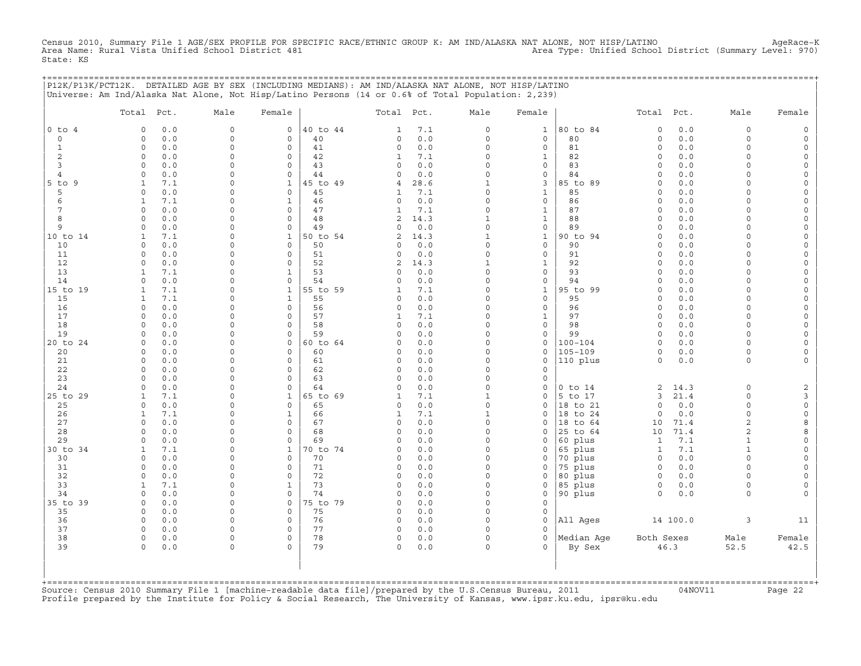Census 2010, Summary File 1 AGE/SEX PROFILE FOR SPECIFIC RACE/ETHNIC GROUP K: AM IND/ALASKA NAT ALONE, NOT HISP/LATINO AgeRace-K<br>Area Name: Rural Vista Unified School District 481 State: KS

+===================================================================================================================================================+

|                  | Total Pct.                  | Male                 | Female                   |                | Total Pct.     |             | Male                 | Female              |                    | Total Pct.             |             | Male                           | Female                   |
|------------------|-----------------------------|----------------------|--------------------------|----------------|----------------|-------------|----------------------|---------------------|--------------------|------------------------|-------------|--------------------------------|--------------------------|
| $0$ to $4$       | 0.0<br>$\Omega$             | $\Omega$             | 0                        | 40 to 44       | 1              | 7.1         | $\circ$              | $\mathbf{1}$        | 80 to 84           | $\circ$                | 0.0         | 0                              | $\mathsf{O}$             |
| $\circ$          | $0.0$<br>$\circ$            | $\Omega$             | $\circ$                  | 40             | $\Omega$       | $0.0$       | $\circ$              | $\mathsf{O}\xspace$ | 80                 | $\circ$                | 0.0         | $\Omega$                       | $\mathsf{O}$             |
| $\mathbf{1}$     | $\circ$<br>0.0              | $\Omega$             | $\mathbf 0$              | 41             | $\circ$        | 0.0         | $\circ$              | 0                   | 81                 | $\circ$                | 0.0         | $\Omega$                       | $\mathsf{O}$             |
| $\overline{c}$   | 0.0<br>0                    | $\Omega$             | $\mathbf 0$              | 42             | 1              | 7.1         | $\Omega$             | $\mathbf{1}$        | 82                 | $\mathbf 0$            | 0.0         | $\Omega$                       | 0                        |
| 3                | 0.0<br>$\Omega$             | $\Omega$             | $\circ$                  | 43             | $\Omega$       | 0.0         | $\Omega$             | 0                   | 83                 | $\circ$                | 0.0         | $\Omega$                       | $\mathsf{O}$             |
| 4                | $\mathbf 0$<br>0.0          | $\Omega$             | $\circ$                  | 44             | $\Omega$       | 0.0         | $\Omega$             | 0                   | 84                 | $\Omega$               | 0.0         | $\Omega$                       | 0                        |
| $5$ to<br>9<br>5 | 7.1<br>1<br>0               | $\Omega$<br>$\Omega$ | 1<br>$\mathsf{O}\xspace$ | 45 to 49<br>45 | 4<br>1         | 28.6<br>7.1 | $\mathbf{1}$<br>0    | 3<br>$\mathbf{1}$   | 85 to 89<br>85     | $\mathbf 0$            | 0.0         | $\Omega$<br>$\Omega$           | 0<br>$\mathsf{O}\xspace$ |
| 6                | 0.0<br>7.1<br>1             | $\Omega$             | $\mathbf{1}$             | 46             | $\Omega$       | 0.0         | $\Omega$             | $\mathsf{O}\xspace$ | 86                 | 0<br>$\Omega$          | 0.0<br>0.0  | $\Omega$                       | 0                        |
| $\overline{7}$   | $0.0$<br>$\circ$            | $\Omega$             | $\circ$                  | 47             | $\mathbf{1}$   | 7.1         | $\Omega$             | $\mathbf{1}$        | 87                 | $\circ$                | 0.0         | $\Omega$                       | $\mathsf{O}\xspace$      |
| 8                | $0.0$<br>$\Omega$           | $\Omega$             | 0                        | 48             | $\overline{a}$ | 14.3        | $\mathbf{1}$         | $\mathbf 1$         | 88                 | $\Omega$               | 0.0         | $\Omega$                       | $\mathsf{O}\xspace$      |
| 9                | 0.0<br>$\Omega$             | $\Omega$             | $\circ$                  | 49             | 0              | 0.0         | $\circ$              | 0                   | 89                 | $\mathbf 0$            | 0.0         | $\Omega$                       | 0                        |
| 10 to 14         | $\mathbf{1}$<br>7.1         | $\Omega$             | $\mathbf{1}$             | 50 to 54       | 2              | 14.3        | $\mathbf{1}$         | $\mathtt 1$         | 90 to 94           | $\circ$                | 0.0         | $\Omega$                       | $\mathsf{O}\xspace$      |
| 10               | $\circ$<br>0.0              | $\Omega$             | $\mathbf 0$              | 50             | $\Omega$       | 0.0         | $\Omega$             | $\mathbf 0$         | 90                 | $\mathbf 0$            | 0.0         | $\Omega$                       | 0                        |
| 11               | 0.0<br>$\Omega$             | $\Omega$             | $\circ$                  | 51             | $\Omega$       | 0.0         | $\Omega$             | $\mathsf{O}\xspace$ | 91                 | $\circ$                | 0.0         | $\Omega$                       | 0                        |
| 12               | 0<br>0.0                    | $\Omega$             | $\circ$                  | 52             | $\overline{a}$ | 14.3        | $\mathbf{1}$         | $\mathbf{1}$        | 92                 | $\circ$                | 0.0         | $\Omega$                       | $\mathsf{O}\xspace$      |
| 13               | $\mathbf{1}$<br>7.1         | $\Omega$             | 1                        | 53             | $\Omega$       | 0.0         | $\Omega$             | 0                   | 93                 | $\Omega$               | 0.0         | $\Omega$                       | 0                        |
| 14               | $\circ$<br>0.0              | $\Omega$             | $\circ$                  | 54             | $\Omega$       | 0.0         | $\Omega$             | 0                   | 94                 | $\mathbf 0$            | 0.0         | $\circ$                        | 0                        |
| 15 to 19         | 7.1<br>$\mathbf{1}$         | $\Omega$             | $\mathbf{1}$             | 55 to 59       | 1              | 7.1         | $\mathsf{O}\xspace$  | $\mathtt 1$         | 95 to 99           | $\circ$                | 0.0         | $\mathbf 0$                    | $\mathsf{O}\xspace$      |
| 15               | $\mathbf{1}$<br>7.1         | $\Omega$             | $\mathbf{1}$             | 55             | 0              | 0.0         | $\Omega$             | 0                   | 95                 | $\mathbf 0$            | 0.0         | $\Omega$                       | 0                        |
| 16               | 0.0<br>$\circ$              | $\Omega$             | $\circ$                  | 56             | $\Omega$       | 0.0         | $\Omega$             | $\mathsf{O}\xspace$ | 96                 | $\circ$                | 0.0         | $\Omega$                       | $\mathsf{O}\xspace$      |
| 17               | $\circ$<br>0.0<br>$\Omega$  | $\Omega$<br>$\Omega$ | $\mathbf 0$<br>$\Omega$  | 57<br>58       | $\mathbf{1}$   | 7.1         | $\circ$<br>$\Omega$  | $\mathbf{1}$        | 97<br>98           | $\circ$                | 0.0         | $\Omega$<br>$\Omega$           | $\mathsf{O}\xspace$      |
| 18<br>19         | 0.0<br>0.0<br>$\circ$       | $\Omega$             | $\circ$                  | 59             | 0<br>$\Omega$  | 0.0<br>0.0  | $\Omega$             | 0<br>0              | 99                 | $\mathbf 0$<br>$\circ$ | 0.0<br>0.0  | $\Omega$                       | 0<br>$\mathsf{O}\xspace$ |
| 20 to 24         | 0.0<br>$\mathbf 0$          | $\Omega$             | $\mathbf 0$              | 60 to 64       | 0              | 0.0         | $\circ$              | 0                   | $100 - 104$        | $\circ$                | 0.0         | $\Omega$                       | 0                        |
| 20               | 0.0<br>$\Omega$             | $\Omega$             | 0                        | 60             | $\Omega$       | 0.0         | $\Omega$             | 0                   | $105 - 109$        | $\circ$                | 0.0         | $\Omega$                       | 0                        |
| 21               | $\circ$<br>0.0              | $\Omega$             | $\circ$                  | 61             | 0              | 0.0         | $\Omega$             | $\mathsf{O}\xspace$ | 110 plus           | $\circ$                | 0.0         | $\circ$                        | $\mathsf{O}\xspace$      |
| 22               | $\circ$<br>0.0              | $\Omega$             | $\circ$                  | 62             | 0              | 0.0         | $\Omega$             | 0                   |                    |                        |             |                                |                          |
| 23               | 0.0<br>0                    | $\Omega$             | $\Omega$                 | 63             | 0              | 0.0         | 0                    | $\mathsf{O}\xspace$ |                    |                        |             |                                |                          |
| 24               | 0.0<br>$\Omega$             | $\Omega$             | $\Omega$                 | 64             | $\Omega$       | 0.0         | $\Omega$             | 0                   | $0$ to $14$        | $\overline{c}$         | 14.3        | $\mathbf 0$                    | 2                        |
| 25 to 29         | 7.1<br>1                    | $\Omega$             | 1                        | 65 to 69       | 1              | 7.1         | $\mathbf{1}$         | 0                   | 5 to 17            | 3                      | 21.4        | $\Omega$                       | 3                        |
| 25               | 0.0<br>$\circ$              | $\Omega$             | $\mathbf 0$              | 65             | 0              | 0.0         | $\mathsf{O}\xspace$  | $\mathsf{O}\xspace$ | 18 to 21           | $\circ$                | 0.0         | $\Omega$                       | $\mathsf{O}\xspace$      |
| 26               | 7.1<br>1                    | $\Omega$             | $\mathbf{1}$             | 66             | 1              | 7.1         | $\mathbf{1}$         | $\mathbf 0$         | 18 to 24           | $\circ$                | 0.0         | $\Omega$                       | $\mathsf O$              |
| 27               | 0.0<br>$\Omega$             | $\Omega$             | $\Omega$                 | 67             | 0              | 0.0         | $\Omega$             | 0                   | 18 to 64           | 10                     | 71.4        | $\overline{c}$                 | 8                        |
| 28               | $0.0$<br>$\circ$            | $\Omega$<br>$\Omega$ | $\circ$                  | 68             | 0<br>$\Omega$  | 0.0<br>0.0  | $\Omega$<br>$\Omega$ | 0                   | 25 to 64           | 10                     | 71.4<br>7.1 | $\overline{c}$<br>$\mathbf{1}$ | 8                        |
| 29<br>30 to 34   | 0.0<br>$\Omega$<br>7.1<br>1 | $\Omega$             | $\circ$<br>1             | 69<br>70 to 74 | $\Omega$       | 0.0         | $\Omega$             | $\mathbf 0$<br>0    | 60 plus<br>65 plus | $\mathbf{1}$<br>1      | 7.1         | $\mathbf{1}$                   | $\mathsf{O}\xspace$<br>0 |
| 30               | $0.0$<br>$\circ$            | $\Omega$             | $\Omega$                 | 70             | 0              | 0.0         | $\Omega$             | 0                   | 70 plus            | $\circ$                | 0.0         | $\mathbf 0$                    | $\mathsf{O}\xspace$      |
| 31               | 0.0<br>0                    | $\Omega$             | $\Omega$                 | 71             | 0              | 0.0         | $\Omega$             | $\mathbf 0$         | 75 plus            | $\mathbf 0$            | 0.0         | $\Omega$                       | 0                        |
| 32               | 0.0<br>$\mathbf 0$          | $\Omega$             | $\Omega$                 | 72             | $\circ$        | 0.0         | $\Omega$             | $\mathbf 0$         | 80 plus            | $\circ$                | 0.0         | $\Omega$                       | $\mathsf{O}\xspace$      |
| 33               | $\mathbf{1}$<br>7.1         | $\mathbf 0$          | $\mathbf{1}$             | 73             | 0              | 0.0         | 0                    | 0                   | 85 plus            | $\circ$                | 0.0         | 0                              | 0                        |
| 34               | 0.0<br>0                    | $\Omega$             | $\circ$                  | 74             | $\Omega$       | 0.0         | $\Omega$             | 0                   | 90 plus            | $\circ$                | 0.0         | $\circ$                        | $\Omega$                 |
| 35 to 39         | 0.0<br>$\circ$              | $\Omega$             | 0                        | 75 to 79       | $\Omega$       | 0.0         | $\Omega$             | $\mathsf{O}\xspace$ |                    |                        |             |                                |                          |
| 35               | 0.0<br>$\mathbf 0$          | $\Omega$             | $\circ$                  | 75             | 0              | 0.0         | $\circ$              | 0                   |                    |                        |             |                                |                          |
| 36               | 0.0<br>0                    | $\Omega$             | 0                        | 76             | 0              | 0.0         | $\Omega$             | $\mathsf O$         | All Ages           |                        | 14 100.0    | 3                              | 11                       |
| 37               | $\circ$<br>0.0              | $\Omega$             | $\circ$                  | 77             | 0              | 0.0         | $\circ$              | $\mathbf 0$         |                    |                        |             |                                |                          |
| 38               | $\circ$<br>0.0              | $\Omega$             | $\mathbf 0$              | 78             | $\circ$        | 0.0         | $\circ$              | $\mathbf 0$         | Median Age         | Both Sexes             |             | Male                           | Female                   |
| 39               | 0<br>0.0                    | $\Omega$             | $\Omega$                 | 79             | $\Omega$       | 0.0         | $\Omega$             | $\Omega$            | By Sex             |                        | 46.3        | 52.5                           | 42.5                     |

+===================================================================================================================================================+Source: Census 2010 Summary File 1 [machine−readable data file]/prepared by the U.S.Census Bureau, 2011 04NOV11 Page 22 Profile prepared by the Institute for Policy & Social Research, The University of Kansas, www.ipsr.ku.edu, ipsr@ku.edu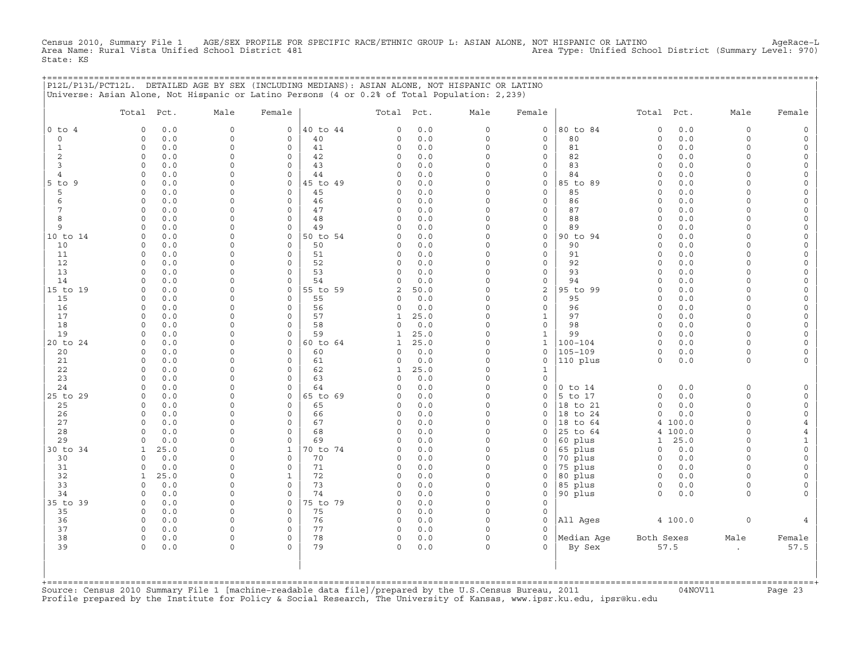Census 2010, Summary File 1 AGE/SEX PROFILE FOR SPECIFIC RACE/ETHNIC GROUP L: ASIAN ALONE, NOT HISPANIC OR LATINO<br>Area Name: Rural Vista Unified School District 481 Area Type: Unified Sc State: KS

|  | P12L/P13L/PCT12L. DETAILED AGE BY SEX (INCLUDING MEDIANS): ASIAN ALONE, NOT HISPANIC OR LATINO |  |  |
|--|------------------------------------------------------------------------------------------------|--|--|
|  | Universe: Asian Alone, Not Hispanic or Latino Persons (4 or 0.2% of Total Population: 2,239)   |  |  |

|                | Total                | Pct.        | Male                    | Female               |                | Total Pct.          |              | Male                 | Female                      |                            | Total Pct.              |            | Male                 | Female                                     |
|----------------|----------------------|-------------|-------------------------|----------------------|----------------|---------------------|--------------|----------------------|-----------------------------|----------------------------|-------------------------|------------|----------------------|--------------------------------------------|
| $0$ to $4$     | $\circ$              | 0.0         | $\mathbf{0}$            | $\mathbf{0}$         | 40 to 44       | $\circ$             | 0.0          | $\circ$              | $\mathbf 0$                 | 80 to 84                   | $\circ$                 | 0.0        | $\circ$              | $\mathsf{O}\xspace$                        |
| $\circ$        | $\circ$              | 0.0         | $\circ$                 | 0                    | 40             | $\circ$             | 0.0          | $\circ$              | $\mathbf 0$                 | 80                         | $\mathbf 0$             | 0.0        | $\circ$              | $\mathsf{O}\xspace$                        |
| $\mathbf{1}$   | $\mathbf{0}$         | 0.0         | $\mathsf{O}\xspace$     | 0                    | 41             | $\circ$             | 0.0          | $\Omega$             | $\circ$                     | 81                         | $\circ$                 | 0.0        | $\circ$              | $\mathsf{O}$                               |
| 2              | $\circ$              | 0.0         | 0                       | 0                    | 42             | $\circ$             | 0.0          | $\mathbf 0$          | 0                           | 82                         | 0                       | 0.0        | $\circ$              | $\circ$                                    |
| 3              | $\Omega$             | 0.0         | $\mathbf 0$             | $\Omega$             | 43             | $\Omega$            | 0.0          | $\Omega$             | $\mathbf 0$                 | 83                         | $\Omega$                | 0.0        | $\Omega$             | $\mathsf{O}\xspace$                        |
| $\overline{4}$ | $\Omega$             | 0.0         | $\Omega$                | $\Omega$             | 44             | $\cap$              | 0.0          | $\Omega$             | $\mathbf 0$                 | 84                         | $\Omega$                | 0.0        | $\Omega$             | $\mathsf{O}\xspace$                        |
| $5$ to $9$     | $\circ$              | 0.0         | $\mathbf 0$             | $\circ$              | 45 to 49       | $\circ$             | 0.0          | $\Omega$             | $\mathbf 0$                 | 85 to 89                   | $\mathbf 0$             | 0.0        | $\Omega$             | $\mathsf O$                                |
| 5              | 0                    | 0.0         | 0                       | 0                    | 45             | $\circ$             | 0.0          | $\Omega$             | $\mathbf 0$                 | 85                         | $\circ$                 | 0.0        | $\Omega$             | $\mathsf{O}$                               |
| 6              | $\circ$              | 0.0         | $\mathbf 0$             | $\Omega$             | 46             | $\circ$             | 0.0          | $\Omega$             | $\mathbf 0$                 | 86                         | $\circ$                 | 0.0        | $\Omega$             | $\mathsf{O}\xspace$                        |
| 7              | $\circ$              | 0.0         | 0                       | $\circ$<br>$\Omega$  | 47<br>48       | $\circ$<br>$\Omega$ | $0.0$<br>0.0 | $\Omega$<br>$\Omega$ | $\mathbf 0$                 | 87<br>88                   | $\mathbf 0$<br>$\Omega$ | 0.0<br>0.0 | $\Omega$<br>$\Omega$ | $\mathsf{O}\xspace$                        |
| 8<br>9         | $\Omega$<br>$\Omega$ | 0.0<br>0.0  | $\mathbf 0$<br>$\Omega$ | $\Omega$             | 49             | $\Omega$            | 0.0          | $\Omega$             | $\mathbf 0$<br>$\mathbf 0$  | 89                         | $\Omega$                | 0.0        | $\Omega$             | $\mathsf O$<br>$\mathsf{O}\xspace$         |
| 10 to 14       | $\Omega$             | 0.0         | $\Omega$                | $\circ$              | 50 to 54       | $\Omega$            | 0.0          | $\Omega$             | $\mathbf 0$                 | 90 to 94                   | $\mathbf 0$             | 0.0        | $\circ$              | $\mathsf{O}\xspace$                        |
| 10             | $\Omega$             | 0.0         | $\Omega$                | $\Omega$             | 50             | $\Omega$            | $0.0$        | $\Omega$             | $\Omega$                    | 90                         | $\Omega$                | 0.0        | $\Omega$             | $\mathsf O$                                |
| 11             | $\circ$              | 0.0         | 0                       | $\circ$              | 51             | $\circ$             | 0.0          | $\Omega$             | $\mathbf 0$                 | 91                         | $\mathbf 0$             | 0.0        | $\circ$              | $\mathsf{O}\xspace$                        |
| 12             | 0                    | 0.0         | 0                       | 0                    | 52             | $\circ$             | 0.0          | $\mathbf 0$          | $\mathsf O$                 | 92                         | $\mathbf 0$             | 0.0        | $\Omega$             | $\mathsf{O}\xspace$                        |
| 13             | $\Omega$             | 0.0         | $\Omega$                | 0                    | 53             | $\circ$             | 0.0          | $\Omega$             | $\mathbf 0$                 | 93                         | $\Omega$                | 0.0        | $\circ$              | 0                                          |
| 14             | $\Omega$             | 0.0         | $\Omega$                | $\Omega$             | 54             | $\circ$             | 0.0          | $\Omega$             | $\circ$                     | 94                         | $\Omega$                | 0.0        | $\Omega$             | $\mathsf O$                                |
| 15 to 19       | $\Omega$             | 0.0         | $\Omega$                | $\circ$              | 55 to 59       | 2                   | 50.0         | $\Omega$             | $\overline{2}$              | 95 to 99                   | $\Omega$                | 0.0        | $\Omega$             | $\mathsf O$                                |
| 15             | $\Omega$             | 0.0         | $\Omega$                | $\Omega$             | 55             | $\Omega$            | 0.0          | $\Omega$             | $\mathbf 0$                 | 95                         | $\Omega$                | 0.0        | $\Omega$             | $\mathsf{O}\xspace$                        |
| 16             | $\Omega$             | 0.0         | $\Omega$                | $\Omega$             | 56             | $\circ$             | 0.0          | $\Omega$             | $\mathbf 0$                 | 96                         | $\mathbf 0$             | 0.0        | $\circ$              | $\mathsf{O}\xspace$                        |
| 17             | $\Omega$             | 0.0         | $\Omega$                | $\circ$              | 57             | $\mathbf{1}$        | 25.0         | $\Omega$             | $\mathbf{1}$                | 97                         | $\mathbf 0$             | 0.0        | $\circ$              | $\mathsf{O}$                               |
| 18             | $\circ$              | 0.0         | 0                       | 0                    | 58             | $\circ$             | 0.0          | $\Omega$             | $\mathsf{O}\xspace$         | 98                         | $\mathbf 0$             | 0.0        | $\circ$              | $\mathsf{O}\xspace$                        |
| 19             | $\Omega$             | 0.0         | 0<br>$\Omega$           | 0                    | 59             | $\mathbf{1}$        | 25.0         | $\Omega$<br>$\Omega$ | $\mathbf{1}$                | 99                         | $\circ$                 | 0.0        | $\circ$<br>$\cap$    | $\mathsf{O}\xspace$                        |
| 20 to 24<br>20 | $\Omega$<br>$\circ$  | 0.0<br>0.0  | $\Omega$                | $\Omega$<br>$\Omega$ | 60 to 64<br>60 | 1<br>$\circ$        | 25.0<br>0.0  | $\Omega$             | $\mathbf{1}$<br>$\mathbf 0$ | $100 - 104$<br>$105 - 109$ | $\Omega$<br>$\mathbf 0$ | 0.0<br>0.0 | $\circ$              | $\mathsf{O}$<br>$\mathsf{O}\xspace$        |
| 21             | $\Omega$             | 0.0         | 0                       | $\Omega$             | 61             | $\circ$             | 0.0          | $\Omega$             | $\mathsf{O}\xspace$         | 110 plus                   | $\mathbf 0$             | 0.0        | $\circ$              | $\circ$                                    |
| 22             | $\Omega$             | 0.0         | $\Omega$                | $\Omega$             | 62             | $\mathbf{1}$        | 25.0         | $\Omega$             | $\mathbf{1}$                |                            |                         |            |                      |                                            |
| 23             | $\Omega$             | 0.0         | 0                       | $\Omega$             | 63             | $\Omega$            | 0.0          | $\Omega$             | $\circ$                     |                            |                         |            |                      |                                            |
| 24             | 0                    | 0.0         | 0                       | 0                    | 64             | $\circ$             | 0.0          | $\Omega$             | $\mathsf O$                 | $0$ to $14$                | $\mathbf 0$             | 0.0        | 0                    | $\mathsf{O}$                               |
| 25 to 29       | $\circ$              | 0.0         | 0                       | 0                    | 65 to 69       | $\Omega$            | 0.0          | $\Omega$             | $\mathsf O$                 | $5$ to 17                  | $\circ$                 | 0.0        | $\circ$              | $\mathsf{O}\xspace$                        |
| 25             | $\Omega$             | 0.0         | $\Omega$                | $\Omega$             | 65             | $\Omega$            | 0.0          | $\Omega$             | $\circ$                     | 18 to 21                   | $\circ$                 | 0.0        | $\circ$              | $\circ$                                    |
| 26             | $\Omega$             | 0.0         | $\circ$                 | $\Omega$             | 66             | $\Omega$            | 0.0          | $\Omega$             | $\Omega$                    | 18 to 24                   | $\mathbf 0$             | 0.0        | $\Omega$             | $\mathsf{O}\xspace$                        |
| 27             | $\circ$              | 0.0         | $\Omega$                | $\Omega$             | 67             | $\circ$             | 0.0          | $\Omega$             | $\circ$                     | 18 to 64                   | $\overline{4}$          | 100.0      | $\circ$              | $\overline{4}$                             |
| 28             | $\Omega$             | 0.0         | 0                       | 0                    | 68             | $\circ$             | 0.0          | $\Omega$             | $\mathbf 0$                 | 25 to 64                   | $\overline{4}$          | 100.0      | $\Omega$             | $\overline{4}$                             |
| 29             | $\Omega$             | 0.0         | $\Omega$                | $\circ$              | 69             | $\Omega$            | 0.0          | $\Omega$             | $\circ$                     | 60 plus                    | $\mathbf{1}$            | 25.0       | $\circ$              | $\mathbf 1$                                |
| 30 to 34       | $\mathbf{1}$         | 25.0        | 0                       | $\mathbf 1$          | 70 to 74       | $\circ$             | 0.0          | $\Omega$             | $\mathsf O$                 | 65 plus                    | $\circ$                 | 0.0        | $\circ$              | $\mathbb O$                                |
| 30             | 0<br>$\Omega$        | 0.0         | 0<br>$\Omega$           | 0<br>$\Omega$        | 70             | $\circ$<br>$\Omega$ | 0.0          | $\Omega$<br>$\Omega$ | 0                           | 70 plus                    | 0<br>$\Omega$           | 0.0        | $\circ$<br>$\Omega$  | $\mathsf{O}\xspace$                        |
| 31<br>32       | $\mathbf{1}$         | 0.0<br>25.0 | $\Omega$                | $\mathbf{1}$         | 71<br>72       | $\Omega$            | 0.0<br>0.0   | $\Omega$             | $\circ$<br>$\circ$          | 75 plus<br>80 plus         | $\circ$                 | 0.0<br>0.0 | $\Omega$             | $\mathsf{O}\xspace$<br>$\mathsf{O}\xspace$ |
| 33             | $\Omega$             | 0.0         | $\Omega$                | $\Omega$             | 73             | $\Omega$            | 0.0          | $\Omega$             | $\circ$                     | 85 plus                    | $\circ$                 | 0.0        | $\Omega$             | $\mathsf{O}\xspace$                        |
| 34             | $\circ$              | 0.0         | 0                       | $\circ$              | 74             | $\circ$             | 0.0          | $\Omega$             | $\mathbf 0$                 | 90 plus                    | $\Omega$                | 0.0        | $\Omega$             | $\circ$                                    |
| 35 to 39       | $\circ$              | 0.0         | $\mathsf{O}\xspace$     | 0                    | 75 to 79       | $\circ$             | 0.0          | $\Omega$             | $\mathbf 0$                 |                            |                         |            |                      |                                            |
| 35             | $\Omega$             | 0.0         | $\circ$                 | 0                    | 75             | $\Omega$            | 0.0          | $\Omega$             | 0                           |                            |                         |            |                      |                                            |
| 36             | $\circ$              | 0.0         | $\circ$                 | $\circ$              | 76             | $\circ$             | 0.0          | $\mathbf 0$          | $\mathsf{O}\xspace$         | All Ages                   |                         | 4 100.0    | $\circ$              | 4                                          |
| 37             | $\Omega$             | 0.0         | $\Omega$                | $\Omega$             | 77             | $\circ$             | 0.0          | $\Omega$             | $\Omega$                    |                            |                         |            |                      |                                            |
| 38             | $\circ$              | 0.0         | $\circ$                 | $\circ$              | 78             | $\circ$             | 0.0          | $\Omega$             | $\Omega$                    | Median Age                 | Both Sexes              |            | Male                 | Female                                     |
| 39             | $\Omega$             | 0.0         | $\circ$                 | $\Omega$             | 79             | $\Omega$            | 0.0          | $\circ$              | $\Omega$                    | By Sex                     |                         | 57.5       |                      | 57.5                                       |
|                |                      |             |                         |                      |                |                     |              |                      |                             |                            |                         |            |                      |                                            |

+===================================================================================================================================================+Source: Census 2010 Summary File 1 [machine−readable data file]/prepared by the U.S.Census Bureau, 2011 04NOV11 Page 23 Profile prepared by the Institute for Policy & Social Research, The University of Kansas, www.ipsr.ku.edu, ipsr@ku.edu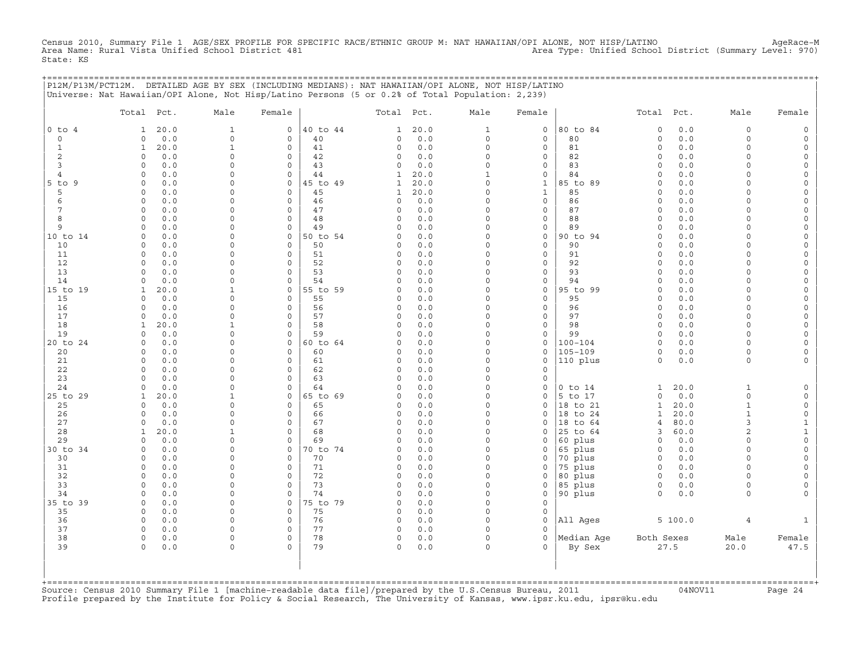Census 2010, Summary File 1 AGE/SEX PROFILE FOR SPECIFIC RACE/ETHNIC GROUP M: NAT HAWAIIAN/OPI ALONE, NOT HISP/LATINO<br>Area Name: Rural Vista Unified School District 481 Area Type: Unified State: KS

+===================================================================================================================================================+

|                | P12M/P13M/PCT12M. DETAILED AGE BY SEX (INCLUDING MEDIANS): NAT HAWAIIAN/OPI ALONE, NOT HISP/LATINO<br>Universe: Nat Hawaiian/OPI Alone, Not Hisp/Latino Persons (5 or 0.2% of Total Population: 2,239) |                              |                                 |                |                         |            |                                 |                             |                      |                             |              |                             |                                |
|----------------|--------------------------------------------------------------------------------------------------------------------------------------------------------------------------------------------------------|------------------------------|---------------------------------|----------------|-------------------------|------------|---------------------------------|-----------------------------|----------------------|-----------------------------|--------------|-----------------------------|--------------------------------|
|                | Total Pct.                                                                                                                                                                                             | Male                         | Female                          |                |                         | Total Pct. | Male                            | Female                      |                      | Total                       | Pct.         | Male                        | Female                         |
| $0$ to $4$     | 20.0<br>1                                                                                                                                                                                              | $\mathbf{1}$                 | $\circ$                         | 40 to 44       | 1                       | 20.0       | $\mathbf{1}$                    | $\mathsf{O}$                | 80 to 84             | $\mathbf 0$                 | 0.0          | 0                           | $\mathsf{O}$                   |
| 0              | 0.0<br>0                                                                                                                                                                                               | $\circ$                      | $\circ$                         | 40             | 0                       | 0.0        | $\mathbf 0$                     | $\mathsf O$                 | 80                   | $\circ$                     | 0.0          | 0                           | $\mathsf{O}$                   |
| $\mathbf{1}$   | 20.0<br>$\mathbf{1}$<br>$\Omega$                                                                                                                                                                       | $\mathbf{1}$<br>$\Omega$     | $\mathsf{O}\xspace$<br>$\Omega$ | 41             | 0<br>$\Omega$           | 0.0        | $\mathsf{O}\xspace$<br>$\Omega$ | $\mathsf O$<br>$\mathbf 0$  | 81<br>82             | $\circ$                     | 0.0          | $\circ$                     | $\mathsf{O}\xspace$            |
| 2<br>3         | $0.0$<br>$\circ$<br>0.0                                                                                                                                                                                | 0                            | $\mathbf 0$                     | 42<br>43       | $\circ$                 | 0.0<br>0.0 | $\mathbf 0$                     | $\mathsf O$                 | 83                   | $\circ$<br>$\circ$          | 0.0<br>0.0   | $\circ$<br>$\circ$          | 0<br>$\circ$                   |
| $\overline{4}$ | $\Omega$<br>$0.0$                                                                                                                                                                                      | 0                            | $\mathsf{O}\xspace$             | 44             | $\mathbf{1}$            | 20.0       | $\mathbf{1}$                    | $\mathsf O$                 | 84                   | $\circ$                     | 0.0          | 0                           | $\mathsf{O}\xspace$            |
| $5$ to $9$     | 0.0<br>$\Omega$                                                                                                                                                                                        | $\Omega$                     | $\mathbf 0$                     | 45 to 49       | $\mathbf{1}$            | 20.0       | $\Omega$                        | $\mathbf{1}$                | 85 to 89             | $\circ$                     | 0.0          | $\Omega$                    | $\circ$                        |
| 5              | $\circ$<br>0.0                                                                                                                                                                                         | 0                            | $\mathbf 0$                     | 45             | $\mathbf{1}$            | 20.0       | $\circ$                         | $\mathbf{1}$                | 85                   | $\circ$                     | 0.0          | $\circ$                     | $\mathsf{O}\xspace$            |
| 6              | 0.0<br>$\circ$                                                                                                                                                                                         | 0                            | $\mathbf 0$                     | 46             | $\circ$                 | 0.0        | $\Omega$                        | $\mathsf O$                 | 86                   | $\circ$                     | 0.0          | $\circ$                     | $\circ$                        |
| 7              | $\circ$<br>0.0                                                                                                                                                                                         | $\Omega$                     | $\mathbf 0$                     | 47             | $\Omega$                | 0.0        | $\mathbf 0$                     | $\mathsf O$                 | 87                   | $\circ$                     | 0.0          | $\circ$                     | $\mathsf O$                    |
| 8              | $\circ$<br>0.0                                                                                                                                                                                         | 0                            | $\mathbf 0$                     | 48             | $\mathbf 0$             | 0.0        | $\mathsf{O}\xspace$             | $\mathsf O$                 | 88                   | $\circ$                     | 0.0          | $\Omega$                    | $\mathsf{O}\xspace$            |
| 9              | $\Omega$<br>0.0                                                                                                                                                                                        | $\Omega$                     | $\mathbf 0$                     | 49             | $\Omega$                | 0.0        | $\mathbf 0$                     | $\mathsf O$                 | 89                   | $\circ$                     | 0.0          | $\circ$                     | 0                              |
| 10 to 14<br>10 | 0.0<br>$\circ$<br>$\circ$<br>0.0                                                                                                                                                                       | 0<br>0                       | 0<br>$\mathbf 0$                | 50 to 54<br>50 | $\Omega$<br>$\mathbf 0$ | 0.0<br>0.0 | $\mathbf 0$<br>$\mathbf 0$      | $\mathsf{O}$<br>$\mathsf O$ | 90 to 94<br>90       | $\mathbf 0$<br>$\mathbf 0$  | 0.0<br>0.0   | $\circ$<br>$\circ$          | 0<br>$\mathsf{O}\xspace$       |
| 11             | $\Omega$<br>0.0                                                                                                                                                                                        | $\Omega$                     | $\mathbf 0$                     | 51             | $\mathsf O$             | 0.0        | $\Omega$                        | $\mathsf O$                 | 91                   | $\circ$                     | 0.0          | $\circ$                     | $\circ$                        |
| 12             | $\circ$<br>0.0                                                                                                                                                                                         | 0                            | $\mathbf 0$                     | 52             | $\mathsf O$             | 0.0        | $\mathbf 0$                     | $\mathsf O$                 | 92                   | $\mathbf 0$                 | 0.0          | $\circ$                     | $\mathsf{O}\xspace$            |
| 13             | $\Omega$<br>0.0                                                                                                                                                                                        | 0                            | $\Omega$                        | 53             | $\circ$                 | 0.0        | $\Omega$                        | $\mathbf 0$                 | 93                   | $\circ$                     | 0.0          | $\Omega$                    | $\mathsf{O}\xspace$            |
| 14             | $\Omega$<br>0.0                                                                                                                                                                                        | 0                            | $\mathbf 0$                     | 54             | $\circ$                 | $0.0$      | $\mathbf 0$                     | $\mathsf O$                 | 94                   | $\circ$                     | 0.0          | $\circ$                     | $\circ$                        |
| 15 to 19       | 20.0<br>$\mathbf{1}$                                                                                                                                                                                   | $\mathbf{1}$                 | $\mathsf{O}\xspace$             | 55 to 59       | $\mathbf 0$             | 0.0        | $\mathbf 0$                     | $\mathsf{O}$                | 95 to 99             | $\circ$                     | 0.0          | $\circ$                     | $\circ$                        |
| 15             | $\Omega$<br>0.0                                                                                                                                                                                        | $\mathsf{O}$                 | $\Omega$                        | 55             | $\Omega$                | 0.0        | $\Omega$                        | $\mathbf 0$                 | 95                   | $\mathbf 0$                 | 0.0          | $\Omega$                    | $\circ$                        |
| 16             | $\circ$<br>0.0                                                                                                                                                                                         | 0                            | $\circ$                         | 56             | $\mathsf O$             | 0.0        | $\mathbf 0$                     | $\mathsf O$                 | 96                   | $\circ$                     | 0.0          | $\circ$                     | $\mathsf{O}\xspace$            |
| 17             | $0.0$<br>$\Omega$                                                                                                                                                                                      | 0                            | $\mathsf{O}\xspace$             | 57             | $\mathbf 0$             | $0.0$      | $\mathbf 0$<br>$\Omega$         | $\mathsf O$                 | 97                   | $\circ$                     | 0.0          | $\circ$                     | $\mathsf{O}\xspace$            |
| 18<br>19       | 20.0<br>$\mathbf{1}$<br>$\circ$<br>0.0                                                                                                                                                                 | $\mathbf{1}$<br>$\mathsf{O}$ | $\mathbf 0$<br>$\circ$          | 58<br>59       | $\circ$<br>$\circ$      | 0.0<br>0.0 | $\circ$                         | $\mathsf O$<br>$\mathsf{O}$ | 98<br>99             | $\circ$<br>$\circ$          | 0.0<br>0.0   | $\circ$<br>$\circ$          | $\circ$<br>$\mathsf{O}$        |
| 20 to 24       | $\circ$<br>0.0                                                                                                                                                                                         | 0                            | $\mathsf{O}\xspace$             | 60 to 64       | $\mathbf 0$             | $0.0$      | $\mathsf O$                     | $\circ$                     | $100 - 104$          | $\mathsf O$                 | $0.0$        | $\circ$                     | $\mathsf{O}$                   |
| 20             | $\Omega$<br>0.0                                                                                                                                                                                        | $\Omega$                     | $\Omega$                        | 60             | $\Omega$                | 0.0        | $\Omega$                        | $\mathbf 0$                 | $105 - 109$          | $\Omega$                    | 0.0          | $\circ$                     | 0                              |
| 21             | $\circ$<br>0.0                                                                                                                                                                                         | 0                            | $\mathbf 0$                     | 61             | $\circ$                 | 0.0        | $\circ$                         | $\circ$                     | 110 plus             | $\circ$                     | 0.0          | 0                           | $\circ$                        |
| 22             | $0.0$<br>$\Omega$                                                                                                                                                                                      | $\Omega$                     | $\mathbf 0$                     | 62             | $\Omega$                | 0.0        | $\mathbf 0$                     | $\mathbf 0$                 |                      |                             |              |                             |                                |
| 23             | $\Omega$<br>0.0                                                                                                                                                                                        | $\mathsf{O}$                 | $\mathbf 0$                     | 63             | $\Omega$                | 0.0        | $\Omega$                        | $\circ$                     |                      |                             |              |                             |                                |
| 24             | $\circ$<br>0.0                                                                                                                                                                                         | 0                            | $\mathsf{O}\xspace$             | 64             | $\mathbf 0$             | 0.0        | $\mathbf 0$                     | $\mathbb O$                 | $0$ to $14$          | $\mathbf{1}$                | 20.0         | $\mathbf{1}$                | $\mathsf{O}\xspace$            |
| 25 to 29       | 20.0<br>$\mathbf{1}$                                                                                                                                                                                   | $\mathbf{1}$                 | $\circ$                         | 65 to 69       | $\circ$                 | 0.0        | $\mathbf 0$                     | $\mathsf{O}$                | 5 to 17              | $\Omega$                    | 0.0          | $\circ$                     | $\mathsf{O}\xspace$            |
| 25<br>26       | $\Omega$<br>0.0<br>$\circ$<br>0.0                                                                                                                                                                      | $\mathsf{O}$<br>0            | $\mathbf 0$<br>$\mathbf 0$      | 65<br>66       | $\Omega$<br>$\mathsf O$ | 0.0<br>0.0 | $\Omega$<br>$\mathbf 0$         | $\mathbf 0$<br>$\circ$      | 18 to 21<br>18 to 24 | $\mathbf{1}$<br>$\mathbf 1$ | 20.0<br>20.0 | $\mathbf{1}$<br>$\mathbf 1$ | $\circ$<br>$\mathsf{O}\xspace$ |
| 27             | $\circ$<br>0.0                                                                                                                                                                                         | 0                            | $\mathbf 0$                     | 67             | $\circ$                 | 0.0        | $\Omega$                        | $\mathbf 0$                 | 18 to 64             | $\overline{4}$              | 80.0         | 3                           | $\mathbf{1}$                   |
| 28             | 20.0<br>$\mathbf{1}$                                                                                                                                                                                   | $\mathbf{1}$                 | $\circ$                         | 68             | $\Omega$                | 0.0        | $\circ$                         | $\circ$                     | 25 to 64             | 3                           | 60.0         | $\overline{c}$              | $\mathbf{1}$                   |
| 29             | 0.0<br>$\circ$                                                                                                                                                                                         | 0                            | $\mathsf{O}\xspace$             | 69             | $\mathbf 0$             | 0.0        | $\mathbf 0$                     | $\circ$                     | 60 plus              | $\mathbf 0$                 | 0.0          | 0                           | $\mathsf{O}\xspace$            |
| 30 to 34       | $\circ$<br>0.0                                                                                                                                                                                         | 0                            | 0                               | 70 to 74       | $\Omega$                | 0.0        | $\Omega$                        | $\circ$                     | 65 plus              | $\circ$                     | 0.0          | $\circ$                     | 0                              |
| 30             | $\circ$<br>0.0                                                                                                                                                                                         | 0                            | $\circ$                         | 70             | $\mathbf 0$             | 0.0        | $\mathbf 0$                     | $\mathsf{O}$                | 70 plus              | $\circ$                     | 0.0          | $\circ$                     | $\mathsf O$                    |
| 31             | $\circ$<br>0.0                                                                                                                                                                                         | $\Omega$                     | $\circ$                         | 71             | $\Omega$                | 0.0        | $\mathbf 0$                     | $\mathbf 0$                 | 75 plus              | $\circ$                     | 0.0          | $\Omega$                    | $\mathsf{O}\xspace$            |
| 32             | $\Omega$<br>0.0                                                                                                                                                                                        | $\Omega$                     | $\circ$                         | 72             | $\circ$                 | 0.0        | $\mathbf 0$                     | $\circ$                     | 80 plus              | $\circ$                     | 0.0          | $\circ$                     | 0                              |
| 33<br>34       | $\circ$<br>0.0<br>$\Omega$                                                                                                                                                                             | 0<br>$\mathsf{O}$            | $\circ$<br>$\circ$              | 73<br>74       | $\mathsf O$<br>$\circ$  | 0.0<br>0.0 | $\mathbf 0$<br>$\mathbf 0$      | $\mathsf{O}$<br>$\circ$     | $85$ plus            | $\circ$<br>$\Omega$         | 0.0<br>0.0   | 0<br>$\circ$                | $\circ$                        |
| 35 to 39       | 0.0<br>$\circ$<br>0.0                                                                                                                                                                                  | 0                            | $\circ$                         | 75 to 79       | $\mathsf O$             | 0.0        | $\mathbf 0$                     | $\mathbf 0$                 | 90 plus              |                             |              |                             | 0                              |
| 35             | $0.0$<br>0                                                                                                                                                                                             | 0                            | $\circ$                         | 75             | $\mathsf O$             | 0.0        | $\mathbf 0$                     | $\circ$                     |                      |                             |              |                             |                                |
| 36             | 0.0<br>$\circ$                                                                                                                                                                                         | 0                            | $\mathbf 0$                     | 76             | $\circ$                 | 0.0        | $\mathbf 0$                     | $\circ$                     | All Ages             |                             | 5 100.0      | $\overline{4}$              | $\mathbf{1}$                   |
| 37             | $\circ$<br>0.0                                                                                                                                                                                         | 0                            | $\mathbf{0}$                    | 77             | $\circ$                 | 0.0        | $\mathbf 0$                     | $\circ$                     |                      |                             |              |                             |                                |
| 38             | 0<br>0.0                                                                                                                                                                                               | 0                            | $\mathsf{O}\xspace$             | 78             | $\mathsf{O}\xspace$     | $0.0$      | $\mathsf O$                     | $\circ$                     | Median Age           | Both Sexes                  |              | Male                        | Female                         |
| 39             | $\circ$<br>0.0                                                                                                                                                                                         | 0                            | $\Omega$                        | 79             | $\circ$                 | 0.0        | $\mathbf 0$                     | $\Omega$                    | By Sex               |                             | 27.5         | 20.0                        | 47.5                           |
|                |                                                                                                                                                                                                        |                              |                                 |                |                         |            |                                 |                             |                      |                             |              |                             |                                |

| | +===================================================================================================================================================+Source: Census 2010 Summary File 1 [machine−readable data file]/prepared by the U.S.Census Bureau, 2011 04NOV11 Page 24 Profile prepared by the Institute for Policy & Social Research, The University of Kansas, www.ipsr.ku.edu, ipsr@ku.edu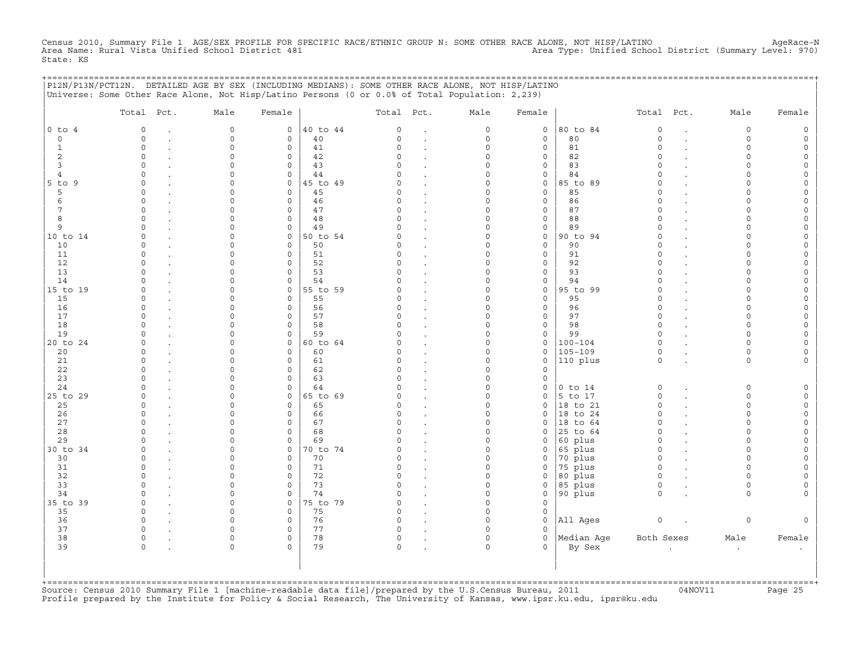Census 2010, Summary File 1 AGE/SEX PROFILE FOR SPECIFIC RACE/ETHNIC GROUP N: SOME OTHER RACE ALONE, NOT HISP/LATINO<br>Area Name: Rural Vista Unified School District 481 Area Type: Unified Sch State: KS

+===================================================================================================================================================+

|                | Total Pct.           | Male                       | Female                      |                | Total Pct.    |                      | Male                 | Female                      |                    | Total Pct.           |                | Male                | Female                   |
|----------------|----------------------|----------------------------|-----------------------------|----------------|---------------|----------------------|----------------------|-----------------------------|--------------------|----------------------|----------------|---------------------|--------------------------|
| $0$ to $4$     | $\Omega$             | $\mathbf 0$                | $\mathsf{O}$                | 40 to 44       | $\Omega$      | $\ddot{\phantom{a}}$ | $\circ$              | $\mathbf 0$                 | 80 to 84           | $\circ$              | $\overline{a}$ | 0                   | $\mathsf{O}\xspace$      |
| $\mathbf 0$    | $\Omega$             | $\mathbf 0$                | $\circ$                     | 40             | $\Omega$      | $\bullet$            | $\circ$              | $\mathbf 0$                 | 80                 | $\circ$              |                | $\circ$             | $\mathsf{O}$             |
| $\mathbf{1}$   | $\circ$              | $\mathbf 0$                | $\mathsf O$                 | 41             | 0             |                      | $\mathsf{O}\xspace$  | $\mathsf O$                 | 81                 | $\mathbf 0$          |                | 0                   | $\circ$                  |
| 2              | $\Omega$             | $\Omega$                   | $\mathbf 0$                 | 42             | $\Omega$      |                      | $\Omega$             | $\mathbf 0$                 | 82                 | $\Omega$             |                | $\Omega$            | 0                        |
| 3              | $\Omega$             | $\mathbf 0$                | $\mathbf 0$                 | 43             | O             |                      | $\Omega$             | 0                           | 83                 | $\Omega$             |                | $\Omega$            | 0                        |
| $\overline{4}$ | $\Omega$             | $\Omega$                   | $\mathsf O$                 | 44             | $\Omega$      |                      | $\Omega$             | $\mathsf{O}$                | 84                 | $\Omega$             |                | $\Omega$            | $\mathsf{O}\xspace$      |
| 5 to 9         | $\Omega$             | $\Omega$                   | $\mathbf 0$                 | 45 to 49       | U             |                      | $\Omega$             | $\mathsf O$                 | 85 to 89           | $\Omega$             |                | $\Omega$            | 0                        |
| 5              | $\circ$              | $\Omega$                   | $\mathsf{O}$                | 45             | O             |                      | $\Omega$             | $\mathsf{O}$                | 85                 | $\Omega$             |                | $\Omega$            | 0                        |
| 6              | $\Omega$             | $\Omega$                   | $\mathsf O$                 | 46             | $\Omega$      |                      | $\Omega$             | $\mathsf O$                 | 86                 | $\Omega$             |                | $\Omega$            | $\mathsf{O}\xspace$      |
| 7              | $\Omega$             | $\Omega$                   | $\mathbf 0$                 | 47             | $\cap$        |                      | $\Omega$             | $\mathsf O$                 | 87                 | $\Omega$             |                | $\Omega$            | 0                        |
| 8              | $\Omega$             | $\Omega$                   | $\mathsf{O}$                | 48             | O             | $\ddot{\phantom{a}}$ | $\Omega$             | $\mathsf{O}$                | 88                 | $\Omega$             |                | $\Omega$            | 0                        |
| 9              | $\Omega$             | $\Omega$                   | $\mathsf O$                 | 49             | $\Omega$      | $\bullet$            | $\Omega$             | $\mathsf O$                 | 89                 | $\Omega$             |                | $\Omega$            | $\mathsf{O}\xspace$      |
| 10 to 14       | $\Omega$             | $\Omega$                   | $\mathbf 0$                 | 50 to 54       | O             |                      | $\Omega$             | $\mathsf{O}$                | 90 to 94           | $\Omega$             |                | $\Omega$            | 0                        |
| 10             | $\Omega$             | $\Omega$                   | $\mathbf 0$                 | 50             | O             |                      | $\Omega$             | $\mathsf{O}$                | 90                 | $\Omega$             |                | $\Omega$            | 0                        |
| 11             | $\circ$              | $\Omega$                   | $\mathsf O$                 | 51             | $\Omega$      | $\cdot$              | $\Omega$             | $\mathsf O$                 | 91                 | $\Omega$             |                | $\Omega$            | $\mathsf{O}\xspace$      |
| 12             | $\Omega$             | $\Omega$                   | $\mathbf 0$                 | 52             | $\Omega$      |                      | $\Omega$             | $\mathbf 0$                 | 92                 | $\Omega$             |                | $\Omega$            | 0                        |
| 13             | $\Omega$             | $\mathbf 0$                | 0                           | 53             | $\Omega$      |                      | $\Omega$             | $\mathsf{O}$                | 93                 | $\Omega$             |                | $\Omega$            | 0                        |
| 14             | $\Omega$             | $\Omega$                   | $\mathsf{O}$                | 54             | $\Omega$      |                      | $\Omega$             | $\mathsf O$                 | 94                 | $\Omega$             |                | $\Omega$            | $\mathsf{O}\xspace$      |
| 15 to 19       | $\Omega$             | $\Omega$                   | $\mathbf 0$                 | 55 to 59       | $\Omega$      |                      | $\Omega$             | $\mathbf 0$                 | 95 to 99           | $\Omega$             |                | $\Omega$            | $\mathsf{O}\xspace$      |
| 15             | $\Omega$             | $\Omega$                   | $\mathsf{O}$                | 55             | O             |                      | $\Omega$             | $\mathsf{O}$                | 95                 | $\Omega$             |                | $\Omega$            | 0                        |
| 16             | $\Omega$             | $\Omega$                   | $\mathbf 0$                 | 56             | $\Omega$      |                      | $\Omega$             | $\mathsf O$                 | 96                 | $\Omega$             |                | $\Omega$            | $\mathsf{O}\xspace$      |
| 17             | $\Omega$             | $\mathbf 0$                | $\mathsf{O}$                | 57             | $\Omega$      |                      | $\Omega$             | $\mathsf O$                 | 97                 | $\Omega$             |                | $\Omega$            | 0                        |
| 18             | $\Omega$             | $\Omega$                   | $\mathsf{O}$                | 58             | O             |                      | $\Omega$             | $\mathsf{O}$                | 98                 | $\Omega$             |                | $\Omega$            | 0                        |
| 19             | $\Omega$             | $\Omega$                   | $\mathbf 0$                 | 59             | O             |                      | $\Omega$             | $\mathsf O$                 | 99                 | $\Omega$             |                | $\Omega$            | $\mathsf{O}\xspace$      |
| 20 to 24       | $\Omega$             | $\Omega$                   | $\mathsf{O}$                | 60 to 64       | U             |                      | $\Omega$             | $\mathsf{O}$                | $100 - 104$        | $\Omega$             |                | $\Omega$            | $\mathbf 0$              |
| 20             | $\circ$              | $\Omega$                   | $\mathsf{O}$                | 60             | O             |                      | $\Omega$             | $\mathsf{O}$                | $105 - 109$        | $\circ$              |                | 0                   | 0                        |
| 21             | $\circ$              | $\Omega$                   | $\mathsf O$                 | 61             | O             |                      | $\Omega$             | $\mathsf O$                 | 110 plus           | $\circ$              |                | $\circ$             | $\mathsf{O}\xspace$      |
| 22             | $\Omega$             | $\Omega$                   | $\mathsf{O}$                | 62             | $\Omega$<br>U |                      | $\Omega$<br>$\Omega$ | $\mathsf{O}$                |                    |                      |                |                     |                          |
| 23             | $\Omega$<br>$\Omega$ | $\Omega$                   | $\mathbf 0$                 | 63             |               |                      | $\Omega$             | $\mathsf{O}$                |                    |                      |                |                     |                          |
| 24             |                      | $\mathbf 0$<br>$\Omega$    | $\mathsf O$                 | 64             |               | $\bullet$            | $\Omega$             | $\mathsf O$                 | $0$ to $14$        | $\circ$<br>$\Omega$  | $\cdot$        | 0<br>$\Omega$       | $\mathsf{O}$             |
| 25 to 29       | $\Omega$             |                            | $\mathbf 0$                 | 65 to 69       |               |                      |                      | $\mathbf 0$                 | 5 to 17            |                      | $\cdot$        |                     | $\mathsf O$              |
| 25             | $\Omega$             | $\Omega$                   | $\mathbf 0$                 | 65             | $\Omega$      | $\bullet$            | $\Omega$<br>$\Omega$ | $\mathbf 0$                 | 18 to 21           | $\Omega$<br>$\Omega$ |                | $\Omega$            | 0                        |
| 26             | $\circ$<br>$\Omega$  | $\mathbf 0$<br>$\Omega$    | $\mathsf{O}$                | 66<br>67       | 0<br>$\Omega$ |                      | $\Omega$             | $\mathsf{O}$                | 18 to 24           | $\Omega$             |                | $\circ$<br>$\Omega$ | $\mathsf{O}\xspace$      |
| 27             | $\Omega$             | $\Omega$                   | $\mathbf 0$                 |                | $\Omega$      | $\cdot$              | $\Omega$             | $\mathbf 0$                 | 18 to 64           | $\Omega$             |                | $\Omega$            | 0                        |
| 28             | $\Omega$             | $\mathbf 0$                | $\mathbf 0$                 | 68<br>69       | $\Omega$      |                      | $\Omega$             | $\mathbf 0$                 | 25 to 64           | $\Omega$             |                | $\circ$             | 0<br>$\mathsf{O}\xspace$ |
| 29<br>30 to 34 | $\Omega$             | $\Omega$                   | $\mathsf{O}$<br>$\mathbf 0$ | 70 to 74       | $\Omega$      | $\ddot{\phantom{a}}$ | $\Omega$             | $\mathsf{O}$<br>$\mathbf 0$ | 60 plus<br>65 plus | $\Omega$             |                | $\Omega$            | $\mathbf 0$              |
| 30             | $\Omega$             | $\Omega$                   | $\mathbf 0$                 | 70             | $\Omega$      | $\cdot$              | $\Omega$             | $\mathsf{O}$                | 70 plus            | $\circ$              |                | $\Omega$            | $\mathsf{O}\xspace$      |
|                | $\circ$              | $\mathbf 0$                |                             |                | $\Omega$      | $\ddot{\phantom{a}}$ | $\Omega$             |                             |                    | $\Omega$             |                | $\Omega$            | $\mathsf{O}\xspace$      |
| 31<br>32       | $\Omega$             | $\Omega$                   | $\mathsf{O}$<br>$\mathbf 0$ | 71             | $\Omega$      |                      | $\Omega$             | $\mathsf{O}$<br>$\mathbf 0$ | 75 plus            | $\Omega$             |                | $\Omega$            | $\mathbf 0$              |
| 33             | $\Omega$             |                            | $\mathbf 0$                 | 72             | $\Omega$      |                      | $\Omega$             |                             | 80 plus            |                      |                |                     |                          |
| 34             | $\Omega$             | $\mathbf 0$<br>$\mathbf 0$ | $\mathsf{O}$                | 73<br>74       | 0             |                      | $\Omega$             | $\mathsf{O}$                | 85 plus            | $\circ$<br>$\circ$   |                | $\Omega$<br>$\circ$ | 0<br>$\mathbf 0$         |
| 35 to 39       | $\Omega$             | $\Omega$                   | $\mathbf 0$                 |                | $\Omega$      | $\bullet$            | $\cap$               | $\mathsf{O}$<br>$\mathbf 0$ | 90 plus            |                      |                |                     |                          |
|                | $\circ$              |                            |                             | 75 to 79<br>75 | 0             |                      | $\Omega$             |                             |                    |                      |                |                     |                          |
| 35             |                      | $\mathbf 0$<br>$\Omega$    | $\mathsf{O}$                |                | O             |                      | $\Omega$             | $\mathsf{O}$                |                    | $\circ$              |                |                     |                          |
| 36<br>37       | $\circ$<br>$\Omega$  | $\Omega$                   | $\mathsf{O}$<br>$\mathbf 0$ | 76<br>77       | O             |                      | $\Omega$             | $\mathsf O$<br>$\Omega$     | All Ages           |                      | $\cdot$        | 0                   | $\mathsf{O}\xspace$      |
|                | $\circ$              |                            |                             |                |               |                      | $\circ$              |                             |                    |                      |                |                     |                          |
| 38<br>39       | $\circ$              | $\mathbf 0$<br>$\mathbf 0$ | $\mathsf{O}$<br>$\Omega$    | 78<br>79       | 0<br>0        |                      | $\Omega$             | 0<br>$\Omega$               | Median Aqe         | Both Sexes           |                | Male                | Female                   |
|                |                      |                            |                             |                |               |                      |                      |                             | By Sex             |                      |                | $\bullet$           |                          |

+===================================================================================================================================================+Source: Census 2010 Summary File 1 [machine−readable data file]/prepared by the U.S.Census Bureau, 2011 04NOV11 Page 25 Profile prepared by the Institute for Policy & Social Research, The University of Kansas, www.ipsr.ku.edu, ipsr@ku.edu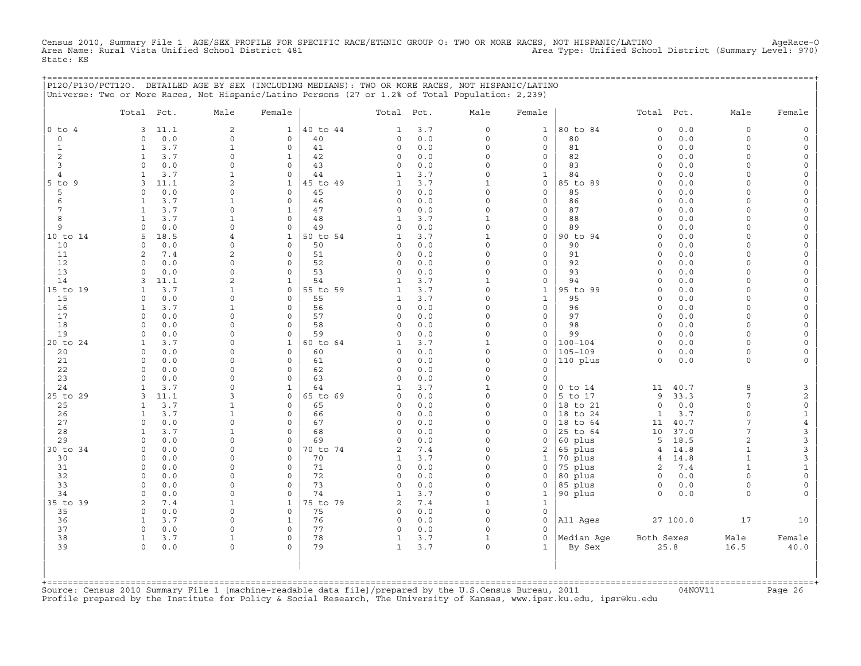Census 2010, Summary File 1 AGE/SEX PROFILE FOR SPECIFIC RACE/ETHNIC GROUP O: TWO OR MORE RACES, NOT HISPANIC/LATINO AgeRace-O<br>Area Name: Rural Vista Unified School District 481 State: KS

+===================================================================================================================================================+

|                     | P120/P130/PCT120. DETAILED AGE BY SEX (INCLUDING MEDIANS): TWO OR MORE RACES, NOT HISPANIC/LATINO<br>Universe: Two or More Races, Not Hispanic/Latino Persons (27 or 1.2% of Total Population: 2,239) |                                            |                         |                |                                              |                                |                                     |                     |                            |              |                                                     |
|---------------------|-------------------------------------------------------------------------------------------------------------------------------------------------------------------------------------------------------|--------------------------------------------|-------------------------|----------------|----------------------------------------------|--------------------------------|-------------------------------------|---------------------|----------------------------|--------------|-----------------------------------------------------|
|                     | Total Pct.                                                                                                                                                                                            | Male                                       | Female                  |                | Total Pct.                                   | Male                           | Female                              |                     | Total                      | Male<br>Pct. | Female                                              |
| $0$ to $4$          | 11.1<br>3                                                                                                                                                                                             | 2                                          | $\mathbf{1}$            | 40 to 44       | 3.7<br>$\mathbf{1}$                          | $\circ$                        | $\mathbf{1}$                        | 80 to 84            | $\mathbf 0$                | 0.0          | $\circ$<br>$\circ$                                  |
| $\circ$             | 0.0<br>$\Omega$                                                                                                                                                                                       | $\circ$                                    | $\circ$                 | 40             | 0.0<br>$\circ$                               | $\circ$                        | $\mathbf 0$                         | 80                  | $\mathbf 0$                | 0.0          | $\circ$<br>$\mathsf{O}\xspace$                      |
| $\mathbf{1}$        | 3.7<br>$\mathbf{1}$                                                                                                                                                                                   | $\mathbf 1$                                | $\circ$                 | 41             | $\mathsf{O}\xspace$<br>0.0                   | $\Omega$                       | $\mathsf{O}\xspace$                 | 81                  | $\mathsf O$                | 0.0          | $\circ$<br>$\mathsf{O}\xspace$                      |
| 2                   | $\mathbf{1}$<br>3.7                                                                                                                                                                                   | $\mathbf 0$                                | $\mathbf{1}$            | 42             | 0.0<br>$\Omega$                              | $\Omega$                       | $\mathbf 0$                         | 82                  | $\mathbf 0$                | 0.0          | $\Omega$<br>0                                       |
| 3<br>$\overline{4}$ | $\circ$<br>0.0<br>3.7<br>1                                                                                                                                                                            | $\mathsf{O}\xspace$<br>$\mathbf 1$         | 0<br>0                  | 43<br>44       | $\circ$<br>0.0<br>$\mathbf{1}$<br>3.7        | $\circ$<br>$\mathsf{O}\xspace$ | $\mathsf{O}\xspace$<br>$\mathbf{1}$ | 83<br>84            | $\mathsf O$<br>$\mathsf O$ | 0.0<br>0.0   | $\circ$<br>0<br>$\mathsf{O}\xspace$<br>$\circ$      |
| $5$ to $9$          | 11.1<br>3                                                                                                                                                                                             | $\overline{a}$                             | $\mathbf{1}$            | 45 to 49       | 3.7<br>$\mathbf{1}$                          | $\mathbf{1}$                   | $\mathbf 0$                         | 85 to 89            | $\mathbf 0$                | 0.0          | $\circ$<br>$\Omega$                                 |
| 5                   | 0.0<br>$\Omega$                                                                                                                                                                                       | 0                                          | 0                       | 45             | 0.0<br>0                                     | $\circ$                        | $\mathsf O$                         | 85                  | 0                          | 0.0          | 0<br>0                                              |
| 6                   | 3.7<br>$\mathbf{1}$                                                                                                                                                                                   | 1                                          | $\circ$                 | 46             | $\mathsf{O}\xspace$<br>0.0                   | $\mathsf{O}\xspace$            | $\mathsf{O}\xspace$                 | 86                  | $\mathsf O$                | 0.0          | $\mathsf{O}\xspace$<br>$\circ$                      |
| 7                   | 3.7<br>$\mathbf{1}$                                                                                                                                                                                   | $\mathbf 0$                                | $\mathbf{1}$            | 47             | $\Omega$<br>0.0                              | $\Omega$                       | $\mathbf 0$                         | 87                  | $\mathbf 0$                | 0.0          | $\circ$<br>$\Omega$                                 |
| 8                   | $\mathbf{1}$<br>3.7                                                                                                                                                                                   | $\mathbf{1}$                               | 0                       | 48             | $\mathbf{1}$<br>3.7                          | $\mathbf{1}$                   | $\mathbf 0$                         | 88                  | $\mathbf 0$                | 0.0          | $\circ$<br>0                                        |
| 9                   | 0.0<br>$\Omega$                                                                                                                                                                                       | $\mathsf{O}\xspace$                        | 0                       | 49             | $\mathsf{O}\xspace$<br>0.0                   | $\circ$                        | $\mathsf{O}\xspace$                 | 89                  | $\mathsf O$                | 0.0          | $\circ$<br>$\circ$                                  |
| 10 to 14            | 18.5<br>5                                                                                                                                                                                             | $\overline{4}$<br>$\mathsf{O}\xspace$      | $\mathbf{1}$<br>$\circ$ | 50 to 54<br>50 | $\mathbf{1}$<br>3.7                          | $\mathbf{1}$<br>$\circ$        | $\circ$<br>$\circ$                  | 90 to 94            | $\Omega$                   | 0.0          | $\mathsf O$<br>$\Omega$                             |
| 10<br>11            | 0.0<br>$\Omega$<br>2<br>7.4                                                                                                                                                                           | 2                                          | $\circ$                 | 51             | 0.0<br>$\circ$<br>$\mathsf{O}\xspace$<br>0.0 | $\circ$                        | $\mathsf{O}\xspace$                 | 90<br>91            | $\mathsf O$<br>$\mathsf O$ | 0.0<br>0.0   | $\mathsf{O}\xspace$<br>0<br>$\circ$<br>0            |
| 12                  | 0.0<br>$\Omega$                                                                                                                                                                                       | $\mathbf 0$                                | $\circ$                 | 52             | $\circ$<br>0.0                               | $\Omega$                       | $\mathbf 0$                         | 92                  | $\circ$                    | 0.0          | $\mathsf O$<br>$\circ$                              |
| 13                  | 0.0<br>$\Omega$                                                                                                                                                                                       | $\circ$                                    | $\circ$                 | 53             | $\circ$<br>0.0                               | $\circ$                        | $\mathbf 0$                         | 93                  | $\circ$                    | 0.0          | $\circ$<br>$\circ$                                  |
| 14                  | 11.1<br>3                                                                                                                                                                                             | $\overline{c}$                             | $\mathbf 1$             | 54             | $\mathbf{1}$<br>3.7                          | $\mathbf{1}$                   | $\mathsf{O}\xspace$                 | 94                  | $\mathsf O$                | 0.0          | $\mathsf{O}\xspace$<br>$\circ$                      |
| 15 to 19            | 3.7<br>1                                                                                                                                                                                              | $\mathbf{1}$                               | 0                       | 55 to 59       | 3.7<br>$\mathbf{1}$                          | $\circ$                        | $\mathbf{1}$                        | 95 to 99            | $\Omega$                   | 0.0          | $\circ$<br>0                                        |
| 15                  | $\circ$<br>0.0                                                                                                                                                                                        | $\mathsf{O}\xspace$                        | $\circ$                 | 55             | $\mathbf{1}$<br>3.7                          | $\circ$                        | $\mathbf{1}$                        | 95                  | $\Omega$                   | 0.0          | $\circ$<br>$\mathsf{O}\xspace$                      |
| 16                  | 3.7<br>$\mathbf{1}$                                                                                                                                                                                   | $\mathbf 1$                                | $\Omega$                | 56             | 0.0<br>$\circ$                               | $\Omega$                       | $\mathbf 0$                         | 96                  | $\circ$                    | 0.0          | $\mathsf O$<br>$\Omega$                             |
| 17<br>18            | $\circ$<br>0.0<br>0.0<br>$\Omega$                                                                                                                                                                     | 0<br>$\mathsf{O}\xspace$                   | 0<br>$\circ$            | 57<br>58       | $\circ$<br>0.0<br>$\circ$<br>0.0             | $\Omega$<br>$\Omega$           | 0<br>$\mathsf{O}\xspace$            | 97<br>98            | $\mathsf O$<br>$\circ$     | 0.0<br>0.0   | $\circ$<br>0<br>$\circ$<br>$\circ$                  |
| 19                  | $\Omega$<br>0.0                                                                                                                                                                                       | $\circ$                                    | $\Omega$                | 59             | 0.0<br>$\Omega$                              | $\Omega$                       | $\circ$                             | 99                  | $\circ$                    | 0.0          | $\mathsf O$<br>$\Omega$                             |
| 20 to 24            | 3.7<br>1                                                                                                                                                                                              | 0                                          | $\mathbf{1}$            | 60 to 64       | $\mathbf 1$<br>3.7                           | $\mathbf{1}$                   | $\mathsf O$                         | $100 - 104$         | $\mathbf 0$                | 0.0          | $\mathsf{O}\xspace$<br>0                            |
| 20                  | $\Omega$<br>0.0                                                                                                                                                                                       | $\Omega$                                   | $\Omega$                | 60             | $\circ$<br>0.0                               | $\Omega$                       | $\circ$                             | $105 - 109$         | $\Omega$                   | $0.0$        | $\circ$<br>$\circ$                                  |
| 21                  | $\circ$<br>0.0                                                                                                                                                                                        | $\circ$                                    | $\Omega$                | 61             | $\circ$<br>0.0                               | $\circ$                        | $\circ$                             | 110 plus            | $\circ$                    | 0.0          | $\circ$<br>$\circ$                                  |
| 22                  | 0.0<br>$\Omega$                                                                                                                                                                                       | 0                                          | 0                       | 62             | $\circ$<br>0.0                               | $\Omega$                       | $\mathbf 0$                         |                     |                            |              |                                                     |
| 23                  | $\Omega$<br>0.0                                                                                                                                                                                       | 0                                          | $\circ$                 | 63             | $\circ$<br>0.0                               | $\Omega$                       | $\circ$                             |                     |                            |              |                                                     |
| 24                  | 3.7<br>$\mathbf{1}$                                                                                                                                                                                   | $\mathsf{O}\xspace$                        | $\mathbf{1}$            | 64             | 3.7<br>$\mathbf{1}$                          | $\mathbf{1}$                   | $\mathsf O$                         | $0$ to $14$         | 11                         | 40.7         | 8<br>3                                              |
| 25 to 29<br>25      | 3<br>11.1<br>3.7<br>$\mathbf{1}$                                                                                                                                                                      | 3<br>$\mathbf 1$                           | 0<br>$\circ$            | 65 to 69<br>65 | $\circ$<br>0.0<br>0.0<br>$\circ$             | $\circ$<br>$\Omega$            | $\mathsf O$<br>$\circ$              | 5 to 17<br>18 to 21 | 9<br>$\mathsf O$           | 33.3<br>0.0  | $\mathbf{2}$<br>7<br>$\circ$<br>$\mathsf{O}\xspace$ |
| 26                  | $\mathbf{1}$<br>3.7                                                                                                                                                                                   | $\mathbf{1}$                               | 0                       | 66             | $\circ$<br>0.0                               | $\Omega$                       | $\circ$                             | 18 to 24            | $\mathbf{1}$               | 3.7          | $\circ$<br>$\mathbf{1}$                             |
| 27                  | $\circ$<br>0.0                                                                                                                                                                                        | 0                                          | 0                       | 67             | $\circ$<br>0.0                               | $\circ$                        | $\circ$                             | 18 to 64            | 11                         | 40.7         | $\overline{4}$<br>7                                 |
| 28                  | 3.7<br>$\mathbf{1}$                                                                                                                                                                                   | $\mathbf 1$                                | $\circ$                 | 68             | $0.0$<br>$\circ$                             | $\Omega$                       | $\circ$                             | 25 to 64            | 10                         | 37.0         | 7<br>3                                              |
| 29                  | $\circ$<br>0.0                                                                                                                                                                                        | 0                                          | 0                       | 69             | $\circ$<br>0.0                               | $\Omega$                       | $\circ$                             | 60 plus             | 5                          | 18.5         | 3<br>$\overline{a}$                                 |
| 30 to 34            | 0.0<br>$\Omega$                                                                                                                                                                                       | 0                                          | 0                       | 70 to 74       | $\sqrt{2}$<br>7.4                            | $\circ$                        | $\sqrt{2}$                          | 65 plus             | $\overline{4}$             | 14.8         | 3<br>$\mathbf{1}$                                   |
| 30                  | 0.0<br>$\circ$                                                                                                                                                                                        | $\mathsf{O}\xspace$                        | $\circ$                 | 70             | $\mathbf 1$<br>3.7                           | $\Omega$                       | $1\,$                               | 70 plus             | $\overline{4}$             | 14.8         | 3<br>$\mathbf{1}$                                   |
| 31                  | $\Omega$<br>0.0<br>$\circ$                                                                                                                                                                            | 0                                          | $\Omega$<br>$\circ$     | 71<br>72       | $\circ$<br>0.0<br>$\circ$                    | $\Omega$<br>$\circ$            | $\circ$<br>$\circ$                  | 75 plus             | 2<br>$\circ$               | 7.4          | $\mathbf{1}$<br>$\mathbf{1}$<br>$\circ$             |
| 32<br>33            | 0.0<br>0.0<br>$\circ$                                                                                                                                                                                 | $\mathsf{O}\xspace$<br>$\mathsf{O}\xspace$ | $\circ$                 | 73             | 0.0<br>$\circ$<br>0.0                        | $\circ$                        | $\mathsf{O}\xspace$                 | 80 plus<br>85 plus  | $\mathsf{O}\xspace$        | 0.0<br>0.0   | $\mathsf{O}\xspace$<br>0<br>$\mathsf{O}\xspace$     |
| 34                  | $\Omega$<br>0.0                                                                                                                                                                                       | $\circ$                                    | $\circ$                 | 74             | $\mathbf{1}$<br>3.7                          | $\circ$                        | $\mathbf{1}$                        | 90 plus             | $\circ$                    | 0.0          | $\circ$<br>0                                        |
| 35 to 39            | 2<br>7.4                                                                                                                                                                                              | $\mathbf{1}$                               | $\mathbf 1$             | 75 to 79       | 7.4<br>$\sqrt{2}$                            | $1\,$                          | $\mathbf{1}$                        |                     |                            |              |                                                     |
| 35                  | 0.0<br>$\circ$                                                                                                                                                                                        | $\mathsf{O}\xspace$                        | $\mathbf{0}$            | 75             | $\circ$<br>$0.0$                             | $\circ$                        | $\circ$                             |                     |                            |              |                                                     |
| 36                  | 3.7<br>1                                                                                                                                                                                              | $\circ$                                    | $\mathbf{1}$            | 76             | 0.0<br>$\circ$                               | $\Omega$                       | $\circ$                             | All Ages            | 27 100.0                   | 17           | 10                                                  |
| 37                  | $\mathsf O$<br>0.0                                                                                                                                                                                    | $\circ$                                    | $\circ$                 | 77             | $\mathsf{O}\xspace$<br>0.0                   | $\circ$                        | $\circ$                             |                     |                            |              |                                                     |
| 38                  | 3.7<br>$\mathbf{1}$                                                                                                                                                                                   | $\mathbf{1}$                               | 0                       | 78             | 3.7<br>$\mathbf{1}$                          | $\mathbf{1}$                   | $\circ$                             | Median Age          | Both Sexes                 | Male         | Female                                              |
| 39                  | $\circ$<br>0.0                                                                                                                                                                                        | 0                                          | $\Omega$                | 79             | $\mathbf{1}$<br>3.7                          | $\circ$                        | $\mathbf{1}$                        | By Sex              | 25.8                       | 16.5         | 40.0                                                |
|                     |                                                                                                                                                                                                       |                                            |                         |                |                                              |                                |                                     |                     |                            |              |                                                     |
|                     |                                                                                                                                                                                                       |                                            |                         |                |                                              |                                |                                     |                     |                            |              |                                                     |
|                     |                                                                                                                                                                                                       |                                            |                         |                |                                              |                                |                                     |                     |                            |              |                                                     |

| | +===================================================================================================================================================+Source: Census 2010 Summary File 1 [machine−readable data file]/prepared by the U.S.Census Bureau, 2011 04NOV11 Page 26 Profile prepared by the Institute for Policy & Social Research, The University of Kansas, www.ipsr.ku.edu, ipsr@ku.edu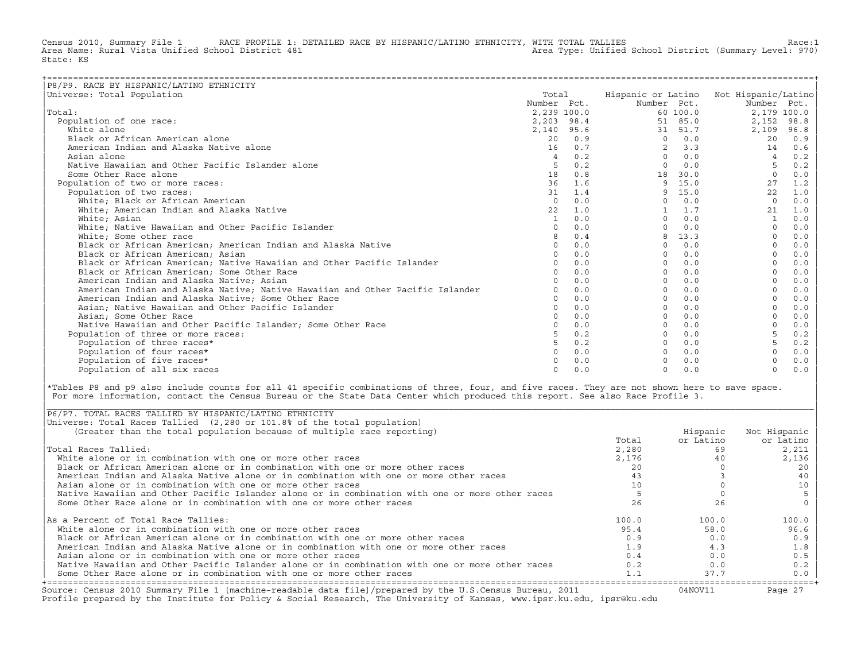Census 2010, Summary File 1 RACE PROFILE 1: DETAILED RACE BY HISPANIC/LATINO ETHNICITY, WITH TOTAL TALLIES Race:1<br>Area Name: Rural Vista Unified School District 481 area Type: Unified School District (Summary Level: 970) Area Type: Unified School District (Summary Level: 970) State: KS

| P8/P9. RACE BY HISPANIC/LATINO ETHNICITY                                      |                 |     |                    |          |                     |                                       |
|-------------------------------------------------------------------------------|-----------------|-----|--------------------|----------|---------------------|---------------------------------------|
| Universe: Total Population                                                    | Total           |     | Hispanic or Latino |          | Not Hispanic/Latino |                                       |
|                                                                               | Number Pct.     |     | Number Pct.        |          | Number Pct.         |                                       |
| Total:                                                                        | 2,239 100.0     |     |                    | 60 100.0 | 2,179 100.0         |                                       |
| Population of one race:                                                       | 2,203 98.4      |     |                    | 51 85.0  | 2,152               | 98.8                                  |
| White alone                                                                   | 2,140 95.6      |     | 31                 | 51.7     | 2,109               | 96.8                                  |
| Black or African American alone                                               | 20              | 0.9 | $\Omega$           | 0.0      | 20                  | 0.9                                   |
| American Indian and Alaska Native alone                                       | 16              | 0.7 | 2                  | 3.3      | 14                  | 0.6                                   |
| Asian alone                                                                   | $4\overline{ }$ | 0.2 | $\Omega$           | 0.0      |                     | 0.2                                   |
| Native Hawaiian and Other Pacific Islander alone                              | 5               | 0.2 | $\Omega$           | 0.0      | 5                   | 0.2                                   |
| Some Other Race alone                                                         | 18              | 0.8 | 18                 | 30.0     | $\Omega$            | 0.0                                   |
| Population of two or more races:                                              | 36              | 1.6 | 9                  | 15.0     | 27                  | 1.2                                   |
| Population of two races:                                                      | 31              | 1.4 | 9                  | 15.0     | 22                  | 1.0                                   |
| White; Black or African American                                              | $\circ$         | 0.0 | $\Omega$           | 0.0      | $\Omega$            | 0.0                                   |
| White; American Indian and Alaska Native                                      | 22              | 1.0 |                    | 1.7      | 21                  | 1.0                                   |
| White: Asian                                                                  | $\mathbf{1}$    | 0.0 | $\Omega$           | 0.0      |                     | 0.0                                   |
| White; Native Hawaiian and Other Pacific Islander                             | $\Omega$        | 0.0 |                    | 0.0      | $\Omega$            | 0.0                                   |
| White; Some other race                                                        | 8               | 0.4 | 8                  | 13.3     | $\Omega$            | 0.0                                   |
| Black or African American; American Indian and Alaska Native                  | $\circ$         | 0.0 | $\Omega$           | 0.0      |                     | 0.0                                   |
| Black or African American; Asian                                              | $\Omega$        | 0.0 | $\Omega$           | 0.0      | $\Omega$            | 0.0                                   |
| Black or African American; Native Hawaiian and Other Pacific Islander         | $\Omega$        | 0.0 | $\Omega$           | 0.0      |                     | 0.0                                   |
| Black or African American; Some Other Race                                    |                 | 0.0 | $\Omega$           | 0.0      |                     | 0.0                                   |
| American Indian and Alaska Native; Asian                                      |                 | 0.0 | $\Omega$           | 0.0      |                     | 0.0                                   |
| American Indian and Alaska Native; Native Hawaiian and Other Pacific Islander |                 | 0.0 | $\Omega$           | 0.0      |                     | 0.0                                   |
| American Indian and Alaska Native; Some Other Race                            | $\Omega$        | 0.0 | $\Omega$           | 0.0      |                     | 0.0                                   |
| Asian; Native Hawaiian and Other Pacific Islander                             | $\Omega$        | 0.0 |                    | 0.0      |                     | 0.0                                   |
| Asian; Some Other Race                                                        |                 | 0.0 |                    | 0.0      |                     | 0.0                                   |
| Native Hawaiian and Other Pacific Islander: Some Other Race                   |                 | 0.0 |                    | 0.0      |                     | 0.0                                   |
| Population of three or more races:                                            |                 | 0.2 |                    | 0.0      |                     | 0.2                                   |
| Population of three races*                                                    | 5               | 0.2 | $\Omega$           | 0.0      |                     | $\ensuremath{\text{o}}\xspace$ .<br>2 |
| Population of four races*                                                     | $\Omega$        | 0.0 |                    | 0.0      | $\Omega$            | 0.0                                   |
| Population of five races*                                                     |                 | 0.0 |                    | 0.0      |                     | 0.0                                   |
| Population of all six races                                                   | $\Omega$        | 0.0 | $\Omega$           | 0.0      | $\Omega$            | 0.0                                   |

|\*Tables P8 and p9 also include counts for all 41 specific combinations of three, four, and five races. They are not shown here to save space. | For more information, contact the Census Bureau or the State Data Center which produced this report. See also Race Profile 3.

| |

|\_\_\_\_\_\_\_\_\_\_\_\_\_\_\_\_\_\_\_\_\_\_\_\_\_\_\_\_\_\_\_\_\_\_\_\_\_\_\_\_\_\_\_\_\_\_\_\_\_\_\_\_\_\_\_\_\_\_\_\_\_\_\_\_\_\_\_\_\_\_\_\_\_\_\_\_\_\_\_\_\_\_\_\_\_\_\_\_\_\_\_\_\_\_\_\_\_\_\_\_\_\_\_\_\_\_\_\_\_\_\_\_\_\_\_\_\_\_\_\_\_\_\_\_\_\_\_\_\_\_\_\_\_\_\_\_\_\_\_\_\_\_\_\_\_\_\_|

| Source: Census 2010 Summary File 1 [machine-readable data file]/prepared by the U.S.Census Bureau, 2011<br>Profile prepared by the Institute for Policy & Social Research, The University of Kansas, www.ipsr.ku.edu, ipsr@ku.edu |       | 04NOV11   | Page 27      |
|-----------------------------------------------------------------------------------------------------------------------------------------------------------------------------------------------------------------------------------|-------|-----------|--------------|
| Some Other Race alone or in combination with one or more other races                                                                                                                                                              | 1.1   | 37.7      | $0.0$        |
| Native Hawaiian and Other Pacific Islander alone or in combination with one or more other races                                                                                                                                   | 0.2   | 0.0       | 0.2          |
| Asian alone or in combination with one or more other races                                                                                                                                                                        | 0.4   | 0.0       | 0.5          |
| American Indian and Alaska Native alone or in combination with one or more other races                                                                                                                                            | 1.9   | 4.3       | 1.8          |
| Black or African American alone or in combination with one or more other races                                                                                                                                                    | 0.9   | 0.0       | 0.9          |
| White alone or in combination with one or more other races                                                                                                                                                                        | 95.4  | 58.0      | 96.6         |
| As a Percent of Total Race Tallies:                                                                                                                                                                                               | 100.0 | 100.0     | 100.0        |
| Some Other Race alone or in combination with one or more other races                                                                                                                                                              | 26    | 26        |              |
| Native Hawaiian and Other Pacific Islander alone or in combination with one or more other races                                                                                                                                   |       |           |              |
| Asian alone or in combination with one or more other races                                                                                                                                                                        | 1 O   |           | 10           |
| American Indian and Alaska Native alone or in combination with one or more other races                                                                                                                                            | 43    |           | 40           |
| Black or African American alone or in combination with one or more other races                                                                                                                                                    | 20    |           | 20           |
| White alone or in combination with one or more other races                                                                                                                                                                        | 2,176 | 40        | 2,136        |
| Total Races Tallied:                                                                                                                                                                                                              | 2,280 | 69        | 2,211        |
|                                                                                                                                                                                                                                   | Total | or Latino | or Latino    |
| (Greater than the total population because of multiple race reporting)                                                                                                                                                            |       | Hispanic  | Not Hispanic |
| Universe: Total Races Tallied (2,280 or 101.8% of the total population)                                                                                                                                                           |       |           |              |
| P6/P7. TOTAL RACES TALLIED BY HISPANIC/LATINO ETHNICITY                                                                                                                                                                           |       |           |              |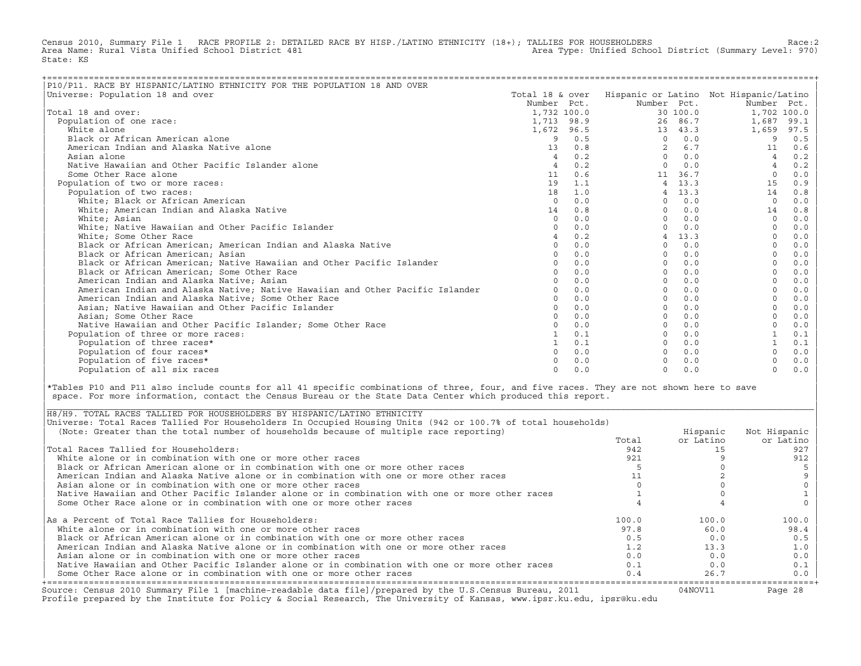Census 2010, Summary File 1 RACE PROFILE 2: DETAILED RACE BY HISP./LATINO ETHNICITY (18+); TALLIES FOR HOUSEHOLDERS Race:2<br>Area Name: Rural Vista Unified School District 481 area Type: Unified School District (Summary Leve Area Type: Unified School District (Summary Level: 970) State: KS

| P10/P11. RACE BY HISPANIC/LATINO ETHNICITY FOR THE POPULATION 18 AND OVER     |                 |     |                |          |                                        |      |
|-------------------------------------------------------------------------------|-----------------|-----|----------------|----------|----------------------------------------|------|
| Universe: Population 18 and over                                              | Total 18 & over |     |                |          | Hispanic or Latino Not Hispanic/Latino |      |
|                                                                               | Number Pct.     |     | Number Pct.    |          | Number Pct.                            |      |
| Total 18 and over:                                                            | 1,732 100.0     |     |                | 30 100.0 | 1,702 100.0                            |      |
| Population of one race:                                                       | 1,713 98.9      |     |                | 26 86.7  | 1,687                                  | 99.1 |
| White alone                                                                   | 1,672 96.5      |     |                | 13 43.3  | 1,659                                  | 97.5 |
| Black or African American alone                                               | 9               | 0.5 | $\Omega$       | 0.0      | 9                                      |      |
|                                                                               |                 |     |                |          |                                        | 0.5  |
| American Indian and Alaska Native alone                                       | 13              | 0.8 | $\overline{2}$ | 6.7      | 11                                     | 0.6  |
| Asian alone                                                                   | 4               | 0.2 | $\Omega$       | 0.0      |                                        | 0.2  |
| Native Hawaiian and Other Pacific Islander alone                              |                 | 0.2 | $\Omega$       | 0.0      |                                        | 0.2  |
| Some Other Race alone                                                         | 11              | 0.6 |                | 11 36.7  |                                        | 0.0  |
| Population of two or more races:                                              | 19              | 1.1 |                | 4, 13.3  | 15                                     | 0.9  |
| Population of two races:                                                      | 18              | 1.0 |                | 4, 13.3  | 14                                     | 0.8  |
| White; Black or African American                                              | $\Omega$        | 0.0 | $\Omega$       | 0.0      | $\Omega$                               | 0.0  |
| White; American Indian and Alaska Native                                      | 14              | 0.8 | $\Omega$       | 0.0      | 14                                     | 0.8  |
| White: Asian                                                                  | $\Omega$        | 0.0 | $\Omega$       | 0.0      | $\Omega$                               | 0.0  |
| White; Native Hawaiian and Other Pacific Islander                             | $\Omega$        | 0.0 | $\Omega$       | 0.0      |                                        | 0.0  |
| White; Some Other Race                                                        |                 | 0.2 |                | 13.3     |                                        | 0.0  |
| Black or African American; American Indian and Alaska Native                  |                 | 0.0 | $\Omega$       | 0.0      |                                        | 0.0  |
| Black or African American; Asian                                              |                 | 0.0 | $\Omega$       | 0.0      |                                        | 0.0  |
| Black or African American; Native Hawaiian and Other Pacific Islander         |                 | 0.0 | $\Omega$       | 0.0      | $\Omega$                               | 0.0  |
| Black or African American; Some Other Race                                    |                 | 0.0 | $\Omega$       | 0.0      |                                        | 0.0  |
| American Indian and Alaska Native; Asian                                      |                 | 0.0 | $\Omega$       | 0.0      |                                        | 0.0  |
| American Indian and Alaska Native; Native Hawaiian and Other Pacific Islander |                 | 0.0 | $\Omega$       | 0.0      |                                        | 0.0  |
| American Indian and Alaska Native; Some Other Race                            | $\Omega$        | 0.0 | $\Omega$       | 0.0      |                                        | 0.0  |
| Asian; Native Hawaiian and Other Pacific Islander                             | $\cap$          | 0.0 | $\Omega$       | 0.0      |                                        | 0.0  |
| Asian; Some Other Race                                                        |                 | 0.0 | $\Omega$       | 0.0      |                                        | 0.0  |
| Native Hawaiian and Other Pacific Islander: Some Other Race                   |                 | 0.0 | $\Omega$       | 0.0      |                                        | 0.0  |
| Population of three or more races:                                            |                 | 0.1 | $\Omega$       | 0.0      |                                        | 0.1  |
| Population of three races*                                                    |                 | 0.1 | $\Omega$       | 0.0      |                                        | 0.1  |
| Population of four races*                                                     |                 | 0.0 | $\Omega$       | 0.0      |                                        | 0.0  |
| Population of five races*                                                     |                 | 0.0 |                | 0.0      |                                        | 0.0  |
| Population of all six races                                                   | $\cap$          | 0.0 | $\Omega$       | 0.0      | $\Omega$                               | 0.0  |

|\*Tables P10 and P11 also include counts for all 41 specific combinations of three, four, and five races. They are not shown here to save | space. For more information, contact the Census Bureau or the State Data Center which produced this report.

| Source: Census 2010 Summary File 1 [machine-readable data file]/prepared by the U.S.Census Bureau, 2011<br>Profile prepared by the Institute for Policy & Social Research, The University of Kansas, www.ipsr.ku.edu, ipsr@ku.edu |       | 04NOV11   | Page 28      |
|-----------------------------------------------------------------------------------------------------------------------------------------------------------------------------------------------------------------------------------|-------|-----------|--------------|
| Some Other Race alone or in combination with one or more other races                                                                                                                                                              | 0.4   | 26.7      | $0.0$        |
| Native Hawaiian and Other Pacific Islander alone or in combination with one or more other races                                                                                                                                   | 0.1   | 0.0       | 0.1          |
| Asian alone or in combination with one or more other races                                                                                                                                                                        | 0.0   | 0.0       | 0.0          |
| American Indian and Alaska Native alone or in combination with one or more other races                                                                                                                                            | 1.2   | 13.3      | 1.0          |
| Black or African American alone or in combination with one or more other races                                                                                                                                                    | 0.5   | 0.0       | 0.5          |
| White alone or in combination with one or more other races                                                                                                                                                                        | 97.8  | 60.0      | 98.4         |
| As a Percent of Total Race Tallies for Householders:                                                                                                                                                                              | 100.0 | 100.0     | 100.0        |
| Some Other Race alone or in combination with one or more other races                                                                                                                                                              |       |           |              |
| Native Hawaiian and Other Pacific Islander alone or in combination with one or more other races                                                                                                                                   |       |           |              |
| Asian alone or in combination with one or more other races                                                                                                                                                                        |       |           |              |
| American Indian and Alaska Native alone or in combination with one or more other races                                                                                                                                            |       |           |              |
| Black or African American alone or in combination with one or more other races                                                                                                                                                    |       |           |              |
| White alone or in combination with one or more other races                                                                                                                                                                        | 921   |           | 912          |
| Total Races Tallied for Householders:                                                                                                                                                                                             | 942   |           | 927          |
|                                                                                                                                                                                                                                   | Total | or Latino | or Latino    |
| (Note: Greater than the total number of households because of multiple race reporting)                                                                                                                                            |       | Hispanic  | Not Hispanic |
| Universe: Total Races Tallied For Householders In Occupied Housing Units (942 or 100.7% of total households)                                                                                                                      |       |           |              |
| H8/H9. TOTAL RACES TALLIED FOR HOUSEHOLDERS BY HISPANIC/LATINO ETHNICITY                                                                                                                                                          |       |           |              |

| |

|\_\_\_\_\_\_\_\_\_\_\_\_\_\_\_\_\_\_\_\_\_\_\_\_\_\_\_\_\_\_\_\_\_\_\_\_\_\_\_\_\_\_\_\_\_\_\_\_\_\_\_\_\_\_\_\_\_\_\_\_\_\_\_\_\_\_\_\_\_\_\_\_\_\_\_\_\_\_\_\_\_\_\_\_\_\_\_\_\_\_\_\_\_\_\_\_\_\_\_\_\_\_\_\_\_\_\_\_\_\_\_\_\_\_\_\_\_\_\_\_\_\_\_\_\_\_\_\_\_\_\_\_\_\_\_\_\_\_\_\_\_\_\_\_\_\_\_|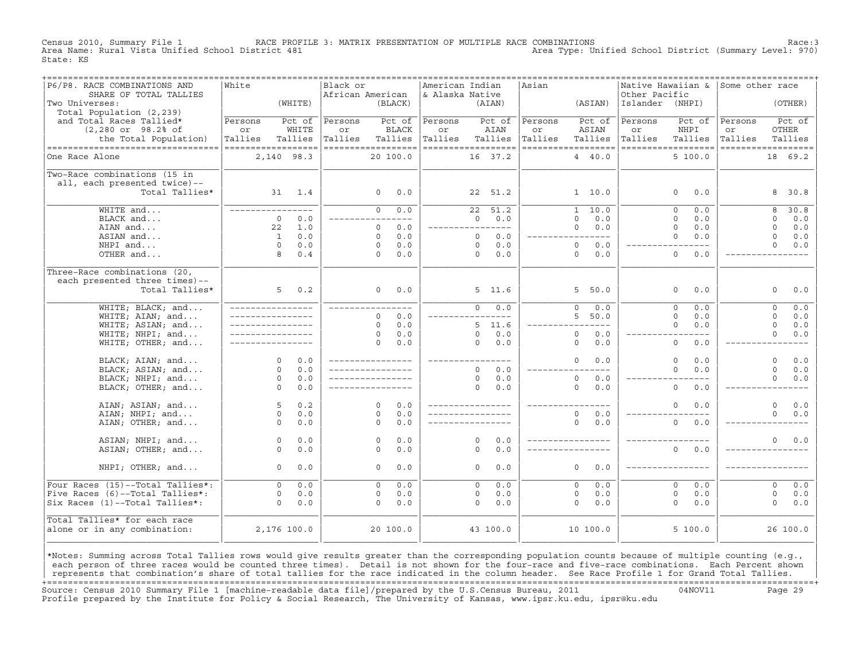Census 2010, Summary File 1 RACE PROFILE 3: MATRIX PRESENTATION OF MULTIPLE RACE COMBINATIONS Race:3 Area Type: Unified School District (Summary Level: 970) State: KS

| ------------------------------<br>P6/P8. RACE COMBINATIONS AND | ===============<br>White |         | Black or           |                   | American Indian    |                |           | ================================<br>Asian |                       |                 | ------------------------------------<br> Native Hawaiian & | Some other race |                    |
|----------------------------------------------------------------|--------------------------|---------|--------------------|-------------------|--------------------|----------------|-----------|-------------------------------------------|-----------------------|-----------------|------------------------------------------------------------|-----------------|--------------------|
| SHARE OF TOTAL TALLIES                                         |                          |         | African American   |                   | & Alaska Native    |                |           |                                           |                       | Other Pacific   |                                                            |                 |                    |
| Two Universes:                                                 |                          | (WHITE) |                    | (BLACK)           |                    |                | (AIAN)    |                                           | (ASIAN)               | Islander (NHPI) |                                                            |                 | (OTHER)            |
| Total Population (2,239)                                       |                          |         |                    |                   |                    |                |           |                                           |                       |                 |                                                            |                 |                    |
| and Total Races Tallied*                                       | Persons                  | Pct of  | Persons            | Pct of            | Persons            |                | Pct of    | Persons                                   | Pct of                | Persons         | Pct of                                                     | Persons         | Pct of             |
| $(2,280$ or $98.2$ of                                          | or                       | WHITE   | or                 | <b>BLACK</b>      | or                 |                | AIAN      | or                                        | ASIAN                 | or              | NHPI                                                       | or              | OTHER              |
| the Total Population)                                          | Tallies                  | Tallies | Tallies            | Tallies           | Tallies            |                | Tallies   | Tallies                                   | Tallies               | Tallies         | Tallies                                                    | Tallies         | Tallies            |
| ----------------------------------                             | ------------------       |         | ------------------ |                   | ------------------ |                |           |                                           | ------------------    |                 | ------------------                                         |                 | ------------------ |
| One Race Alone                                                 | 2,140 98.3               |         |                    | 20 100.0          |                    |                | 16 37.2   |                                           | 4, 40.0               |                 | 5100.0                                                     |                 | 18 69.2            |
|                                                                |                          |         |                    |                   |                    |                |           |                                           |                       |                 |                                                            |                 |                    |
| Two-Race combinations (15 in                                   |                          |         |                    |                   |                    |                |           |                                           |                       |                 |                                                            |                 |                    |
| all, each presented twice)--                                   |                          |         |                    |                   |                    |                |           |                                           |                       |                 |                                                            |                 |                    |
| Total Tallies*                                                 |                          | 31 1.4  |                    | 0.0<br>$\Omega$   |                    |                | 22 51.2   |                                           | 1 10.0                |                 | $\Omega$<br>0.0                                            |                 | 8 30.8             |
|                                                                |                          |         |                    |                   |                    |                |           |                                           |                       |                 |                                                            |                 |                    |
| WHITE and                                                      | _________________        |         |                    | $\Omega$<br>0.0   |                    | 22             | 51.2      |                                           | 10.0<br>$\mathbf{1}$  |                 | $\Omega$<br>0.0                                            |                 | 30.8<br>8          |
| BLACK and                                                      | $\Omega$                 | 0.0     |                    | --------          |                    | $\Omega$       | 0.0       |                                           | $\Omega$<br>0.0       |                 | $\Omega$<br>0.0                                            |                 | $\Omega$<br>0.0    |
| AIAN and                                                       | 22                       | 1.0     |                    | 0.0<br>$\Omega$   | -------------      |                | $- - - -$ |                                           | 0.0<br>$\Omega$       |                 | $\Omega$<br>0.0                                            |                 | $\Omega$<br>0.0    |
| ASIAN and                                                      | $\mathbf{1}$             | 0.0     |                    | 0.0<br>$\Omega$   |                    | $\Omega$       | 0.0       |                                           | $---$<br>$---$        |                 | $\Omega$<br>0.0                                            |                 | 0.0<br>$\Omega$    |
| NHPI and                                                       | $\Omega$                 | 0.0     |                    | 0.0<br>$\Omega$   |                    | $\Omega$       | 0.0       |                                           | $\Omega$<br>0.0       |                 |                                                            |                 | $\Omega$<br>0.0    |
| OTHER and                                                      | 8                        | 0.4     |                    | $\Omega$<br>0.0   |                    | $\Omega$       | 0.0       |                                           | $\Omega$<br>0.0       |                 | $\Omega$<br>0.0                                            |                 |                    |
|                                                                |                          |         |                    |                   |                    |                |           |                                           |                       |                 |                                                            |                 |                    |
| Three-Race combinations (20,                                   |                          |         |                    |                   |                    |                |           |                                           |                       |                 |                                                            |                 |                    |
| each presented three times)--                                  |                          |         |                    |                   |                    |                |           |                                           |                       |                 |                                                            |                 |                    |
| Total Tallies*                                                 | $5 -$                    | 0.2     |                    | $\Omega$<br>0.0   |                    |                | 5, 11.6   |                                           | 5<br>50.0             |                 | $\mathbf{0}$<br>0.0                                        |                 | 0.0<br>$\circ$     |
|                                                                |                          |         |                    |                   |                    |                |           |                                           |                       |                 |                                                            |                 |                    |
| WHITE; BLACK; and                                              | _________________        |         | _____________      |                   |                    | $\overline{0}$ | 0.0       |                                           | $\overline{0}$<br>0.0 |                 | $\overline{0}$<br>0.0                                      |                 | 0.0<br>$\circ$     |
| WHITE; AIAN; and                                               | _________________        |         |                    | 0.0<br>$\Omega$   |                    |                |           |                                           | 5<br>50.0             |                 | $\Omega$<br>0.0                                            |                 | $\Omega$<br>0.0    |
| WHITE; ASIAN; and                                              | _________________        |         |                    | 0.0<br>$\Omega$   |                    |                | 5, 11.6   |                                           | $---$                 |                 | $\Omega$<br>0.0                                            |                 | $\mathbf 0$<br>0.0 |
| WHITE; NHPI; and                                               |                          |         |                    | 0.0<br>$\Omega$   |                    | $\Omega$       | 0.0       |                                           | $\circ$<br>0.0        |                 | $- - - -$                                                  |                 | $\Omega$<br>0.0    |
|                                                                |                          |         |                    | 0.0<br>$\Omega$   |                    | $\Omega$       | 0.0       |                                           | $\circ$<br>0.0        |                 | $\mathbf{0}$<br>0.0                                        |                 |                    |
| WHITE; OTHER; and                                              |                          |         |                    |                   |                    |                |           |                                           |                       |                 |                                                            |                 |                    |
| BLACK; AIAN; and                                               | $\Omega$                 | 0.0     |                    | ________________  | ________________   |                |           |                                           | $\Omega$<br>0.0       |                 | $\circ$<br>0.0                                             |                 | $\Omega$<br>0.0    |
| BLACK; ASIAN; and                                              | $\Omega$                 | 0.0     |                    | _________________ |                    | $\Omega$       | 0.0       |                                           | $---$                 |                 | $\Omega$<br>0.0                                            |                 | $\Omega$<br>0.0    |
| BLACK; NHPI; and                                               | $\Omega$                 | 0.0     |                    |                   |                    | $\circ$        | 0.0       |                                           | $\circ$<br>0.0        |                 |                                                            |                 | $\Omega$<br>0.0    |
| BLACK; OTHER; and                                              | $\Omega$                 | 0.0     |                    | _________________ |                    | $\Omega$       | 0.0       |                                           | $\Omega$<br>0.0       |                 | $\Omega$<br>0.0                                            |                 |                    |
|                                                                |                          |         |                    |                   |                    |                |           |                                           |                       |                 |                                                            |                 |                    |
| AIAN; ASIAN; and                                               | 5                        | 0.2     |                    | $\Omega$<br>0.0   | _________________  |                |           |                                           |                       |                 | $\mathbf 0$<br>0.0                                         |                 | $\Omega$<br>0.0    |
| AIAN; NHPI; and                                                | $\Omega$                 | 0.0     |                    | 0.0<br>$\Omega$   |                    |                |           |                                           | $\Omega$<br>0.0       |                 |                                                            |                 | $\Omega$<br>0.0    |
| AIAN; OTHER; and                                               | $\Omega$                 | 0.0     |                    | $\Omega$<br>0.0   |                    |                |           |                                           | $\Omega$<br>0.0       |                 | $\Omega$<br>0.0                                            |                 |                    |
|                                                                |                          |         |                    |                   |                    |                |           |                                           |                       |                 |                                                            |                 |                    |
| ASIAN; NHPI; and                                               | $\circ$                  | 0.0     |                    | 0.0<br>$\circ$    |                    | $\Omega$       | 0.0       |                                           | _________________     |                 |                                                            |                 | $0.0$<br>$\Omega$  |
| ASIAN; OTHER; and                                              | $\Omega$                 | 0.0     |                    | 0.0<br>$\Omega$   |                    | $\Omega$       | 0.0       |                                           |                       |                 | $\Omega$<br>0.0                                            |                 |                    |
|                                                                |                          |         |                    |                   |                    |                |           |                                           |                       |                 |                                                            |                 |                    |
| NHPI; OTHER; and                                               | $\Omega$                 | 0.0     |                    | 0.0<br>$\Omega$   |                    | $\Omega$       | 0.0       |                                           | $\Omega$<br>0.0       |                 |                                                            |                 |                    |
|                                                                |                          |         |                    |                   |                    |                |           |                                           |                       |                 |                                                            |                 |                    |
| Four Races (15)--Total Tallies*:                               | $\Omega$                 | 0.0     |                    | 0.0<br>$\Omega$   |                    | $\Omega$       | 0.0       |                                           | $\Omega$<br>0.0       |                 | $\Omega$<br>0.0                                            |                 | 0.0<br>$\Omega$    |
| Five Races (6)--Total Tallies*:                                | $\mathbf 0$              | 0.0     |                    | 0.0<br>$\circ$    |                    | $\circ$        | 0.0       |                                           | $\circ$<br>0.0        |                 | $\mathbf{0}$<br>0.0                                        |                 | $\circ$<br>0.0     |
| Six Races (1)--Total Tallies*:                                 | $\Omega$                 | 0.0     |                    | 0.0<br>$\Omega$   |                    | $\Omega$       | 0.0       |                                           | $\Omega$<br>0.0       |                 | $\Omega$<br>0.0                                            |                 | $\Omega$<br>0.0    |
|                                                                |                          |         |                    |                   |                    |                |           |                                           |                       |                 |                                                            |                 |                    |
| Total Tallies* for each race                                   |                          |         |                    |                   |                    |                |           |                                           |                       |                 |                                                            |                 |                    |
| alone or in any combination:                                   | 2,176 100.0              |         |                    | 20 100.0          |                    |                | 43 100.0  |                                           | 10 100.0              |                 | 5 100.0                                                    |                 | 26 100.0           |
|                                                                |                          |         |                    |                   |                    |                |           |                                           |                       |                 |                                                            |                 |                    |
|                                                                |                          |         |                    |                   |                    |                |           |                                           |                       |                 |                                                            |                 |                    |

|\*Notes: Summing across Total Tallies rows would give results greater than the corresponding population counts because of multiple counting (e.g., | each person of three races would be counted three times). Detail is not shown for the four-race and five-race combinations. Each Percent shown represents that combination's share of total tallies for the race indicated in the column header. See Race Profile 1 for Grand Total Tallies. +===================================================================================================================================================+ Source: Census 2010 Summary File 1 [machine−readable data file]/prepared by the U.S.Census Bureau, 2011 04NOV11 Page 29 Profile prepared by the Institute for Policy & Social Research, The University of Kansas, www.ipsr.ku.edu, ipsr@ku.edu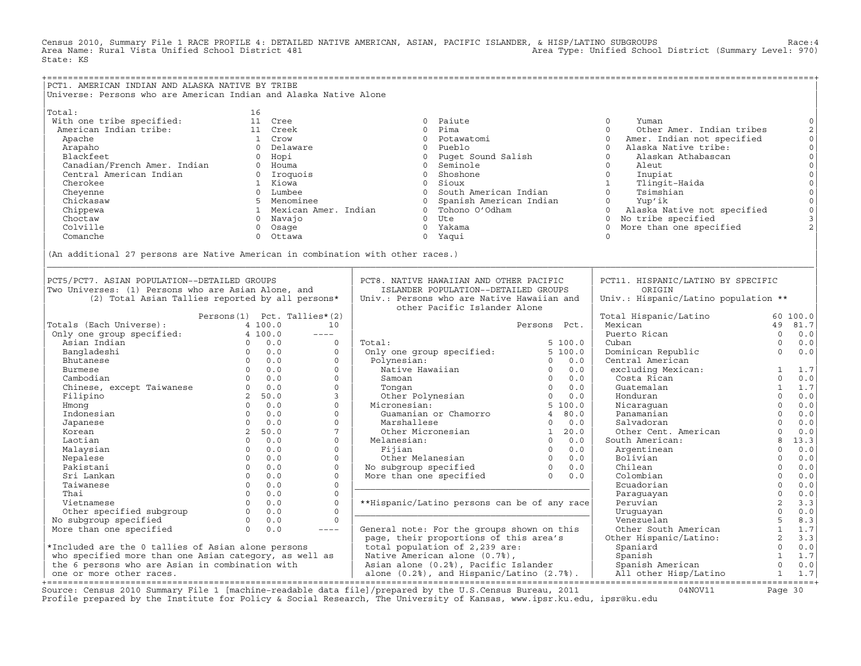Census 2010, Summary File 1 RACE PROFILE 4: DETAILED NATIVE AMERICAN, ASIAN, PACIFIC ISLANDER, & HISP/LATINO SUBGROUPS<br>Area Name: Rural Vista Unified School District 481 State: KS

| PCT1. AMERICAN INDIAN AND ALASKA NATIVE BY TRIBE                                |                                                  |                                               |                                                   |                                         |                                      |
|---------------------------------------------------------------------------------|--------------------------------------------------|-----------------------------------------------|---------------------------------------------------|-----------------------------------------|--------------------------------------|
| Universe: Persons who are American Indian and Alaska Native Alone               |                                                  |                                               |                                                   |                                         |                                      |
|                                                                                 |                                                  |                                               |                                                   |                                         |                                      |
| Total:                                                                          | 16                                               |                                               |                                                   |                                         |                                      |
| With one tribe specified:                                                       | 11 Cree                                          | Paiute<br>$\overline{0}$                      |                                                   | $\mathbf 0$<br>Yuman                    | $\mathbb O$                          |
|                                                                                 |                                                  |                                               |                                                   | $\Omega$                                |                                      |
| American Indian tribe:                                                          | 11 Creek                                         | $\Omega$<br>Pima                              |                                                   | Other Amer. Indian tribes               | $\mathbf 2$                          |
| Apache                                                                          | 1 Crow                                           | Potawatomi<br>$\circ$                         |                                                   | $\Omega$<br>Amer. Indian not specified  |                                      |
| Arapaho                                                                         | 0 Delaware                                       | Pueblo<br>$\circ$                             |                                                   | $\circ$<br>Alaska Native tribe:         |                                      |
| Blackfeet                                                                       | 0 Hopi                                           | $\overline{0}$                                | Puget Sound Salish                                | $\Omega$<br>Alaskan Athabascan          | 000000                               |
| Canadian/French Amer. Indian                                                    | 0 Houma                                          | Seminole<br>$\overline{0}$                    |                                                   | $\circ$<br>Aleut                        |                                      |
| Central American Indian                                                         | 0 Iroquois                                       | Shoshone<br>$\circ$                           |                                                   | $\circ$<br>Inupiat                      |                                      |
| Cherokee                                                                        | 1 Kiowa                                          | Sioux<br>$\Omega$                             |                                                   | $\mathbf{1}$<br>Tlingit-Haida           |                                      |
| Cheyenne                                                                        | 0 Lumbee                                         | $\overline{0}$                                | South American Indian                             | $\Omega$<br>Tsimshian                   |                                      |
| Chickasaw                                                                       | 5 Menominee                                      | $\circ$                                       | Spanish American Indian                           | $\circ$<br>Yup'ik                       |                                      |
| Chippewa                                                                        | 1 Mexican Amer. Indian                           | 0 Tohono O'Odham                              |                                                   | Alaska Native not specified<br>$\Omega$ | $\begin{matrix} 0 \\ 0 \end{matrix}$ |
| Choctaw                                                                         | 0 Navajo                                         | 0 Ute                                         |                                                   | 0 No tribe specified                    |                                      |
| Colville                                                                        | 0 Osaqe                                          | 0 Yakama                                      |                                                   | More than one specified<br>$\Omega$     | $\frac{3}{2}$                        |
|                                                                                 |                                                  |                                               |                                                   | $\Omega$                                |                                      |
| Comanche                                                                        | Ottawa<br>$\circ$                                | 0 Yaqui                                       |                                                   |                                         |                                      |
|                                                                                 |                                                  |                                               |                                                   |                                         |                                      |
| (An additional 27 persons are Native American in combination with other races.) |                                                  |                                               |                                                   |                                         |                                      |
|                                                                                 |                                                  |                                               |                                                   |                                         |                                      |
|                                                                                 |                                                  |                                               |                                                   |                                         |                                      |
| PCT5/PCT7. ASIAN POPULATION--DETAILED GROUPS                                    |                                                  | PCT8. NATIVE HAWAIIAN AND OTHER PACIFIC       |                                                   | PCT11. HISPANIC/LATINO BY SPECIFIC      |                                      |
| Two Universes: (1) Persons who are Asian Alone, and                             |                                                  | ISLANDER POPULATION--DETAILED GROUPS          |                                                   | ORIGIN                                  |                                      |
|                                                                                 | (2) Total Asian Tallies reported by all persons* | Univ.: Persons who are Native Hawaiian and    |                                                   | Univ.: Hispanic/Latino population **    |                                      |
|                                                                                 |                                                  | other Pacific Islander Alone                  |                                                   |                                         |                                      |
|                                                                                 | Persons(1) Pct. Tallies*(2)                      |                                               |                                                   | Total Hispanic/Latino                   | 60 100.0                             |
| Totals (Each Universe):                                                         | 4 100.0<br>10                                    |                                               | Persons Pct.                                      | Mexican                                 | 49 81.7                              |
| Only one group specified:                                                       | 4 100.0<br>$---$                                 |                                               |                                                   | Puerto Rican                            | $\Omega$<br>0.0                      |
| Asian Indian                                                                    | $0 \t 0.0$<br>$\Omega$                           | Total:                                        | 5100.0                                            | Cuban                                   | $\mathbf 0$<br>0.0                   |
| Bangladeshi                                                                     | $0 \t 0.0$<br>$\mathbf 0$                        | Only one group specified:                     | 5 100.0                                           | Dominican Republic                      | 0.0<br>$\Omega$                      |
|                                                                                 | $\Omega$                                         |                                               |                                                   |                                         |                                      |
| Bhutanese                                                                       | $0 \t 0.0$                                       | Polynesian:                                   | 0.0<br>$\Omega$                                   | Central American                        |                                      |
| Burmese                                                                         | $0 \t 0.0$<br>$\Omega$                           | Native Hawaiian                               | $0 \t 0.0$                                        | excluding Mexican:                      | $\mathbf{1}$<br>1.7                  |
| Cambodian                                                                       | $0 \t 0.0$<br>$\Omega$                           | Samoan                                        | $\overline{0}$<br>0.0                             | Costa Rican                             | $\circ$<br>0.0                       |
| Chinese, except Taiwanese 0 0.0                                                 | $\Omega$                                         | Tongan<br>Other Polynesian<br>Cian            | 0.0<br>$\overline{0}$                             | Guatemalan                              | $\mathbf{1}$<br>1.7                  |
| Filipino                                                                        | 2, 50.0<br>$\overline{3}$                        |                                               | $\circ$<br>0.0                                    | Honduran                                | $\mathbf 0$<br>0.0                   |
| Hmong                                                                           | $0 \t 0.0$<br>$\Omega$                           | Micronesian:                                  | 5 100.0                                           | Nicaraquan                              | $\Omega$<br>0.0                      |
| Indonesian                                                                      | $0 \t 0.0$<br>$\Omega$                           | Guamanian or Chamorro                         | 480.0                                             | Panamanian                              | $\Omega$<br>0.0                      |
| Japanese                                                                        | $0 \t 0.0$<br>$\Omega$                           | Marshallese                                   | $\Omega$<br>0.0                                   | Salvadoran                              | $\Omega$<br>0.0                      |
| Korean                                                                          | 2, 50.0<br>$7\overline{ }$                       | Other Micronesian                             |                                                   | Other Cent. American                    | $\Omega$<br>0.0                      |
| Laotian                                                                         | $\Omega$<br>$0 \t 0.0$                           | Melanesian:                                   | $\begin{matrix} 1 & 20.0 \\ 0 & 0.0 \end{matrix}$ | South American:                         | 8<br>13.3                            |
| Malaysian                                                                       | $0 \t 0.0$<br>$\Omega$                           | Fijian                                        | $0 \quad 0.0$                                     | Argentinean                             | $\Omega$<br>0.0                      |
| Nepalese                                                                        | $0 \t 0.0$<br>$\Omega$                           |                                               |                                                   | Bolivian                                | $\mathbf 0$<br>0.0                   |
| Pakistani                                                                       | $\Omega$<br>0.0<br>$\Omega$                      |                                               |                                                   | Chilean                                 | $\circ$<br>0.0                       |
| Sri Lankan                                                                      | $\Omega$<br>$\Omega$<br>0.0                      | More than one specified                       |                                                   | Colombian                               | $\Omega$<br>$0.0$                    |
|                                                                                 | $\Omega$                                         |                                               |                                                   |                                         | $\mathbf 0$                          |
| Taiwanese                                                                       | $0 \t 0.0$                                       |                                               |                                                   | Ecuadorian                              | $0.0$                                |
| Thai                                                                            | $\Omega$<br>$\Omega$<br>0.0                      |                                               |                                                   | Paraguayan                              | $\circ$<br>$0.0$                     |
| Vietnamese                                                                      | $\mathbf 0$<br>$0 \t 0.0$                        | **Hispanic/Latino persons can be of any race  |                                                   | Peruvian                                | 2<br>3.3                             |
| Other specified subgroup                                                        | $0 \t 0.0$<br>$\Omega$                           |                                               |                                                   | Uruguayan                               | $\circ$<br>$0.0$                     |
| No subgroup specified                                                           | $0 \t 0.0$<br>$\Omega$                           |                                               |                                                   | Venezuelan                              | $\overline{5}$<br>8.3                |
| More than one specified                                                         | $\Omega$<br>0.0<br>$\frac{1}{2}$                 | General note: For the groups shown on this    |                                                   | Other South American                    | $\mathbf{1}$<br>1.7                  |
|                                                                                 |                                                  | page, their proportions of this area's        |                                                   | Other Hispanic/Latino:                  | 2<br>3.3                             |
| *Included are the 0 tallies of Asian alone persons                              |                                                  | total population of 2,239 are:                |                                                   | Spaniard                                | $\Omega$<br>0.0                      |
| who specified more than one Asian category, as well as                          |                                                  | Native American alone (0.7%),                 |                                                   | Spanish                                 | $\mathbf{1}$<br>1.7                  |
| the 6 persons who are Asian in combination with                                 |                                                  | Asian alone (0.2%), Pacific Islander          |                                                   | Spanish American                        | $\Omega$<br>$0.0$                    |
| one or more other races.                                                        |                                                  | alone $(0.2)$ , and Hispanic/Latino $(2.7)$ . |                                                   | All other Hisp/Latino                   | $\mathbf{1}$<br>1.7                  |
|                                                                                 |                                                  |                                               |                                                   |                                         |                                      |

| one or more other races. | alone (0.2%), and Hispanic/Latino (2.7%). | All other Hisp/Latino 1 1.7| +===================================================================================================================================================+ Source: Census 2010 Summary File 1 [machine−readable data file]/prepared by the U.S.Census Bureau, 2011 04NOV11 Page 30 Profile prepared by the Institute for Policy & Social Research, The University of Kansas, www.ipsr.ku.edu, ipsr@ku.edu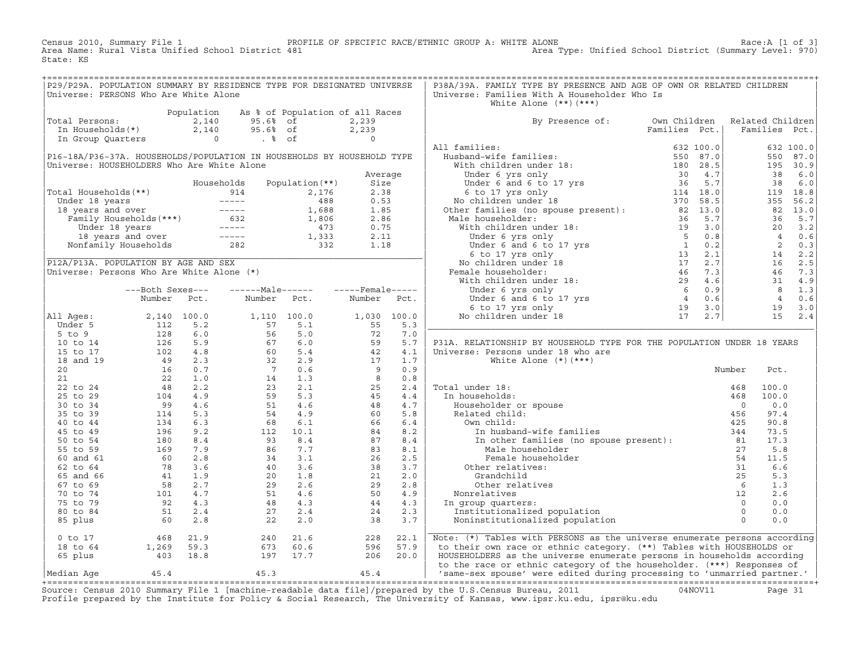Census 2010, Summary File 1 PROFILE OF SPECIFIC RACE/ETHNIC GROUP A: WHITE ALONE RACE: A [1 of 3]<br>Area Name: Rural Vista Unified School District 481 Area Nove: Unified School District (Summary Level: 970) Area Type: Unified School District (Summary Level: 970) State: KS

+===================================================================================================================================================+|P29/P29A. POPULATION SUMMARY BY RESIDENCE TYPE FOR DESIGNATED UNIVERSE | P38A/39A. FAMILY TYPE BY PRESENCE AND AGE OF OWN OR RELATED CHILDREN<br>|Universe: PERSONS Who Are White Alone Universe: Families With A Householder Who Is | | White Alone (\*\*)(\*\*\*) | | Population As % of Population of all Races | | |Total Persons: 2,140 95.6% of 2,239 | By Presence of: Own Children Related Children| | In Households(\*) 2,140 95.6% of 2,239 | Families Pct.| Families Pct.| | In Group Quarters 0 . % of 0 | | | | | All families: 632 100.0| 632 100.0| |P16−18A/P36−37A. HOUSEHOLDS/POPULATION IN HOUSEHOLDS BY HOUSEHOLD TYPE | Husband−wife families: 550 87.0| 550 87.0| |Universe: HOUSEHOLDERS Who Are White Alone | With children under 18: 180 28.5| 195 30.9| | Average | Under 6 yrs only 30 4.7| 38 6.0| | Households Population(\*\*) Size | Under 6 and 6 to 17 yrs 36 5.7| 38 6.0| |Total Households(\*\*) 914 2,176 2.38 | 6 to 17 yrs only 114 18.0| 119 18.8| | Under 18 years −−−−− 488 0.53 | No children under 18 370 58.5| 355 56.2| | 18 years and over −−−−− 1,688 1.85 | Other families (no spouse present): 82 13.0| 82 13.0| | Family Households(\*\*\*) 632 1,806 2.86 | Male householder: 36 5.7| 36 5.7| | Under 18 years −−−−− 473 0.75 | With children under 18: 19 3.0| 20 3.2| | 18 years and over −−−−− 1,333 2.11 | Under 6 yrs only 5 0.8| 4 0.6| | Nonfamily Households 282 332 1.18 | Under 6 and 6 to 17 yrs 1 0.2| 2 0.3| |\_\_\_\_\_\_\_\_\_\_\_\_\_\_\_\_\_\_\_\_\_\_\_\_\_\_\_\_\_\_\_\_\_\_\_\_\_\_\_\_\_\_\_\_\_\_\_\_\_\_\_\_\_\_\_\_\_\_\_\_\_\_\_\_\_\_\_\_\_\_\_\_| 6 to 17 yrs only 13 2.1| 14 2.2| P12A/P13A. POPULATION BY AGE AND SEX  $\vert$  No children under 18 17 2.7| 16 2.5| |Universe: Persons Who Are White Alone (\*) | Female householder: 46 7.3| 46 7.3| | | With children under 18: 29 4.6| 31 4.9| | −−−Both Sexes−−− −−−−−−Male−−−−−− −−−−−Female−−−−− | Under 6 yrs only 6 0.9| 8 1.3| | Number Pct. Number Pct. Number Pct. | Under 6 and 6 to 17 yrs 4 0.6| 4 0.6| | | 6 to 17 yrs only 19 3.0| 19 3.0| |All Ages: 2,140 100.0 1,110 100.0 1,030 100.0 | No children under 18 17 2.7 | 15 2.4 | Under 5 112 5.2 57 5.1 55 5.3 |\_\_\_\_\_\_\_\_\_\_\_\_\_\_\_\_\_\_\_\_\_\_\_\_\_\_\_\_\_\_\_\_\_\_\_\_\_\_\_\_\_\_\_\_\_\_\_\_\_\_\_\_\_\_\_\_\_\_\_\_\_\_\_\_\_\_\_\_\_\_\_\_\_\_| | 5 to 9 128 6.0 56 5.0 72 7.0 | | | 10 to 14 126 5.9 67 6.0 59 5.7 | P31A. RELATIONSHIP BY HOUSEHOLD TYPE FOR THE POPULATION UNDER 18 YEARS | | 15 to 17  $102$  4.8  $60$  5.4  $42$  4.1 | Universe: Persons under 18 who are | 18 and 19 49 2.3 32 2.9 17 1.7 | White Alone (\*)(\*\*\*) | | 20 16 0.7 7 0.6 9 0.9 | Number Pct. | | 21 22 1.0 14 1.3 8 0.8 | | | 22 to 24 48 2.2 23 2.1 25 2.4 | Total under 18: 468 100.0 | | 25 to 29 104 4.9 59 5.3 45 4.4 | In households: 468 100.0 | | 30 to 34 99 4.6 51 4.6 48 4.7 | Householder or spouse 0 0.0 | | 35 to 39 114 5.3 54 4.9 60 5.8 | Related child: 456 97.4 | | 40 to 44 134 6.3 68 6.1 66 6.4 | Own child: 425 90.8 | | 45 to 49 196 9.2 112 10.1 84 8.2 | In husband−wife families 344 73.5 | | 50 to 54 180 8.4 93 8.4 87 8.4 | In other families (no spouse present): 81 17.3 | | 55 to 59 169 7.9 86 7.7 83 8.1 | Male householder 27 5.8 | | 60 and 61 60 2.8 34 3.1 26 2.5 | Female householder 54 11.5 | | 62 to 64 78 3.6 40 3.6 38 3.7 | Other relatives: 31 6.6 | | 65 and 66 41 1.9 20 1.8 21 2.0 | Grandchild 25 5.3 | | 67 to 69 58 2.7 29 2.6 29 2.8 | Other relatives 6 1.3 | | 70 to 74 101 4.7 51 4.6 50 4.9 | Nonrelatives 12 2.6 | | 75 to 79 92 4.3 48 4.3 44 4.3 | In group quarters: 0 0.0 | | 80 to 84 51 2.4 27 2.4 24 2.3 | Institutionalized population 0 0.0 | | 85 plus 60 2.8 22 2.0 38 3.7 | Noninstitutionalized population 0 0.0 | | |\_\_\_\_\_\_\_\_\_\_\_\_\_\_\_\_\_\_\_\_\_\_\_\_\_\_\_\_\_\_\_\_\_\_\_\_\_\_\_\_\_\_\_\_\_\_\_\_\_\_\_\_\_\_\_\_\_\_\_\_\_\_\_\_\_\_\_\_\_\_\_\_\_\_|  $\begin{array}{|l|} \hline \begin{array}{c} 0 \text{ to } 17 \end{array} \hspace{1.2cm} \hline \end{array} \hspace{1.2cm} \begin{array}{|l|} \hline \begin{array}{c} 21.9 \end{array} \hspace{1.2cm} \hline \end{array} \hspace{1.2cm} \begin{array}{c} 22.1 \end{array} \hspace{1.2cm} \hline \begin{array}{c} \hline \text{Note: (*) Tables with PERSONS as the universe enumerate persons according to the image.} \end{array} \end{array}$ | 18 to 64 1,269 59.3 673 60.6 596 57.9 | to their own race or ethnic category. (\*\*) Tables with HOUSEHOLDS or |  $|$  65 plus  $|$  403  $|$  18.8  $|$  197  $|$  17.7  $|$  206  $|$  20.0  $|$  HOUSEHOLDERS as the universe enumerate persons in households according  $|$ | to the race or ethnic category of the householder. (\*\*\*) Responses of |Median Age 45.4 45.3 45.4 | 'same−sex spouse' were edited during processing to 'unmarried partner.' | +===================================================================================================================================================+

Source: Census 2010 Summary File 1 [machine−readable data file]/prepared by the U.S.Census Bureau, 2011 04NOV11 Page 31 Profile prepared by the Institute for Policy & Social Research, The University of Kansas, www.ipsr.ku.edu, ipsr@ku.edu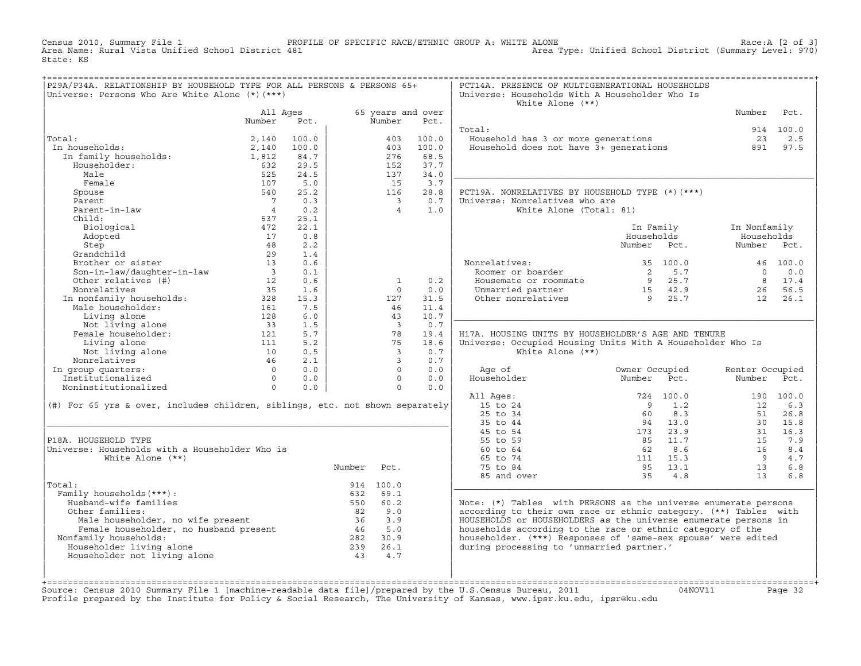Census 2010, Summary File 1 PROFILE OF SPECIFIC RACE/ETHNIC GROUP A: WHITE ALONE Race:A [2 of 3] Area Type: Unified School District (Summary Level: 970) State: KS

| P29A/P34A. RELATIONSHIP BY HOUSEHOLD TYPE FOR ALL PERSONS & PERSONS 65+<br>Universe: Persons Who Are White Alone (*) (***)                           |                                                |       |          |                            |                           | PCT14A. PRESENCE OF MULTIGENERATIONAL HOUSEHOLDS<br>Universe: Households With A Householder Who Is<br>White Alone $(**)$ |                                                      |                 |                  |
|------------------------------------------------------------------------------------------------------------------------------------------------------|------------------------------------------------|-------|----------|----------------------------|---------------------------|--------------------------------------------------------------------------------------------------------------------------|------------------------------------------------------|-----------------|------------------|
|                                                                                                                                                      | All Ages<br>Number                             | Pct.  |          | Number                     | 65 years and over<br>Pct. |                                                                                                                          |                                                      | Number          | Pct.             |
|                                                                                                                                                      |                                                |       |          |                            |                           | Total:                                                                                                                   |                                                      |                 | 914 100.0        |
| Total:                                                                                                                                               | 2,140                                          | 100.0 |          | 403                        | 100.0                     | Household has 3 or more generations<br>Household does not have 3+ generations                                            |                                                      | 23              | 2.5              |
| In households:                                                                                                                                       | 2,140                                          | 100.0 |          | 403                        | 100.0                     |                                                                                                                          |                                                      | 891             | 97.5             |
| .a<br>1 households:<br>In family households:                                                                                                         | 1,812                                          | 84.7  |          | 276                        | 68.5                      |                                                                                                                          |                                                      |                 |                  |
| Householder:                                                                                                                                         | 632                                            | 29.5  |          | 152                        | 37.7                      |                                                                                                                          |                                                      |                 |                  |
| Male                                                                                                                                                 | 525                                            | 24.5  |          | 137                        | 34.0                      |                                                                                                                          |                                                      |                 |                  |
| Female                                                                                                                                               | 107                                            | 5.0   |          | 15                         | 3.7                       |                                                                                                                          |                                                      |                 |                  |
| Spouse                                                                                                                                               | 540                                            | 25.2  |          | 116                        | 28.8                      | PCT19A. NONRELATIVES BY HOUSEHOLD TYPE (*) (***)                                                                         |                                                      |                 |                  |
| Parent<br>rarent<br>Parent-in-law                                                                                                                    | $\overline{7}$                                 | 0.3   |          | $\overline{\phantom{a}}$ 3 | 0.7                       | Universe: Nonrelatives who are                                                                                           |                                                      |                 |                  |
|                                                                                                                                                      | $\overline{4}$                                 | 0.2   |          | $\overline{4}$             | 1.0                       | White Alone (Total: 81)                                                                                                  |                                                      |                 |                  |
| Child:                                                                                                                                               | 537                                            | 25.1  |          |                            |                           |                                                                                                                          |                                                      |                 |                  |
| Biological                                                                                                                                           | 472                                            | 22.1  |          |                            |                           |                                                                                                                          | In Family                                            | In Nonfamily    |                  |
| Adopted                                                                                                                                              | 17                                             | 0.8   |          |                            |                           |                                                                                                                          | Households                                           | Households      |                  |
| Step                                                                                                                                                 | 48                                             | 2.2   |          |                            |                           |                                                                                                                          | Number Pct.                                          | Number Pct.     |                  |
|                                                                                                                                                      | 29                                             | 1.4   |          |                            |                           |                                                                                                                          |                                                      |                 |                  |
|                                                                                                                                                      | 13                                             | 0.6   |          |                            |                           | Nonrelatives:<br>onrelatives:<br>Roomer or boarder                                                                       | 35 100.0                                             |                 | 46 100.0         |
| Step<br>Grandchild<br>Brother or sister<br>Son-in-law/daughter-in-law                                                                                | $\overline{\mathbf{3}}$                        | 0.1   |          |                            |                           |                                                                                                                          | $\begin{array}{ccc} 2 & 5.7 \\ 9 & 25.7 \end{array}$ | $\Omega$        | 0.0              |
| Other relatives (#)                                                                                                                                  | 12                                             | 0.6   |          | $\mathbf{1}$               | 0.2                       | Housemate or roommate                                                                                                    |                                                      | $\overline{8}$  | 17.4             |
| Nonrelatives                                                                                                                                         | 35                                             | 1.6   |          | $\Omega$                   | 0.0                       | Unmarried partner                                                                                                        | $15$ $42.9$<br>9 $25.7$                              | 26              | 56.5             |
|                                                                                                                                                      |                                                | 15.3  |          | 127                        | 31.5                      | Other nonrelatives                                                                                                       |                                                      | 12              | 26.1             |
|                                                                                                                                                      |                                                | 7.5   |          | 46                         | 11.4                      |                                                                                                                          |                                                      |                 |                  |
|                                                                                                                                                      |                                                | 6.0   |          | 43                         | 10.7                      |                                                                                                                          |                                                      |                 |                  |
|                                                                                                                                                      |                                                | 1.5   |          | $\overline{\mathbf{3}}$    | 0.7                       |                                                                                                                          |                                                      |                 |                  |
| Nonrelatives<br>In nonfamily households:<br>Male householder:<br>161<br>Living alone<br>Not living alone<br>Female householder:<br>111<br>111<br>111 |                                                | 5.7   |          | 78                         | 19.4                      | H17A. HOUSING UNITS BY HOUSEHOLDER'S AGE AND TENURE                                                                      |                                                      |                 |                  |
| Living alone                                                                                                                                         |                                                | 5.2   |          | 75                         | 18.6                      | Universe: Occupied Housing Units With A Householder Who Is                                                               |                                                      |                 |                  |
| niving aione<br>Not living alone<br>onrelatives                                                                                                      | $\begin{array}{c} 111 \\ 10 \\ 46 \end{array}$ | 0.5   |          | $\overline{\mathbf{3}}$    | 0.7                       | White Alone $(**)$                                                                                                       |                                                      |                 |                  |
| Nonrelatives                                                                                                                                         |                                                | 2.1   |          | $\overline{\mathbf{3}}$    | 0.7                       |                                                                                                                          |                                                      |                 |                  |
| In group quarters:                                                                                                                                   |                                                | 0.0   |          | $\Omega$                   | 0.0                       | Age of                                                                                                                   | Owner Occupied                                       | Renter Occupied |                  |
|                                                                                                                                                      |                                                | 0.0   |          | $\circ$                    | 0.0                       | Householder                                                                                                              | Number<br>Pct.                                       | Number Pct.     |                  |
| Nontenatives:<br>1 group quarters:<br>Institutionalized 0<br>Noninstitutionalized 0                                                                  |                                                | 0.0   |          | $\Omega$                   | 0.0                       |                                                                                                                          |                                                      |                 |                  |
|                                                                                                                                                      |                                                |       |          |                            |                           | All Ages:<br>15 to 24                                                                                                    | 724 100.0<br>1.2<br>$\overline{9}$                   | 12              | 190 100.0<br>6.3 |
| (#) For 65 yrs & over, includes children, siblings, etc. not shown separately                                                                        |                                                |       |          |                            |                           | 25 to 34                                                                                                                 | 8.3<br>60                                            |                 | 51 26.8          |
|                                                                                                                                                      |                                                |       |          |                            |                           | 35 to 44                                                                                                                 | 94 13.0                                              | 30 <sup>2</sup> |                  |
|                                                                                                                                                      |                                                |       |          |                            |                           | 45 to 54                                                                                                                 | 173 23.9                                             | 31              | 15.8<br>16.3     |
| P18A. HOUSEHOLD TYPE                                                                                                                                 |                                                |       |          |                            |                           | 55 to 59                                                                                                                 | 11.7<br>85                                           | 15              | 7.9              |
| Universe: Households with a Householder Who is                                                                                                       |                                                |       |          |                            |                           | 60 to 64                                                                                                                 | 62<br>8.6                                            | 16              | 8.4              |
| White Alone $(**)$                                                                                                                                   |                                                |       |          |                            |                           | 65 to 74                                                                                                                 | 111 15.3                                             | $\overline{9}$  | 4.7              |
|                                                                                                                                                      |                                                |       | Number   | Pct.                       |                           | 75 to 84                                                                                                                 | $95 \t 13.1$                                         | 13              | 6.8              |
|                                                                                                                                                      |                                                |       |          |                            |                           | 85 and over                                                                                                              | 35 4.8                                               | 13              | 6.8              |
| Total:                                                                                                                                               |                                                |       |          | 914 100.0                  |                           |                                                                                                                          |                                                      |                 |                  |
| Family households (***) :                                                                                                                            |                                                |       |          | 632 69.1                   |                           |                                                                                                                          |                                                      |                 |                  |
| Husband-wife families                                                                                                                                |                                                |       |          | 550 60.2                   |                           | Note: (*) Tables with PERSONS as the universe enumerate persons                                                          |                                                      |                 |                  |
| Other families:                                                                                                                                      |                                                |       | 82       | 9.0                        |                           | according to their own race or ethnic category. (**) Tables with                                                         |                                                      |                 |                  |
|                                                                                                                                                      |                                                |       |          | $36$ $3.9$                 |                           | HOUSEHOLDS or HOUSEHOLDERS as the universe enumerate persons in                                                          |                                                      |                 |                  |
| Male householder, no wife present<br>Female householder, no husband present<br>Ismily boyseholds.                                                    |                                                |       |          | 46 5.0                     |                           | households according to the race or ethnic category of the                                                               |                                                      |                 |                  |
| Nonfamily households:                                                                                                                                |                                                |       | 282 30.9 |                            |                           | householder. (***) Responses of 'same-sex spouse' were edited                                                            |                                                      |                 |                  |
| Householder living alone                                                                                                                             |                                                |       | 239      | 26.1                       |                           | during processing to 'unmarried partner.'                                                                                |                                                      |                 |                  |
| Householder not living alone                                                                                                                         |                                                |       |          | 43 4.7                     |                           |                                                                                                                          |                                                      |                 |                  |
|                                                                                                                                                      |                                                |       |          |                            |                           |                                                                                                                          |                                                      |                 |                  |
|                                                                                                                                                      |                                                |       |          |                            |                           |                                                                                                                          |                                                      |                 |                  |

+===================================================================================================================================================+Source: Census 2010 Summary File 1 [machine−readable data file]/prepared by the U.S.Census Bureau, 2011 04NOV11 Page 32 Profile prepared by the Institute for Policy & Social Research, The University of Kansas, www.ipsr.ku.edu, ipsr@ku.edu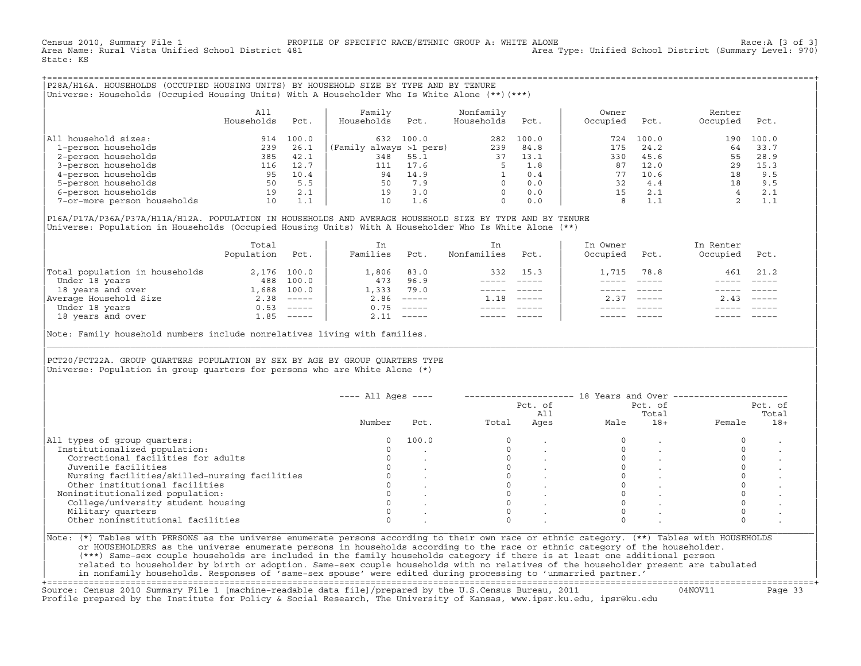Census 2010, Summary File 1 PROFILE OF SPECIFIC RACE/ETHNIC GROUP A: WHITE ALONE Race:A [3 of 3] Area Type: Unified School District (Summary Level: 970) State: KS

+===================================================================================================================================================+|P28A/H16A. HOUSEHOLDS (OCCUPIED HOUSING UNITS) BY HOUSEHOLD SIZE BY TYPE AND BY TENURE | |Universe: Households (Occupied Housing Units) With A Householder Who Is White Alone (\*\*)(\*\*\*) |

|                             | All<br>Households | Pct.  | Family<br>Households    | Pct.  | Nonfamily<br>Households | Pct.  | Owner<br>Occupied | Pct.  | Renter<br>Occupied | Pct.  |  |
|-----------------------------|-------------------|-------|-------------------------|-------|-------------------------|-------|-------------------|-------|--------------------|-------|--|
| household sizes:<br>All     | 914               | 100.0 | 632                     | 100.0 | 282                     | 100.0 | 724               | 100.0 | 190                | 100.0 |  |
| 1-person households         | 239               | 26.1  | (Family always >1 pers) |       | 239                     | 84.8  | 175               | 24.2  | 64                 | 33.7  |  |
| 2-person households         | 385               | 42.1  | 348                     | 55.1  | 37                      | 13.1  | 330               | 45.6  | 55                 | 28.9  |  |
| 3-person households         | 116               | 12.7  | 111                     | 17.6  |                         | 1.8   | 87                | 12.0  | 29                 | 15.3  |  |
| 4-person households         | 95                | 10.4  | 94                      | 14.9  |                         | 0.4   | 77                | 10.6  | 18                 | 9.5   |  |
| 5-person households         | 50                | 5.5   | 50                      | 7.9   | $\Omega$                | 0.0   | 32                | 4.4   | 18                 | 9.5   |  |
| 6-person households         | 19                | 2.1   | 19                      | 3.0   | $\Omega$                | 0.0   | 15                | 2.1   |                    | 2.1   |  |
| 7-or-more person households | 10                | 1.1   | 10                      | 1.6   | $\Omega$                | 0.0   | 8                 | 1.1   |                    | 1.1   |  |

|P16A/P17A/P36A/P37A/H11A/H12A. POPULATION IN HOUSEHOLDS AND AVERAGE HOUSEHOLD SIZE BY TYPE AND BY TENURE | Universe: Population in Households (Occupied Housing Units) With A Householder Who Is White Alone (\*\*)

|                                | Total<br>Population | Pct.         | In<br>Families | Pct.     | In.<br>Nonfamilies | Pct.     | In Owner<br>Occupied | Pct.                      | In Renter<br>Occupied | Pct.     |  |
|--------------------------------|---------------------|--------------|----------------|----------|--------------------|----------|----------------------|---------------------------|-----------------------|----------|--|
| Total population in households |                     | 2,176 100.0  | 1,806          | 83.0     | 332                | 15.3     | 1,715                | 78.8                      | 461                   | 21.2     |  |
| Under 18 years                 | 488                 | 100.0        | 473            | 96.9     |                    |          |                      |                           |                       |          |  |
| 18 years and over              |                     | 1,688 100.0  | 1,333          | 79.0     |                    |          |                      |                           |                       |          |  |
| Average Household Size         | 2.38                | $------$     | 2.86           | $------$ | 1.18               | $------$ | 2.37                 | $\qquad \qquad - - - - -$ | 2.43                  | $------$ |  |
| Under 18 years                 | 0.53                | $------$     | 0.75           | $------$ |                    |          |                      |                           |                       |          |  |
| 18 years and over              |                     | $1.85$ ----- | 2.11           |          |                    |          |                      | $- - - - -$               |                       | $------$ |  |
|                                |                     |              |                |          |                    |          |                      |                           |                       |          |  |

Note: Family household numbers include nonrelatives living with families.

| | PCT20/PCT22A. GROUP OUARTERS POPULATION BY SEX BY AGE BY GROUP OUARTERS TYPE Universe: Population in group quarters for persons who are White Alone  $(*)$ 

|                                               |        |       |       | Pct. of<br>All |      | Pct. of<br>Total |        | Pct. of<br>Total |
|-----------------------------------------------|--------|-------|-------|----------------|------|------------------|--------|------------------|
|                                               | Number | Pct.  | Total | Ages           | Male | $18+$            | Female | $18+$            |
| All types of group quarters:                  | 0      | 100.0 |       |                |      |                  |        |                  |
| Institutionalized population:                 |        |       |       |                |      |                  |        |                  |
| Correctional facilities for adults            |        |       |       |                |      |                  |        |                  |
| Juvenile facilities                           |        |       |       |                |      |                  |        |                  |
| Nursing facilities/skilled-nursing facilities |        |       |       |                |      |                  |        |                  |
| Other institutional facilities                |        |       |       |                |      |                  |        |                  |
| Noninstitutionalized population:              |        |       |       |                |      |                  |        |                  |
| College/university student housing            |        |       |       |                |      |                  |        |                  |
| Military quarters                             |        |       |       |                |      |                  |        |                  |
| Other noninstitutional facilities             |        |       |       |                |      |                  |        |                  |

|\_\_\_\_\_\_\_\_\_\_\_\_\_\_\_\_\_\_\_\_\_\_\_\_\_\_\_\_\_\_\_\_\_\_\_\_\_\_\_\_\_\_\_\_\_\_\_\_\_\_\_\_\_\_\_\_\_\_\_\_\_\_\_\_\_\_\_\_\_\_\_\_\_\_\_\_\_\_\_\_\_\_\_\_\_\_\_\_\_\_\_\_\_\_\_\_\_\_\_\_\_\_\_\_\_\_\_\_\_\_\_\_\_\_\_\_\_\_\_\_\_\_\_\_\_\_\_\_\_\_\_\_\_\_\_\_\_\_\_\_\_\_\_\_\_\_\_|

| |

| or HOUSEHOLDERS as the universe enumerate persons in households according to the race or ethnic category of the householder. | | (\*\*\*) Same−sex couple households are included in the family households category if there is at least one additional person | | related to householder by birth or adoption. Same−sex couple households with no relatives of the householder present are tabulated | | in nonfamily households. Responses of 'same−sex spouse' were edited during processing to 'unmarried partner.' |

+===================================================================================================================================================+ Source: Census 2010 Summary File 1 [machine−readable data file]/prepared by the U.S.Census Bureau, 2011 04NOV11 Page 33 Profile prepared by the Institute for Policy & Social Research, The University of Kansas, www.ipsr.ku.edu, ipsr@ku.edu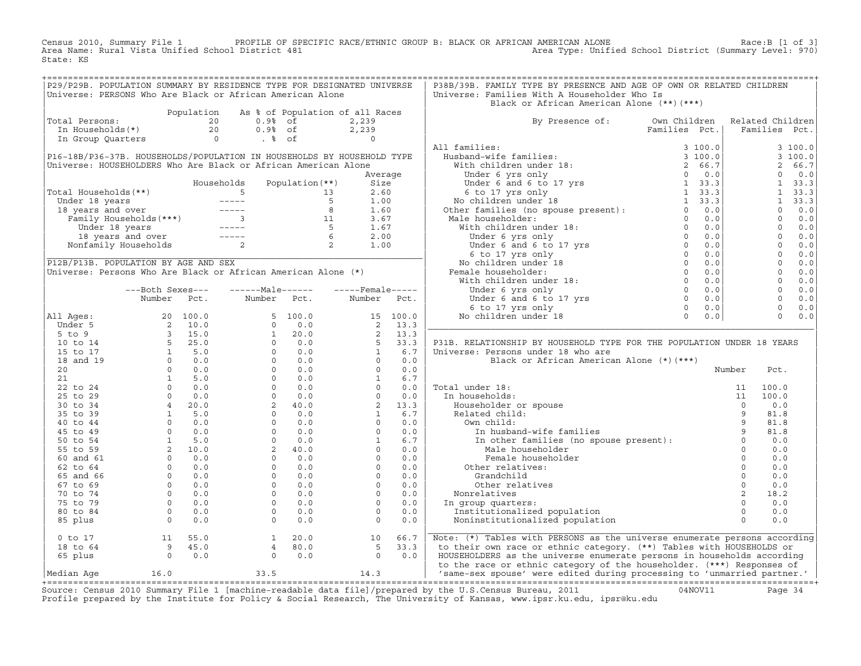Census 2010, Summary File 1 PROFILE OF SPECIFIC RACE/ETHNIC GROUP B: BLACK OR AFRICAN AMERICAN ALONE Race:B [1 of 3] Area Name: Rural Vista Unified School District 481 Area Type: Unified School District (Summary Level: 970) State: KS

| P29/P29B. POPULATION SUMMARY BY RESIDENCE TYPE FOR DESIGNATED UNIVERSE                                                                                           |  |                                            |  | P38B/39B. FAMILY TYPE BY PRESENCE AND AGE OF OWN OR RELATED CHILDREN                                                                                                                                                                                                                                                                                                                                                                                                                                                                                                                                                                                                                                                                                                                                                                                                                                                             |  |  |  |
|------------------------------------------------------------------------------------------------------------------------------------------------------------------|--|--------------------------------------------|--|----------------------------------------------------------------------------------------------------------------------------------------------------------------------------------------------------------------------------------------------------------------------------------------------------------------------------------------------------------------------------------------------------------------------------------------------------------------------------------------------------------------------------------------------------------------------------------------------------------------------------------------------------------------------------------------------------------------------------------------------------------------------------------------------------------------------------------------------------------------------------------------------------------------------------------|--|--|--|
| Universe: PERSONS Who Are Black or African American Alone                                                                                                        |  |                                            |  | Universe: Families With A Householder Who Is                                                                                                                                                                                                                                                                                                                                                                                                                                                                                                                                                                                                                                                                                                                                                                                                                                                                                     |  |  |  |
|                                                                                                                                                                  |  |                                            |  | Black or African American Alone (**)(***)                                                                                                                                                                                                                                                                                                                                                                                                                                                                                                                                                                                                                                                                                                                                                                                                                                                                                        |  |  |  |
|                                                                                                                                                                  |  | Population As % of Population of all Races |  |                                                                                                                                                                                                                                                                                                                                                                                                                                                                                                                                                                                                                                                                                                                                                                                                                                                                                                                                  |  |  |  |
| Population As % of Population of all K<br>Total Persons: 20 0.9% of 2,239<br>In Households(*) 20 0.9% of 2,239<br>In Group Quarters 0 . % of 0<br>Total Persons: |  |                                            |  |                                                                                                                                                                                                                                                                                                                                                                                                                                                                                                                                                                                                                                                                                                                                                                                                                                                                                                                                  |  |  |  |
|                                                                                                                                                                  |  |                                            |  | By Presence of: Own Children Related Children<br>Families Pct.   Families Pct.                                                                                                                                                                                                                                                                                                                                                                                                                                                                                                                                                                                                                                                                                                                                                                                                                                                   |  |  |  |
|                                                                                                                                                                  |  |                                            |  |                                                                                                                                                                                                                                                                                                                                                                                                                                                                                                                                                                                                                                                                                                                                                                                                                                                                                                                                  |  |  |  |
|                                                                                                                                                                  |  |                                            |  |                                                                                                                                                                                                                                                                                                                                                                                                                                                                                                                                                                                                                                                                                                                                                                                                                                                                                                                                  |  |  |  |
|                                                                                                                                                                  |  |                                            |  |                                                                                                                                                                                                                                                                                                                                                                                                                                                                                                                                                                                                                                                                                                                                                                                                                                                                                                                                  |  |  |  |
|                                                                                                                                                                  |  |                                            |  |                                                                                                                                                                                                                                                                                                                                                                                                                                                                                                                                                                                                                                                                                                                                                                                                                                                                                                                                  |  |  |  |
|                                                                                                                                                                  |  |                                            |  |                                                                                                                                                                                                                                                                                                                                                                                                                                                                                                                                                                                                                                                                                                                                                                                                                                                                                                                                  |  |  |  |
|                                                                                                                                                                  |  |                                            |  |                                                                                                                                                                                                                                                                                                                                                                                                                                                                                                                                                                                                                                                                                                                                                                                                                                                                                                                                  |  |  |  |
|                                                                                                                                                                  |  |                                            |  |                                                                                                                                                                                                                                                                                                                                                                                                                                                                                                                                                                                                                                                                                                                                                                                                                                                                                                                                  |  |  |  |
|                                                                                                                                                                  |  |                                            |  |                                                                                                                                                                                                                                                                                                                                                                                                                                                                                                                                                                                                                                                                                                                                                                                                                                                                                                                                  |  |  |  |
|                                                                                                                                                                  |  |                                            |  |                                                                                                                                                                                                                                                                                                                                                                                                                                                                                                                                                                                                                                                                                                                                                                                                                                                                                                                                  |  |  |  |
|                                                                                                                                                                  |  |                                            |  |                                                                                                                                                                                                                                                                                                                                                                                                                                                                                                                                                                                                                                                                                                                                                                                                                                                                                                                                  |  |  |  |
|                                                                                                                                                                  |  |                                            |  |                                                                                                                                                                                                                                                                                                                                                                                                                                                                                                                                                                                                                                                                                                                                                                                                                                                                                                                                  |  |  |  |
|                                                                                                                                                                  |  |                                            |  |                                                                                                                                                                                                                                                                                                                                                                                                                                                                                                                                                                                                                                                                                                                                                                                                                                                                                                                                  |  |  |  |
|                                                                                                                                                                  |  |                                            |  |                                                                                                                                                                                                                                                                                                                                                                                                                                                                                                                                                                                                                                                                                                                                                                                                                                                                                                                                  |  |  |  |
|                                                                                                                                                                  |  |                                            |  |                                                                                                                                                                                                                                                                                                                                                                                                                                                                                                                                                                                                                                                                                                                                                                                                                                                                                                                                  |  |  |  |
|                                                                                                                                                                  |  |                                            |  |                                                                                                                                                                                                                                                                                                                                                                                                                                                                                                                                                                                                                                                                                                                                                                                                                                                                                                                                  |  |  |  |
|                                                                                                                                                                  |  |                                            |  |                                                                                                                                                                                                                                                                                                                                                                                                                                                                                                                                                                                                                                                                                                                                                                                                                                                                                                                                  |  |  |  |
|                                                                                                                                                                  |  |                                            |  |                                                                                                                                                                                                                                                                                                                                                                                                                                                                                                                                                                                                                                                                                                                                                                                                                                                                                                                                  |  |  |  |
|                                                                                                                                                                  |  |                                            |  |                                                                                                                                                                                                                                                                                                                                                                                                                                                                                                                                                                                                                                                                                                                                                                                                                                                                                                                                  |  |  |  |
|                                                                                                                                                                  |  |                                            |  |                                                                                                                                                                                                                                                                                                                                                                                                                                                                                                                                                                                                                                                                                                                                                                                                                                                                                                                                  |  |  |  |
|                                                                                                                                                                  |  |                                            |  |                                                                                                                                                                                                                                                                                                                                                                                                                                                                                                                                                                                                                                                                                                                                                                                                                                                                                                                                  |  |  |  |
|                                                                                                                                                                  |  |                                            |  |                                                                                                                                                                                                                                                                                                                                                                                                                                                                                                                                                                                                                                                                                                                                                                                                                                                                                                                                  |  |  |  |
|                                                                                                                                                                  |  |                                            |  |                                                                                                                                                                                                                                                                                                                                                                                                                                                                                                                                                                                                                                                                                                                                                                                                                                                                                                                                  |  |  |  |
|                                                                                                                                                                  |  |                                            |  |                                                                                                                                                                                                                                                                                                                                                                                                                                                                                                                                                                                                                                                                                                                                                                                                                                                                                                                                  |  |  |  |
|                                                                                                                                                                  |  |                                            |  |                                                                                                                                                                                                                                                                                                                                                                                                                                                                                                                                                                                                                                                                                                                                                                                                                                                                                                                                  |  |  |  |
|                                                                                                                                                                  |  |                                            |  | P31B. RELATIONSHIP BY HOUSEHOLD TYPE FOR THE POPULATION UNDER 18 YEARS                                                                                                                                                                                                                                                                                                                                                                                                                                                                                                                                                                                                                                                                                                                                                                                                                                                           |  |  |  |
|                                                                                                                                                                  |  |                                            |  |                                                                                                                                                                                                                                                                                                                                                                                                                                                                                                                                                                                                                                                                                                                                                                                                                                                                                                                                  |  |  |  |
|                                                                                                                                                                  |  |                                            |  |                                                                                                                                                                                                                                                                                                                                                                                                                                                                                                                                                                                                                                                                                                                                                                                                                                                                                                                                  |  |  |  |
|                                                                                                                                                                  |  |                                            |  |                                                                                                                                                                                                                                                                                                                                                                                                                                                                                                                                                                                                                                                                                                                                                                                                                                                                                                                                  |  |  |  |
|                                                                                                                                                                  |  |                                            |  |                                                                                                                                                                                                                                                                                                                                                                                                                                                                                                                                                                                                                                                                                                                                                                                                                                                                                                                                  |  |  |  |
|                                                                                                                                                                  |  |                                            |  |                                                                                                                                                                                                                                                                                                                                                                                                                                                                                                                                                                                                                                                                                                                                                                                                                                                                                                                                  |  |  |  |
|                                                                                                                                                                  |  |                                            |  |                                                                                                                                                                                                                                                                                                                                                                                                                                                                                                                                                                                                                                                                                                                                                                                                                                                                                                                                  |  |  |  |
|                                                                                                                                                                  |  |                                            |  |                                                                                                                                                                                                                                                                                                                                                                                                                                                                                                                                                                                                                                                                                                                                                                                                                                                                                                                                  |  |  |  |
|                                                                                                                                                                  |  |                                            |  |                                                                                                                                                                                                                                                                                                                                                                                                                                                                                                                                                                                                                                                                                                                                                                                                                                                                                                                                  |  |  |  |
|                                                                                                                                                                  |  |                                            |  |                                                                                                                                                                                                                                                                                                                                                                                                                                                                                                                                                                                                                                                                                                                                                                                                                                                                                                                                  |  |  |  |
|                                                                                                                                                                  |  |                                            |  |                                                                                                                                                                                                                                                                                                                                                                                                                                                                                                                                                                                                                                                                                                                                                                                                                                                                                                                                  |  |  |  |
|                                                                                                                                                                  |  |                                            |  |                                                                                                                                                                                                                                                                                                                                                                                                                                                                                                                                                                                                                                                                                                                                                                                                                                                                                                                                  |  |  |  |
|                                                                                                                                                                  |  |                                            |  |                                                                                                                                                                                                                                                                                                                                                                                                                                                                                                                                                                                                                                                                                                                                                                                                                                                                                                                                  |  |  |  |
|                                                                                                                                                                  |  |                                            |  |                                                                                                                                                                                                                                                                                                                                                                                                                                                                                                                                                                                                                                                                                                                                                                                                                                                                                                                                  |  |  |  |
|                                                                                                                                                                  |  |                                            |  |                                                                                                                                                                                                                                                                                                                                                                                                                                                                                                                                                                                                                                                                                                                                                                                                                                                                                                                                  |  |  |  |
|                                                                                                                                                                  |  |                                            |  |                                                                                                                                                                                                                                                                                                                                                                                                                                                                                                                                                                                                                                                                                                                                                                                                                                                                                                                                  |  |  |  |
|                                                                                                                                                                  |  |                                            |  |                                                                                                                                                                                                                                                                                                                                                                                                                                                                                                                                                                                                                                                                                                                                                                                                                                                                                                                                  |  |  |  |
|                                                                                                                                                                  |  |                                            |  |                                                                                                                                                                                                                                                                                                                                                                                                                                                                                                                                                                                                                                                                                                                                                                                                                                                                                                                                  |  |  |  |
|                                                                                                                                                                  |  |                                            |  |                                                                                                                                                                                                                                                                                                                                                                                                                                                                                                                                                                                                                                                                                                                                                                                                                                                                                                                                  |  |  |  |
|                                                                                                                                                                  |  |                                            |  |                                                                                                                                                                                                                                                                                                                                                                                                                                                                                                                                                                                                                                                                                                                                                                                                                                                                                                                                  |  |  |  |
|                                                                                                                                                                  |  |                                            |  |                                                                                                                                                                                                                                                                                                                                                                                                                                                                                                                                                                                                                                                                                                                                                                                                                                                                                                                                  |  |  |  |
|                                                                                                                                                                  |  |                                            |  | $\begin{tabular}{ c  c  c } \hline & {\bf N.} & {\bf N.} & {\bf N.} & {\bf N.} & {\bf N.} & {\bf N.} & {\bf N.} & {\bf N.} & {\bf N.} & {\bf N.} & {\bf N.} & {\bf N.} & {\bf N.} & {\bf N.} & {\bf N.} & {\bf N.} & {\bf N.} & {\bf N.} & {\bf N.} & {\bf N.} & {\bf N.} & {\bf N.} & {\bf N.} & {\bf N.} & {\bf N.} & {\bf N.} & {\bf N.} & {\bf N.} & {\bf N.} & {\bf N.} & {\bf N.} & {\bf N.} & {\bf N.} & {\bf N.$<br>s<br>spouse present,<br>$\therefore$<br>$\therefore$<br>$\therefore$<br>$\therefore$<br>$\therefore$<br>$\therefore$<br>$\therefore$<br>$\therefore$<br>$\therefore$<br>$\therefore$<br>$\therefore$<br>$\therefore$<br>$\therefore$<br>$\therefore$<br>$\therefore$<br>$\therefore$<br>$\therefore$<br>$\therefore$<br>$\therefore$<br>$\therefore$<br>$\therefore$<br>$\therefore$<br>$\therefore$<br>$\therefore$<br>$\therefore$<br>$\therefore$<br>$\therefore$<br>$\therefore$<br>$\therefore$ |  |  |  |
|                                                                                                                                                                  |  |                                            |  |                                                                                                                                                                                                                                                                                                                                                                                                                                                                                                                                                                                                                                                                                                                                                                                                                                                                                                                                  |  |  |  |
|                                                                                                                                                                  |  |                                            |  |                                                                                                                                                                                                                                                                                                                                                                                                                                                                                                                                                                                                                                                                                                                                                                                                                                                                                                                                  |  |  |  |
|                                                                                                                                                                  |  |                                            |  |                                                                                                                                                                                                                                                                                                                                                                                                                                                                                                                                                                                                                                                                                                                                                                                                                                                                                                                                  |  |  |  |
|                                                                                                                                                                  |  |                                            |  |                                                                                                                                                                                                                                                                                                                                                                                                                                                                                                                                                                                                                                                                                                                                                                                                                                                                                                                                  |  |  |  |

+===================================================================================================================================================+Source: Census 2010 Summary File 1 [machine−readable data file]/prepared by the U.S.Census Bureau, 2011 04NOV11 Page 34 Profile prepared by the Institute for Policy & Social Research, The University of Kansas, www.ipsr.ku.edu, ipsr@ku.edu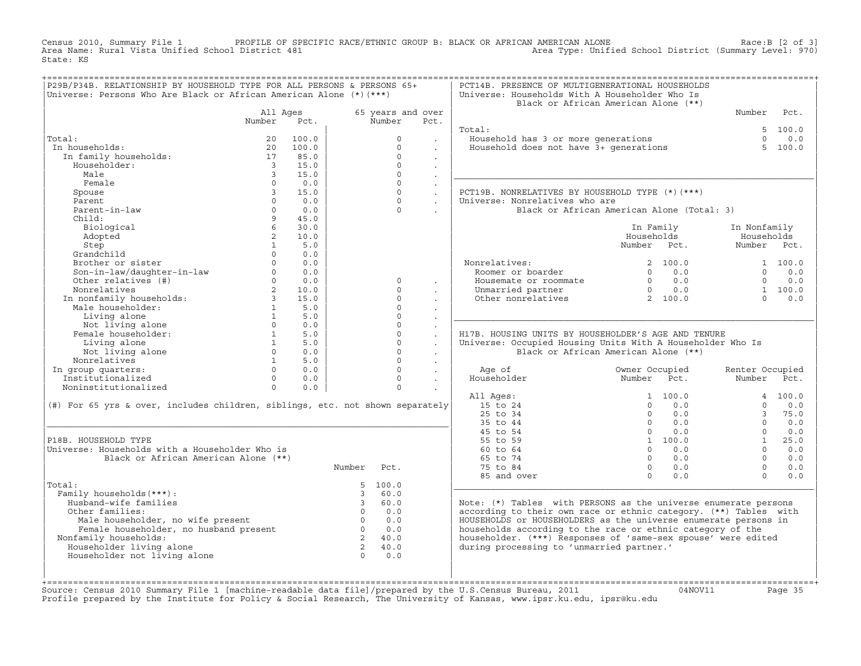Census 2010, Summary File 1 PROFILE OF SPECIFIC RACE/ETHNIC GROUP B: BLACK OR AFRICAN AMERICAN ALONE Race:B [2 of 3] Area Name: Rural Vista Unified School District 481 Area Type: Unified School District (Summary Level: 970) State: KS

| P29B/P34B. RELATIONSHIP BY HOUSEHOLD TYPE FOR ALL PERSONS & PERSONS 65+<br>Universe: Persons Who Are Black or African American Alone (*) (***) |                         |                          |                |                      |                      | PCT14B. PRESENCE OF MULTIGENERATIONAL HOUSEHOLDS<br>Universe: Households With A Householder Who Is | Black or African American Alone (**)       |                          |             |
|------------------------------------------------------------------------------------------------------------------------------------------------|-------------------------|--------------------------|----------------|----------------------|----------------------|----------------------------------------------------------------------------------------------------|--------------------------------------------|--------------------------|-------------|
|                                                                                                                                                | All Ages                |                          |                | 65 years and over    |                      |                                                                                                    |                                            | Number                   | Pct.        |
|                                                                                                                                                | Number                  | Pct.                     |                | Number               | Pct.                 |                                                                                                    |                                            |                          |             |
|                                                                                                                                                |                         |                          |                |                      |                      | Total:                                                                                             |                                            |                          | 5, 100.0    |
| Total:                                                                                                                                         | 20                      | 100.0                    |                | $\Omega$             |                      | Household has 3 or more generations                                                                |                                            | $\Omega$                 | 0.0         |
| In households:                                                                                                                                 | 20                      | 100.0                    |                | $\Omega$             |                      | Household does not have 3+ generations                                                             |                                            | $5 -$                    | 100.0       |
| In family households:                                                                                                                          | 17                      | 85.0                     |                | $\Omega$             | $\mathbf{r}$         |                                                                                                    |                                            |                          |             |
| Householder:                                                                                                                                   | $\overline{\mathbf{3}}$ | 15.0                     |                | $\Omega$             | $\mathbf{r}$         |                                                                                                    |                                            |                          |             |
| Male                                                                                                                                           | $\mathcal{R}$           | 15.0                     |                | $\Omega$             | $\ddot{\phantom{0}}$ |                                                                                                    |                                            |                          |             |
| Female                                                                                                                                         | $\Omega$                | 0.0                      |                | $\Omega$             | $\mathbb{Z}^2$       |                                                                                                    |                                            |                          |             |
| Spouse                                                                                                                                         | $\mathbf{3}$            | 15.0                     |                | $\Omega$             | $\mathbf{L}$         | PCT19B. NONRELATIVES BY HOUSEHOLD TYPE (*)(***)                                                    |                                            |                          |             |
| Parent                                                                                                                                         | $\Omega$                | 0.0                      |                | $\cap$               | $\ddot{\phantom{0}}$ | Universe: Nonrelatives who are                                                                     |                                            |                          |             |
| Parent-in-law                                                                                                                                  | $\circ$                 | 0.0                      |                | $\Omega$             | $\mathbf{r}$         |                                                                                                    | Black or African American Alone (Total: 3) |                          |             |
| Child:                                                                                                                                         | 9                       | 45.0                     |                |                      |                      |                                                                                                    |                                            |                          |             |
| Biological                                                                                                                                     | 6 <sup>1</sup>          | 30.0                     |                |                      |                      |                                                                                                    | In Family                                  | In Nonfamily             |             |
| Adopted                                                                                                                                        | $\overline{2}$          | 10.0                     |                |                      |                      |                                                                                                    | Households                                 | Households               |             |
| Step                                                                                                                                           | $\mathbf{1}$            | 5.0                      |                |                      |                      |                                                                                                    | Number Pct.                                | Number Pct.              |             |
| Grandchild                                                                                                                                     | $\Omega$                | 0.0                      |                |                      |                      |                                                                                                    |                                            |                          |             |
| Brother or sister                                                                                                                              | $\Omega$                | 0.0                      |                |                      |                      | Nonrelatives:                                                                                      | 2, 100.0                                   |                          | 1 100.0     |
| Son-in-law/daughter-in-law                                                                                                                     | $\Omega$                | 0.0                      |                |                      |                      | Roomer or boarder                                                                                  | $\Omega$<br>0.0                            | $\Omega$                 | 0.0         |
| Other relatives (#)                                                                                                                            |                         | $0 \qquad \qquad$<br>0.0 |                | $\circ$              | $\mathbf{r}$         | Housemate or roommate                                                                              | $0 \qquad 0.0$                             | $\Omega$                 | 0.0         |
| Nonrelatives                                                                                                                                   | $2^{\circ}$             | 10.0                     |                | $\Omega$             |                      | Unmarried partner                                                                                  | $0 \qquad 0.0$                             |                          | 1, 100, 0   |
| Nonrelatives<br>In nonfamily households:<br>"is bouseholder:                                                                                   | $\overline{3}$          | 15.0                     |                | $\Omega$             | $\cdot$              | Other nonrelatives                                                                                 | 2 100.0                                    | $\Omega$                 | 0.0         |
|                                                                                                                                                | 1                       | 5.0                      |                | $\Omega$             | $\mathbf{r}$         |                                                                                                    |                                            |                          |             |
| Living alone                                                                                                                                   | 1                       | 5.0                      |                | $\Omega$             | $\sim$               |                                                                                                    |                                            |                          |             |
| Not living alone                                                                                                                               | $\circ$                 | 0.0                      |                | $\Omega$             | $\ddot{\phantom{a}}$ |                                                                                                    |                                            |                          |             |
| Female householder:                                                                                                                            | 1                       | 5.0                      |                | $\Omega$             | $\ddot{\phantom{a}}$ | H17B. HOUSING UNITS BY HOUSEHOLDER'S AGE AND TENURE                                                |                                            |                          |             |
| Living alone                                                                                                                                   | $1 \quad \blacksquare$  | 5.0                      |                | $\Omega$             | $\mathbb{Z}^2$       | Universe: Occupied Housing Units With A Householder Who Is                                         |                                            |                          |             |
| Not living alone                                                                                                                               | $\Omega$                | 0.0                      |                | $\Omega$             | $\ddot{\phantom{a}}$ |                                                                                                    | Black or African American Alone (**)       |                          |             |
| Nonrelatives                                                                                                                                   | 1                       | 5.0                      |                | $\Omega$             | $\ddot{\phantom{0}}$ |                                                                                                    |                                            |                          |             |
| In group quarters:                                                                                                                             | $\Omega$                | $\Omega$<br>0.0          |                | $\Omega$<br>$\Omega$ | $\ddot{\phantom{a}}$ | Age of                                                                                             | Owner Occupied                             | Renter Occupied          |             |
| Institutionalized                                                                                                                              |                         | 0.0                      |                | $\Omega$             |                      | Householder                                                                                        | Number Pct.                                | Number                   | Pct.        |
| Noninstitutionalized                                                                                                                           | $\Omega$                | 0.0                      |                |                      |                      |                                                                                                    |                                            |                          |             |
|                                                                                                                                                |                         |                          |                |                      |                      | All Ages:                                                                                          | 1 100.0<br>$\Omega$                        |                          | 4 100.0     |
| (#) For 65 yrs & over, includes children, siblings, etc. not shown separately                                                                  |                         |                          |                |                      |                      | 15 to 24<br>$25$ to $34$                                                                           | 0.0<br>$\Omega$<br>0.0                     | $\Omega$<br>$\mathbf{3}$ | 0.0<br>75.0 |
|                                                                                                                                                |                         |                          |                |                      |                      | 35 to 44                                                                                           | $\Omega$<br>0.0                            | $\Omega$                 |             |
|                                                                                                                                                |                         |                          |                |                      |                      |                                                                                                    | $\Omega$<br>0.0                            | $\cap$                   | 0.0         |
| P18B. HOUSEHOLD TYPE                                                                                                                           |                         |                          |                |                      |                      | 45 to 54<br>55 to 59                                                                               | 1 100.0                                    | $\mathbf{1}$             | 0.0<br>25.0 |
| Universe: Households with a Householder Who is                                                                                                 |                         |                          |                |                      |                      | 60 to 64                                                                                           | 0.0<br>$\Omega$                            | $\Omega$                 | 0.0         |
| Black or African American Alone (**)                                                                                                           |                         |                          |                |                      |                      | 65 to 74                                                                                           | $\Omega$<br>0.0                            | $\Omega$                 | 0.0         |
|                                                                                                                                                |                         |                          | Number         | Pct.                 |                      |                                                                                                    | $\circ$<br>0.0                             | $\Omega$                 |             |
|                                                                                                                                                |                         |                          |                |                      |                      | 75 to 84<br>85 and over                                                                            | $\Omega$<br>0.0                            | $\cap$                   | 0.0<br>0.0  |
| Total:                                                                                                                                         |                         |                          |                | 5, 100.0             |                      |                                                                                                    |                                            |                          |             |
| Family households (***) :                                                                                                                      |                         |                          | 3              | 60.0                 |                      |                                                                                                    |                                            |                          |             |
| Husband-wife families                                                                                                                          |                         |                          | $\overline{3}$ | 60.0                 |                      | Note: $(*)$ Tables with PERSONS as the universe enumerate persons                                  |                                            |                          |             |
| Other families:                                                                                                                                |                         |                          | $\overline{0}$ | 0.0                  |                      | according to their own race or ethnic category. (**) Tables with                                   |                                            |                          |             |
| Male householder, no wife present                                                                                                              |                         |                          | $\overline{0}$ | 0.0                  |                      | HOUSEHOLDS or HOUSEHOLDERS as the universe enumerate persons in                                    |                                            |                          |             |
| Female householder, no husband present                                                                                                         |                         |                          | $\overline{0}$ | 0.0                  |                      | households according to the race or ethnic category of the                                         |                                            |                          |             |
| Nonfamily households:                                                                                                                          |                         |                          | $\overline{2}$ | 40.0                 |                      | householder. (***) Responses of 'same-sex spouse' were edited                                      |                                            |                          |             |
| Householder living alone                                                                                                                       |                         |                          | $\overline{2}$ | 40.0                 |                      | during processing to 'unmarried partner.'                                                          |                                            |                          |             |
| Householder not living alone                                                                                                                   |                         |                          | $\Omega$       | 0.0                  |                      |                                                                                                    |                                            |                          |             |
|                                                                                                                                                |                         |                          |                |                      |                      |                                                                                                    |                                            |                          |             |
|                                                                                                                                                |                         |                          |                |                      |                      |                                                                                                    |                                            |                          |             |

+===================================================================================================================================================+Source: Census 2010 Summary File 1 [machine−readable data file]/prepared by the U.S.Census Bureau, 2011 04NOV11 Page 35 Profile prepared by the Institute for Policy & Social Research, The University of Kansas, www.ipsr.ku.edu, ipsr@ku.edu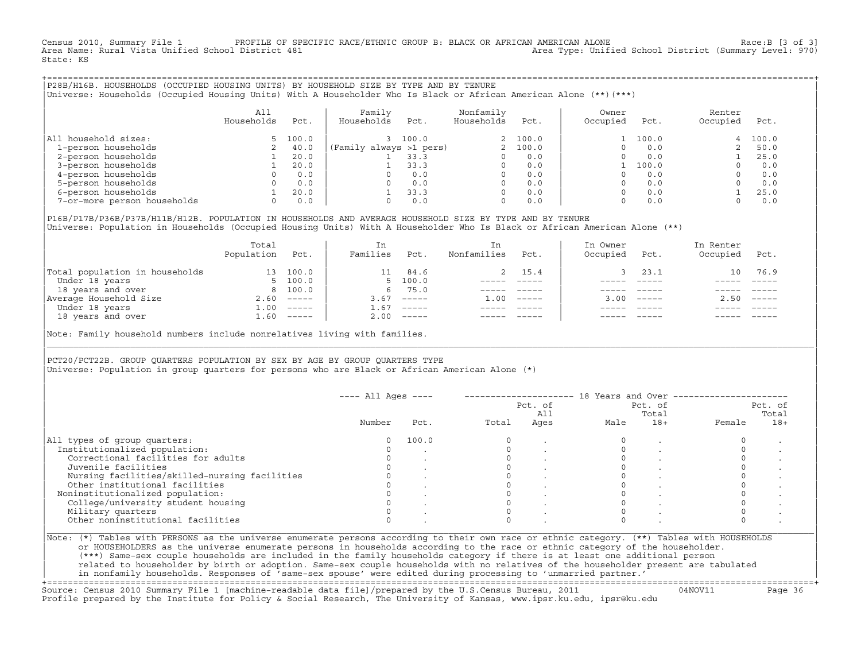Census 2010, Summary File 1 PROFILE OF SPECIFIC RACE/ETHNIC GROUP B: BLACK OR AFRICAN AMERICAN ALONE Race:B [3 of 3]<br>Area Name: Rural Vista Unified School District 481 area Nove: Unified School District (Summary Level: 970 Area Type: Unified School District (Summary Level: 970) State: KS

+===================================================================================================================================================+|P28B/H16B. HOUSEHOLDS (OCCUPIED HOUSING UNITS) BY HOUSEHOLD SIZE BY TYPE AND BY TENURE | |Universe: Households (Occupied Housing Units) With A Householder Who Is Black or African American Alone (\*\*)(\*\*\*) |

|                             | All<br>Households | Pct.  | Family<br>Households    | Pct.  | Nonfamily<br>Households | Pct.     | Owner<br>Occupied | Pct.  | Renter<br>Occupied | Pct.  |  |
|-----------------------------|-------------------|-------|-------------------------|-------|-------------------------|----------|-------------------|-------|--------------------|-------|--|
| household sizes:<br>All     |                   | 100.0 |                         | 100.0 |                         | 2, 100.0 |                   | 100.0 | 4                  | 100.0 |  |
| 1-person households         |                   | 40.0  | (Family always >1 pers) |       |                         | 2, 100.0 |                   | 0.0   |                    | 50.0  |  |
| 2-person households         |                   | 20.0  |                         | 33.3  |                         | 0.0      |                   | 0.0   |                    | 25.0  |  |
| 3-person households         |                   | 20.0  |                         | 33.3  | $\Omega$                | 0.0      |                   | 100.0 |                    | 0.0   |  |
| 4-person households         |                   | 0.0   |                         | 0.0   | $\Omega$                | 0.0      |                   | 0.0   |                    | 0.0   |  |
| 5-person households         |                   | 0.0   |                         | 0.0   | $\Omega$                | 0.0      |                   | 0.0   |                    | 0.0   |  |
| 6-person households         |                   | 20.0  |                         | 33.3  | $\Omega$                | 0.0      |                   | 0.0   |                    | 25.0  |  |
| 7-or-more person households | $\Omega$          | 0.0   |                         | 0.0   | 0                       | 0.0      |                   | 0.0   |                    | 0.0   |  |

|P16B/P17B/P36B/P37B/H11B/H12B. POPULATION IN HOUSEHOLDS AND AVERAGE HOUSEHOLD SIZE BY TYPE AND BY TENURE | Universe: Population in Households (Occupied Housing Units) With A Householder Who Is Black or African American Alone (\*\*)

|                                | Total<br>Population | Pct.     | In<br>Families | Pct.     | In.<br>Nonfamilies | Pct.     | In Owner<br>Occupied | Pct.             | In Renter<br>Occupied | Pct.                      |  |
|--------------------------------|---------------------|----------|----------------|----------|--------------------|----------|----------------------|------------------|-----------------------|---------------------------|--|
| Total population in households | 13 <sup>7</sup>     | 100.0    |                | 84.6     |                    | 2 15.4   |                      | 23.1             |                       | 10 76.9                   |  |
| Under 18 years                 |                     | 5, 100.0 |                | 5, 100.0 |                    |          |                      |                  |                       |                           |  |
| 18 years and over              |                     | 8 100.0  | 6              | 75.0     |                    |          |                      |                  |                       |                           |  |
| Average Household Size         | 2.60                | $------$ | 3.67           | $------$ | 1.00               | $------$ |                      | $3.00 - - - - -$ | 2.50                  | $\qquad \qquad - - - - -$ |  |
| Under 18 years                 | $\pm 00$            | $------$ | 1.67           | $------$ |                    |          |                      |                  |                       |                           |  |
| 18 years and over              | 1.60                | ------   | 2.00           |          |                    |          |                      |                  |                       | $------$                  |  |
|                                |                     |          |                |          |                    |          |                      |                  |                       |                           |  |

Note: Family household numbers include nonrelatives living with families.

| | PCT20/PCT22B. GROUP OUARTERS POPULATION BY SEX BY AGE BY GROUP OUARTERS TYPE Universe: Population in group quarters for persons who are Black or African American Alone (\*)

|                                               |          |       |       | Pct. of<br>All |      | Pct. of<br>Total |        | Pct. of<br>Total |
|-----------------------------------------------|----------|-------|-------|----------------|------|------------------|--------|------------------|
|                                               | Number   | Pct.  | Total | Ages           | Male | $18+$            | Female | $18+$            |
| All types of group quarters:                  | $\Omega$ | 100.0 |       |                |      |                  |        |                  |
| Institutionalized population:                 |          |       |       |                |      |                  |        |                  |
| Correctional facilities for adults            |          |       |       |                |      |                  |        |                  |
| Juvenile facilities                           |          |       |       |                |      |                  |        |                  |
| Nursing facilities/skilled-nursing facilities |          |       |       |                |      |                  |        |                  |
| Other institutional facilities                |          |       |       |                |      |                  |        |                  |
| Noninstitutionalized population:              |          |       |       |                |      |                  |        |                  |
| College/university student housing            |          |       |       |                |      |                  |        |                  |
| Military quarters                             |          |       |       |                |      |                  |        |                  |
| Other noninstitutional facilities             |          |       |       |                |      |                  |        |                  |

|\_\_\_\_\_\_\_\_\_\_\_\_\_\_\_\_\_\_\_\_\_\_\_\_\_\_\_\_\_\_\_\_\_\_\_\_\_\_\_\_\_\_\_\_\_\_\_\_\_\_\_\_\_\_\_\_\_\_\_\_\_\_\_\_\_\_\_\_\_\_\_\_\_\_\_\_\_\_\_\_\_\_\_\_\_\_\_\_\_\_\_\_\_\_\_\_\_\_\_\_\_\_\_\_\_\_\_\_\_\_\_\_\_\_\_\_\_\_\_\_\_\_\_\_\_\_\_\_\_\_\_\_\_\_\_\_\_\_\_\_\_\_\_\_\_\_\_|

| |

or HOUSEHOLDERS as the universe enumerate persons in households according to the race or ethnic category of the householder. | (\*\*\*) Same−sex couple households are included in the family households category if there is at least one additional person | | related to householder by birth or adoption. Same−sex couple households with no relatives of the householder present are tabulated | | in nonfamily households. Responses of 'same−sex spouse' were edited during processing to 'unmarried partner.' |

+===================================================================================================================================================+ Source: Census 2010 Summary File 1 [machine−readable data file]/prepared by the U.S.Census Bureau, 2011 04NOV11 Page 36 Profile prepared by the Institute for Policy & Social Research, The University of Kansas, www.ipsr.ku.edu, ipsr@ku.edu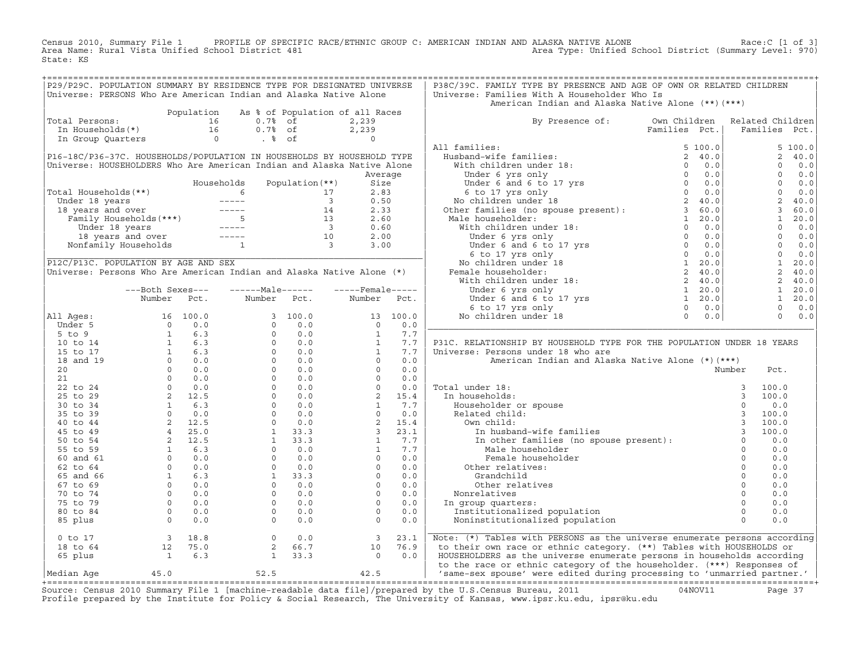Census 2010, Summary File 1 PROFILE OF SPECIFIC RACE/ETHNIC GROUP C: AMERICAN INDIAN AND ALASKA NATIVE ALONE<br>Area Name: Rural Vista Unified School District 481 Area Type: Unified School Di State: KS

| P29/P29C. POPULATION SUMMARY BY RESIDENCE TYPE FOR DESIGNATED UNIVERSE                                                                                                                                                                                                                          |                                                                     |            |                                                                  |                   |                                        |          | P38C/39C. FAMILY TYPE BY PRESENCE AND AGE OF OWN OR RELATED CHILDREN                                                                                                                                                                                                                                                                                                                                                                                                        |               |                                                                 |                |                |
|-------------------------------------------------------------------------------------------------------------------------------------------------------------------------------------------------------------------------------------------------------------------------------------------------|---------------------------------------------------------------------|------------|------------------------------------------------------------------|-------------------|----------------------------------------|----------|-----------------------------------------------------------------------------------------------------------------------------------------------------------------------------------------------------------------------------------------------------------------------------------------------------------------------------------------------------------------------------------------------------------------------------------------------------------------------------|---------------|-----------------------------------------------------------------|----------------|----------------|
| Universe: PERSONS Who Are American Indian and Alaska Native Alone                                                                                                                                                                                                                               |                                                                     |            |                                                                  |                   |                                        |          | Universe: Families With A Householder Who Is                                                                                                                                                                                                                                                                                                                                                                                                                                |               |                                                                 |                |                |
|                                                                                                                                                                                                                                                                                                 |                                                                     |            |                                                                  |                   |                                        |          | American Indian and Alaska Native Alone (**) (***)                                                                                                                                                                                                                                                                                                                                                                                                                          |               |                                                                 |                |                |
|                                                                                                                                                                                                                                                                                                 |                                                                     | Population |                                                                  |                   | As % of Population of all Races        |          |                                                                                                                                                                                                                                                                                                                                                                                                                                                                             |               |                                                                 |                |                |
| Total Persons:                                                                                                                                                                                                                                                                                  |                                                                     |            |                                                                  |                   | 2,239                                  |          | By Presence of: Own Children Related Children                                                                                                                                                                                                                                                                                                                                                                                                                               |               |                                                                 |                |                |
|                                                                                                                                                                                                                                                                                                 |                                                                     |            |                                                                  |                   |                                        |          |                                                                                                                                                                                                                                                                                                                                                                                                                                                                             | Families Pct. | Families Pct.                                                   |                |                |
| otal Persons:<br>In Households(*)<br>In Group Quarters<br>16 0.7% of<br>16 0.7% of<br>16 0.7% of                                                                                                                                                                                                |                                                                     |            |                                                                  |                   | 2,239                                  |          |                                                                                                                                                                                                                                                                                                                                                                                                                                                                             |               |                                                                 |                |                |
|                                                                                                                                                                                                                                                                                                 |                                                                     |            |                                                                  |                   |                                        |          | All families:                                                                                                                                                                                                                                                                                                                                                                                                                                                               |               |                                                                 |                | 5 100.0        |
| P16-18C/P36-37C. HOUSEHOLDS/POPULATION IN HOUSEHOLDS BY HOUSEHOLD TYPE                                                                                                                                                                                                                          |                                                                     |            |                                                                  |                   |                                        |          |                                                                                                                                                                                                                                                                                                                                                                                                                                                                             |               |                                                                 |                | 2, 40.0        |
| Universe: HOUSEHOLDERS Who Are American Indian and Alaska Native Alone                                                                                                                                                                                                                          |                                                                     |            |                                                                  |                   |                                        |          |                                                                                                                                                                                                                                                                                                                                                                                                                                                                             |               |                                                                 | $\Omega$       | 0.0            |
|                                                                                                                                                                                                                                                                                                 |                                                                     |            |                                                                  |                   |                                        | Average  |                                                                                                                                                                                                                                                                                                                                                                                                                                                                             |               |                                                                 |                | $0 \t 0.0$     |
|                                                                                                                                                                                                                                                                                                 |                                                                     |            | Households                                                       | Population $(**)$ | Size                                   |          |                                                                                                                                                                                                                                                                                                                                                                                                                                                                             |               |                                                                 |                | $0 \t 0.0$     |
| Total Households(**)                                                                                                                                                                                                                                                                            |                                                                     |            |                                                                  |                   | 2.83                                   |          |                                                                                                                                                                                                                                                                                                                                                                                                                                                                             |               |                                                                 | $\overline{0}$ | 0.0            |
|                                                                                                                                                                                                                                                                                                 |                                                                     |            |                                                                  |                   | 0.50                                   |          |                                                                                                                                                                                                                                                                                                                                                                                                                                                                             |               |                                                                 | 2              | 40.0           |
|                                                                                                                                                                                                                                                                                                 |                                                                     |            |                                                                  |                   | 2.33                                   |          |                                                                                                                                                                                                                                                                                                                                                                                                                                                                             |               |                                                                 | $\overline{3}$ | 60.0           |
|                                                                                                                                                                                                                                                                                                 |                                                                     |            |                                                                  |                   | 2.60                                   |          |                                                                                                                                                                                                                                                                                                                                                                                                                                                                             |               |                                                                 | $\mathbf{1}$   | 20.0           |
|                                                                                                                                                                                                                                                                                                 |                                                                     |            |                                                                  |                   | 0.60                                   |          |                                                                                                                                                                                                                                                                                                                                                                                                                                                                             |               |                                                                 |                | $0 \t 0.0$     |
|                                                                                                                                                                                                                                                                                                 |                                                                     |            |                                                                  |                   | 2.00                                   |          |                                                                                                                                                                                                                                                                                                                                                                                                                                                                             |               |                                                                 | $\Omega$       | 0.0            |
| otal Households (**)<br>Under 18 years<br>17 Under 18 years<br>18 years and over<br>Family Households (***)<br>Under 18 years<br>14 14 14 15 years<br>18 years and over<br>15 13<br>18 years and over<br>10 Nonfamily Households<br>1 3<br>19 16 16 17                                          |                                                                     |            |                                                                  |                   | 3.00                                   |          | $\begin{tabular}{l c c c} \multicolumn{3}{c}{\textbf{By } \textbf{Presence of:}} & \multicolumn{3}{c}{\textbf{0}} & \multicolumn{3}{c}{\textbf{I}} & \multicolumn{3}{c}{\textbf{I}} & \multicolumn{3}{c}{\textbf{I}} & \multicolumn{3}{c}{\textbf{I}} & \multicolumn{3}{c}{\textbf{I}} & \multicolumn{3}{c}{\textbf{I}} & \multicolumn{3}{c}{\textbf{I}} & \multicolumn{3}{c}{\textbf{I}} & \multicolumn{3}{c}{\textbf{I}} & \multicolumn{3}{c}{\textbf{I}} & \multicolumn$ |               | $\begin{array}{ccc} 0 & 0.0 \\ 0 & 0.0 \\ 1 & 20.0 \end{array}$ |                | $0 \t 0.0$     |
|                                                                                                                                                                                                                                                                                                 |                                                                     |            |                                                                  |                   |                                        |          |                                                                                                                                                                                                                                                                                                                                                                                                                                                                             |               |                                                                 |                |                |
| P12C/P13C. POPULATION BY AGE AND SEX                                                                                                                                                                                                                                                            |                                                                     |            |                                                                  |                   |                                        |          |                                                                                                                                                                                                                                                                                                                                                                                                                                                                             |               |                                                                 |                |                |
| Universe: Persons Who Are American Indian and Alaska Native Alone (*)                                                                                                                                                                                                                           |                                                                     |            |                                                                  |                   |                                        |          |                                                                                                                                                                                                                                                                                                                                                                                                                                                                             |               |                                                                 |                | 2, 40.0        |
|                                                                                                                                                                                                                                                                                                 |                                                                     |            |                                                                  |                   |                                        |          |                                                                                                                                                                                                                                                                                                                                                                                                                                                                             |               |                                                                 |                | 2, 40.0        |
|                                                                                                                                                                                                                                                                                                 | ---Both Sexes---                                                    |            | $---Male----$                                                    |                   | $---$ Female -----                     |          |                                                                                                                                                                                                                                                                                                                                                                                                                                                                             |               |                                                                 |                | $1 \quad 20.0$ |
|                                                                                                                                                                                                                                                                                                 | Number                                                              | Pct.       | Number                                                           | Pct.              | Number                                 | Pct.     |                                                                                                                                                                                                                                                                                                                                                                                                                                                                             |               |                                                                 |                | 1 20.0         |
|                                                                                                                                                                                                                                                                                                 |                                                                     |            |                                                                  |                   |                                        |          |                                                                                                                                                                                                                                                                                                                                                                                                                                                                             |               |                                                                 |                | $0 \t 0.0$     |
| All Ages:                                                                                                                                                                                                                                                                                       |                                                                     |            |                                                                  |                   | $\begin{array}{c} 13 \\ 0 \end{array}$ | 13 100.0 |                                                                                                                                                                                                                                                                                                                                                                                                                                                                             |               |                                                                 |                | $0 \t 0.0$     |
|                                                                                                                                                                                                                                                                                                 |                                                                     |            |                                                                  |                   |                                        | 0.0      |                                                                                                                                                                                                                                                                                                                                                                                                                                                                             |               |                                                                 |                |                |
|                                                                                                                                                                                                                                                                                                 |                                                                     |            |                                                                  |                   |                                        | 7.7      |                                                                                                                                                                                                                                                                                                                                                                                                                                                                             |               |                                                                 |                |                |
|                                                                                                                                                                                                                                                                                                 |                                                                     |            |                                                                  |                   |                                        | 7.7      | P31C. RELATIONSHIP BY HOUSEHOLD TYPE FOR THE POPULATION UNDER 18 YEARS                                                                                                                                                                                                                                                                                                                                                                                                      |               |                                                                 |                |                |
|                                                                                                                                                                                                                                                                                                 |                                                                     |            |                                                                  |                   |                                        | 7.7      | Universe: Persons under 18 who are                                                                                                                                                                                                                                                                                                                                                                                                                                          |               |                                                                 |                |                |
|                                                                                                                                                                                                                                                                                                 |                                                                     |            |                                                                  |                   |                                        | 0.0      | American Indian and Alaska Native Alone (*) (***)                                                                                                                                                                                                                                                                                                                                                                                                                           |               |                                                                 |                |                |
|                                                                                                                                                                                                                                                                                                 |                                                                     |            |                                                                  |                   |                                        | 0.0      |                                                                                                                                                                                                                                                                                                                                                                                                                                                                             |               | Number                                                          | Pct.           |                |
|                                                                                                                                                                                                                                                                                                 |                                                                     |            |                                                                  |                   |                                        | 0.0      |                                                                                                                                                                                                                                                                                                                                                                                                                                                                             |               |                                                                 |                |                |
|                                                                                                                                                                                                                                                                                                 |                                                                     |            |                                                                  |                   |                                        | 0.0      | Total under 18:                                                                                                                                                                                                                                                                                                                                                                                                                                                             |               |                                                                 | 100.0          |                |
|                                                                                                                                                                                                                                                                                                 |                                                                     |            |                                                                  |                   |                                        | 15.4     | In households:                                                                                                                                                                                                                                                                                                                                                                                                                                                              |               |                                                                 | 100.0          |                |
|                                                                                                                                                                                                                                                                                                 |                                                                     |            |                                                                  |                   |                                        | 7.7      |                                                                                                                                                                                                                                                                                                                                                                                                                                                                             |               |                                                                 | 0.0            |                |
|                                                                                                                                                                                                                                                                                                 |                                                                     |            |                                                                  |                   |                                        | 0.0      |                                                                                                                                                                                                                                                                                                                                                                                                                                                                             |               |                                                                 | 100.0          |                |
|                                                                                                                                                                                                                                                                                                 |                                                                     |            |                                                                  |                   |                                        | 15.4     |                                                                                                                                                                                                                                                                                                                                                                                                                                                                             |               |                                                                 | 100.0          |                |
|                                                                                                                                                                                                                                                                                                 |                                                                     |            |                                                                  |                   |                                        | 23.1     |                                                                                                                                                                                                                                                                                                                                                                                                                                                                             |               |                                                                 | 100.0          |                |
|                                                                                                                                                                                                                                                                                                 |                                                                     |            |                                                                  |                   |                                        | 7.7      |                                                                                                                                                                                                                                                                                                                                                                                                                                                                             |               |                                                                 | 0.0            |                |
|                                                                                                                                                                                                                                                                                                 |                                                                     |            |                                                                  |                   |                                        | 7.7      |                                                                                                                                                                                                                                                                                                                                                                                                                                                                             |               |                                                                 | 0.0            |                |
|                                                                                                                                                                                                                                                                                                 |                                                                     |            |                                                                  |                   |                                        | 0.0      | Female householder                                                                                                                                                                                                                                                                                                                                                                                                                                                          |               | $\Omega$                                                        | 0.0            |                |
|                                                                                                                                                                                                                                                                                                 |                                                                     |            |                                                                  |                   |                                        | 0.0      | Other relatives:                                                                                                                                                                                                                                                                                                                                                                                                                                                            |               | $\Omega$                                                        | 0.0            |                |
|                                                                                                                                                                                                                                                                                                 |                                                                     |            |                                                                  |                   |                                        | 0.0      | Grandchild                                                                                                                                                                                                                                                                                                                                                                                                                                                                  |               | $\Omega$                                                        | 0.0            |                |
|                                                                                                                                                                                                                                                                                                 |                                                                     |            |                                                                  |                   |                                        | 0.0      | Other relatives                                                                                                                                                                                                                                                                                                                                                                                                                                                             |               | $\Omega$                                                        | 0.0            |                |
|                                                                                                                                                                                                                                                                                                 |                                                                     |            |                                                                  |                   |                                        | 0.0      | Nonrelatives                                                                                                                                                                                                                                                                                                                                                                                                                                                                |               | $\Omega$                                                        | 0.0            |                |
|                                                                                                                                                                                                                                                                                                 |                                                                     |            |                                                                  |                   |                                        | 0.0      | In group quarters:                                                                                                                                                                                                                                                                                                                                                                                                                                                          |               | $\Omega$                                                        | 0.0            |                |
|                                                                                                                                                                                                                                                                                                 |                                                                     |            |                                                                  |                   |                                        | 0.0      | Institutionalized population                                                                                                                                                                                                                                                                                                                                                                                                                                                |               | $\Omega$                                                        | 0.0            |                |
|                                                                                                                                                                                                                                                                                                 |                                                                     |            |                                                                  |                   | $\overline{0}$                         | 0.0      | Noninstitutionalized population                                                                                                                                                                                                                                                                                                                                                                                                                                             |               | $\Omega$                                                        | 0.0            |                |
|                                                                                                                                                                                                                                                                                                 |                                                                     |            |                                                                  |                   | $\overline{\phantom{a}}$               | 23.1     | Note: (*) Tables with PERSONS as the universe enumerate persons according                                                                                                                                                                                                                                                                                                                                                                                                   |               |                                                                 |                |                |
| Number Fcc.<br>11 Ages: 16 100.0<br>5 to 9<br>10 to 14<br>15 to 17<br>16.3<br>18 and 19<br>20<br>21<br>22 to 24<br>0 0.0<br>22 to 24<br>0 0.0<br>25 to 29<br>21<br>25 to 29<br>21<br>21<br>26.3<br>30 to 34<br>40 to 44<br>21<br>45 to 49<br>45 to 44<br>45 to 49<br>45 to 44<br>4<br>$0$ to 17 |                                                                     |            |                                                                  |                   |                                        |          |                                                                                                                                                                                                                                                                                                                                                                                                                                                                             |               |                                                                 |                |                |
| 18 to 64                                                                                                                                                                                                                                                                                        |                                                                     |            |                                                                  |                   |                                        | 76.9     | to their own race or ethnic category. (**) Tables with HOUSEHOLDS or                                                                                                                                                                                                                                                                                                                                                                                                        |               |                                                                 |                |                |
| 65 plus                                                                                                                                                                                                                                                                                         | $\begin{array}{ccc} & 3 & 18.8 \\ 12 & 75.0 \\ 1 & 6.3 \end{array}$ |            | $\begin{array}{ccc} 0 & 0.0 \\ 2 & 66.7 \\ 1 & 33.3 \end{array}$ |                   | $\begin{array}{c} 10 \\ 0 \end{array}$ | 0.0      | HOUSEHOLDERS as the universe enumerate persons in households according                                                                                                                                                                                                                                                                                                                                                                                                      |               |                                                                 |                |                |
| Median Age                                                                                                                                                                                                                                                                                      | 45.0                                                                |            |                                                                  |                   |                                        |          | to the race or ethnic category of the householder. (***) Responses of<br>$\frac{1}{22.5}$ and $\frac{1}{22.5}$ is the face of chance dategory of the householder. (1) responses of $\frac{1}{22.5}$ same-sex spouse' were edited during processing to 'unmarried partner.'                                                                                                                                                                                                  |               |                                                                 |                |                |

+===================================================================================================================================================+Source: Census 2010 Summary File 1 [machine−readable data file]/prepared by the U.S.Census Bureau, 2011 04NOV11 Page 37 Profile prepared by the Institute for Policy & Social Research, The University of Kansas, www.ipsr.ku.edu, ipsr@ku.edu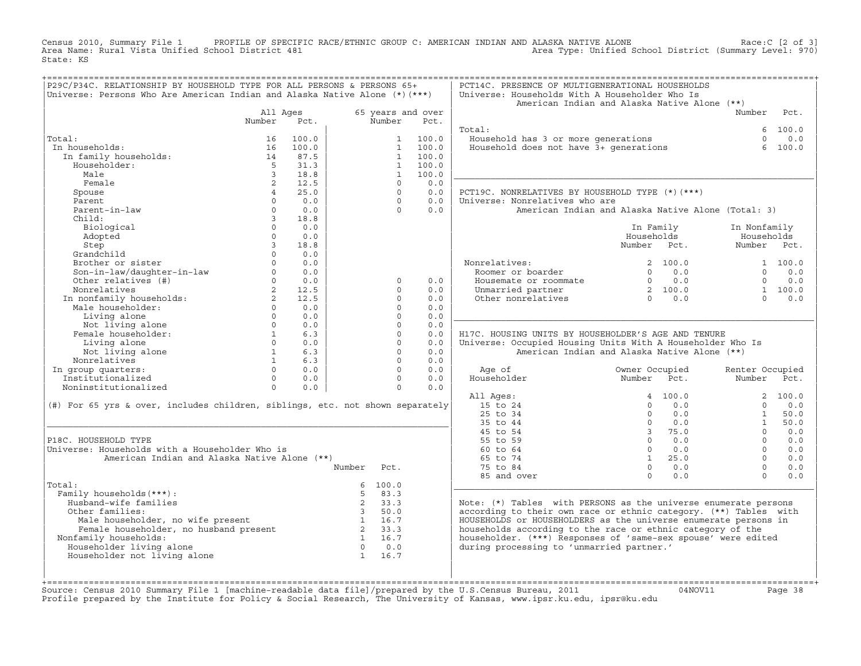Census 2010, Summary File 1 PROFILE OF SPECIFIC RACE/ETHNIC GROUP C: AMERICAN INDIAN AND ALASKA NATIVE ALONE<br>Area Name: Rural Vista Unified School District 481 Area Type: Unified School Dist State: KS

| P29C/P34C. RELATIONSHIP BY HOUSEHOLD TYPE FOR ALL PERSONS & PERSONS 65+<br>Universe: Persons Who Are American Indian and Alaska Native Alone (*) (***)                                                                                                                                                                                                                                                                                                                                        |                |                          |                            |                      |                   | PCT14C. PRESENCE OF MULTIGENERATIONAL HOUSEHOLDS<br>Universe: Households With A Householder Who Is<br>American Indian and Alaska Native Alone (**) |                |                                                                |                 |         |
|-----------------------------------------------------------------------------------------------------------------------------------------------------------------------------------------------------------------------------------------------------------------------------------------------------------------------------------------------------------------------------------------------------------------------------------------------------------------------------------------------|----------------|--------------------------|----------------------------|----------------------|-------------------|----------------------------------------------------------------------------------------------------------------------------------------------------|----------------|----------------------------------------------------------------|-----------------|---------|
|                                                                                                                                                                                                                                                                                                                                                                                                                                                                                               | All Ages       |                          |                            |                      | 65 years and over |                                                                                                                                                    |                |                                                                | Number Pct.     |         |
|                                                                                                                                                                                                                                                                                                                                                                                                                                                                                               | Number         | Pct.                     |                            | Number               | Pct.              | Total:                                                                                                                                             |                |                                                                |                 | 6 100.0 |
| Total:                                                                                                                                                                                                                                                                                                                                                                                                                                                                                        | 16             | 100.0                    |                            |                      | 1 100.0           |                                                                                                                                                    |                |                                                                | $\Omega$        | 0.0     |
| In households:                                                                                                                                                                                                                                                                                                                                                                                                                                                                                | 16             | 100.0                    |                            |                      | 1 100.0           | Household has 3 or more generations<br>Household does not have 3+ generations                                                                      |                |                                                                | 6               | 100.0   |
| In family households:                                                                                                                                                                                                                                                                                                                                                                                                                                                                         | 14             | 87.5                     |                            |                      | 1 100.0           |                                                                                                                                                    |                |                                                                |                 |         |
| Householder:                                                                                                                                                                                                                                                                                                                                                                                                                                                                                  | $5^{\circ}$    | 31.3                     |                            |                      | 1 100.0           |                                                                                                                                                    |                |                                                                |                 |         |
| Male                                                                                                                                                                                                                                                                                                                                                                                                                                                                                          | $\mathcal{L}$  | 18.8                     |                            | $\mathbf{1}$         | 100.0             |                                                                                                                                                    |                |                                                                |                 |         |
| Female                                                                                                                                                                                                                                                                                                                                                                                                                                                                                        | 2              | 12.5                     |                            | $\Omega$             | 0.0               |                                                                                                                                                    |                |                                                                |                 |         |
| Spouse                                                                                                                                                                                                                                                                                                                                                                                                                                                                                        | $\overline{4}$ | 25.0                     |                            | $\Omega$             | 0.0               | PCT19C. NONRELATIVES BY HOUSEHOLD TYPE (*) (***)                                                                                                   |                |                                                                |                 |         |
| Parent                                                                                                                                                                                                                                                                                                                                                                                                                                                                                        | $\Omega$       | 0.0                      |                            | $\Omega$             | 0.0               | Universe: Nonrelatives who are                                                                                                                     |                |                                                                |                 |         |
| Parent-in-law                                                                                                                                                                                                                                                                                                                                                                                                                                                                                 | $\Omega$       | 0.0                      |                            | $\Omega$             | 0.0               | American Indian and Alaska Native Alone (Total: 3)                                                                                                 |                |                                                                |                 |         |
| Child:                                                                                                                                                                                                                                                                                                                                                                                                                                                                                        | $\overline{3}$ | 18.8                     |                            |                      |                   |                                                                                                                                                    |                |                                                                |                 |         |
| Biological                                                                                                                                                                                                                                                                                                                                                                                                                                                                                    | $\Omega$       | 0.0                      |                            |                      |                   |                                                                                                                                                    |                | In Family                                                      | In Nonfamily    |         |
| Adopted                                                                                                                                                                                                                                                                                                                                                                                                                                                                                       | $\Omega$       | 0.0                      |                            |                      |                   |                                                                                                                                                    | Households     |                                                                | Households      |         |
| Step                                                                                                                                                                                                                                                                                                                                                                                                                                                                                          | $\overline{3}$ | 18.8                     |                            |                      |                   |                                                                                                                                                    | Number Pct.    |                                                                | Number Pct.     |         |
| Grandchild                                                                                                                                                                                                                                                                                                                                                                                                                                                                                    | $\Omega$       | 0.0                      |                            |                      |                   |                                                                                                                                                    |                |                                                                |                 |         |
| Brother or sister                                                                                                                                                                                                                                                                                                                                                                                                                                                                             | $\Omega$       | 0.0                      |                            |                      |                   | Nonrelatives:                                                                                                                                      |                | 2 100.0                                                        |                 | 1 100.0 |
| Son-in-law/daughter-in-law<br>Other relatives (#)                                                                                                                                                                                                                                                                                                                                                                                                                                             | $\circ$        | 0.0                      |                            |                      |                   | Roomer or boarder                                                                                                                                  |                | $0 \t 0.0$                                                     | $\Omega$        | 0.0     |
|                                                                                                                                                                                                                                                                                                                                                                                                                                                                                               | $\Omega$       | 0.0                      |                            | $\Omega$             | 0.0               | Housemate or roommate                                                                                                                              |                | $\begin{array}{ccc} 0 & 0.0 \ 2 & 100.0 \ 0 & 0.0 \end{array}$ | $\Omega$        | 0.0     |
|                                                                                                                                                                                                                                                                                                                                                                                                                                                                                               | $2^{\circ}$    | 12.5                     |                            | $\cap$               | 0.0               | Unmarried partner                                                                                                                                  |                |                                                                |                 | 1 100.0 |
|                                                                                                                                                                                                                                                                                                                                                                                                                                                                                               | $2^{\circ}$    | 12.5                     |                            | $\Omega$             | 0.0               | Other nonrelatives                                                                                                                                 |                |                                                                | $\cap$          | 0.0     |
| Nonrelatives<br>In nonfamily households:<br>Male householder:                                                                                                                                                                                                                                                                                                                                                                                                                                 | $\Omega$       | 0.0                      |                            | $\Omega$             | 0.0               |                                                                                                                                                    |                |                                                                |                 |         |
| Living alone                                                                                                                                                                                                                                                                                                                                                                                                                                                                                  | $\Omega$       | 0.0                      |                            | $\Omega$             | 0.0               |                                                                                                                                                    |                |                                                                |                 |         |
| Not living alone                                                                                                                                                                                                                                                                                                                                                                                                                                                                              | $\Omega$       | 0.0                      |                            | $\Omega$             | 0.0               |                                                                                                                                                    |                |                                                                |                 |         |
| Female householder:<br>Living alone                                                                                                                                                                                                                                                                                                                                                                                                                                                           | 1<br>$\Omega$  | 6.3<br>0.0               |                            | $\Omega$<br>$\Omega$ | 0.0<br>0.0        | H17C. HOUSING UNITS BY HOUSEHOLDER'S AGE AND TENURE                                                                                                |                |                                                                |                 |         |
| Not living alone                                                                                                                                                                                                                                                                                                                                                                                                                                                                              |                | $1 \qquad \qquad$<br>6.3 |                            | $\Omega$             | 0.0               | Universe: Occupied Housing Units With A Householder Who Is<br>American Indian and Alaska Native Alone (**)                                         |                |                                                                |                 |         |
| Nonrelatives                                                                                                                                                                                                                                                                                                                                                                                                                                                                                  | 1              | 6.3                      |                            | $\Omega$             | 0.0               |                                                                                                                                                    |                |                                                                |                 |         |
| In group quarters:                                                                                                                                                                                                                                                                                                                                                                                                                                                                            | $\Omega$       | 0.0                      |                            | $\Omega$             | 0.0               | Age of                                                                                                                                             | Owner Occupied |                                                                | Renter Occupied |         |
| Institutionalized                                                                                                                                                                                                                                                                                                                                                                                                                                                                             | $\Omega$       | 0.0                      |                            | $\Omega$             | 0.0               | Householder                                                                                                                                        | Number Pct.    |                                                                | Number          | Pct.    |
| Noninstitutionalized                                                                                                                                                                                                                                                                                                                                                                                                                                                                          | $\Omega$       | 0.0                      |                            | $\Omega$             | 0.0               |                                                                                                                                                    |                |                                                                |                 |         |
|                                                                                                                                                                                                                                                                                                                                                                                                                                                                                               |                |                          |                            |                      |                   | All Ages:                                                                                                                                          |                | 4 100.0                                                        |                 | 2 100.0 |
| (#) For 65 yrs & over, includes children, siblings, etc. not shown separately                                                                                                                                                                                                                                                                                                                                                                                                                 |                |                          |                            |                      |                   | 15 to 24                                                                                                                                           | $\Omega$       | 0.0                                                            | $\Omega$        | 0.0     |
|                                                                                                                                                                                                                                                                                                                                                                                                                                                                                               |                |                          |                            |                      |                   | 25 to 34                                                                                                                                           | $\Omega$       | 0.0                                                            | 1               | 50.0    |
|                                                                                                                                                                                                                                                                                                                                                                                                                                                                                               |                |                          |                            |                      |                   | 35 to 44                                                                                                                                           | $\Omega$       | 0.0                                                            | 1               | 50.0    |
|                                                                                                                                                                                                                                                                                                                                                                                                                                                                                               |                |                          |                            |                      |                   | 45 to 54                                                                                                                                           |                | 3 75.0                                                         | $\Omega$        | 0.0     |
| P18C. HOUSEHOLD TYPE                                                                                                                                                                                                                                                                                                                                                                                                                                                                          |                |                          |                            |                      |                   | 55 to 59                                                                                                                                           |                | 0.0                                                            | $\Omega$        | 0.0     |
| Universe: Households with a Householder Who is                                                                                                                                                                                                                                                                                                                                                                                                                                                |                |                          |                            |                      |                   | $60$ to $64$                                                                                                                                       | $\Omega$       | 0.0                                                            | $\Omega$        | 0.0     |
| American Indian and Alaska Native Alone (**)                                                                                                                                                                                                                                                                                                                                                                                                                                                  |                |                          |                            |                      |                   | 65 to 74                                                                                                                                           |                | $1 \t 25.0$                                                    | $\Omega$        | 0.0     |
|                                                                                                                                                                                                                                                                                                                                                                                                                                                                                               |                |                          | Number                     | Pct.                 |                   | 75 to 84                                                                                                                                           |                | $0 \qquad 0.0$                                                 | $\cap$          | 0.0     |
|                                                                                                                                                                                                                                                                                                                                                                                                                                                                                               |                |                          |                            |                      |                   | 85 and over                                                                                                                                        | $\Omega$       | 0.0                                                            | $\Omega$        | 0.0     |
| Total:                                                                                                                                                                                                                                                                                                                                                                                                                                                                                        |                |                          | 6                          | 100.0                |                   |                                                                                                                                                    |                |                                                                |                 |         |
| Family households (***) :                                                                                                                                                                                                                                                                                                                                                                                                                                                                     |                |                          | $5 -$                      | 83.3                 |                   |                                                                                                                                                    |                |                                                                |                 |         |
| Husband-wife families                                                                                                                                                                                                                                                                                                                                                                                                                                                                         |                |                          | $\overline{\phantom{a}}$ 2 | 33.3                 |                   | Note: $(*)$ Tables with PERSONS as the universe enumerate persons                                                                                  |                |                                                                |                 |         |
| Other families:<br>$\begin{tabular}{lllllllllll} \hline \textsc{muc} & \textsc{muc} & \textsc{muc} & \textsc{muc} & \textsc{muc} & \textsc{muc} & \textsc{muc} & \textsc{muc} & \textsc{muc} \\ \textsc{Female} & \textsc{householder}, & \textsc{no} & \textsc{husband} & \textsc{present} & & \textsc{1} & \textsc{16.7} \\ \textsc{family} & \textsc{householders} & \textsc{1} & \textsc{16.7} & \textsc{16.7} & \textsc{16.7} \\ & \textsc{useholder living} & \textsc{alone} & & & & &$ |                |                          | 3, 50.0                    |                      |                   | according to their own race or ethnic category. (**) Tables with                                                                                   |                |                                                                |                 |         |
|                                                                                                                                                                                                                                                                                                                                                                                                                                                                                               |                |                          |                            |                      |                   | HOUSEHOLDS or HOUSEHOLDERS as the universe enumerate persons in                                                                                    |                |                                                                |                 |         |
|                                                                                                                                                                                                                                                                                                                                                                                                                                                                                               |                |                          |                            |                      |                   | households according to the race or ethnic category of the                                                                                         |                |                                                                |                 |         |
| Nonfamily households:<br>Householder living alone                                                                                                                                                                                                                                                                                                                                                                                                                                             |                |                          |                            |                      |                   | householder. (***) Responses of 'same-sex spouse' were edited<br>during processing to 'unmarried partner.'                                         |                |                                                                |                 |         |
| Householder not living alone                                                                                                                                                                                                                                                                                                                                                                                                                                                                  |                |                          | $1 \t 16.7$                |                      |                   |                                                                                                                                                    |                |                                                                |                 |         |
|                                                                                                                                                                                                                                                                                                                                                                                                                                                                                               |                |                          |                            |                      |                   |                                                                                                                                                    |                |                                                                |                 |         |
|                                                                                                                                                                                                                                                                                                                                                                                                                                                                                               |                |                          |                            |                      |                   |                                                                                                                                                    |                |                                                                |                 |         |
|                                                                                                                                                                                                                                                                                                                                                                                                                                                                                               |                |                          |                            |                      |                   |                                                                                                                                                    |                |                                                                |                 |         |

+===================================================================================================================================================+Source: Census 2010 Summary File 1 [machine−readable data file]/prepared by the U.S.Census Bureau, 2011 04NOV11 Page 38 Profile prepared by the Institute for Policy & Social Research, The University of Kansas, www.ipsr.ku.edu, ipsr@ku.edu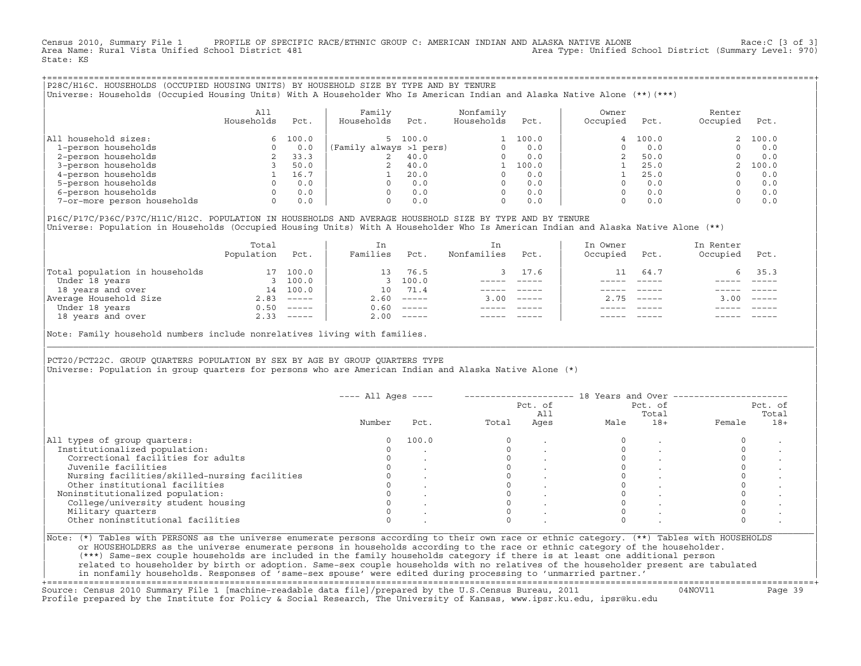Census 2010, Summary File 1 PROFILE OF SPECIFIC RACE/ETHNIC GROUP C: AMERICAN INDIAN AND ALASKA NATIVE ALONE Race:C [3 of 3]<br>Area Name: Rural Vista Unified School District 481 area Nove: Unified School District (Summary Le Area Type: Unified School District (Summary Level: 970) State: KS

+===================================================================================================================================================+|P28C/H16C. HOUSEHOLDS (OCCUPIED HOUSING UNITS) BY HOUSEHOLD SIZE BY TYPE AND BY TENURE | |Universe: Households (Occupied Housing Units) With A Householder Who Is American Indian and Alaska Native Alone (\*\*)(\*\*\*) |

|                             | All<br>Households | Pct.  | Family<br>Households    | Pct.    | Nonfamily<br>Households | Pct.  | Owner<br>Occupied | Pct.    | Renter<br>Occupied | Pct.  |
|-----------------------------|-------------------|-------|-------------------------|---------|-------------------------|-------|-------------------|---------|--------------------|-------|
| household sizes:<br>All     | 6.                | 100.0 |                         | 5 100.0 |                         | 100.0 |                   | 4 100.0 |                    | 100.0 |
| 1-person households         |                   | 0.0   | (Family always >1 pers) |         | $\Omega$                | 0.0   |                   | 0.0     |                    | 0.0   |
| 2-person households         |                   | 33.3  |                         | 40.0    | $\Omega$                | 0.0   |                   | 50.0    |                    | 0.0   |
| 3-person households         |                   | 50.0  |                         | 40.0    |                         | 100.0 |                   | 25.0    |                    | 100.0 |
| 4-person households         |                   | 16.7  |                         | 20.0    | <sup>0</sup>            | 0.0   |                   | 25.0    |                    | 0.0   |
| 5-person households         |                   | 0.0   |                         | 0.0     | $\Omega$                | 0.0   |                   | 0.0     |                    | 0.0   |
| 6-person households         |                   | 0.0   |                         | 0.0     | $\Omega$                | 0.0   |                   | 0.0     |                    | 0.0   |
| 7-or-more person households | $\Omega$          | 0.0   |                         | 0.0     | 0                       | 0.0   |                   | 0.0     |                    | 0.0   |

|P16C/P17C/P36C/P37C/H11C/H12C. POPULATION IN HOUSEHOLDS AND AVERAGE HOUSEHOLD SIZE BY TYPE AND BY TENURE | Universe: Population in Households (Occupied Housing Units) With A Householder Who Is American Indian and Alaska Native Alone (\*\*)

|                                | Total<br>Population | Pct.                      | In<br>Families  | Pct.     | In.<br>Nonfamilies | Pct.     | In Owner<br>Occupied | Pct.                      | In Renter<br>Occupied | Pct.                      |  |
|--------------------------------|---------------------|---------------------------|-----------------|----------|--------------------|----------|----------------------|---------------------------|-----------------------|---------------------------|--|
| Total population in households |                     | 100.0                     | 13              | 76.5     |                    | 3 17.6   | 11                   | 64.7                      |                       | 35.3                      |  |
| Under 18 years                 |                     | 100.0                     |                 | 3 100.0  |                    |          |                      |                           |                       |                           |  |
| 18 years and over              | 14                  | 100.0                     | 10 <sup>1</sup> | 71.4     |                    |          |                      |                           |                       |                           |  |
| Average Household Size         | 2.83                | $\qquad \qquad - - - - -$ | 2.60            | $------$ | 3.00               | $------$ | 2.75                 | $\qquad \qquad - - - - -$ | 3.00                  | $\qquad \qquad - - - - -$ |  |
| Under 18 years                 | 0.50                | $------$                  | 0.60            | $------$ |                    |          |                      |                           |                       |                           |  |
| 18 years and over              |                     | $2.33$ $---$              | 2.00            |          |                    |          |                      | $- - - - -$               |                       | $- - - - -$               |  |
|                                |                     |                           |                 |          |                    |          |                      |                           |                       |                           |  |

Note: Family household numbers include nonrelatives living with families.

| | PCT20/PCT22C. GROUP OUARTERS POPULATION BY SEX BY AGE BY GROUP OUARTERS TYPE Universe: Population in group quarters for persons who are American Indian and Alaska Native Alone (\*)

|                                               |        |       |       | Pct. of<br>All | Pct. of<br>Total |       |        | Pct. of<br>Total |
|-----------------------------------------------|--------|-------|-------|----------------|------------------|-------|--------|------------------|
|                                               | Number | Pct.  | Total | Ages           | Male             | $18+$ | Female | $18+$            |
| All types of group quarters:                  |        | 100.0 |       |                |                  |       |        |                  |
| Institutionalized population:                 |        |       |       |                |                  |       |        |                  |
| Correctional facilities for adults            |        |       |       |                |                  |       |        |                  |
| Juvenile facilities                           |        |       |       |                |                  |       |        |                  |
| Nursing facilities/skilled-nursing facilities |        |       |       |                |                  |       |        |                  |
| Other institutional facilities                |        |       |       |                |                  |       |        |                  |
| Noninstitutionalized population:              |        |       |       |                |                  |       |        |                  |
| College/university student housing            |        |       |       |                |                  |       |        |                  |
| Military quarters                             |        |       |       |                |                  |       |        |                  |
| Other noninstitutional facilities             |        |       |       |                |                  |       |        |                  |

|\_\_\_\_\_\_\_\_\_\_\_\_\_\_\_\_\_\_\_\_\_\_\_\_\_\_\_\_\_\_\_\_\_\_\_\_\_\_\_\_\_\_\_\_\_\_\_\_\_\_\_\_\_\_\_\_\_\_\_\_\_\_\_\_\_\_\_\_\_\_\_\_\_\_\_\_\_\_\_\_\_\_\_\_\_\_\_\_\_\_\_\_\_\_\_\_\_\_\_\_\_\_\_\_\_\_\_\_\_\_\_\_\_\_\_\_\_\_\_\_\_\_\_\_\_\_\_\_\_\_\_\_\_\_\_\_\_\_\_\_\_\_\_\_\_\_\_|

| |

| or HOUSEHOLDERS as the universe enumerate persons in households according to the race or ethnic category of the householder. | | (\*\*\*) Same−sex couple households are included in the family households category if there is at least one additional person | | related to householder by birth or adoption. Same−sex couple households with no relatives of the householder present are tabulated | | in nonfamily households. Responses of 'same−sex spouse' were edited during processing to 'unmarried partner.' | +===================================================================================================================================================+

Source: Census 2010 Summary File 1 [machine−readable data file]/prepared by the U.S.Census Bureau, 2011 04NOV11 Page 39 Profile prepared by the Institute for Policy & Social Research, The University of Kansas, www.ipsr.ku.edu, ipsr@ku.edu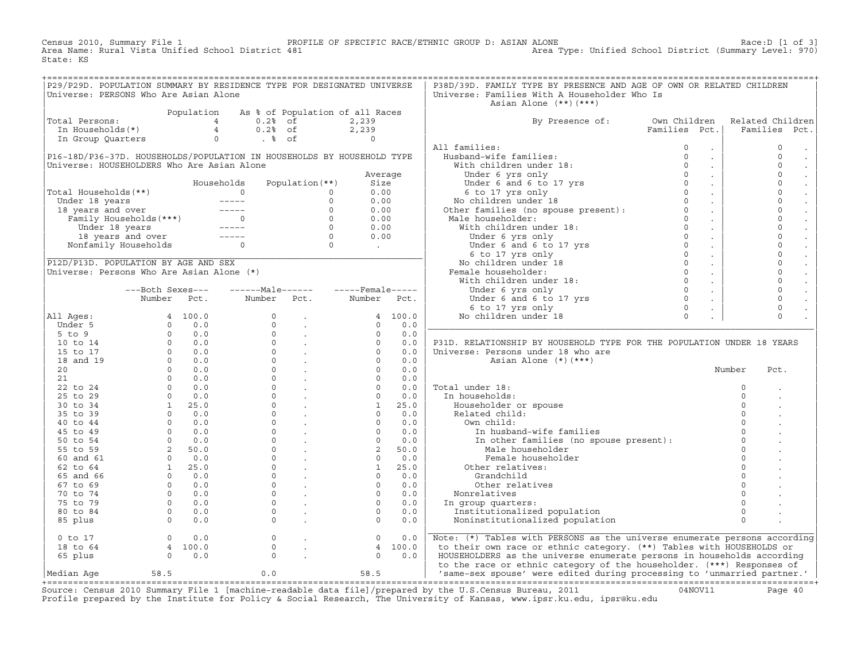Census 2010, Summary File 1 PROFILE OF SPECIFIC RACE/ETHNIC GROUP D: ASIAN ALONE RACE:D [1 of 3]<br>Area Name: Rural Vista Unified School District 481 Area Type: Unified School District (Summary Level: 970) Area Type: Unified School District (Summary Level: 970) State: KS

| P29/P29D. POPULATION SUMMARY BY RESIDENCE TYPE FOR DESIGNATED UNIVERSE                                                                                                                                                                             |                                                                  |                                                                                                                                                                                                                                                                                                                                    |                                                            |      |                | P38D/39D. FAMILY TYPE BY PRESENCE AND AGE OF OWN OR RELATED CHILDREN                                                                                                                                                                             |                 |          |                               |
|----------------------------------------------------------------------------------------------------------------------------------------------------------------------------------------------------------------------------------------------------|------------------------------------------------------------------|------------------------------------------------------------------------------------------------------------------------------------------------------------------------------------------------------------------------------------------------------------------------------------------------------------------------------------|------------------------------------------------------------|------|----------------|--------------------------------------------------------------------------------------------------------------------------------------------------------------------------------------------------------------------------------------------------|-----------------|----------|-------------------------------|
| Universe: PERSONS Who Are Asian Alone                                                                                                                                                                                                              |                                                                  |                                                                                                                                                                                                                                                                                                                                    |                                                            |      |                | Universe: Families With A Householder Who Is                                                                                                                                                                                                     |                 |          |                               |
|                                                                                                                                                                                                                                                    |                                                                  |                                                                                                                                                                                                                                                                                                                                    |                                                            |      |                | Asian Alone (**)(***)                                                                                                                                                                                                                            |                 |          |                               |
|                                                                                                                                                                                                                                                    |                                                                  |                                                                                                                                                                                                                                                                                                                                    |                                                            |      |                |                                                                                                                                                                                                                                                  |                 |          |                               |
| Total Persons:                                                                                                                                                                                                                                     |                                                                  | Vertal Persons:<br>$\begin{array}{ccccccccc}\n\text{Total Persons:} & & \text{Population} & \text{As} & \text{of Population of all Races} \\ \text{In Households(*)} & & 4 & 0.2 & \text{of} & 2,239 \\ \text{In Group Quatters} & & 4 & 0.2 & \text{of} & 2,239 \\ \text{In Group Quatters} & & 0 & & \text{of} & 0\n\end{array}$ |                                                            |      |                | By Presence of: Own Children Related Children                                                                                                                                                                                                    |                 |          |                               |
|                                                                                                                                                                                                                                                    |                                                                  |                                                                                                                                                                                                                                                                                                                                    |                                                            |      |                |                                                                                                                                                                                                                                                  |                 |          | Families Pct.   Families Pct. |
|                                                                                                                                                                                                                                                    |                                                                  |                                                                                                                                                                                                                                                                                                                                    |                                                            |      |                |                                                                                                                                                                                                                                                  |                 |          |                               |
|                                                                                                                                                                                                                                                    |                                                                  |                                                                                                                                                                                                                                                                                                                                    |                                                            |      |                |                                                                                                                                                                                                                                                  |                 |          |                               |
|                                                                                                                                                                                                                                                    |                                                                  |                                                                                                                                                                                                                                                                                                                                    |                                                            |      |                |                                                                                                                                                                                                                                                  | <b>Contract</b> |          | $\Omega$                      |
| P16-18D/P36-37D. HOUSEHOLDS/POPULATION IN HOUSEHOLDS BY HOUSEHOLD TYPE                                                                                                                                                                             |                                                                  |                                                                                                                                                                                                                                                                                                                                    |                                                            |      |                |                                                                                                                                                                                                                                                  | $\sim 100$      |          | $\circ$<br>$\sim$             |
| Universe: HOUSEHOLDERS Who Are Asian Alone                                                                                                                                                                                                         |                                                                  |                                                                                                                                                                                                                                                                                                                                    |                                                            |      |                |                                                                                                                                                                                                                                                  | $\sim 10^7$     |          | $\mathsf{O}$                  |
|                                                                                                                                                                                                                                                    |                                                                  |                                                                                                                                                                                                                                                                                                                                    |                                                            |      | Average        |                                                                                                                                                                                                                                                  |                 |          | $\circ$                       |
|                                                                                                                                                                                                                                                    |                                                                  |                                                                                                                                                                                                                                                                                                                                    |                                                            |      |                |                                                                                                                                                                                                                                                  | $\sim 10^6$     |          | $\circ$                       |
|                                                                                                                                                                                                                                                    |                                                                  |                                                                                                                                                                                                                                                                                                                                    |                                                            |      |                |                                                                                                                                                                                                                                                  | $\sim 10^{-1}$  |          | $\mathsf{O}\xspace$           |
|                                                                                                                                                                                                                                                    |                                                                  |                                                                                                                                                                                                                                                                                                                                    |                                                            |      |                |                                                                                                                                                                                                                                                  | $\sim 10^{-1}$  |          | $\mathbf 0$                   |
|                                                                                                                                                                                                                                                    |                                                                  |                                                                                                                                                                                                                                                                                                                                    |                                                            |      |                |                                                                                                                                                                                                                                                  | $\sim 100$      |          | $\mathbf 0$                   |
|                                                                                                                                                                                                                                                    |                                                                  |                                                                                                                                                                                                                                                                                                                                    |                                                            |      |                |                                                                                                                                                                                                                                                  | $\sim$          |          | $\mathsf{O}\xspace$           |
|                                                                                                                                                                                                                                                    |                                                                  |                                                                                                                                                                                                                                                                                                                                    |                                                            |      |                |                                                                                                                                                                                                                                                  | $\sim 10^{-1}$  |          | $\mathbf 0$                   |
|                                                                                                                                                                                                                                                    |                                                                  |                                                                                                                                                                                                                                                                                                                                    |                                                            |      |                |                                                                                                                                                                                                                                                  | $\sim 10$       |          | $\mathbf 0$                   |
| Nouseholds Population(**)<br>Nouseholds Population(**)<br>5ize<br>18 years and over<br>18 years and over<br>Tamily Households (***)<br>18 years and over<br>18 years and over<br>18 years and over<br>18 years and over<br>18 years and over<br>18 |                                                                  |                                                                                                                                                                                                                                                                                                                                    |                                                            |      |                | All families:<br>Husband-wife families:<br>With children under 18:<br>Under 6 yrs only<br>Under 6 and 6 to 17 yrs<br>6 to 17 yrs only<br>No children under 18<br>Other families (no spouse present):<br>No children under 18:<br>Other 6 yrs onl | $\sim 100$      |          | $\mathsf{O}\xspace$           |
|                                                                                                                                                                                                                                                    |                                                                  |                                                                                                                                                                                                                                                                                                                                    |                                                            |      |                |                                                                                                                                                                                                                                                  | $\sim 10^{-1}$  |          | $\mathbf 0$                   |
| P12D/P13D. POPULATION BY AGE AND SEX                                                                                                                                                                                                               |                                                                  |                                                                                                                                                                                                                                                                                                                                    |                                                            |      |                |                                                                                                                                                                                                                                                  | $\sim 100$      |          | $\mathsf{O}\xspace$           |
| Universe: Persons Who Are Asian Alone (*)                                                                                                                                                                                                          |                                                                  |                                                                                                                                                                                                                                                                                                                                    |                                                            |      |                |                                                                                                                                                                                                                                                  | $\sim 100$      |          | $\mathsf{O}\xspace$           |
|                                                                                                                                                                                                                                                    |                                                                  |                                                                                                                                                                                                                                                                                                                                    |                                                            |      |                |                                                                                                                                                                                                                                                  | $\sim 10^{-1}$  |          | $\circ$                       |
|                                                                                                                                                                                                                                                    |                                                                  | ---Both Sexes---    ------Male------    -----Female-----                                                                                                                                                                                                                                                                           |                                                            |      |                |                                                                                                                                                                                                                                                  | $\sim 10^7$     |          | $\mathsf{O}\xspace$           |
|                                                                                                                                                                                                                                                    |                                                                  | Number Pct. Number Pct. Number Pct.                                                                                                                                                                                                                                                                                                |                                                            |      |                |                                                                                                                                                                                                                                                  | $\sim 10$       |          | $\circ$                       |
|                                                                                                                                                                                                                                                    |                                                                  |                                                                                                                                                                                                                                                                                                                                    |                                                            |      |                |                                                                                                                                                                                                                                                  |                 |          | $\circ$                       |
|                                                                                                                                                                                                                                                    |                                                                  |                                                                                                                                                                                                                                                                                                                                    |                                                            |      |                |                                                                                                                                                                                                                                                  |                 |          |                               |
|                                                                                                                                                                                                                                                    |                                                                  |                                                                                                                                                                                                                                                                                                                                    |                                                            |      |                |                                                                                                                                                                                                                                                  |                 |          |                               |
|                                                                                                                                                                                                                                                    |                                                                  |                                                                                                                                                                                                                                                                                                                                    |                                                            |      |                |                                                                                                                                                                                                                                                  |                 |          |                               |
|                                                                                                                                                                                                                                                    |                                                                  |                                                                                                                                                                                                                                                                                                                                    |                                                            |      |                |                                                                                                                                                                                                                                                  |                 |          |                               |
|                                                                                                                                                                                                                                                    |                                                                  |                                                                                                                                                                                                                                                                                                                                    |                                                            |      |                | P31D. RELATIONSHIP BY HOUSEHOLD TYPE FOR THE POPULATION UNDER 18 YEARS                                                                                                                                                                           |                 |          |                               |
|                                                                                                                                                                                                                                                    |                                                                  |                                                                                                                                                                                                                                                                                                                                    |                                                            |      |                |                                                                                                                                                                                                                                                  |                 |          |                               |
|                                                                                                                                                                                                                                                    |                                                                  |                                                                                                                                                                                                                                                                                                                                    |                                                            |      |                |                                                                                                                                                                                                                                                  |                 |          |                               |
|                                                                                                                                                                                                                                                    |                                                                  |                                                                                                                                                                                                                                                                                                                                    |                                                            |      |                |                                                                                                                                                                                                                                                  |                 | Number   | Pct.                          |
|                                                                                                                                                                                                                                                    |                                                                  |                                                                                                                                                                                                                                                                                                                                    |                                                            |      |                |                                                                                                                                                                                                                                                  |                 |          |                               |
|                                                                                                                                                                                                                                                    |                                                                  |                                                                                                                                                                                                                                                                                                                                    |                                                            |      |                |                                                                                                                                                                                                                                                  |                 | $\circ$  |                               |
|                                                                                                                                                                                                                                                    |                                                                  |                                                                                                                                                                                                                                                                                                                                    |                                                            |      |                |                                                                                                                                                                                                                                                  |                 | $\circ$  |                               |
|                                                                                                                                                                                                                                                    |                                                                  |                                                                                                                                                                                                                                                                                                                                    |                                                            |      |                |                                                                                                                                                                                                                                                  |                 | $\Omega$ |                               |
|                                                                                                                                                                                                                                                    |                                                                  |                                                                                                                                                                                                                                                                                                                                    |                                                            |      |                |                                                                                                                                                                                                                                                  |                 |          |                               |
|                                                                                                                                                                                                                                                    |                                                                  |                                                                                                                                                                                                                                                                                                                                    |                                                            |      |                |                                                                                                                                                                                                                                                  |                 | $\Omega$ |                               |
|                                                                                                                                                                                                                                                    |                                                                  |                                                                                                                                                                                                                                                                                                                                    |                                                            |      |                |                                                                                                                                                                                                                                                  |                 | $\Omega$ |                               |
|                                                                                                                                                                                                                                                    |                                                                  |                                                                                                                                                                                                                                                                                                                                    |                                                            |      |                |                                                                                                                                                                                                                                                  |                 | $\circ$  |                               |
|                                                                                                                                                                                                                                                    |                                                                  |                                                                                                                                                                                                                                                                                                                                    |                                                            |      |                |                                                                                                                                                                                                                                                  |                 |          |                               |
|                                                                                                                                                                                                                                                    |                                                                  |                                                                                                                                                                                                                                                                                                                                    |                                                            |      |                |                                                                                                                                                                                                                                                  |                 | $\Omega$ |                               |
|                                                                                                                                                                                                                                                    |                                                                  |                                                                                                                                                                                                                                                                                                                                    |                                                            |      |                |                                                                                                                                                                                                                                                  |                 |          |                               |
|                                                                                                                                                                                                                                                    |                                                                  |                                                                                                                                                                                                                                                                                                                                    |                                                            |      |                |                                                                                                                                                                                                                                                  |                 | $\Omega$ |                               |
|                                                                                                                                                                                                                                                    |                                                                  |                                                                                                                                                                                                                                                                                                                                    |                                                            |      |                |                                                                                                                                                                                                                                                  |                 | $\circ$  |                               |
|                                                                                                                                                                                                                                                    |                                                                  |                                                                                                                                                                                                                                                                                                                                    |                                                            |      |                |                                                                                                                                                                                                                                                  |                 |          |                               |
|                                                                                                                                                                                                                                                    |                                                                  |                                                                                                                                                                                                                                                                                                                                    |                                                            |      |                |                                                                                                                                                                                                                                                  |                 | $\Omega$ |                               |
|                                                                                                                                                                                                                                                    |                                                                  |                                                                                                                                                                                                                                                                                                                                    |                                                            |      |                |                                                                                                                                                                                                                                                  |                 | $\Omega$ |                               |
|                                                                                                                                                                                                                                                    |                                                                  |                                                                                                                                                                                                                                                                                                                                    |                                                            |      |                |                                                                                                                                                                                                                                                  |                 |          |                               |
|                                                                                                                                                                                                                                                    |                                                                  |                                                                                                                                                                                                                                                                                                                                    |                                                            |      |                |                                                                                                                                                                                                                                                  |                 | $\Omega$ |                               |
|                                                                                                                                                                                                                                                    |                                                                  |                                                                                                                                                                                                                                                                                                                                    |                                                            |      |                |                                                                                                                                                                                                                                                  |                 |          |                               |
| 0 to 17                                                                                                                                                                                                                                            | $\begin{array}{ccc} 0 & 0.0 \\ 4 & 100.0 \\ 0 & 0.0 \end{array}$ |                                                                                                                                                                                                                                                                                                                                    | $0$ .                                                      |      | $0 \qquad 0.0$ | Note: (*) Tables with PERSONS as the universe enumerate persons according                                                                                                                                                                        |                 |          |                               |
| 18 to 64                                                                                                                                                                                                                                           |                                                                  | $\begin{matrix}0\\0\end{matrix}$                                                                                                                                                                                                                                                                                                   | $\begin{matrix} 0 & \cdots & \cdots & \cdots \end{matrix}$ |      | 4 100.0        | to their own race or ethnic category. (**) Tables with HOUSEHOLDS or                                                                                                                                                                             |                 |          |                               |
| 65 plus                                                                                                                                                                                                                                            |                                                                  |                                                                                                                                                                                                                                                                                                                                    |                                                            |      | $0 \qquad 0.0$ | HOUSEHOLDERS as the universe enumerate persons in households according                                                                                                                                                                           |                 |          |                               |
|                                                                                                                                                                                                                                                    |                                                                  |                                                                                                                                                                                                                                                                                                                                    |                                                            |      |                | to the race or ethnic category of the householder. (***) Responses of                                                                                                                                                                            |                 |          |                               |
| Median Aqe                                                                                                                                                                                                                                         | 58.5                                                             | 0.0                                                                                                                                                                                                                                                                                                                                |                                                            | 58.5 |                | 'same-sex spouse' were edited during processing to 'unmarried partner.'                                                                                                                                                                          |                 |          |                               |

|Median Age 58.5 0.0 58.5 | 'same−sex spouse' were edited during processing to 'unmarried partner.' | +===================================================================================================================================================+ Source: Census 2010 Summary File 1 [machine−readable data file]/prepared by the U.S.Census Bureau, 2011 04NOV11 Page 40 Profile prepared by the Institute for Policy & Social Research, The University of Kansas, www.ipsr.ku.edu, ipsr@ku.edu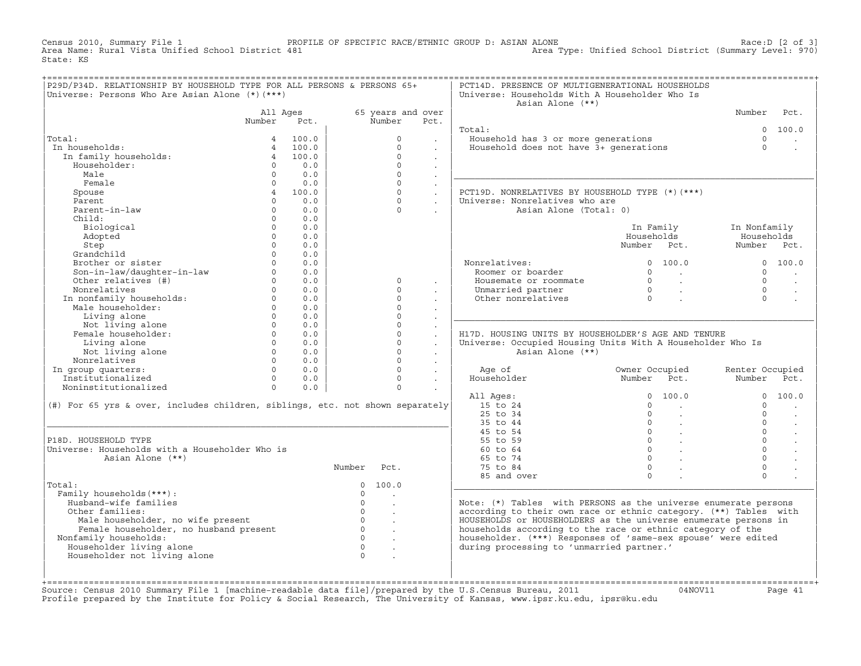Census 2010, Summary File 1 PROFILE OF SPECIFIC RACE/ETHNIC GROUP D: ASIAN ALONE Race:D [2 of 3] Area Type: Unified School District (Summary Level: 970) State: KS

| P29D/P34D. RELATIONSHIP BY HOUSEHOLD TYPE FOR ALL PERSONS & PERSONS 65+<br>Universe: Persons Who Are Asian Alone (*) (***) |                        |            |                |                      |                      | PCT14D. PRESENCE OF MULTIGENERATIONAL HOUSEHOLDS<br>Universe: Households With A Householder Who Is<br>Asian Alone (**) |                                         |                 |                      |
|----------------------------------------------------------------------------------------------------------------------------|------------------------|------------|----------------|----------------------|----------------------|------------------------------------------------------------------------------------------------------------------------|-----------------------------------------|-----------------|----------------------|
|                                                                                                                            | All Ages               |            |                | 65 years and over    |                      |                                                                                                                        |                                         | Number          | Pct.                 |
|                                                                                                                            | Number                 | Pct.       |                | Number               | Pct.                 |                                                                                                                        |                                         |                 |                      |
|                                                                                                                            |                        |            |                |                      |                      | Total:                                                                                                                 |                                         | $\Omega$        | 100.0                |
| Total:                                                                                                                     | $\overline{a}$         | 100.0      |                | $\Omega$             |                      | Household has 3 or more generations                                                                                    |                                         | $\Omega$        |                      |
| In households:                                                                                                             | $\overline{4}$         | 100.0      |                | $\Omega$             |                      | Household does not have 3+ generations                                                                                 |                                         | $\Omega$        |                      |
| In family households:                                                                                                      | $\overline{4}$         | 100.0      |                | $\Omega$             | $\sim$               |                                                                                                                        |                                         |                 |                      |
| Householder:                                                                                                               | $\Omega$               | 0.0        |                | $\Omega$             | $\sim$               |                                                                                                                        |                                         |                 |                      |
| Male                                                                                                                       | $\Omega$               | 0.0        |                | $\Omega$             | $\ddot{\phantom{0}}$ |                                                                                                                        |                                         |                 |                      |
| Female                                                                                                                     | $\Omega$<br>$4\degree$ | 0.0        |                | $\Omega$<br>$\circ$  | $\mathbb{Z}^2$       |                                                                                                                        |                                         |                 |                      |
| Spouse                                                                                                                     | $\Omega$               | 100.0      |                | $\Omega$             | $\sim$               | PCT19D. NONRELATIVES BY HOUSEHOLD TYPE (*)(***)                                                                        |                                         |                 |                      |
| Parent<br>Parent-in-law                                                                                                    | $\Omega$               | 0.0<br>0.0 |                | $\Omega$             | $\ddot{\phantom{a}}$ | Universe: Nonrelatives who are<br>Asian Alone (Total: 0)                                                               |                                         |                 |                      |
| $ChilA$ .                                                                                                                  | $\Omega$               | 0.0        |                |                      |                      |                                                                                                                        |                                         |                 |                      |
| Biological                                                                                                                 | $\Omega$               | 0.0        |                |                      |                      |                                                                                                                        | In Family                               | In Nonfamily    |                      |
| Adopted                                                                                                                    | $\Omega$               | 0.0        |                |                      |                      |                                                                                                                        | Households                              | Households      |                      |
| Step                                                                                                                       | $\Omega$               | 0.0        |                |                      |                      |                                                                                                                        | Number Pct.                             | Number Pct.     |                      |
| Grandchild                                                                                                                 | $\Omega$               | 0.0        |                |                      |                      |                                                                                                                        |                                         |                 |                      |
| Brother or sister                                                                                                          | $\Omega$               | 0.0        |                |                      |                      | Nonrelatives:                                                                                                          | 0, 100, 0                               |                 | 0 100.0              |
| Son-in-law/daughter-in-law                                                                                                 | $\Omega$               | 0.0        |                |                      |                      | Roomer or boarder                                                                                                      | $\Omega$<br><b>Contract Contract</b>    | $\Omega$        |                      |
| Other relatives (#)                                                                                                        | $\Omega$               | 0.0        |                | $\circ$              |                      | Housemate or roommate                                                                                                  | $\overline{0}$<br>$\sim 100$ km $^{-1}$ | $\Omega$        |                      |
| Nonrelatives                                                                                                               | $\Omega$               | 0.0        |                | $\Omega$             | $\sim$               | Unmarried partner                                                                                                      | $\overline{0}$<br>$\sim 100$            | $\Omega$        | $\sim$               |
| In nonfamily households:                                                                                                   | $\Omega$               | 0.0        |                | $\Omega$             |                      | Other nonrelatives                                                                                                     | $\overline{0}$                          | $\Omega$        |                      |
| Male householder:                                                                                                          | $\Omega$               | 0.0        |                | $\Omega$             |                      |                                                                                                                        |                                         |                 |                      |
| Living alone                                                                                                               | $\cap$                 | 0.0        |                | $\Omega$             | $\ddot{\phantom{a}}$ |                                                                                                                        |                                         |                 |                      |
| Not living alone                                                                                                           | $\Omega$               | 0.0        |                | $\Omega$             | $\ddot{\phantom{a}}$ |                                                                                                                        |                                         |                 |                      |
| Female householder:                                                                                                        | $\Omega$               | 0.0        |                | $\Omega$             | $\ddot{\phantom{a}}$ | H17D. HOUSING UNITS BY HOUSEHOLDER'S AGE AND TENURE                                                                    |                                         |                 |                      |
| Living alone                                                                                                               | $\Omega$               | 0.0        |                | $\Omega$             | $\ddot{\phantom{a}}$ | Universe: Occupied Housing Units With A Householder Who Is                                                             |                                         |                 |                      |
| Not living alone                                                                                                           | $\Omega$               | 0.0        |                | $\Omega$             |                      | Asian Alone (**)                                                                                                       |                                         |                 |                      |
| Nonrelatives                                                                                                               | $\Omega$               | 0.0        |                | $\Omega$             | $\sim$               |                                                                                                                        |                                         |                 |                      |
| In group quarters:                                                                                                         | $\Omega$               | 0.0        |                | $\Omega$             | $\sim$               | Age of                                                                                                                 | Owner Occupied                          | Renter Occupied |                      |
| Institutionalized                                                                                                          | $\Omega$               | 0.0        |                | $\Omega$             | $\ddot{\phantom{a}}$ | Householder                                                                                                            | Number Pct.                             | Number          | Pct.                 |
| Noninstitutionalized                                                                                                       | $\Omega$               | 0.0        |                | $\Omega$             |                      |                                                                                                                        |                                         |                 |                      |
|                                                                                                                            |                        |            |                |                      |                      | All Ages:                                                                                                              | 100.0<br>$\Omega$                       | $\Omega$        | 100.0                |
| (#) For 65 yrs & over, includes children, siblings, etc. not shown separately                                              |                        |            |                |                      |                      | 15 to 24                                                                                                               | $\Omega$                                | $\cap$          |                      |
|                                                                                                                            |                        |            |                |                      |                      | $25$ to $34$                                                                                                           | $\Omega$                                | $\Omega$        | $\sim$               |
|                                                                                                                            |                        |            |                |                      |                      | 35 to 44                                                                                                               | $\circ$<br>$\ddot{\phantom{a}}$         | $\Omega$        | $\sim$               |
|                                                                                                                            |                        |            |                |                      |                      | 45 to 54                                                                                                               | $\Omega$<br>$\sim$                      | $\Omega$        | $\ddot{\phantom{a}}$ |
| P18D. HOUSEHOLD TYPE                                                                                                       |                        |            |                |                      |                      | 55 to 59                                                                                                               | $\overline{0}$                          | $\Omega$        |                      |
| Universe: Households with a Householder Who is                                                                             |                        |            |                |                      |                      | 60 to 64                                                                                                               | $\Omega$                                | $\Omega$        | $\cdot$              |
| Asian Alone (**)                                                                                                           |                        |            |                |                      |                      | 65 to 74                                                                                                               | $\Omega$                                | $\Omega$        |                      |
|                                                                                                                            |                        |            | Number         | Pct.                 |                      | 75 to 84                                                                                                               | $\Omega$                                | $\mathbf 0$     |                      |
|                                                                                                                            |                        |            |                |                      |                      | 85 and over                                                                                                            | $\Omega$                                | $\Omega$        |                      |
| Total:                                                                                                                     |                        |            | $\overline{0}$ | 100.0                |                      |                                                                                                                        |                                         |                 |                      |
| Family households (***) :                                                                                                  |                        |            | $\Omega$       | $\ddot{\phantom{a}}$ |                      |                                                                                                                        |                                         |                 |                      |
| Husband-wife families                                                                                                      |                        |            | $\Omega$       | $\sim$               |                      | Note: (*) Tables with PERSONS as the universe enumerate persons                                                        |                                         |                 |                      |
| Other families:                                                                                                            |                        |            | $\Omega$       | $\sim$               |                      | according to their own race or ethnic category. (**) Tables with                                                       |                                         |                 |                      |
| Male householder, no wife present                                                                                          |                        |            | $\Omega$       |                      |                      | HOUSEHOLDS or HOUSEHOLDERS as the universe enumerate persons in                                                        |                                         |                 |                      |
| Female householder, no husband present                                                                                     |                        |            | $\Omega$       | $\mathbf{r}$         |                      | households according to the race or ethnic category of the                                                             |                                         |                 |                      |
| Nonfamily households:                                                                                                      |                        |            | $\Omega$       | $\sim$               |                      | householder. (***) Responses of 'same-sex spouse' were edited                                                          |                                         |                 |                      |
| Householder living alone                                                                                                   |                        |            | $\Omega$       | $\ddot{\phantom{a}}$ |                      | during processing to 'unmarried partner.'                                                                              |                                         |                 |                      |
| Householder not living alone                                                                                               |                        |            | $\Omega$       |                      |                      |                                                                                                                        |                                         |                 |                      |
|                                                                                                                            |                        |            |                |                      |                      |                                                                                                                        |                                         |                 |                      |
|                                                                                                                            |                        |            |                |                      |                      |                                                                                                                        |                                         |                 |                      |
|                                                                                                                            |                        |            |                |                      |                      |                                                                                                                        |                                         |                 |                      |

+===================================================================================================================================================+Source: Census 2010 Summary File 1 [machine−readable data file]/prepared by the U.S.Census Bureau, 2011 04NOV11 Page 41 Profile prepared by the Institute for Policy & Social Research, The University of Kansas, www.ipsr.ku.edu, ipsr@ku.edu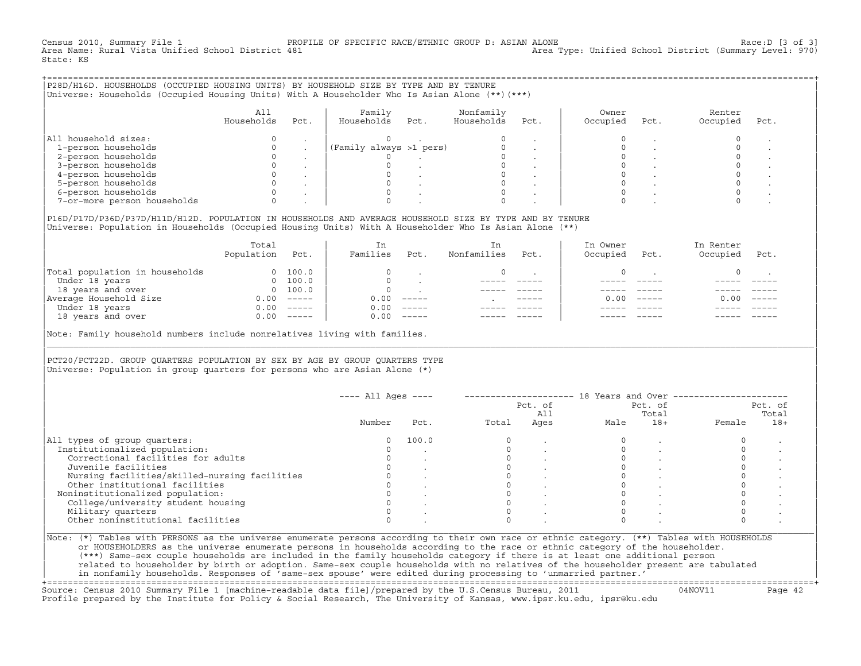Census 2010, Summary File 1 PROFILE OF SPECIFIC RACE/ETHNIC GROUP D: ASIAN ALONE Race:D [3 of 3] Area Type: Unified School District (Summary Level: 970) State: KS

+===================================================================================================================================================+|P28D/H16D. HOUSEHOLDS (OCCUPIED HOUSING UNITS) BY HOUSEHOLD SIZE BY TYPE AND BY TENURE | |Universe: Households (Occupied Housing Units) With A Householder Who Is Asian Alone (\*\*)(\*\*\*) |

|                             | All<br>Households | Pct. | Family<br>Households    | Pct. | Nonfamily<br>Households | Pct. | Owner<br>Occupied | Pct. | Renter<br>Occupied | Pct. |
|-----------------------------|-------------------|------|-------------------------|------|-------------------------|------|-------------------|------|--------------------|------|
| All household sizes:        |                   |      |                         |      |                         |      |                   |      |                    |      |
| 1-person households         |                   |      | (Family always >1 pers) |      |                         |      |                   |      |                    |      |
| 2-person households         |                   |      |                         |      |                         |      |                   |      |                    |      |
| 3-person households         |                   |      |                         |      |                         |      |                   |      |                    |      |
| 4-person households         |                   |      |                         |      |                         |      |                   |      |                    |      |
| 5-person households         |                   |      |                         |      |                         |      |                   |      |                    |      |
| 6-person households         |                   |      |                         |      |                         |      |                   |      |                    |      |
| 7-or-more person households |                   |      |                         |      |                         |      |                   |      |                    |      |

| |

|P16D/P17D/P36D/P37D/H11D/H12D. POPULATION IN HOUSEHOLDS AND AVERAGE HOUSEHOLD SIZE BY TYPE AND BY TENURE | |Universe: Population in Households (Occupied Housing Units) With A Householder Who Is Asian Alone (\*\*) |

|                                | Total<br>Population | Pct.     | In<br>Families | Pct.     | In<br>Nonfamilies | Pct.          | In Owner<br>Occupied | Pct.          | In Renter<br>Occupied | Pct.     |
|--------------------------------|---------------------|----------|----------------|----------|-------------------|---------------|----------------------|---------------|-----------------------|----------|
| Total population in households | $\Omega$            | 100.0    | $\Omega$       |          | $\Omega$          |               |                      |               |                       |          |
| Under 18 years                 | $\Omega$            | 100.0    |                |          |                   |               |                      |               |                       |          |
| 18 years and over              |                     | 0 100.0  | $\Omega$       |          |                   |               |                      |               |                       |          |
| Average Household Size         | 0.00                | $------$ | 0.00           | $------$ |                   | $- - - - - -$ | 0. OO -              | $\frac{1}{2}$ | 0.00                  | $------$ |
| Under 18 years                 | 0.00                | $------$ | 0.00           | $------$ |                   |               |                      |               |                       |          |
| 18 years and over              | 0.00                |          | 0.00           | $------$ |                   |               |                      |               |                       |          |
|                                |                     |          |                |          |                   |               |                      |               |                       |          |

Note: Family household numbers include nonrelatives living with families.

| | PCT20/PCT22D. GROUP OUARTERS POPULATION BY SEX BY AGE BY GROUP OUARTERS TYPE Universe: Population in group quarters for persons who are Asian Alone  $(*)$ 

|                                               |        |       |       | Pct. of<br>All |      | Pct. of<br>Total |        | Pct. of<br>Total |
|-----------------------------------------------|--------|-------|-------|----------------|------|------------------|--------|------------------|
|                                               | Number | Pct.  | Total | Ages           | Male | $18+$            | Female | $18+$            |
| All types of group quarters:                  | 0      | 100.0 |       |                |      |                  |        |                  |
| Institutionalized population:                 |        |       |       |                |      |                  |        |                  |
| Correctional facilities for adults            |        |       |       |                |      |                  |        |                  |
| Juvenile facilities                           |        |       |       |                |      |                  |        |                  |
| Nursing facilities/skilled-nursing facilities |        |       |       |                |      |                  |        |                  |
| Other institutional facilities                |        |       |       |                |      |                  |        |                  |
| Noninstitutionalized population:              |        |       |       |                |      |                  |        |                  |
| College/university student housing            |        |       |       |                |      |                  |        |                  |
| Military quarters                             |        |       |       |                |      |                  |        |                  |
| Other noninstitutional facilities             |        |       |       |                |      |                  |        |                  |

|\_\_\_\_\_\_\_\_\_\_\_\_\_\_\_\_\_\_\_\_\_\_\_\_\_\_\_\_\_\_\_\_\_\_\_\_\_\_\_\_\_\_\_\_\_\_\_\_\_\_\_\_\_\_\_\_\_\_\_\_\_\_\_\_\_\_\_\_\_\_\_\_\_\_\_\_\_\_\_\_\_\_\_\_\_\_\_\_\_\_\_\_\_\_\_\_\_\_\_\_\_\_\_\_\_\_\_\_\_\_\_\_\_\_\_\_\_\_\_\_\_\_\_\_\_\_\_\_\_\_\_\_\_\_\_\_\_\_\_\_\_\_\_\_\_\_\_|

| |

| or HOUSEHOLDERS as the universe enumerate persons in households according to the race or ethnic category of the householder. | | (\*\*\*) Same−sex couple households are included in the family households category if there is at least one additional person | | related to householder by birth or adoption. Same−sex couple households with no relatives of the householder present are tabulated | | in nonfamily households. Responses of 'same−sex spouse' were edited during processing to 'unmarried partner.' |

+===================================================================================================================================================+ Source: Census 2010 Summary File 1 [machine−readable data file]/prepared by the U.S.Census Bureau, 2011 04NOV11 Page 42 Profile prepared by the Institute for Policy & Social Research, The University of Kansas, www.ipsr.ku.edu, ipsr@ku.edu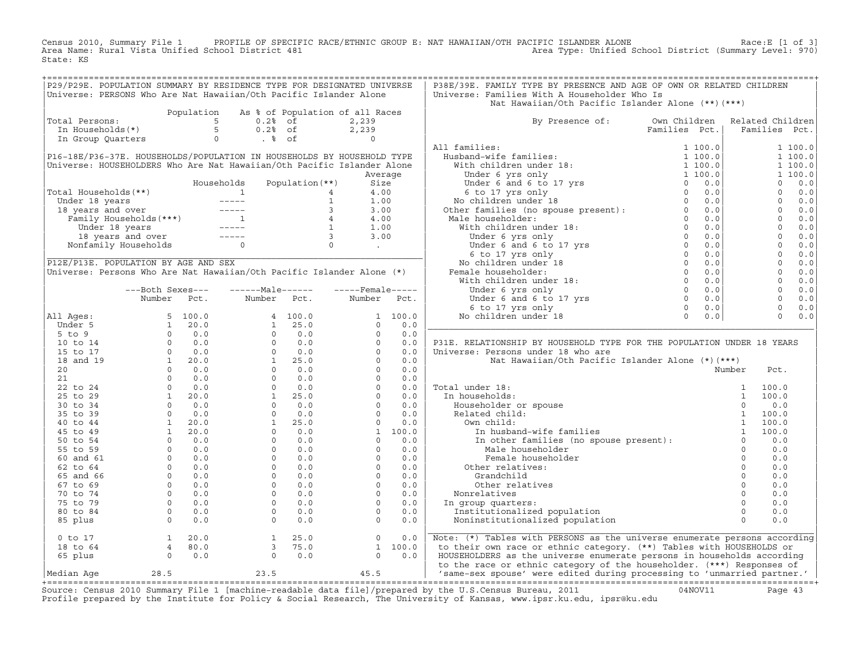Census 2010, Summary File 1 PROFILE OF SPECIFIC RACE/ETHNIC GROUP E: NAT HAWAIIAN/OTH PACIFIC ISLANDER ALONE Race:E [1 of 3] Area Name: Rural Vista Unified School District 481 Area Type: Unified School District (Summary Level: 970) State: KS

|                                                                                                                                                                                                                                                                           |                                                                  |            | P29/P29E. POPULATION SUMMARY BY RESIDENCE TYPE FOR DESIGNATED UNIVERSE                                                                                                   |      |                                                                  |         | P38E/39E. FAMILY TYPE BY PRESENCE AND AGE OF OWN OR RELATED CHILDREN                                                                                                                                                                                                                                                                                                                                                                        |               |        |          |                |         |
|---------------------------------------------------------------------------------------------------------------------------------------------------------------------------------------------------------------------------------------------------------------------------|------------------------------------------------------------------|------------|--------------------------------------------------------------------------------------------------------------------------------------------------------------------------|------|------------------------------------------------------------------|---------|---------------------------------------------------------------------------------------------------------------------------------------------------------------------------------------------------------------------------------------------------------------------------------------------------------------------------------------------------------------------------------------------------------------------------------------------|---------------|--------|----------|----------------|---------|
|                                                                                                                                                                                                                                                                           |                                                                  |            | Universe: PERSONS Who Are Nat Hawaiian/Oth Pacific Islander Alone                                                                                                        |      |                                                                  |         | Universe: Families With A Householder Who Is                                                                                                                                                                                                                                                                                                                                                                                                |               |        |          |                |         |
|                                                                                                                                                                                                                                                                           |                                                                  | Population |                                                                                                                                                                          |      | As % of Population of all Races                                  |         | Nat Hawaiian/Oth Pacific Islander Alone (**) (***)                                                                                                                                                                                                                                                                                                                                                                                          |               |        |          |                |         |
| Total Persons:                                                                                                                                                                                                                                                            |                                                                  |            |                                                                                                                                                                          |      |                                                                  |         | By Presence of: Own Children Related Children                                                                                                                                                                                                                                                                                                                                                                                               |               |        |          |                |         |
|                                                                                                                                                                                                                                                                           |                                                                  |            | 31 Dersons:<br>1 Persons:<br>1 Households(*)<br>1 Group Quarters<br>2,239<br>1 Group Quarters<br>2,239<br>5 0.2% of<br>3,239<br>5 0.2% of<br>2,239<br>8 0.2% of<br>2,239 |      |                                                                  |         |                                                                                                                                                                                                                                                                                                                                                                                                                                             | Families Pct. |        |          | Families Pct.  |         |
|                                                                                                                                                                                                                                                                           |                                                                  |            |                                                                                                                                                                          |      |                                                                  |         |                                                                                                                                                                                                                                                                                                                                                                                                                                             |               |        |          |                |         |
|                                                                                                                                                                                                                                                                           |                                                                  |            |                                                                                                                                                                          |      |                                                                  |         | All families:                                                                                                                                                                                                                                                                                                                                                                                                                               |               |        |          |                | 1 100.0 |
| P16-18E/P36-37E. HOUSEHOLDS/POPULATION IN HOUSEHOLDS BY HOUSEHOLD TYPE                                                                                                                                                                                                    |                                                                  |            |                                                                                                                                                                          |      |                                                                  |         |                                                                                                                                                                                                                                                                                                                                                                                                                                             |               |        |          |                | 1 100.0 |
| Universe: HOUSEHOLDERS Who Are Nat Hawaiian/Oth Pacific Islander Alone                                                                                                                                                                                                    |                                                                  |            |                                                                                                                                                                          |      |                                                                  |         |                                                                                                                                                                                                                                                                                                                                                                                                                                             |               |        |          |                | 1 100.0 |
|                                                                                                                                                                                                                                                                           |                                                                  |            |                                                                                                                                                                          |      |                                                                  | Average |                                                                                                                                                                                                                                                                                                                                                                                                                                             |               |        |          |                | 1 100.0 |
|                                                                                                                                                                                                                                                                           |                                                                  |            |                                                                                                                                                                          |      |                                                                  |         |                                                                                                                                                                                                                                                                                                                                                                                                                                             |               |        |          | $\circ$        | 0.0     |
| Total Households(**)                                                                                                                                                                                                                                                      |                                                                  |            |                                                                                                                                                                          |      |                                                                  |         |                                                                                                                                                                                                                                                                                                                                                                                                                                             |               |        |          | $\circ$        | 0.0     |
|                                                                                                                                                                                                                                                                           |                                                                  |            |                                                                                                                                                                          |      |                                                                  |         |                                                                                                                                                                                                                                                                                                                                                                                                                                             |               |        |          | $\overline{0}$ | 0.0     |
|                                                                                                                                                                                                                                                                           |                                                                  |            |                                                                                                                                                                          |      |                                                                  |         |                                                                                                                                                                                                                                                                                                                                                                                                                                             |               |        |          | $\overline{0}$ | 0.0     |
|                                                                                                                                                                                                                                                                           |                                                                  |            |                                                                                                                                                                          |      |                                                                  |         |                                                                                                                                                                                                                                                                                                                                                                                                                                             |               |        |          | $\overline{0}$ | 0.0     |
|                                                                                                                                                                                                                                                                           |                                                                  |            |                                                                                                                                                                          |      |                                                                  |         |                                                                                                                                                                                                                                                                                                                                                                                                                                             |               |        |          | $\overline{0}$ | 0.0     |
|                                                                                                                                                                                                                                                                           |                                                                  |            |                                                                                                                                                                          |      |                                                                  |         |                                                                                                                                                                                                                                                                                                                                                                                                                                             |               |        |          | $\circ$        | 0.0     |
|                                                                                                                                                                                                                                                                           |                                                                  |            |                                                                                                                                                                          |      |                                                                  |         | All families:<br>Huminies:<br>Huminies:<br>Which children under 18:<br>Under 6 yrs only<br>Under 6 yrs only<br>Under 6 to 17 yrs<br>6 to 17 yrs only<br>6 to 17 yrs 00<br>No children under 18<br>Other families (no spouse present):<br>Other famil                                                                                                                                                                                        |               |        |          | $\circ$        | 0.0     |
|                                                                                                                                                                                                                                                                           |                                                                  |            |                                                                                                                                                                          |      |                                                                  |         |                                                                                                                                                                                                                                                                                                                                                                                                                                             |               |        |          | $\Omega$       | 0.0     |
| P12E/P13E. POPULATION BY AGE AND SEX                                                                                                                                                                                                                                      |                                                                  |            |                                                                                                                                                                          |      |                                                                  |         |                                                                                                                                                                                                                                                                                                                                                                                                                                             |               |        |          | $\overline{0}$ | 0.0     |
| Universe: Persons Who Are Nat Hawaiian/Oth Pacific Islander Alone (*)                                                                                                                                                                                                     |                                                                  |            |                                                                                                                                                                          |      |                                                                  |         |                                                                                                                                                                                                                                                                                                                                                                                                                                             |               |        |          | $\overline{0}$ | 0.0     |
|                                                                                                                                                                                                                                                                           |                                                                  |            |                                                                                                                                                                          |      |                                                                  |         |                                                                                                                                                                                                                                                                                                                                                                                                                                             |               |        |          | $\overline{0}$ | 0.0     |
|                                                                                                                                                                                                                                                                           |                                                                  |            |                                                                                                                                                                          |      |                                                                  |         |                                                                                                                                                                                                                                                                                                                                                                                                                                             |               |        |          | $\overline{0}$ | 0.0     |
|                                                                                                                                                                                                                                                                           | ---Both Sexes---                                                 |            | $---Male----$                                                                                                                                                            |      | $---$ Female -----                                               |         |                                                                                                                                                                                                                                                                                                                                                                                                                                             |               |        |          | $\circ$        |         |
|                                                                                                                                                                                                                                                                           | Number                                                           | Pct.       | Number                                                                                                                                                                   | Pct. | Number                                                           | Pct.    |                                                                                                                                                                                                                                                                                                                                                                                                                                             |               |        |          | $\circ$        | 0.0     |
|                                                                                                                                                                                                                                                                           |                                                                  |            |                                                                                                                                                                          |      |                                                                  |         |                                                                                                                                                                                                                                                                                                                                                                                                                                             |               |        |          | $\Omega$       | 0.0     |
| All Ages:                                                                                                                                                                                                                                                                 |                                                                  |            |                                                                                                                                                                          |      |                                                                  | 1 100.0 |                                                                                                                                                                                                                                                                                                                                                                                                                                             |               |        |          |                | 0.0     |
|                                                                                                                                                                                                                                                                           |                                                                  |            |                                                                                                                                                                          |      | $\Omega$                                                         | 0.0     |                                                                                                                                                                                                                                                                                                                                                                                                                                             |               |        |          |                |         |
|                                                                                                                                                                                                                                                                           |                                                                  |            |                                                                                                                                                                          |      |                                                                  |         |                                                                                                                                                                                                                                                                                                                                                                                                                                             |               |        |          |                |         |
|                                                                                                                                                                                                                                                                           |                                                                  |            |                                                                                                                                                                          |      |                                                                  |         | P31E. RELATIONSHIP BY HOUSEHOLD TYPE FOR THE POPULATION UNDER 18 YEARS                                                                                                                                                                                                                                                                                                                                                                      |               |        |          |                |         |
|                                                                                                                                                                                                                                                                           |                                                                  |            |                                                                                                                                                                          |      |                                                                  |         | Universe: Persons under 18 who are                                                                                                                                                                                                                                                                                                                                                                                                          |               |        |          |                |         |
|                                                                                                                                                                                                                                                                           |                                                                  |            |                                                                                                                                                                          |      |                                                                  |         | Nat Hawaiian/Oth Pacific Islander Alone (*) (***)                                                                                                                                                                                                                                                                                                                                                                                           |               |        |          |                |         |
|                                                                                                                                                                                                                                                                           |                                                                  |            |                                                                                                                                                                          |      |                                                                  |         |                                                                                                                                                                                                                                                                                                                                                                                                                                             |               |        |          | Pct.           |         |
|                                                                                                                                                                                                                                                                           |                                                                  |            |                                                                                                                                                                          |      |                                                                  |         |                                                                                                                                                                                                                                                                                                                                                                                                                                             |               | Number |          |                |         |
|                                                                                                                                                                                                                                                                           |                                                                  |            |                                                                                                                                                                          |      |                                                                  |         |                                                                                                                                                                                                                                                                                                                                                                                                                                             |               |        |          |                |         |
|                                                                                                                                                                                                                                                                           |                                                                  |            |                                                                                                                                                                          |      |                                                                  |         | Total under 18:                                                                                                                                                                                                                                                                                                                                                                                                                             |               |        |          |                |         |
|                                                                                                                                                                                                                                                                           |                                                                  |            |                                                                                                                                                                          |      |                                                                  |         | In households:                                                                                                                                                                                                                                                                                                                                                                                                                              |               |        |          |                |         |
|                                                                                                                                                                                                                                                                           |                                                                  |            |                                                                                                                                                                          |      |                                                                  |         |                                                                                                                                                                                                                                                                                                                                                                                                                                             |               |        |          |                |         |
|                                                                                                                                                                                                                                                                           |                                                                  |            |                                                                                                                                                                          |      |                                                                  |         |                                                                                                                                                                                                                                                                                                                                                                                                                                             |               |        |          |                |         |
|                                                                                                                                                                                                                                                                           |                                                                  |            |                                                                                                                                                                          |      |                                                                  |         |                                                                                                                                                                                                                                                                                                                                                                                                                                             |               |        |          |                |         |
|                                                                                                                                                                                                                                                                           |                                                                  |            |                                                                                                                                                                          |      |                                                                  |         |                                                                                                                                                                                                                                                                                                                                                                                                                                             |               |        |          |                |         |
|                                                                                                                                                                                                                                                                           |                                                                  |            |                                                                                                                                                                          |      |                                                                  |         |                                                                                                                                                                                                                                                                                                                                                                                                                                             |               |        |          |                |         |
|                                                                                                                                                                                                                                                                           |                                                                  |            |                                                                                                                                                                          |      |                                                                  |         |                                                                                                                                                                                                                                                                                                                                                                                                                                             |               |        |          |                |         |
|                                                                                                                                                                                                                                                                           |                                                                  |            |                                                                                                                                                                          |      |                                                                  |         | $\begin{tabular}{lllllllllll} \texttt{al under 18:} & & & & & 1 & 100.0 \\ \texttt{m} \texttt{householder or spouse} & & & & 1 & 100.0 \\ \texttt{Related child:} & & & & 1 & 100.0 \\ \texttt{Related child:} & & & 1 & 100.0 \\ \texttt{Gwn child:} & & & 1 & 100.0 \\ \texttt{m} \texttt{m} \texttt{b} & & & 1 & 100.0 \\ \texttt{m} \texttt{a} & & & 1 & 100.0 \\ \texttt{m} \texttt{a} & & & 1 & 100.0 \\ \text$<br>Female householder |               |        | $\Omega$ | 0.0            |         |
|                                                                                                                                                                                                                                                                           |                                                                  |            |                                                                                                                                                                          |      |                                                                  |         | Other relatives:                                                                                                                                                                                                                                                                                                                                                                                                                            |               |        | $\Omega$ | 0.0            |         |
|                                                                                                                                                                                                                                                                           |                                                                  |            |                                                                                                                                                                          |      |                                                                  |         | Grandchild                                                                                                                                                                                                                                                                                                                                                                                                                                  |               |        | $\Omega$ | 0.0            |         |
|                                                                                                                                                                                                                                                                           |                                                                  |            |                                                                                                                                                                          |      |                                                                  |         | Other relatives                                                                                                                                                                                                                                                                                                                                                                                                                             |               |        | $\Omega$ | 0.0            |         |
|                                                                                                                                                                                                                                                                           |                                                                  |            |                                                                                                                                                                          |      |                                                                  |         | Nonrelatives                                                                                                                                                                                                                                                                                                                                                                                                                                |               |        | $\Omega$ | 0.0            |         |
|                                                                                                                                                                                                                                                                           |                                                                  |            |                                                                                                                                                                          |      |                                                                  |         | In group quarters:                                                                                                                                                                                                                                                                                                                                                                                                                          |               |        | $\Omega$ | 0.0            |         |
|                                                                                                                                                                                                                                                                           |                                                                  |            |                                                                                                                                                                          |      |                                                                  |         | Institutionalized population                                                                                                                                                                                                                                                                                                                                                                                                                |               |        | $\Omega$ | 0.0            |         |
|                                                                                                                                                                                                                                                                           |                                                                  |            |                                                                                                                                                                          |      | $\overline{0}$                                                   | 0.0     | Noninstitutionalized population                                                                                                                                                                                                                                                                                                                                                                                                             |               |        | $\Omega$ | 0.0            |         |
| Number FCC.<br>11 Ages: 5 100.0<br>5 to 9 0 0.0<br>10 to 14 0 0.0<br>15 to 17 0 0.0<br>20 0 0.0<br>21 0 0.0<br>21 0 0.0<br>21 0 0.0<br>21 0 0.0<br>25 to 24 0 0.0<br>35 to 34 1 20.0<br>35 to 39 0 0.0<br>40 to 44 1 20.0<br>45 to 49 1 20.0<br>55 to 49 1 2<br>$0$ to 17 |                                                                  |            |                                                                                                                                                                          |      |                                                                  |         | Note: (*) Tables with PERSONS as the universe enumerate persons according                                                                                                                                                                                                                                                                                                                                                                   |               |        |          |                |         |
| 18 to 64                                                                                                                                                                                                                                                                  |                                                                  |            |                                                                                                                                                                          |      |                                                                  |         | to their own race or ethnic category. (**) Tables with HOUSEHOLDS or                                                                                                                                                                                                                                                                                                                                                                        |               |        |          |                |         |
| 65 plus                                                                                                                                                                                                                                                                   | $\begin{array}{ccc} 1 & 20.0 \\ 4 & 80.0 \\ 0 & 0.0 \end{array}$ |            | $\begin{array}{ccc} 1 & 25.0 \\ 3 & 75.0 \\ 0 & 0.0 \end{array}$                                                                                                         |      |                                                                  |         | HOUSEHOLDERS as the universe enumerate persons in households according                                                                                                                                                                                                                                                                                                                                                                      |               |        |          |                |         |
| Median Age                                                                                                                                                                                                                                                                | 28.5                                                             |            |                                                                                                                                                                          |      | $\begin{array}{ccc} 0 & 0.0 \\ 1 & 100.0 \\ 0 & 0.0 \end{array}$ |         | to the race or ethnic category of the householder. (***) Responses of<br>23.5 45.5 (1991) CO the face of edificit category of the householder. (""") Responses of the model of the model of the model of the model of the model of the model of the model of the model of the model of the model of the                                                                                                                                     |               |        |          |                |         |

+===================================================================================================================================================+Source: Census 2010 Summary File 1 [machine−readable data file]/prepared by the U.S.Census Bureau, 2011 04NOV11 Page 43 Profile prepared by the Institute for Policy & Social Research, The University of Kansas, www.ipsr.ku.edu, ipsr@ku.edu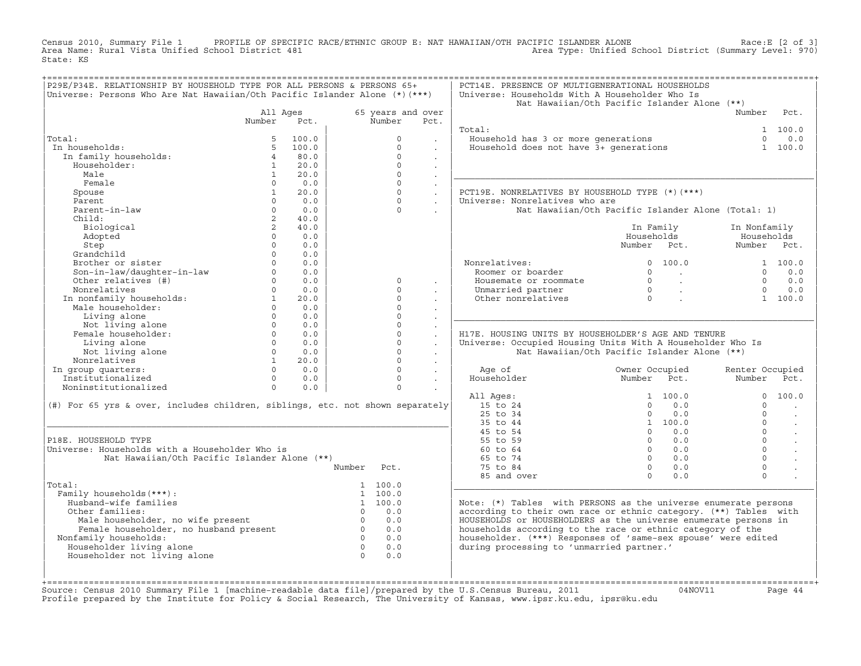Census 2010, Summary File 1 PROFILE OF SPECIFIC RACE/ETHNIC GROUP E: NAT HAWAIIAN/OTH PACIFIC ISLANDER ALONE Race:E [2 of 3]<br>Area Name: Rural Vista Unified School District 481 State: KS

| P29E/P34E. RELATIONSHIP BY HOUSEHOLD TYPE FOR ALL PERSONS & PERSONS 65+<br>Universe: Persons Who Are Nat Hawaiian/Oth Pacific Islander Alone $(*)$ (***) |                                  |             |                |                      |                      | PCT14E. PRESENCE OF MULTIGENERATIONAL HOUSEHOLDS<br>Universe: Households With A Householder Who Is |                                                                                |                 |                      |
|----------------------------------------------------------------------------------------------------------------------------------------------------------|----------------------------------|-------------|----------------|----------------------|----------------------|----------------------------------------------------------------------------------------------------|--------------------------------------------------------------------------------|-----------------|----------------------|
|                                                                                                                                                          |                                  |             |                |                      |                      |                                                                                                    | Nat Hawaiian/Oth Pacific Islander Alone (**)                                   |                 |                      |
|                                                                                                                                                          | All Ages                         |             |                | 65 years and over    |                      |                                                                                                    |                                                                                | Number          | Pct.                 |
|                                                                                                                                                          | Number                           | Pct.        |                | Number               | Pct.                 |                                                                                                    |                                                                                |                 |                      |
|                                                                                                                                                          |                                  |             |                |                      |                      | Total:                                                                                             |                                                                                |                 | 1 100.0              |
| Total:                                                                                                                                                   | 5                                | 100.0       |                | $\Omega$             | $\sim$               | Household has 3 or more generations<br>Household does not have 3+ generations                      |                                                                                | $\Omega$        | 0.0                  |
| In households:                                                                                                                                           |                                  | 5 100.0     |                | $\Omega$<br>$\Omega$ | $\ddot{\phantom{a}}$ |                                                                                                    |                                                                                |                 | 1 100.0              |
| In family households:                                                                                                                                    | $\overline{4}$<br>$\overline{1}$ | 80.0        |                | $\Omega$             | $\sim$               |                                                                                                    |                                                                                |                 |                      |
| Householder:<br>Male                                                                                                                                     |                                  | 20.0        |                |                      | $\ddot{\phantom{a}}$ |                                                                                                    |                                                                                |                 |                      |
|                                                                                                                                                          | 1<br>$\Omega$                    | 20.0        |                | $\circ$<br>$\Omega$  | $\ddot{\phantom{0}}$ |                                                                                                    |                                                                                |                 |                      |
| Female                                                                                                                                                   | 1                                | 0.0<br>20.0 |                | $\Omega$             | $\sim$               | PCT19E. NONRELATIVES BY HOUSEHOLD TYPE (*) (***)                                                   |                                                                                |                 |                      |
| Spouse<br>Parent                                                                                                                                         | $\Omega$                         | 0.0         |                | $\Omega$             | $\sim$               | Universe: Nonrelatives who are                                                                     |                                                                                |                 |                      |
| Parent-in-law                                                                                                                                            | $\Omega$                         | 0.0         |                | $\Omega$             | $\sim$               |                                                                                                    | Nat Hawaiian/Oth Pacific Islander Alone (Total: 1)                             |                 |                      |
| Child:                                                                                                                                                   | $\overline{2}$                   | 40.0        |                |                      |                      |                                                                                                    |                                                                                |                 |                      |
| Biological                                                                                                                                               | $\overline{a}$                   | 40.0        |                |                      |                      |                                                                                                    | In Family                                                                      | In Nonfamily    |                      |
| Adopted                                                                                                                                                  | $\Omega$                         | 0.0         |                |                      |                      |                                                                                                    | Households                                                                     | Households      |                      |
| Step                                                                                                                                                     | $\Omega$                         | 0.0         |                |                      |                      |                                                                                                    | Number Pct.                                                                    | Number Pct.     |                      |
| Grandchild                                                                                                                                               | $\Omega$                         | 0.0         |                |                      |                      |                                                                                                    |                                                                                |                 |                      |
| Brother or sister                                                                                                                                        | $\Omega$                         | 0.0         |                |                      |                      | Nonrelatives:                                                                                      | 0 100.0                                                                        |                 | 1 100.0              |
| Son-in-law/daughter-in-law<br>Other relatives (#)<br>Nonrolatives (#)                                                                                    | $\Omega$                         | 0.0         |                |                      |                      | Roomer or boarder                                                                                  | $\begin{matrix} 0 & & \cdot & \end{matrix}$                                    | $\Omega$        | 0.0                  |
|                                                                                                                                                          | $\Omega$                         | 0.0         |                | $\circ$              |                      | Housemate or roommate                                                                              |                                                                                | $\Omega$        | 0.0                  |
| Nonrelatives                                                                                                                                             | $\Omega$                         | 0.0         |                | $\Omega$             | $\ddot{\phantom{a}}$ | Unmarried partner                                                                                  | $\begin{matrix} 0 & & \cdot \\ & & 0 \\ & & & \cdot \\ & & & & 0 \end{matrix}$ | $\Omega$        | 0.0                  |
|                                                                                                                                                          | 1                                | 20.0        |                | $\Omega$             | $\mathbf{r}$         | Other nonrelatives                                                                                 |                                                                                |                 | 1 100.0              |
| In nonfamily households:<br>Male householder:                                                                                                            | $\Omega$                         | 0.0         |                | $\Omega$             | $\bullet$            |                                                                                                    |                                                                                |                 |                      |
| Living alone                                                                                                                                             | $\Omega$                         | 0.0         |                | $\Omega$             | $\mathbf{r}$         |                                                                                                    |                                                                                |                 |                      |
| Not living alone                                                                                                                                         | $\Omega$                         | 0.0         |                | $\Omega$             | $\ddot{\phantom{0}}$ |                                                                                                    |                                                                                |                 |                      |
| Female householder:                                                                                                                                      | $\Omega$                         | 0.0         |                | $\Omega$             | $\ddot{\phantom{a}}$ | H17E. HOUSING UNITS BY HOUSEHOLDER'S AGE AND TENURE                                                |                                                                                |                 |                      |
| Living alone                                                                                                                                             | $\Omega$                         | 0.0         |                | $\Omega$             | $\ddot{\phantom{a}}$ | Universe: Occupied Housing Units With A Householder Who Is                                         |                                                                                |                 |                      |
| Not living alone                                                                                                                                         |                                  | $0 \t 0.0$  |                | $\Omega$             | $\sim$               |                                                                                                    | Nat Hawaiian/Oth Pacific Islander Alone (**)                                   |                 |                      |
| Nonrelatives                                                                                                                                             | 1                                | 20.0        |                | $\Omega$             | $\sim$               |                                                                                                    |                                                                                |                 |                      |
| In group quarters:                                                                                                                                       | $\Omega$                         | 0.0         |                | $\Omega$             | $\sim$               | Age of                                                                                             | Owner Occupied                                                                 | Renter Occupied |                      |
| Institutionalized                                                                                                                                        | $\Omega$                         | 0.0         |                | $\Omega$             | $\ddot{\phantom{a}}$ | Householder                                                                                        | Number Pct.                                                                    | Number Pct.     |                      |
| Noninstitutionalized                                                                                                                                     | $\overline{0}$                   | 0.0         |                | $\Omega$             |                      |                                                                                                    |                                                                                |                 |                      |
|                                                                                                                                                          |                                  |             |                |                      |                      | All Ages:                                                                                          | 1 100.0                                                                        | $\Omega$        | 100.0                |
| (#) For 65 yrs & over, includes children, siblings, etc. not shown separately                                                                            |                                  |             |                |                      |                      | 15 to 24                                                                                           | $\Omega$<br>0.0                                                                | $\Omega$        | $\ddot{\phantom{a}}$ |
|                                                                                                                                                          |                                  |             |                |                      |                      | 25 to 34                                                                                           | 0.0<br>$\Omega$                                                                | $\Omega$        | $\ddot{\phantom{a}}$ |
|                                                                                                                                                          |                                  |             |                |                      |                      | 35 to 44                                                                                           | 1 100.0                                                                        | $\Omega$        | $\ddot{\phantom{1}}$ |
|                                                                                                                                                          |                                  |             |                |                      |                      | 45 to 54                                                                                           | $0 \t 0.0$                                                                     | $\Omega$        |                      |
| P18E. HOUSEHOLD TYPE                                                                                                                                     |                                  |             |                |                      |                      | 55 to 59                                                                                           | $\Omega$<br>0.0                                                                | $\Omega$        |                      |
| Universe: Households with a Householder Who is                                                                                                           |                                  |             |                |                      |                      | 60 to 64                                                                                           | $\Omega$<br>0.0                                                                | $\Omega$        | $\sim$               |
| Nat Hawaiian/Oth Pacific Islander Alone (**)                                                                                                             |                                  |             |                |                      |                      | 65 to 74                                                                                           | $\Omega$<br>0.0                                                                | $\Omega$        | $\ddot{\phantom{a}}$ |
|                                                                                                                                                          |                                  |             | Number         | Pct.                 |                      | 75 to 84                                                                                           | $\Omega$<br>0.0                                                                | $\mathbf 0$     |                      |
|                                                                                                                                                          |                                  |             |                |                      |                      | 85 and over                                                                                        | $\Omega$<br>0.0                                                                | $\Omega$        |                      |
| Total:                                                                                                                                                   |                                  |             |                | 1 100.0              |                      |                                                                                                    |                                                                                |                 |                      |
| Family households (***) :                                                                                                                                |                                  |             |                | 1 100.0              |                      |                                                                                                    |                                                                                |                 |                      |
| Husband-wife families                                                                                                                                    |                                  |             |                | 1 100.0              |                      | Note: $(*)$ Tables with PERSONS as the universe enumerate persons                                  |                                                                                |                 |                      |
| Other families:                                                                                                                                          |                                  |             | $\overline{0}$ | 0.0                  |                      | according to their own race or ethnic category. (**) Tables with                                   |                                                                                |                 |                      |
| Net Lamilles:<br>Male householder, no wife present<br>Female householder, no husband present<br>0                                                        |                                  |             |                | $0 \qquad 0.0$       |                      | HOUSEHOLDS or HOUSEHOLDERS as the universe enumerate persons in                                    |                                                                                |                 |                      |
|                                                                                                                                                          |                                  |             |                | 0.0                  |                      | households according to the race or ethnic category of the                                         |                                                                                |                 |                      |
| Nonfamily households:                                                                                                                                    |                                  |             | $\overline{0}$ | 0.0                  |                      | householder. (***) Responses of 'same-sex spouse' were edited                                      |                                                                                |                 |                      |
| Householder living alone                                                                                                                                 |                                  |             | $\overline{0}$ | 0.0                  |                      | during processing to 'unmarried partner.'                                                          |                                                                                |                 |                      |
| Householder not living alone                                                                                                                             |                                  |             | $\overline{0}$ | 0.0                  |                      |                                                                                                    |                                                                                |                 |                      |
|                                                                                                                                                          |                                  |             |                |                      |                      |                                                                                                    |                                                                                |                 |                      |
|                                                                                                                                                          |                                  |             |                |                      |                      |                                                                                                    |                                                                                |                 |                      |
|                                                                                                                                                          |                                  |             |                |                      |                      |                                                                                                    |                                                                                |                 |                      |

+===================================================================================================================================================+Source: Census 2010 Summary File 1 [machine−readable data file]/prepared by the U.S.Census Bureau, 2011 04NOV11 Page 44 Profile prepared by the Institute for Policy & Social Research, The University of Kansas, www.ipsr.ku.edu, ipsr@ku.edu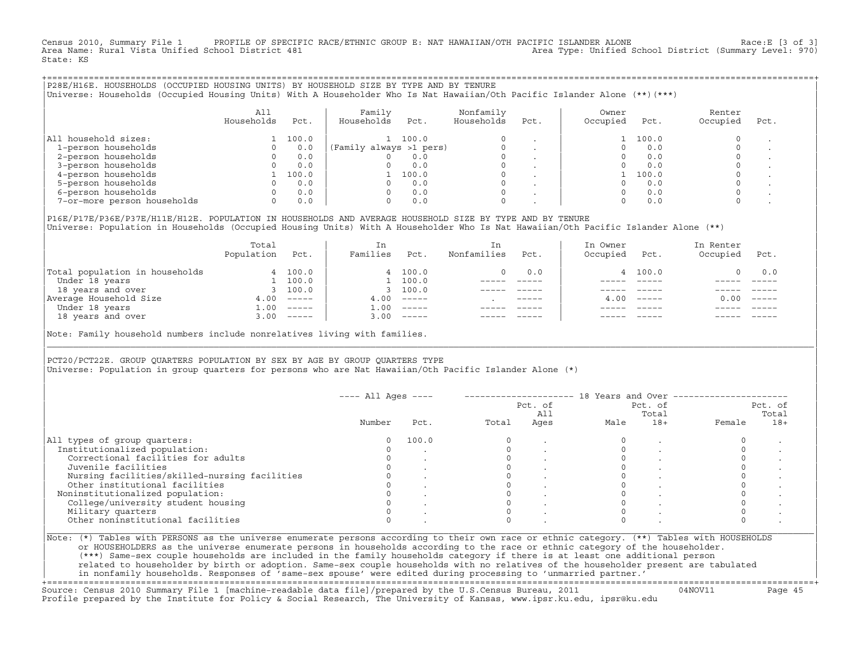Census 2010, Summary File 1 PROFILE OF SPECIFIC RACE/ETHNIC GROUP E: NAT HAWAIIAN/OTH PACIFIC ISLANDER ALONE Race:E [3 of 3]<br>Area Name: Rural Vista Unified School District 481 area Nover and the Area Type: Unified School D Area Type: Unified School District (Summary Level: 970) State: KS

+===================================================================================================================================================+|P28E/H16E. HOUSEHOLDS (OCCUPIED HOUSING UNITS) BY HOUSEHOLD SIZE BY TYPE AND BY TENURE | |Universe: Households (Occupied Housing Units) With A Householder Who Is Nat Hawaiian/Oth Pacific Islander Alone (\*\*)(\*\*\*) |

|                             | A11<br>Households | Pct.  | Family<br>Households    | Pct.  | Nonfamily<br>Households | Pct.                     | Owner<br>Occupied | Pct.  | Renter<br>Occupied | Pct. |
|-----------------------------|-------------------|-------|-------------------------|-------|-------------------------|--------------------------|-------------------|-------|--------------------|------|
| All household sizes:        |                   | 100.0 |                         | 100.0 | $\Omega$                |                          |                   | 100.0 |                    |      |
| 1-person households         |                   | 0.0   | (Family always >1 pers) |       |                         |                          |                   | 0.0   |                    |      |
| 2-person households         |                   | 0.0   |                         | 0.0   |                         |                          |                   | 0.0   |                    |      |
| 3-person households         |                   | 0.0   |                         | 0.0   |                         | $\overline{\phantom{a}}$ |                   | 0.0   |                    |      |
| 4-person households         |                   | 100.0 |                         | 100.0 | $\Omega$                |                          |                   | 100.0 |                    |      |
| 5-person households         |                   | 0.0   |                         | 0.0   |                         |                          |                   | 0.0   |                    |      |
| 6-person households         |                   | 0.0   |                         | 0.0   | $\Omega$                |                          |                   | 0.0   |                    |      |
| 7-or-more person households | $\circ$           | 0.0   |                         | 0.0   | 0                       |                          |                   | 0.0   |                    |      |

|P16E/P17E/P36E/P37E/H11E/H12E. POPULATION IN HOUSEHOLDS AND AVERAGE HOUSEHOLD SIZE BY TYPE AND BY TENURE | Universe: Population in Households (Occupied Housing Units) With A Householder Who Is Nat Hawaiian/Oth Pacific Islander Alone (\*\*)

| Population | Pct.     | Families           | Pct.          | In.<br>Nonfamilies           | Pct.        | In Owner<br>Occupied | Pct.        | In Renter<br>Occupied       | Pct.     |
|------------|----------|--------------------|---------------|------------------------------|-------------|----------------------|-------------|-----------------------------|----------|
|            |          |                    |               |                              | 0.0         |                      |             |                             | 0.0      |
|            | 100.0    |                    |               |                              |             |                      |             |                             |          |
|            |          |                    |               |                              |             |                      |             |                             |          |
| 4.00       | $------$ | 4.00               | $------$      |                              | $- - - - -$ |                      |             | 0.00                        | $------$ |
| 1.00       | $------$ | 1.00               | $------$      |                              |             |                      |             |                             |          |
| 3.00       | $------$ | 3.00               | $- - - - - -$ |                              |             |                      | $- - - - -$ |                             | $------$ |
|            |          | 4 100.0<br>3 100.0 |               | 4 100.0<br>100.0<br>3, 100.0 |             |                      |             | 4 100.0<br>$4.00 - - - - -$ |          |

Note: Family household numbers include nonrelatives living with families.

| | PCT20/PCT22E. GROUP OUARTERS POPULATION BY SEX BY AGE BY GROUP OUARTERS TYPE |Universe: Population in group quarters for persons who are Nat Hawaiian/Oth Pacific Islander Alone (\*) |

|                                               |        |       |       | Pct. of<br>All |      | Pct. of<br>Total |        | Pct. of<br>Total |
|-----------------------------------------------|--------|-------|-------|----------------|------|------------------|--------|------------------|
|                                               | Number | Pct.  | Total | Ages           | Male | $18+$            | Female | $18+$            |
| All types of group quarters:                  |        | 100.0 |       |                |      |                  |        |                  |
| Institutionalized population:                 |        |       |       |                |      |                  |        |                  |
| Correctional facilities for adults            |        |       |       |                |      |                  |        |                  |
| Juvenile facilities                           |        |       |       |                |      |                  |        |                  |
| Nursing facilities/skilled-nursing facilities |        |       |       |                |      |                  |        |                  |
| Other institutional facilities                |        |       |       |                |      |                  |        |                  |
| Noninstitutionalized population:              |        |       |       |                |      |                  |        |                  |
| College/university student housing            |        |       |       |                |      |                  |        |                  |
| Military quarters                             |        |       |       |                |      |                  |        |                  |
| Other noninstitutional facilities             |        |       |       |                |      |                  |        |                  |

|\_\_\_\_\_\_\_\_\_\_\_\_\_\_\_\_\_\_\_\_\_\_\_\_\_\_\_\_\_\_\_\_\_\_\_\_\_\_\_\_\_\_\_\_\_\_\_\_\_\_\_\_\_\_\_\_\_\_\_\_\_\_\_\_\_\_\_\_\_\_\_\_\_\_\_\_\_\_\_\_\_\_\_\_\_\_\_\_\_\_\_\_\_\_\_\_\_\_\_\_\_\_\_\_\_\_\_\_\_\_\_\_\_\_\_\_\_\_\_\_\_\_\_\_\_\_\_\_\_\_\_\_\_\_\_\_\_\_\_\_\_\_\_\_\_\_\_|

| |

or HOUSEHOLDERS as the universe enumerate persons in households according to the race or ethnic category of the householder. | (\*\*\*) Same−sex couple households are included in the family households category if there is at least one additional person | | related to householder by birth or adoption. Same−sex couple households with no relatives of the householder present are tabulated | | in nonfamily households. Responses of 'same−sex spouse' were edited during processing to 'unmarried partner.' | +===================================================================================================================================================+

Source: Census 2010 Summary File 1 [machine−readable data file]/prepared by the U.S.Census Bureau, 2011 04NOV11 Page 45 Profile prepared by the Institute for Policy & Social Research, The University of Kansas, www.ipsr.ku.edu, ipsr@ku.edu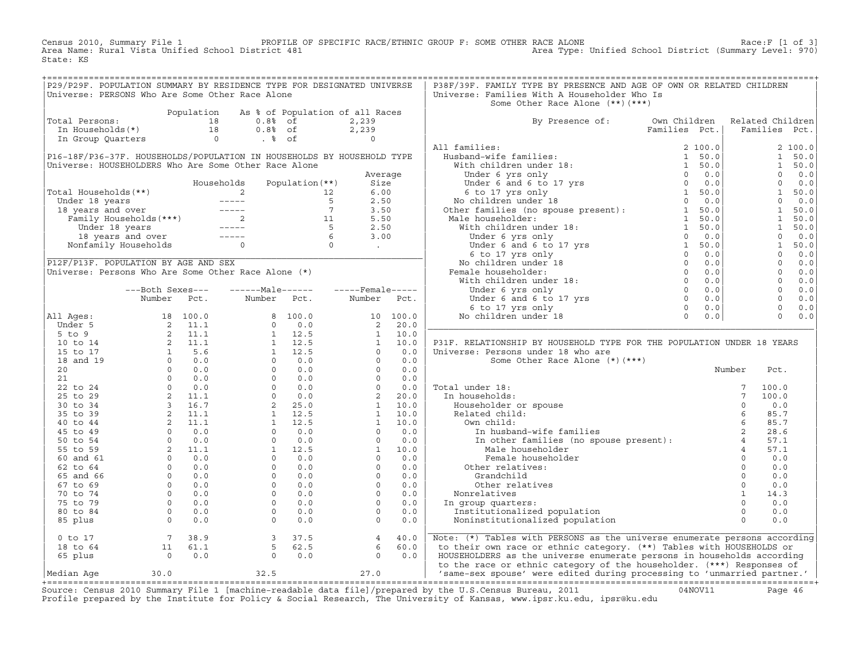Census 2010, Summary File 1 PROFILE OF SPECIFIC RACE/ETHNIC GROUP F: SOME OTHER RACE ALONE Race:F [1 of 3] Area Name: Rural Vista Unified School District 481 Area Type: Unified School District (Summary Level: 970) State: KS

| P29/P29F. POPULATION SUMMARY BY RESIDENCE TYPE FOR DESIGNATED UNIVERSE |                                                                   |                                                                                                                                                |      | P38F/39F. FAMILY TYPE BY PRESENCE AND AGE OF OWN OR RELATED CHILDREN                                                                                                                                                                                                                                                                                                                                                                                                                                                            |        |      |  |
|------------------------------------------------------------------------|-------------------------------------------------------------------|------------------------------------------------------------------------------------------------------------------------------------------------|------|---------------------------------------------------------------------------------------------------------------------------------------------------------------------------------------------------------------------------------------------------------------------------------------------------------------------------------------------------------------------------------------------------------------------------------------------------------------------------------------------------------------------------------|--------|------|--|
| Universe: PERSONS Who Are Some Other Race Alone                        |                                                                   |                                                                                                                                                |      | Universe: Families With A Householder Who Is                                                                                                                                                                                                                                                                                                                                                                                                                                                                                    |        |      |  |
|                                                                        |                                                                   |                                                                                                                                                |      | Some Other Race Alone (**) (***)                                                                                                                                                                                                                                                                                                                                                                                                                                                                                                |        |      |  |
|                                                                        |                                                                   |                                                                                                                                                |      |                                                                                                                                                                                                                                                                                                                                                                                                                                                                                                                                 |        |      |  |
| Total Persons:                                                         |                                                                   |                                                                                                                                                |      |                                                                                                                                                                                                                                                                                                                                                                                                                                                                                                                                 |        |      |  |
|                                                                        |                                                                   |                                                                                                                                                |      | By Presence of: Own Children Related Children<br>Families Pct.   Families Pct.                                                                                                                                                                                                                                                                                                                                                                                                                                                  |        |      |  |
|                                                                        |                                                                   | Population As % of Population of all Races<br>18 0.8% of 2,239<br>18 0.8% of 2,239<br>18 0.8% of 2,239<br>18 0.8% of 2,239<br>18 0.8% of 2,239 |      |                                                                                                                                                                                                                                                                                                                                                                                                                                                                                                                                 |        |      |  |
|                                                                        |                                                                   |                                                                                                                                                |      |                                                                                                                                                                                                                                                                                                                                                                                                                                                                                                                                 |        |      |  |
|                                                                        |                                                                   |                                                                                                                                                |      |                                                                                                                                                                                                                                                                                                                                                                                                                                                                                                                                 |        |      |  |
|                                                                        |                                                                   |                                                                                                                                                |      |                                                                                                                                                                                                                                                                                                                                                                                                                                                                                                                                 |        |      |  |
|                                                                        |                                                                   |                                                                                                                                                |      |                                                                                                                                                                                                                                                                                                                                                                                                                                                                                                                                 |        |      |  |
|                                                                        |                                                                   |                                                                                                                                                |      |                                                                                                                                                                                                                                                                                                                                                                                                                                                                                                                                 |        |      |  |
|                                                                        |                                                                   |                                                                                                                                                |      |                                                                                                                                                                                                                                                                                                                                                                                                                                                                                                                                 |        |      |  |
|                                                                        |                                                                   |                                                                                                                                                |      |                                                                                                                                                                                                                                                                                                                                                                                                                                                                                                                                 |        |      |  |
|                                                                        |                                                                   |                                                                                                                                                |      |                                                                                                                                                                                                                                                                                                                                                                                                                                                                                                                                 |        |      |  |
|                                                                        |                                                                   |                                                                                                                                                |      |                                                                                                                                                                                                                                                                                                                                                                                                                                                                                                                                 |        |      |  |
|                                                                        |                                                                   |                                                                                                                                                |      |                                                                                                                                                                                                                                                                                                                                                                                                                                                                                                                                 |        |      |  |
|                                                                        |                                                                   |                                                                                                                                                |      |                                                                                                                                                                                                                                                                                                                                                                                                                                                                                                                                 |        |      |  |
|                                                                        |                                                                   |                                                                                                                                                |      |                                                                                                                                                                                                                                                                                                                                                                                                                                                                                                                                 |        |      |  |
|                                                                        |                                                                   |                                                                                                                                                |      |                                                                                                                                                                                                                                                                                                                                                                                                                                                                                                                                 |        |      |  |
|                                                                        |                                                                   |                                                                                                                                                |      |                                                                                                                                                                                                                                                                                                                                                                                                                                                                                                                                 |        |      |  |
|                                                                        |                                                                   |                                                                                                                                                |      |                                                                                                                                                                                                                                                                                                                                                                                                                                                                                                                                 |        |      |  |
|                                                                        |                                                                   |                                                                                                                                                |      |                                                                                                                                                                                                                                                                                                                                                                                                                                                                                                                                 |        |      |  |
|                                                                        |                                                                   |                                                                                                                                                |      |                                                                                                                                                                                                                                                                                                                                                                                                                                                                                                                                 |        |      |  |
|                                                                        |                                                                   |                                                                                                                                                |      |                                                                                                                                                                                                                                                                                                                                                                                                                                                                                                                                 |        |      |  |
|                                                                        |                                                                   |                                                                                                                                                |      |                                                                                                                                                                                                                                                                                                                                                                                                                                                                                                                                 |        |      |  |
|                                                                        |                                                                   |                                                                                                                                                |      |                                                                                                                                                                                                                                                                                                                                                                                                                                                                                                                                 |        |      |  |
|                                                                        |                                                                   |                                                                                                                                                |      |                                                                                                                                                                                                                                                                                                                                                                                                                                                                                                                                 |        |      |  |
|                                                                        |                                                                   |                                                                                                                                                |      |                                                                                                                                                                                                                                                                                                                                                                                                                                                                                                                                 |        |      |  |
|                                                                        |                                                                   |                                                                                                                                                |      | P31F. RELATIONSHIP BY HOUSEHOLD TYPE FOR THE POPULATION UNDER 18 YEARS                                                                                                                                                                                                                                                                                                                                                                                                                                                          |        |      |  |
|                                                                        |                                                                   |                                                                                                                                                |      | Universe: Persons under 18 who are                                                                                                                                                                                                                                                                                                                                                                                                                                                                                              |        |      |  |
|                                                                        |                                                                   |                                                                                                                                                |      | Some Other Race Alone (*) (***)                                                                                                                                                                                                                                                                                                                                                                                                                                                                                                 |        |      |  |
|                                                                        |                                                                   |                                                                                                                                                |      |                                                                                                                                                                                                                                                                                                                                                                                                                                                                                                                                 | Number | Pct. |  |
|                                                                        |                                                                   |                                                                                                                                                |      |                                                                                                                                                                                                                                                                                                                                                                                                                                                                                                                                 |        |      |  |
|                                                                        |                                                                   |                                                                                                                                                |      |                                                                                                                                                                                                                                                                                                                                                                                                                                                                                                                                 |        |      |  |
|                                                                        |                                                                   |                                                                                                                                                |      |                                                                                                                                                                                                                                                                                                                                                                                                                                                                                                                                 |        |      |  |
|                                                                        |                                                                   |                                                                                                                                                |      |                                                                                                                                                                                                                                                                                                                                                                                                                                                                                                                                 |        |      |  |
|                                                                        |                                                                   |                                                                                                                                                |      |                                                                                                                                                                                                                                                                                                                                                                                                                                                                                                                                 |        |      |  |
|                                                                        |                                                                   |                                                                                                                                                |      |                                                                                                                                                                                                                                                                                                                                                                                                                                                                                                                                 |        |      |  |
|                                                                        |                                                                   |                                                                                                                                                |      |                                                                                                                                                                                                                                                                                                                                                                                                                                                                                                                                 |        |      |  |
|                                                                        |                                                                   |                                                                                                                                                |      |                                                                                                                                                                                                                                                                                                                                                                                                                                                                                                                                 |        |      |  |
|                                                                        |                                                                   |                                                                                                                                                |      |                                                                                                                                                                                                                                                                                                                                                                                                                                                                                                                                 |        |      |  |
|                                                                        |                                                                   |                                                                                                                                                |      |                                                                                                                                                                                                                                                                                                                                                                                                                                                                                                                                 |        |      |  |
|                                                                        |                                                                   |                                                                                                                                                |      |                                                                                                                                                                                                                                                                                                                                                                                                                                                                                                                                 |        |      |  |
|                                                                        |                                                                   |                                                                                                                                                |      |                                                                                                                                                                                                                                                                                                                                                                                                                                                                                                                                 |        |      |  |
|                                                                        |                                                                   |                                                                                                                                                |      |                                                                                                                                                                                                                                                                                                                                                                                                                                                                                                                                 |        |      |  |
|                                                                        |                                                                   |                                                                                                                                                |      |                                                                                                                                                                                                                                                                                                                                                                                                                                                                                                                                 |        |      |  |
|                                                                        |                                                                   |                                                                                                                                                |      |                                                                                                                                                                                                                                                                                                                                                                                                                                                                                                                                 |        |      |  |
|                                                                        |                                                                   |                                                                                                                                                |      |                                                                                                                                                                                                                                                                                                                                                                                                                                                                                                                                 |        |      |  |
|                                                                        |                                                                   |                                                                                                                                                |      |                                                                                                                                                                                                                                                                                                                                                                                                                                                                                                                                 |        |      |  |
|                                                                        |                                                                   |                                                                                                                                                |      | $\begin{tabular}{ c c c c } \hline \multicolumn{3}{ c }{\textbf{Total under 18:}} \\ \hline \multicolumn{3}{ c }{\textbf{Total under 18:}} \\ \hline \multicolumn{3}{ c }{\textbf{In householder or spouse}} \\ \hline \multicolumn{3}{ c }{\textbf{Related child:}} \\ \hline \multicolumn{3}{ c }{\textbf{Mmodel:}} \\ \hline \multicolumn{3}{ c }{\textbf{Mmodel:}} \\ \hline \multicolumn{3}{ c }{\textbf{In husband-wife families}} \\ \hline \multicolumn{3}{ c }{\textbf{In other families (no spouse present):}} \\ \h$ |        |      |  |
| 0 to 17                                                                |                                                                   | $\begin{array}{cccc} 3 & 37.5 & 4 & 40.0 \\ 5 & 62.5 & 6 & 60.0 \\ 0 & 0.0 & 0 & 0.0 \end{array}$                                              |      | Note: (*) Tables with PERSONS as the universe enumerate persons according                                                                                                                                                                                                                                                                                                                                                                                                                                                       |        |      |  |
| 18 to 64                                                               | $\begin{array}{ccc} 7 & 38.9 \\ 11 & 61.1 \\ 0 & 0.0 \end{array}$ |                                                                                                                                                |      | to their own race or ethnic category. (**) Tables with HOUSEHOLDS or                                                                                                                                                                                                                                                                                                                                                                                                                                                            |        |      |  |
| 65 plus                                                                |                                                                   |                                                                                                                                                |      | HOUSEHOLDERS as the universe enumerate persons in households according                                                                                                                                                                                                                                                                                                                                                                                                                                                          |        |      |  |
|                                                                        |                                                                   |                                                                                                                                                |      | to the race or ethnic category of the householder. (***) Responses of                                                                                                                                                                                                                                                                                                                                                                                                                                                           |        |      |  |
| Median Aqe                                                             | 30.0                                                              | 32.5                                                                                                                                           | 27.0 | 'same-sex spouse' were edited during processing to 'unmarried partner.'                                                                                                                                                                                                                                                                                                                                                                                                                                                         |        |      |  |
|                                                                        |                                                                   |                                                                                                                                                |      |                                                                                                                                                                                                                                                                                                                                                                                                                                                                                                                                 |        |      |  |

|Median Age 30.0 32.5 27.0 | 'same−sex spouse' were edited during processing to 'unmarried partner.' | +===================================================================================================================================================+ Source: Census 2010 Summary File 1 [machine−readable data file]/prepared by the U.S.Census Bureau, 2011 04NOV11 Page 46 Profile prepared by the Institute for Policy & Social Research, The University of Kansas, www.ipsr.ku.edu, ipsr@ku.edu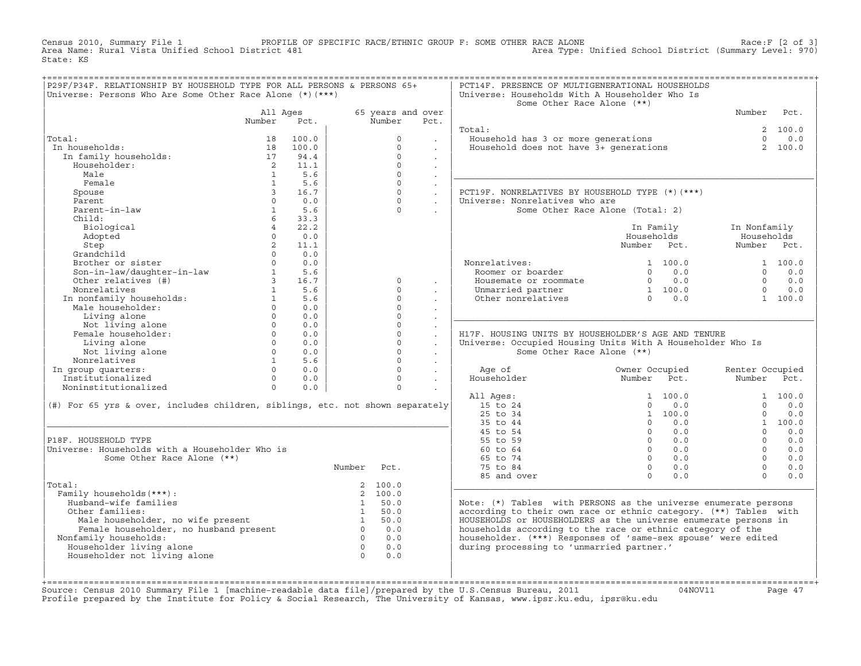Census 2010, Summary File 1 PROFILE OF SPECIFIC RACE/ETHNIC GROUP F: SOME OTHER RACE ALONE Race:F [2 of 3] Area Name: Rural Vista Unified School District 481 Area Type: Unified School District (Summary Level: 970) State: KS

| P29F/P34F. RELATIONSHIP BY HOUSEHOLD TYPE FOR ALL PERSONS & PERSONS 65+<br>Universe: Persons Who Are Some Other Race Alone (*) (***)                                                                                                                                                                                                                                                                                                      |                 |                |                                                       |                      |                           | PCT14F. PRESENCE OF MULTIGENERATIONAL HOUSEHOLDS<br>Universe: Households With A Householder Who Is<br>Some Other Race Alone (**) |                                                 |                 |            |
|-------------------------------------------------------------------------------------------------------------------------------------------------------------------------------------------------------------------------------------------------------------------------------------------------------------------------------------------------------------------------------------------------------------------------------------------|-----------------|----------------|-------------------------------------------------------|----------------------|---------------------------|----------------------------------------------------------------------------------------------------------------------------------|-------------------------------------------------|-----------------|------------|
|                                                                                                                                                                                                                                                                                                                                                                                                                                           | All Ages        |                |                                                       | 65 years and over    |                           |                                                                                                                                  |                                                 | Number Pct.     |            |
|                                                                                                                                                                                                                                                                                                                                                                                                                                           | Number          | Pct.           |                                                       | Number               | Pct.                      |                                                                                                                                  |                                                 |                 |            |
|                                                                                                                                                                                                                                                                                                                                                                                                                                           |                 |                |                                                       |                      |                           | Total:                                                                                                                           |                                                 |                 | 2, 100.0   |
| Total:                                                                                                                                                                                                                                                                                                                                                                                                                                    | 18              | 100.0          |                                                       | $\circ$              | $\ddot{\phantom{a}}$      | <br>Household has 3 or more generations<br>Household does not have 3+ generations                                                |                                                 | $\Omega$        | 0.0        |
| In households:                                                                                                                                                                                                                                                                                                                                                                                                                            |                 | 18 100.0       |                                                       | $\Omega$             |                           |                                                                                                                                  |                                                 |                 | 2 100.0    |
| In family households:                                                                                                                                                                                                                                                                                                                                                                                                                     | 17 94.4         |                |                                                       | $\Omega$             | $\sim$                    |                                                                                                                                  |                                                 |                 |            |
| Householder:                                                                                                                                                                                                                                                                                                                                                                                                                              |                 | 2 11.1         |                                                       | $\Omega$             |                           |                                                                                                                                  |                                                 |                 |            |
| Male                                                                                                                                                                                                                                                                                                                                                                                                                                      | $\overline{1}$  | 5.6            |                                                       | $\Omega$             | $\ddot{\phantom{a}}$      |                                                                                                                                  |                                                 |                 |            |
| Female                                                                                                                                                                                                                                                                                                                                                                                                                                    | $\mathbf{1}$    | 5.6            |                                                       | $\circ$              | $\mathbb{Z}^{\mathbb{Z}}$ |                                                                                                                                  |                                                 |                 |            |
| Spouse                                                                                                                                                                                                                                                                                                                                                                                                                                    | $\overline{3}$  | 16.7           |                                                       | $\Omega$             | $\ddot{\phantom{0}}$      | PCT19F. NONRELATIVES BY HOUSEHOLD TYPE (*) (***)                                                                                 |                                                 |                 |            |
| Parent                                                                                                                                                                                                                                                                                                                                                                                                                                    | $\Omega$        | 0.0            |                                                       | $\Omega$             | $\sim$                    | Universe: Nonrelatives who are                                                                                                   |                                                 |                 |            |
| Parent-in-law                                                                                                                                                                                                                                                                                                                                                                                                                             | $\mathbf{1}$    | 5.6            |                                                       | $\Omega$             |                           |                                                                                                                                  | Some Other Race Alone (Total: 2)                |                 |            |
| Child:                                                                                                                                                                                                                                                                                                                                                                                                                                    | 6               | 33.3           |                                                       |                      |                           |                                                                                                                                  |                                                 |                 |            |
| Biological                                                                                                                                                                                                                                                                                                                                                                                                                                | $4\overline{ }$ | 22.2           |                                                       |                      |                           |                                                                                                                                  | In Family                                       | In Nonfamily    |            |
| Adopted                                                                                                                                                                                                                                                                                                                                                                                                                                   | $\Omega$        | 0.0            |                                                       |                      |                           |                                                                                                                                  | Households                                      | Households      |            |
| Step                                                                                                                                                                                                                                                                                                                                                                                                                                      |                 | $2 \t 11.1$    |                                                       |                      |                           |                                                                                                                                  | Number Pct.                                     | Number Pct.     |            |
| Consider<br>Brother or sister<br>Son-in-law/daughter-in-law<br>Char relatives (#)<br>Char relatives (#)<br>3 16.7<br>1 5.6                                                                                                                                                                                                                                                                                                                |                 |                |                                                       |                      |                           |                                                                                                                                  |                                                 |                 |            |
|                                                                                                                                                                                                                                                                                                                                                                                                                                           |                 |                |                                                       |                      |                           | Nonrelatives:<br>Roomer or boarder                                                                                               | 1 100.0                                         |                 | 1 100.0    |
|                                                                                                                                                                                                                                                                                                                                                                                                                                           |                 |                |                                                       |                      |                           |                                                                                                                                  | $0 \qquad 0.0$                                  |                 | $0 \t 0.0$ |
|                                                                                                                                                                                                                                                                                                                                                                                                                                           |                 |                |                                                       | $\Omega$             | $\sim$                    | Housemate or roommate $\begin{array}{ccc} 0 & 0.0 \\ 0 & 0.0 \\ 0 & 0.0 \\ 0 & 0 & 0.0 \\ 0 & 0 & 0.0 \\ \end{array}$            |                                                 | $\bigcap$       | 0.0        |
| Nonrelatives                                                                                                                                                                                                                                                                                                                                                                                                                              |                 | 1 5.6          |                                                       | $\Omega$             |                           |                                                                                                                                  |                                                 | $\Omega$        | 0.0        |
|                                                                                                                                                                                                                                                                                                                                                                                                                                           |                 | 5.6            |                                                       | $\Omega$             | $\cdot$                   |                                                                                                                                  |                                                 |                 | 1 100.0    |
| $\begin{tabular}{ll} \texttt{1} & \texttt{1} & \texttt{2} & \texttt{2} & \texttt{3} \\ \texttt{2} & \texttt{2} & \texttt{3} & \texttt{4} & \texttt{5} \\ \texttt{3} & \texttt{4} & \texttt{5} & \texttt{6} & \texttt{7} \\ \texttt{5} & \texttt{6} & \texttt{7} & \texttt{7} & \texttt{8} \\ \texttt{7} & \texttt{8} & \texttt{9} & \texttt{1} & \texttt{1} \\ \texttt{1} & \texttt{1} & \texttt{1} & \texttt{1} & \texttt{1} \\ \texttt$ |                 | 0.0            |                                                       | $\Omega$             |                           |                                                                                                                                  |                                                 |                 |            |
| Living alone                                                                                                                                                                                                                                                                                                                                                                                                                              |                 | 0.0            |                                                       | $\Omega$             |                           |                                                                                                                                  |                                                 |                 |            |
|                                                                                                                                                                                                                                                                                                                                                                                                                                           |                 | 0.0            |                                                       | $\Omega$             | $\mathbf{r}$              |                                                                                                                                  |                                                 |                 |            |
| Living alone 0<br>Not living alone 0<br>Female householder: 0<br>I imposed: 0<br>0                                                                                                                                                                                                                                                                                                                                                        |                 | 0.0            |                                                       | $\Omega$<br>$\Omega$ | $\ddot{\phantom{a}}$      | H17F. HOUSING UNITS BY HOUSEHOLDER'S AGE AND TENURE                                                                              |                                                 |                 |            |
| Living alone                                                                                                                                                                                                                                                                                                                                                                                                                              |                 | $0 \qquad 0.0$ |                                                       |                      | $\ddot{\phantom{a}}$      | Universe: Occupied Housing Units With A Householder Who Is                                                                       |                                                 |                 |            |
|                                                                                                                                                                                                                                                                                                                                                                                                                                           |                 |                |                                                       | $\Omega$             |                           | Some Other Race Alone (**)                                                                                                       |                                                 |                 |            |
| Univing alone<br>Not living alone<br>onrelatives<br>The montere.<br>$\begin{array}{ccc} 0 & 0.0 \\ 1 & 5.6 \\ 0 & 0.0 \\ \end{array}$<br>Nonrelatives<br>In group quarters:<br>Institutionalized<br>Noningtitution                                                                                                                                                                                                                        |                 |                |                                                       | $\Omega$<br>$\Omega$ | $\ddot{\phantom{0}}$      |                                                                                                                                  |                                                 |                 |            |
|                                                                                                                                                                                                                                                                                                                                                                                                                                           |                 | $0 \t 0.0$     |                                                       | $\Omega$             | $\ddot{\phantom{0}}$      | Age of<br>Householder                                                                                                            | Owner Occupied<br>Owner Occupiea<br>Number Pct. | Renter Occupied |            |
|                                                                                                                                                                                                                                                                                                                                                                                                                                           |                 | 0.0            |                                                       | $\Omega$             | $\ddot{\phantom{a}}$      |                                                                                                                                  |                                                 | Number Pct.     |            |
|                                                                                                                                                                                                                                                                                                                                                                                                                                           |                 |                |                                                       |                      |                           |                                                                                                                                  |                                                 |                 | 1 100.0    |
| (#) For 65 yrs & over, includes children, siblings, etc. not shown separately                                                                                                                                                                                                                                                                                                                                                             |                 |                |                                                       |                      |                           | All Ages:<br>15 to 24                                                                                                            | 1 100.0<br>$0 \t 0.0$                           | $\Omega$        | 0.0        |
|                                                                                                                                                                                                                                                                                                                                                                                                                                           |                 |                |                                                       |                      |                           | $25$ to $34$                                                                                                                     | 1 100.0                                         | $\Omega$        | 0.0        |
|                                                                                                                                                                                                                                                                                                                                                                                                                                           |                 |                |                                                       |                      |                           | 35 to 44                                                                                                                         | $0 \qquad 0.0$                                  |                 | 1 100.0    |
|                                                                                                                                                                                                                                                                                                                                                                                                                                           |                 |                |                                                       |                      |                           | 45 to 54                                                                                                                         | $0 \qquad 0.0$                                  | $\cap$          | 0.0        |
| P18F. HOUSEHOLD TYPE                                                                                                                                                                                                                                                                                                                                                                                                                      |                 |                |                                                       |                      |                           | 55 to 59                                                                                                                         | $0 \qquad 0.0$                                  | $\Omega$        | 0.0        |
| Universe: Households with a Householder Who is                                                                                                                                                                                                                                                                                                                                                                                            |                 |                |                                                       |                      |                           | 60 to 64                                                                                                                         | $0 \qquad 0.0$                                  | $\Omega$        | 0.0        |
| Some Other Race Alone (**)                                                                                                                                                                                                                                                                                                                                                                                                                |                 |                |                                                       |                      |                           | 65 to 74                                                                                                                         | $0 \qquad 0.0$                                  | $\Omega$        | 0.0        |
|                                                                                                                                                                                                                                                                                                                                                                                                                                           |                 |                | Number Pct.                                           |                      |                           | 75 to 84                                                                                                                         | $\begin{bmatrix} 0 & 0 & 0 \end{bmatrix}$       | $\Omega$        | 0.0        |
|                                                                                                                                                                                                                                                                                                                                                                                                                                           |                 |                |                                                       |                      |                           | 85 and over                                                                                                                      | $0 \t 0.0$                                      | $\cap$          | 0.0        |
| Total:                                                                                                                                                                                                                                                                                                                                                                                                                                    |                 |                |                                                       | 2 100.0              |                           |                                                                                                                                  |                                                 |                 |            |
| Family households (***) :                                                                                                                                                                                                                                                                                                                                                                                                                 |                 |                |                                                       | 2 100.0              |                           |                                                                                                                                  |                                                 |                 |            |
| Husband-wife families                                                                                                                                                                                                                                                                                                                                                                                                                     |                 |                |                                                       | 1 50.0               |                           | Note: (*) Tables with PERSONS as the universe enumerate persons                                                                  |                                                 |                 |            |
| Other families:                                                                                                                                                                                                                                                                                                                                                                                                                           |                 |                |                                                       | 1 50.0               |                           | according to their own race or ethnic category. (**) Tables with                                                                 |                                                 |                 |            |
|                                                                                                                                                                                                                                                                                                                                                                                                                                           |                 |                |                                                       |                      |                           | HOUSEHOLDS or HOUSEHOLDERS as the universe enumerate persons in                                                                  |                                                 |                 |            |
| Male householder, no wife present that the source of the source of the source of the source of the source of the source of the source of the source of the source of the source of the source of the source of the source of t                                                                                                                                                                                                            |                 |                |                                                       |                      |                           | households according to the race or ethnic category of the                                                                       |                                                 |                 |            |
| Nonfamily households:                                                                                                                                                                                                                                                                                                                                                                                                                     |                 |                |                                                       | $0 \qquad 0.0$       |                           | householder. (***) Responses of 'same-sex spouse' were edited                                                                    |                                                 |                 |            |
| Householder living alone                                                                                                                                                                                                                                                                                                                                                                                                                  |                 |                |                                                       |                      |                           | during processing to 'unmarried partner.'                                                                                        |                                                 |                 |            |
| Householder not living alone                                                                                                                                                                                                                                                                                                                                                                                                              |                 |                | $\begin{array}{ccc} & 0 & 0.0 \\ 0 & 0.0 \end{array}$ |                      |                           |                                                                                                                                  |                                                 |                 |            |
|                                                                                                                                                                                                                                                                                                                                                                                                                                           |                 |                |                                                       |                      |                           |                                                                                                                                  |                                                 |                 |            |
|                                                                                                                                                                                                                                                                                                                                                                                                                                           |                 |                |                                                       |                      |                           |                                                                                                                                  |                                                 |                 |            |
|                                                                                                                                                                                                                                                                                                                                                                                                                                           |                 |                |                                                       |                      |                           |                                                                                                                                  |                                                 |                 |            |

| | | +===================================================================================================================================================+Source: Census 2010 Summary File 1 [machine−readable data file]/prepared by the U.S.Census Bureau, 2011 04NOV11 Page 47 Profile prepared by the Institute for Policy & Social Research, The University of Kansas, www.ipsr.ku.edu, ipsr@ku.edu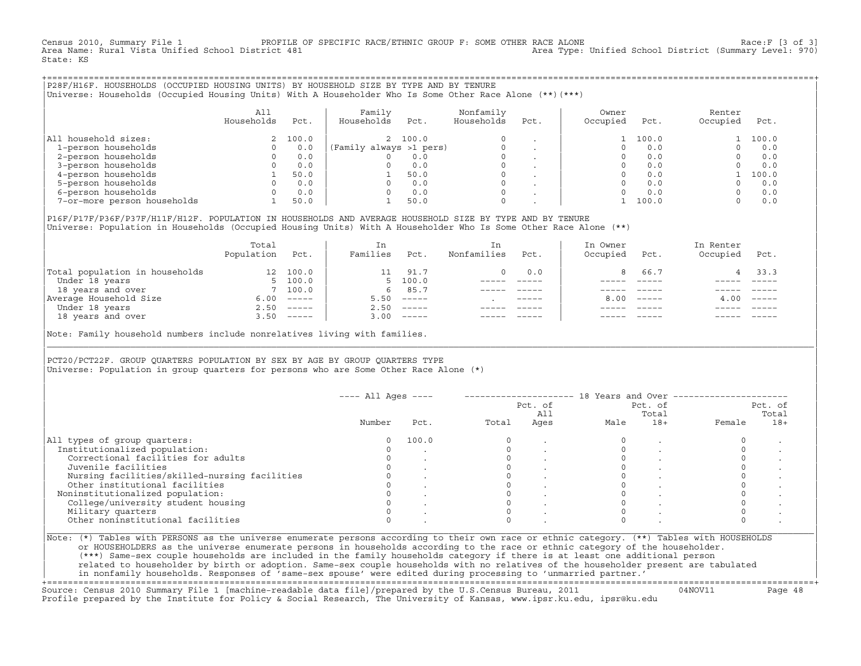Census 2010, Summary File 1 PROFILE OF SPECIFIC RACE/ETHNIC GROUP F: SOME OTHER RACE ALONE Race:F [3 of 3]<br>Area Name: Rural Vista Unified School District 481 Area Nove: Unified School District (Summary Level: 970) Area Type: Unified School District (Summary Level: 970) State: KS

+===================================================================================================================================================+|P28F/H16F. HOUSEHOLDS (OCCUPIED HOUSING UNITS) BY HOUSEHOLD SIZE BY TYPE AND BY TENURE | |Universe: Households (Occupied Housing Units) With A Householder Who Is Some Other Race Alone (\*\*)(\*\*\*) |

|                             | All<br>Households | Pct.    | Family<br>Households    | Pct.    | Nonfamily<br>Households | Pct.    | Owner<br>Occupied | Pct.  | Renter<br>Occupied | Pct.  |
|-----------------------------|-------------------|---------|-------------------------|---------|-------------------------|---------|-------------------|-------|--------------------|-------|
| household sizes:<br>All     |                   | 2 100.0 |                         | 2 100.0 | $\Omega$                |         |                   | 100.0 |                    | 100.0 |
| 1-person households         |                   | 0.0     | (Family always >1 pers) |         | $\mathbf 0$             |         |                   | 0.0   |                    | 0.0   |
| 2-person households         |                   | 0.0     |                         | 0.0     | $\mathbf 0$             |         |                   | 0.0   |                    | 0.0   |
| 3-person households         |                   | 0.0     |                         | 0.0     | $\mathbf 0$             | $\cdot$ |                   | 0.0   |                    | 0.0   |
| 4-person households         |                   | 50.0    |                         | 50.0    | $\mathbf 0$             | $\cdot$ |                   | 0.0   |                    | 100.0 |
| 5-person households         |                   | 0.0     |                         | 0.0     | $\Omega$                |         |                   | 0.0   |                    | 0.0   |
| 6-person households         |                   | 0.0     |                         | 0.0     | $\Omega$                |         |                   | 0.0   |                    | 0.0   |
| 7-or-more person households |                   | 50.0    |                         | 50.0    | $\mathbf 0$             |         |                   | 100.0 |                    | 0.0   |

|P16F/P17F/P36F/P37F/H11F/H12F. POPULATION IN HOUSEHOLDS AND AVERAGE HOUSEHOLD SIZE BY TYPE AND BY TENURE | Universe: Population in Households (Occupied Housing Units) With A Householder Who Is Some Other Race Alone (\*\*)

|                                | Total<br>Population | Pct.         | In<br>Families | Pct.     | In<br>Nonfamilies | Pct.        | In Owner<br>Occupied | Pct.                      | In Renter<br>Occupied | Pct.                      |  |
|--------------------------------|---------------------|--------------|----------------|----------|-------------------|-------------|----------------------|---------------------------|-----------------------|---------------------------|--|
| Total population in households | 12 <sup>1</sup>     | 100.0        |                | 91.7     | 0                 | 0.0         |                      | 66.7                      |                       | 33.3                      |  |
| Under 18 years                 |                     | 5, 100.0     |                | 5, 100.0 |                   |             |                      |                           |                       |                           |  |
| 18 years and over              |                     | 7 100.0      | 6              | 85.7     |                   |             |                      |                           |                       |                           |  |
| Average Household Size         | 6.00                | $------$     | 5.50           | $------$ |                   | $- - - - -$ | 8.00                 | $\qquad \qquad - - - - -$ | 4.00                  | $\qquad \qquad - - - - -$ |  |
| Under 18 years                 | 2.50                |              | 2.50           | $------$ |                   |             |                      |                           |                       |                           |  |
| 18 years and over              |                     | $3.50$ ----- | 3.00           |          |                   |             |                      |                           |                       | $------$                  |  |
|                                |                     |              |                |          |                   |             |                      |                           |                       |                           |  |

Note: Family household numbers include nonrelatives living with families.

| | PCT20/PCT22F. GROUP OUARTERS POPULATION BY SEX BY AGE BY GROUP OUARTERS TYPE Universe: Population in group quarters for persons who are Some Other Race Alone (\*)

|                                               | $---$ All Ages $---$ |       |       | Pct. of<br>All |      | Pct. of<br>Total |        | Pct. of<br>Total |
|-----------------------------------------------|----------------------|-------|-------|----------------|------|------------------|--------|------------------|
|                                               | Number               | Pct.  | Total | Ages           | Male | $18+$            | Female | $18+$            |
| All types of group quarters:                  |                      | 100.0 |       |                |      |                  |        |                  |
| Institutionalized population:                 |                      |       |       |                |      |                  |        |                  |
| Correctional facilities for adults            |                      |       |       |                |      |                  |        |                  |
| Juvenile facilities                           |                      |       |       |                |      |                  |        |                  |
| Nursing facilities/skilled-nursing facilities |                      |       |       |                |      |                  |        |                  |
| Other institutional facilities                |                      |       |       |                |      |                  |        |                  |
| Noninstitutionalized population:              |                      |       |       |                |      |                  |        |                  |
| College/university student housing            |                      |       |       |                |      |                  |        |                  |
| Military quarters                             |                      |       |       |                |      |                  |        |                  |
| Other noninstitutional facilities             |                      |       |       |                |      |                  |        |                  |

|\_\_\_\_\_\_\_\_\_\_\_\_\_\_\_\_\_\_\_\_\_\_\_\_\_\_\_\_\_\_\_\_\_\_\_\_\_\_\_\_\_\_\_\_\_\_\_\_\_\_\_\_\_\_\_\_\_\_\_\_\_\_\_\_\_\_\_\_\_\_\_\_\_\_\_\_\_\_\_\_\_\_\_\_\_\_\_\_\_\_\_\_\_\_\_\_\_\_\_\_\_\_\_\_\_\_\_\_\_\_\_\_\_\_\_\_\_\_\_\_\_\_\_\_\_\_\_\_\_\_\_\_\_\_\_\_\_\_\_\_\_\_\_\_\_\_\_|

| |

or HOUSEHOLDERS as the universe enumerate persons in households according to the race or ethnic category of the householder. | (\*\*\*) Same−sex couple households are included in the family households category if there is at least one additional person | | related to householder by birth or adoption. Same−sex couple households with no relatives of the householder present are tabulated | | in nonfamily households. Responses of 'same−sex spouse' were edited during processing to 'unmarried partner.' |

+===================================================================================================================================================+ Source: Census 2010 Summary File 1 [machine−readable data file]/prepared by the U.S.Census Bureau, 2011 04NOV11 Page 48 Profile prepared by the Institute for Policy & Social Research, The University of Kansas, www.ipsr.ku.edu, ipsr@ku.edu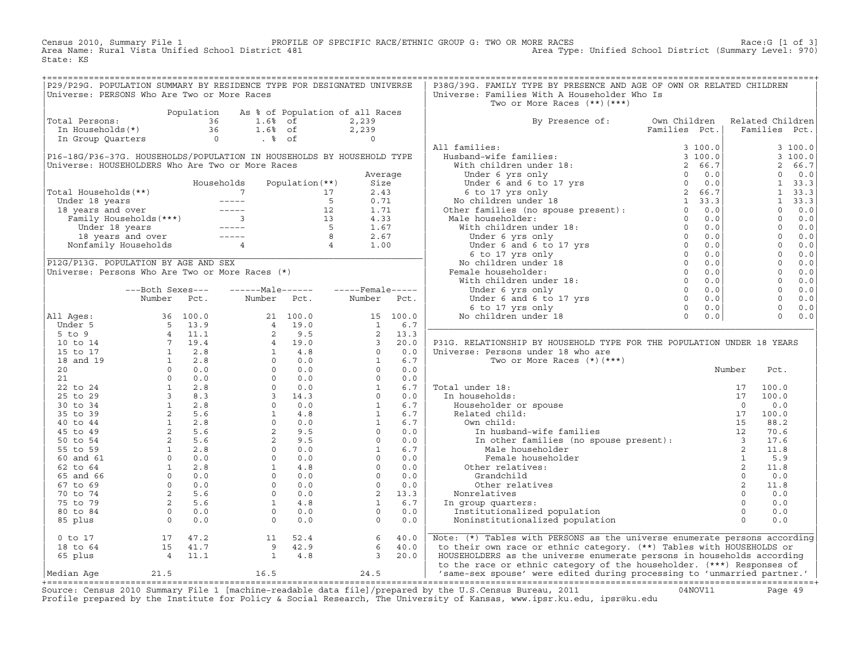Census 2010, Summary File 1 PROFILE OF SPECIFIC RACE/ETHNIC GROUP G: TWO OR MORE RACES Race:G [1 of 3] Area Name: Rural Vista Unified School District 481 Area Type: Unified School District (Summary Level: 970) State: KS

+===================================================================================================================================================+

| P29/P29G. POPULATION SUMMARY BY RESIDENCE TYPE FOR DESIGNATED UNIVERSE<br>P38G/39G. FAMILY TYPE BY PRESENCE AND AGE OF OWN OR RELATED CHILDREN<br>Universe: PERSONS Who Are Two or More Races<br>Universe: Families With A Householder Who Is<br>Two or More Races $(**)$ $(***)$<br>As % of Population of all Races<br>Population<br>Own Children<br>Total Persons:<br>36<br>$1.6%$ of<br>2,239<br>By Presence of:<br>Related Children<br>In Households(*)<br>36 1.6% of<br>0 . % of<br>2,239<br>Families Pct.<br>Families Pct.<br>$\overline{0}$<br>In Group Quarters<br>All families:<br>3 100.0<br>P16-18G/P36-37G. HOUSEHOLDS/POPULATION IN HOUSEHOLDS BY HOUSEHOLD TYPE<br>3 100.0<br>Universe: HOUSEHOLDERS Who Are Two or More Races<br>2 66.7<br>$0.0$<br>$\Omega$<br>Average<br>Population $(**)$<br>Size<br>1, 33.3<br>Households<br>Total Households (**)<br>$\sim$ 7<br>2.43<br>$\mathbf{1}$<br>33.3<br>17<br>Under 18 years<br>18 years<br>18 years and over<br>Family Households (***)<br>Under 18 years<br>18 years and over<br>Nonfamily Households<br>18 years and over<br>19 years and over<br>19 years and over<br>19 years and over<br>19 years and over<br><br>$5^{\circ}$<br>0.71<br>1<br>33.3<br>$\circ$<br>$\begin{bmatrix} 12 \\ 13 \\ 5 \\ 8 \\ 4 \end{bmatrix}$<br>1.71<br>0.0<br>$\circ$<br>0.0<br>4.33<br>$\Omega$<br>1.67<br>0.0<br>$\circ$<br>0.0<br>2.67<br>$\Omega$<br>0.0<br>1.00<br>$\Omega$<br>$0.0$<br>P12G/P13G. POPULATION BY AGE AND SEX<br>$\circ$<br>0.0<br>$\Omega$<br>Universe: Persons Who Are Two or More Races (*)<br>0.0<br>$\Omega$<br>0.0<br>$\overline{0}$<br>---Both Sexes---    ------Male------    -----Female-----<br>0.0<br>Under 6 yrs only<br>0.0<br>Under 6 yrs only 0<br>Under 6 and 6 to 17 yrs 0<br>6 to 17 yrs only 0<br>0 children under 18 0<br>Number Pct.<br>Number Pct.<br>0.0<br>$\overline{0}$<br>0.0<br>Number Pct.<br>$\Omega$<br>0.0<br>0.0<br>Number Fcc.<br>11 Ages: 36 100.0<br>10 to 14 7 19.4<br>16 to 17 19.4<br>16 to 17 19.4<br>16 and 19 1 2.8<br>20 0 0.0<br>21 0 0.0<br>21 0 0.0<br>21 2.8<br>25 to 29 3 8.3<br>36 to 34 1 2.8<br>35 to 39 2 5.6<br>40 to 44 1 2.8<br>45 to 49 1 2.8<br>55 to 59<br>15 100.0<br>16.7<br>2 13.3<br>3 20.0<br>0 0.0<br>16.7<br>0 0.0<br>16.7<br>0 0.0<br>16.7<br>0 0.0<br>16.7<br>16.7<br>16.7<br>16.7<br>16.7<br>16.7<br>0 0.0<br>16.7<br>0 0.0<br>16.7<br>0 0.0<br>16.7<br>0 0.0<br>16.7<br>0 0.0<br>16.7<br>0 0.0<br>0 0.0<br>0 0.0<br>16.7<br>0 0.0<br>0 0.0<br>0<br>No children under 18<br>0.0<br>$\Omega$<br>0.0<br>All Ages:<br>P31G. RELATIONSHIP BY HOUSEHOLD TYPE FOR THE POPULATION UNDER 18 YEARS<br>Universe: Persons under 18 who are<br>Two or More Races $(*)$ $(***)$<br>Number<br>Pct.<br>Total under 18:<br>100.0<br>der 18:<br>seholds:<br>.eholder or spouse<br>ated child:<br>m child:<br>In husband-wife families<br>In other families (no spouse present):<br>Male householder<br>Female householder<br>Ther relatives:<br>2<br>2<br>2<br>2<br>2<br>In households:<br>100.0<br>Householder or spouse<br>0.0<br>Related child:<br>100.0<br>88.2<br>Own child:<br>70.6<br>17.6<br>Male householder<br>11.8<br>5.9<br>Other relatives:<br>11.8 |
|-----------------------------------------------------------------------------------------------------------------------------------------------------------------------------------------------------------------------------------------------------------------------------------------------------------------------------------------------------------------------------------------------------------------------------------------------------------------------------------------------------------------------------------------------------------------------------------------------------------------------------------------------------------------------------------------------------------------------------------------------------------------------------------------------------------------------------------------------------------------------------------------------------------------------------------------------------------------------------------------------------------------------------------------------------------------------------------------------------------------------------------------------------------------------------------------------------------------------------------------------------------------------------------------------------------------------------------------------------------------------------------------------------------------------------------------------------------------------------------------------------------------------------------------------------------------------------------------------------------------------------------------------------------------------------------------------------------------------------------------------------------------------------------------------------------------------------------------------------------------------------------------------------------------------------------------------------------------------------------------------------------------------------------------------------------------------------------------------------------------------------------------------------------------------------------------------------------------------------------------------------------------------------------------------------------------------------------------------------------------------------------------------------------------------------------------------------------------------------------------------------------------------------------------------------------------------------------------------------------------------------------------------------------------------------------------------------------------------------------------------------------------------------------------------------------------------------------------------------------------------------------------------------------------------------------------------------------------------------------------------------------------------------------------------------------------------------------------------------------------------------------------------------------------------------------------|
|                                                                                                                                                                                                                                                                                                                                                                                                                                                                                                                                                                                                                                                                                                                                                                                                                                                                                                                                                                                                                                                                                                                                                                                                                                                                                                                                                                                                                                                                                                                                                                                                                                                                                                                                                                                                                                                                                                                                                                                                                                                                                                                                                                                                                                                                                                                                                                                                                                                                                                                                                                                                                                                                                                                                                                                                                                                                                                                                                                                                                                                                                                                                                                                         |
|                                                                                                                                                                                                                                                                                                                                                                                                                                                                                                                                                                                                                                                                                                                                                                                                                                                                                                                                                                                                                                                                                                                                                                                                                                                                                                                                                                                                                                                                                                                                                                                                                                                                                                                                                                                                                                                                                                                                                                                                                                                                                                                                                                                                                                                                                                                                                                                                                                                                                                                                                                                                                                                                                                                                                                                                                                                                                                                                                                                                                                                                                                                                                                                         |
|                                                                                                                                                                                                                                                                                                                                                                                                                                                                                                                                                                                                                                                                                                                                                                                                                                                                                                                                                                                                                                                                                                                                                                                                                                                                                                                                                                                                                                                                                                                                                                                                                                                                                                                                                                                                                                                                                                                                                                                                                                                                                                                                                                                                                                                                                                                                                                                                                                                                                                                                                                                                                                                                                                                                                                                                                                                                                                                                                                                                                                                                                                                                                                                         |
|                                                                                                                                                                                                                                                                                                                                                                                                                                                                                                                                                                                                                                                                                                                                                                                                                                                                                                                                                                                                                                                                                                                                                                                                                                                                                                                                                                                                                                                                                                                                                                                                                                                                                                                                                                                                                                                                                                                                                                                                                                                                                                                                                                                                                                                                                                                                                                                                                                                                                                                                                                                                                                                                                                                                                                                                                                                                                                                                                                                                                                                                                                                                                                                         |
|                                                                                                                                                                                                                                                                                                                                                                                                                                                                                                                                                                                                                                                                                                                                                                                                                                                                                                                                                                                                                                                                                                                                                                                                                                                                                                                                                                                                                                                                                                                                                                                                                                                                                                                                                                                                                                                                                                                                                                                                                                                                                                                                                                                                                                                                                                                                                                                                                                                                                                                                                                                                                                                                                                                                                                                                                                                                                                                                                                                                                                                                                                                                                                                         |
|                                                                                                                                                                                                                                                                                                                                                                                                                                                                                                                                                                                                                                                                                                                                                                                                                                                                                                                                                                                                                                                                                                                                                                                                                                                                                                                                                                                                                                                                                                                                                                                                                                                                                                                                                                                                                                                                                                                                                                                                                                                                                                                                                                                                                                                                                                                                                                                                                                                                                                                                                                                                                                                                                                                                                                                                                                                                                                                                                                                                                                                                                                                                                                                         |
|                                                                                                                                                                                                                                                                                                                                                                                                                                                                                                                                                                                                                                                                                                                                                                                                                                                                                                                                                                                                                                                                                                                                                                                                                                                                                                                                                                                                                                                                                                                                                                                                                                                                                                                                                                                                                                                                                                                                                                                                                                                                                                                                                                                                                                                                                                                                                                                                                                                                                                                                                                                                                                                                                                                                                                                                                                                                                                                                                                                                                                                                                                                                                                                         |
|                                                                                                                                                                                                                                                                                                                                                                                                                                                                                                                                                                                                                                                                                                                                                                                                                                                                                                                                                                                                                                                                                                                                                                                                                                                                                                                                                                                                                                                                                                                                                                                                                                                                                                                                                                                                                                                                                                                                                                                                                                                                                                                                                                                                                                                                                                                                                                                                                                                                                                                                                                                                                                                                                                                                                                                                                                                                                                                                                                                                                                                                                                                                                                                         |
|                                                                                                                                                                                                                                                                                                                                                                                                                                                                                                                                                                                                                                                                                                                                                                                                                                                                                                                                                                                                                                                                                                                                                                                                                                                                                                                                                                                                                                                                                                                                                                                                                                                                                                                                                                                                                                                                                                                                                                                                                                                                                                                                                                                                                                                                                                                                                                                                                                                                                                                                                                                                                                                                                                                                                                                                                                                                                                                                                                                                                                                                                                                                                                                         |
|                                                                                                                                                                                                                                                                                                                                                                                                                                                                                                                                                                                                                                                                                                                                                                                                                                                                                                                                                                                                                                                                                                                                                                                                                                                                                                                                                                                                                                                                                                                                                                                                                                                                                                                                                                                                                                                                                                                                                                                                                                                                                                                                                                                                                                                                                                                                                                                                                                                                                                                                                                                                                                                                                                                                                                                                                                                                                                                                                                                                                                                                                                                                                                                         |
|                                                                                                                                                                                                                                                                                                                                                                                                                                                                                                                                                                                                                                                                                                                                                                                                                                                                                                                                                                                                                                                                                                                                                                                                                                                                                                                                                                                                                                                                                                                                                                                                                                                                                                                                                                                                                                                                                                                                                                                                                                                                                                                                                                                                                                                                                                                                                                                                                                                                                                                                                                                                                                                                                                                                                                                                                                                                                                                                                                                                                                                                                                                                                                                         |
|                                                                                                                                                                                                                                                                                                                                                                                                                                                                                                                                                                                                                                                                                                                                                                                                                                                                                                                                                                                                                                                                                                                                                                                                                                                                                                                                                                                                                                                                                                                                                                                                                                                                                                                                                                                                                                                                                                                                                                                                                                                                                                                                                                                                                                                                                                                                                                                                                                                                                                                                                                                                                                                                                                                                                                                                                                                                                                                                                                                                                                                                                                                                                                                         |
|                                                                                                                                                                                                                                                                                                                                                                                                                                                                                                                                                                                                                                                                                                                                                                                                                                                                                                                                                                                                                                                                                                                                                                                                                                                                                                                                                                                                                                                                                                                                                                                                                                                                                                                                                                                                                                                                                                                                                                                                                                                                                                                                                                                                                                                                                                                                                                                                                                                                                                                                                                                                                                                                                                                                                                                                                                                                                                                                                                                                                                                                                                                                                                                         |
|                                                                                                                                                                                                                                                                                                                                                                                                                                                                                                                                                                                                                                                                                                                                                                                                                                                                                                                                                                                                                                                                                                                                                                                                                                                                                                                                                                                                                                                                                                                                                                                                                                                                                                                                                                                                                                                                                                                                                                                                                                                                                                                                                                                                                                                                                                                                                                                                                                                                                                                                                                                                                                                                                                                                                                                                                                                                                                                                                                                                                                                                                                                                                                                         |
|                                                                                                                                                                                                                                                                                                                                                                                                                                                                                                                                                                                                                                                                                                                                                                                                                                                                                                                                                                                                                                                                                                                                                                                                                                                                                                                                                                                                                                                                                                                                                                                                                                                                                                                                                                                                                                                                                                                                                                                                                                                                                                                                                                                                                                                                                                                                                                                                                                                                                                                                                                                                                                                                                                                                                                                                                                                                                                                                                                                                                                                                                                                                                                                         |
|                                                                                                                                                                                                                                                                                                                                                                                                                                                                                                                                                                                                                                                                                                                                                                                                                                                                                                                                                                                                                                                                                                                                                                                                                                                                                                                                                                                                                                                                                                                                                                                                                                                                                                                                                                                                                                                                                                                                                                                                                                                                                                                                                                                                                                                                                                                                                                                                                                                                                                                                                                                                                                                                                                                                                                                                                                                                                                                                                                                                                                                                                                                                                                                         |
|                                                                                                                                                                                                                                                                                                                                                                                                                                                                                                                                                                                                                                                                                                                                                                                                                                                                                                                                                                                                                                                                                                                                                                                                                                                                                                                                                                                                                                                                                                                                                                                                                                                                                                                                                                                                                                                                                                                                                                                                                                                                                                                                                                                                                                                                                                                                                                                                                                                                                                                                                                                                                                                                                                                                                                                                                                                                                                                                                                                                                                                                                                                                                                                         |
|                                                                                                                                                                                                                                                                                                                                                                                                                                                                                                                                                                                                                                                                                                                                                                                                                                                                                                                                                                                                                                                                                                                                                                                                                                                                                                                                                                                                                                                                                                                                                                                                                                                                                                                                                                                                                                                                                                                                                                                                                                                                                                                                                                                                                                                                                                                                                                                                                                                                                                                                                                                                                                                                                                                                                                                                                                                                                                                                                                                                                                                                                                                                                                                         |
|                                                                                                                                                                                                                                                                                                                                                                                                                                                                                                                                                                                                                                                                                                                                                                                                                                                                                                                                                                                                                                                                                                                                                                                                                                                                                                                                                                                                                                                                                                                                                                                                                                                                                                                                                                                                                                                                                                                                                                                                                                                                                                                                                                                                                                                                                                                                                                                                                                                                                                                                                                                                                                                                                                                                                                                                                                                                                                                                                                                                                                                                                                                                                                                         |
|                                                                                                                                                                                                                                                                                                                                                                                                                                                                                                                                                                                                                                                                                                                                                                                                                                                                                                                                                                                                                                                                                                                                                                                                                                                                                                                                                                                                                                                                                                                                                                                                                                                                                                                                                                                                                                                                                                                                                                                                                                                                                                                                                                                                                                                                                                                                                                                                                                                                                                                                                                                                                                                                                                                                                                                                                                                                                                                                                                                                                                                                                                                                                                                         |
|                                                                                                                                                                                                                                                                                                                                                                                                                                                                                                                                                                                                                                                                                                                                                                                                                                                                                                                                                                                                                                                                                                                                                                                                                                                                                                                                                                                                                                                                                                                                                                                                                                                                                                                                                                                                                                                                                                                                                                                                                                                                                                                                                                                                                                                                                                                                                                                                                                                                                                                                                                                                                                                                                                                                                                                                                                                                                                                                                                                                                                                                                                                                                                                         |
|                                                                                                                                                                                                                                                                                                                                                                                                                                                                                                                                                                                                                                                                                                                                                                                                                                                                                                                                                                                                                                                                                                                                                                                                                                                                                                                                                                                                                                                                                                                                                                                                                                                                                                                                                                                                                                                                                                                                                                                                                                                                                                                                                                                                                                                                                                                                                                                                                                                                                                                                                                                                                                                                                                                                                                                                                                                                                                                                                                                                                                                                                                                                                                                         |
|                                                                                                                                                                                                                                                                                                                                                                                                                                                                                                                                                                                                                                                                                                                                                                                                                                                                                                                                                                                                                                                                                                                                                                                                                                                                                                                                                                                                                                                                                                                                                                                                                                                                                                                                                                                                                                                                                                                                                                                                                                                                                                                                                                                                                                                                                                                                                                                                                                                                                                                                                                                                                                                                                                                                                                                                                                                                                                                                                                                                                                                                                                                                                                                         |
|                                                                                                                                                                                                                                                                                                                                                                                                                                                                                                                                                                                                                                                                                                                                                                                                                                                                                                                                                                                                                                                                                                                                                                                                                                                                                                                                                                                                                                                                                                                                                                                                                                                                                                                                                                                                                                                                                                                                                                                                                                                                                                                                                                                                                                                                                                                                                                                                                                                                                                                                                                                                                                                                                                                                                                                                                                                                                                                                                                                                                                                                                                                                                                                         |
|                                                                                                                                                                                                                                                                                                                                                                                                                                                                                                                                                                                                                                                                                                                                                                                                                                                                                                                                                                                                                                                                                                                                                                                                                                                                                                                                                                                                                                                                                                                                                                                                                                                                                                                                                                                                                                                                                                                                                                                                                                                                                                                                                                                                                                                                                                                                                                                                                                                                                                                                                                                                                                                                                                                                                                                                                                                                                                                                                                                                                                                                                                                                                                                         |
|                                                                                                                                                                                                                                                                                                                                                                                                                                                                                                                                                                                                                                                                                                                                                                                                                                                                                                                                                                                                                                                                                                                                                                                                                                                                                                                                                                                                                                                                                                                                                                                                                                                                                                                                                                                                                                                                                                                                                                                                                                                                                                                                                                                                                                                                                                                                                                                                                                                                                                                                                                                                                                                                                                                                                                                                                                                                                                                                                                                                                                                                                                                                                                                         |
|                                                                                                                                                                                                                                                                                                                                                                                                                                                                                                                                                                                                                                                                                                                                                                                                                                                                                                                                                                                                                                                                                                                                                                                                                                                                                                                                                                                                                                                                                                                                                                                                                                                                                                                                                                                                                                                                                                                                                                                                                                                                                                                                                                                                                                                                                                                                                                                                                                                                                                                                                                                                                                                                                                                                                                                                                                                                                                                                                                                                                                                                                                                                                                                         |
|                                                                                                                                                                                                                                                                                                                                                                                                                                                                                                                                                                                                                                                                                                                                                                                                                                                                                                                                                                                                                                                                                                                                                                                                                                                                                                                                                                                                                                                                                                                                                                                                                                                                                                                                                                                                                                                                                                                                                                                                                                                                                                                                                                                                                                                                                                                                                                                                                                                                                                                                                                                                                                                                                                                                                                                                                                                                                                                                                                                                                                                                                                                                                                                         |
|                                                                                                                                                                                                                                                                                                                                                                                                                                                                                                                                                                                                                                                                                                                                                                                                                                                                                                                                                                                                                                                                                                                                                                                                                                                                                                                                                                                                                                                                                                                                                                                                                                                                                                                                                                                                                                                                                                                                                                                                                                                                                                                                                                                                                                                                                                                                                                                                                                                                                                                                                                                                                                                                                                                                                                                                                                                                                                                                                                                                                                                                                                                                                                                         |
|                                                                                                                                                                                                                                                                                                                                                                                                                                                                                                                                                                                                                                                                                                                                                                                                                                                                                                                                                                                                                                                                                                                                                                                                                                                                                                                                                                                                                                                                                                                                                                                                                                                                                                                                                                                                                                                                                                                                                                                                                                                                                                                                                                                                                                                                                                                                                                                                                                                                                                                                                                                                                                                                                                                                                                                                                                                                                                                                                                                                                                                                                                                                                                                         |
|                                                                                                                                                                                                                                                                                                                                                                                                                                                                                                                                                                                                                                                                                                                                                                                                                                                                                                                                                                                                                                                                                                                                                                                                                                                                                                                                                                                                                                                                                                                                                                                                                                                                                                                                                                                                                                                                                                                                                                                                                                                                                                                                                                                                                                                                                                                                                                                                                                                                                                                                                                                                                                                                                                                                                                                                                                                                                                                                                                                                                                                                                                                                                                                         |
|                                                                                                                                                                                                                                                                                                                                                                                                                                                                                                                                                                                                                                                                                                                                                                                                                                                                                                                                                                                                                                                                                                                                                                                                                                                                                                                                                                                                                                                                                                                                                                                                                                                                                                                                                                                                                                                                                                                                                                                                                                                                                                                                                                                                                                                                                                                                                                                                                                                                                                                                                                                                                                                                                                                                                                                                                                                                                                                                                                                                                                                                                                                                                                                         |
|                                                                                                                                                                                                                                                                                                                                                                                                                                                                                                                                                                                                                                                                                                                                                                                                                                                                                                                                                                                                                                                                                                                                                                                                                                                                                                                                                                                                                                                                                                                                                                                                                                                                                                                                                                                                                                                                                                                                                                                                                                                                                                                                                                                                                                                                                                                                                                                                                                                                                                                                                                                                                                                                                                                                                                                                                                                                                                                                                                                                                                                                                                                                                                                         |
|                                                                                                                                                                                                                                                                                                                                                                                                                                                                                                                                                                                                                                                                                                                                                                                                                                                                                                                                                                                                                                                                                                                                                                                                                                                                                                                                                                                                                                                                                                                                                                                                                                                                                                                                                                                                                                                                                                                                                                                                                                                                                                                                                                                                                                                                                                                                                                                                                                                                                                                                                                                                                                                                                                                                                                                                                                                                                                                                                                                                                                                                                                                                                                                         |
|                                                                                                                                                                                                                                                                                                                                                                                                                                                                                                                                                                                                                                                                                                                                                                                                                                                                                                                                                                                                                                                                                                                                                                                                                                                                                                                                                                                                                                                                                                                                                                                                                                                                                                                                                                                                                                                                                                                                                                                                                                                                                                                                                                                                                                                                                                                                                                                                                                                                                                                                                                                                                                                                                                                                                                                                                                                                                                                                                                                                                                                                                                                                                                                         |
|                                                                                                                                                                                                                                                                                                                                                                                                                                                                                                                                                                                                                                                                                                                                                                                                                                                                                                                                                                                                                                                                                                                                                                                                                                                                                                                                                                                                                                                                                                                                                                                                                                                                                                                                                                                                                                                                                                                                                                                                                                                                                                                                                                                                                                                                                                                                                                                                                                                                                                                                                                                                                                                                                                                                                                                                                                                                                                                                                                                                                                                                                                                                                                                         |
|                                                                                                                                                                                                                                                                                                                                                                                                                                                                                                                                                                                                                                                                                                                                                                                                                                                                                                                                                                                                                                                                                                                                                                                                                                                                                                                                                                                                                                                                                                                                                                                                                                                                                                                                                                                                                                                                                                                                                                                                                                                                                                                                                                                                                                                                                                                                                                                                                                                                                                                                                                                                                                                                                                                                                                                                                                                                                                                                                                                                                                                                                                                                                                                         |
|                                                                                                                                                                                                                                                                                                                                                                                                                                                                                                                                                                                                                                                                                                                                                                                                                                                                                                                                                                                                                                                                                                                                                                                                                                                                                                                                                                                                                                                                                                                                                                                                                                                                                                                                                                                                                                                                                                                                                                                                                                                                                                                                                                                                                                                                                                                                                                                                                                                                                                                                                                                                                                                                                                                                                                                                                                                                                                                                                                                                                                                                                                                                                                                         |
|                                                                                                                                                                                                                                                                                                                                                                                                                                                                                                                                                                                                                                                                                                                                                                                                                                                                                                                                                                                                                                                                                                                                                                                                                                                                                                                                                                                                                                                                                                                                                                                                                                                                                                                                                                                                                                                                                                                                                                                                                                                                                                                                                                                                                                                                                                                                                                                                                                                                                                                                                                                                                                                                                                                                                                                                                                                                                                                                                                                                                                                                                                                                                                                         |
|                                                                                                                                                                                                                                                                                                                                                                                                                                                                                                                                                                                                                                                                                                                                                                                                                                                                                                                                                                                                                                                                                                                                                                                                                                                                                                                                                                                                                                                                                                                                                                                                                                                                                                                                                                                                                                                                                                                                                                                                                                                                                                                                                                                                                                                                                                                                                                                                                                                                                                                                                                                                                                                                                                                                                                                                                                                                                                                                                                                                                                                                                                                                                                                         |
|                                                                                                                                                                                                                                                                                                                                                                                                                                                                                                                                                                                                                                                                                                                                                                                                                                                                                                                                                                                                                                                                                                                                                                                                                                                                                                                                                                                                                                                                                                                                                                                                                                                                                                                                                                                                                                                                                                                                                                                                                                                                                                                                                                                                                                                                                                                                                                                                                                                                                                                                                                                                                                                                                                                                                                                                                                                                                                                                                                                                                                                                                                                                                                                         |
|                                                                                                                                                                                                                                                                                                                                                                                                                                                                                                                                                                                                                                                                                                                                                                                                                                                                                                                                                                                                                                                                                                                                                                                                                                                                                                                                                                                                                                                                                                                                                                                                                                                                                                                                                                                                                                                                                                                                                                                                                                                                                                                                                                                                                                                                                                                                                                                                                                                                                                                                                                                                                                                                                                                                                                                                                                                                                                                                                                                                                                                                                                                                                                                         |
|                                                                                                                                                                                                                                                                                                                                                                                                                                                                                                                                                                                                                                                                                                                                                                                                                                                                                                                                                                                                                                                                                                                                                                                                                                                                                                                                                                                                                                                                                                                                                                                                                                                                                                                                                                                                                                                                                                                                                                                                                                                                                                                                                                                                                                                                                                                                                                                                                                                                                                                                                                                                                                                                                                                                                                                                                                                                                                                                                                                                                                                                                                                                                                                         |
| 0.0<br>Grandchild                                                                                                                                                                                                                                                                                                                                                                                                                                                                                                                                                                                                                                                                                                                                                                                                                                                                                                                                                                                                                                                                                                                                                                                                                                                                                                                                                                                                                                                                                                                                                                                                                                                                                                                                                                                                                                                                                                                                                                                                                                                                                                                                                                                                                                                                                                                                                                                                                                                                                                                                                                                                                                                                                                                                                                                                                                                                                                                                                                                                                                                                                                                                                                       |
| 2<br>Other relatives<br>11.8                                                                                                                                                                                                                                                                                                                                                                                                                                                                                                                                                                                                                                                                                                                                                                                                                                                                                                                                                                                                                                                                                                                                                                                                                                                                                                                                                                                                                                                                                                                                                                                                                                                                                                                                                                                                                                                                                                                                                                                                                                                                                                                                                                                                                                                                                                                                                                                                                                                                                                                                                                                                                                                                                                                                                                                                                                                                                                                                                                                                                                                                                                                                                            |
| 0.0<br>Nonrelatives<br>$\Omega$                                                                                                                                                                                                                                                                                                                                                                                                                                                                                                                                                                                                                                                                                                                                                                                                                                                                                                                                                                                                                                                                                                                                                                                                                                                                                                                                                                                                                                                                                                                                                                                                                                                                                                                                                                                                                                                                                                                                                                                                                                                                                                                                                                                                                                                                                                                                                                                                                                                                                                                                                                                                                                                                                                                                                                                                                                                                                                                                                                                                                                                                                                                                                         |
| $\Omega$<br>0.0<br>In group quarters:                                                                                                                                                                                                                                                                                                                                                                                                                                                                                                                                                                                                                                                                                                                                                                                                                                                                                                                                                                                                                                                                                                                                                                                                                                                                                                                                                                                                                                                                                                                                                                                                                                                                                                                                                                                                                                                                                                                                                                                                                                                                                                                                                                                                                                                                                                                                                                                                                                                                                                                                                                                                                                                                                                                                                                                                                                                                                                                                                                                                                                                                                                                                                   |
| Institutionalized population<br>$\Omega$<br>0.0                                                                                                                                                                                                                                                                                                                                                                                                                                                                                                                                                                                                                                                                                                                                                                                                                                                                                                                                                                                                                                                                                                                                                                                                                                                                                                                                                                                                                                                                                                                                                                                                                                                                                                                                                                                                                                                                                                                                                                                                                                                                                                                                                                                                                                                                                                                                                                                                                                                                                                                                                                                                                                                                                                                                                                                                                                                                                                                                                                                                                                                                                                                                         |
| Noninstitutionalized population<br>$\Omega$<br>0.0                                                                                                                                                                                                                                                                                                                                                                                                                                                                                                                                                                                                                                                                                                                                                                                                                                                                                                                                                                                                                                                                                                                                                                                                                                                                                                                                                                                                                                                                                                                                                                                                                                                                                                                                                                                                                                                                                                                                                                                                                                                                                                                                                                                                                                                                                                                                                                                                                                                                                                                                                                                                                                                                                                                                                                                                                                                                                                                                                                                                                                                                                                                                      |
|                                                                                                                                                                                                                                                                                                                                                                                                                                                                                                                                                                                                                                                                                                                                                                                                                                                                                                                                                                                                                                                                                                                                                                                                                                                                                                                                                                                                                                                                                                                                                                                                                                                                                                                                                                                                                                                                                                                                                                                                                                                                                                                                                                                                                                                                                                                                                                                                                                                                                                                                                                                                                                                                                                                                                                                                                                                                                                                                                                                                                                                                                                                                                                                         |
| 6<br>Note: (*) Tables with PERSONS as the universe enumerate persons according<br>$0$ to $17$<br>11<br>52.4<br>40.0                                                                                                                                                                                                                                                                                                                                                                                                                                                                                                                                                                                                                                                                                                                                                                                                                                                                                                                                                                                                                                                                                                                                                                                                                                                                                                                                                                                                                                                                                                                                                                                                                                                                                                                                                                                                                                                                                                                                                                                                                                                                                                                                                                                                                                                                                                                                                                                                                                                                                                                                                                                                                                                                                                                                                                                                                                                                                                                                                                                                                                                                     |
| $\begin{array}{cc} 17 & 47.2 \\ 15 & 41.7 \end{array}$<br>9 42.9<br>6<br>to their own race or ethnic category. (**) Tables with HOUSEHOLDS or<br>40.0<br>18 to 64                                                                                                                                                                                                                                                                                                                                                                                                                                                                                                                                                                                                                                                                                                                                                                                                                                                                                                                                                                                                                                                                                                                                                                                                                                                                                                                                                                                                                                                                                                                                                                                                                                                                                                                                                                                                                                                                                                                                                                                                                                                                                                                                                                                                                                                                                                                                                                                                                                                                                                                                                                                                                                                                                                                                                                                                                                                                                                                                                                                                                       |
| $4.8$<br>4 11.1<br>3 <sup>7</sup><br>20.0<br>65 plus<br>1<br>HOUSEHOLDERS as the universe enumerate persons in households according                                                                                                                                                                                                                                                                                                                                                                                                                                                                                                                                                                                                                                                                                                                                                                                                                                                                                                                                                                                                                                                                                                                                                                                                                                                                                                                                                                                                                                                                                                                                                                                                                                                                                                                                                                                                                                                                                                                                                                                                                                                                                                                                                                                                                                                                                                                                                                                                                                                                                                                                                                                                                                                                                                                                                                                                                                                                                                                                                                                                                                                     |
| to the race or ethnic category of the householder. (***) Responses of                                                                                                                                                                                                                                                                                                                                                                                                                                                                                                                                                                                                                                                                                                                                                                                                                                                                                                                                                                                                                                                                                                                                                                                                                                                                                                                                                                                                                                                                                                                                                                                                                                                                                                                                                                                                                                                                                                                                                                                                                                                                                                                                                                                                                                                                                                                                                                                                                                                                                                                                                                                                                                                                                                                                                                                                                                                                                                                                                                                                                                                                                                                   |
| 'same-sex spouse' were edited during processing to 'unmarried partner.'<br> Median Age<br>21.5 16.5<br>24.5                                                                                                                                                                                                                                                                                                                                                                                                                                                                                                                                                                                                                                                                                                                                                                                                                                                                                                                                                                                                                                                                                                                                                                                                                                                                                                                                                                                                                                                                                                                                                                                                                                                                                                                                                                                                                                                                                                                                                                                                                                                                                                                                                                                                                                                                                                                                                                                                                                                                                                                                                                                                                                                                                                                                                                                                                                                                                                                                                                                                                                                                             |

|Median Age 21.5 16.5 24.5 | 'same−sex spouse' were edited during processing to 'unmarried partner.' | +===================================================================================================================================================+ Source: Census 2010 Summary File 1 [machine−readable data file]/prepared by the U.S.Census Bureau, 2011 04NOV11 Page 49 Profile prepared by the Institute for Policy & Social Research, The University of Kansas, www.ipsr.ku.edu, ipsr@ku.edu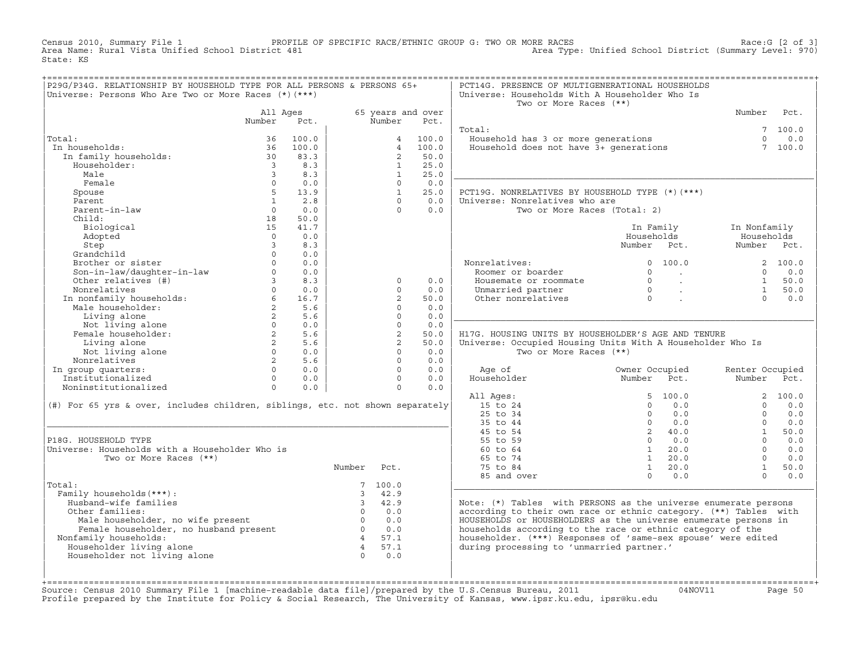Census 2010, Summary File 1 PROFILE OF SPECIFIC RACE/ETHNIC GROUP G: TWO OR MORE RACES Race:G [2 of 3] Area Type: Unified School District (Summary Level: 970) State: KS

| P29G/P34G. RELATIONSHIP BY HOUSEHOLD TYPE FOR ALL PERSONS & PERSONS 65+<br>Universe: Persons Who Are Two or More Races $(*)$ $(***)$                   |                         |                          |                         |                         |             | PCT14G. PRESENCE OF MULTIGENERATIONAL HOUSEHOLDS<br>Universe: Households With A Householder Who Is |                                                     |                           |          |
|--------------------------------------------------------------------------------------------------------------------------------------------------------|-------------------------|--------------------------|-------------------------|-------------------------|-------------|----------------------------------------------------------------------------------------------------|-----------------------------------------------------|---------------------------|----------|
|                                                                                                                                                        |                         |                          |                         |                         |             | Two or More Races (**)                                                                             |                                                     |                           |          |
|                                                                                                                                                        | All Ages                |                          |                         | 65 years and over       |             |                                                                                                    |                                                     | Number                    | Pct.     |
|                                                                                                                                                        | Number                  | Pct.                     |                         | Number                  | Pct.        |                                                                                                    |                                                     |                           |          |
|                                                                                                                                                        |                         |                          |                         |                         |             | Total:                                                                                             |                                                     |                           | 7 100.0  |
| Total:                                                                                                                                                 | 36                      | 100.0                    |                         | $\overline{4}$          | 100.0       | Household has 3 or more generations<br>Household does not have 3+ generations                      |                                                     | $\Omega$                  | 0.0      |
| In households:                                                                                                                                         | 36                      | 100.0                    |                         | 4                       | 100.0       |                                                                                                    |                                                     |                           | 7, 100.0 |
| In family households:                                                                                                                                  | 30                      | 83.3                     |                         | $\overline{2}$          | 50.0        |                                                                                                    |                                                     |                           |          |
| Householder:                                                                                                                                           |                         | $3 \t 8.3$               |                         | $\mathbf{1}$            | 25.0        |                                                                                                    |                                                     |                           |          |
| Male                                                                                                                                                   | $\overline{3}$          | 8.3                      |                         | $\mathbf{1}$            | 25.0        |                                                                                                    |                                                     |                           |          |
| Female                                                                                                                                                 | $\circ$                 | 0.0                      |                         | $\Omega$                | 0.0         |                                                                                                    |                                                     |                           |          |
| Spouse                                                                                                                                                 | 5 <sup>1</sup>          | 13.9                     |                         | $\mathbf{1}$            | 25.0        | PCT19G. NONRELATIVES BY HOUSEHOLD TYPE (*) (***)                                                   |                                                     |                           |          |
| Parent                                                                                                                                                 | $\mathbf{1}$            | 2.8                      |                         | $\Omega$                | 0.0         | Universe: Nonrelatives who are                                                                     |                                                     |                           |          |
| Parent-in-law                                                                                                                                          | $\Omega$                | 0.0                      |                         | $\Omega$                | 0.0         | Two or More Races (Total: 2)                                                                       |                                                     |                           |          |
| Child:                                                                                                                                                 | 18                      | 50.0                     |                         |                         |             |                                                                                                    |                                                     |                           |          |
| Biological                                                                                                                                             | 15                      | 41.7                     |                         |                         |             |                                                                                                    | In Family                                           | In Nonfamily              |          |
| Adopted                                                                                                                                                | $\overline{0}$          | 0.0                      |                         |                         |             |                                                                                                    | Households                                          | Households                |          |
| Step                                                                                                                                                   | $\overline{\mathbf{3}}$ | 8.3                      |                         |                         |             |                                                                                                    | Number Pct.                                         | Number Pct.               |          |
| Grandchild                                                                                                                                             | $\Omega$                | 0.0                      |                         |                         |             |                                                                                                    |                                                     |                           |          |
| Brother or sister                                                                                                                                      | $\Omega$                | 0.0                      |                         |                         |             | Nonrelatives:                                                                                      | 0 100.0                                             |                           | 2 100.0  |
| Son-in-law/daughter-in-law                                                                                                                             | $\Omega$                | 0.0                      |                         |                         |             | Roomer or boarder                                                                                  | $\Omega$<br><b>Contract Contract</b>                | $\Omega$                  | 0.0      |
| Other relatives (#)                                                                                                                                    | $3^{\circ}$             | 8.3                      |                         | $\Omega$                | 0.0         | Housemate or roommate                                                                              | $\overline{0}$<br><b>Contract Contract</b>          |                           | 1 50.0   |
| Nonrelatives                                                                                                                                           |                         | $0 \t 0.0$               |                         | $\Omega$                | 0.0         | Unmarried partner                                                                                  | $\begin{matrix}0\\0\end{matrix}$<br>$\sim 10^{-11}$ | $\mathbf{1}$              | 50.0     |
| In nonfamily households:<br>Male householder:                                                                                                          |                         | 6 16.7                   |                         | $\overline{2}$          | 50.0        | Other nonrelatives                                                                                 |                                                     | $\cap$                    | 0.0      |
| Male householder:                                                                                                                                      | $2^{\circ}$             | 5.6                      |                         | $\Omega$                | 0.0         |                                                                                                    |                                                     |                           |          |
| Living alone                                                                                                                                           | $2^{\circ}$             | 5.6                      |                         | $\Omega$                | 0.0         |                                                                                                    |                                                     |                           |          |
| Not living alone                                                                                                                                       |                         | $0 \qquad \qquad$<br>0.0 |                         | $\mathbf 0$             | 0.0         |                                                                                                    |                                                     |                           |          |
| Female householder:                                                                                                                                    | $2 \overline{ }$        | 5.6                      |                         | 2                       | 50.0        | H17G. HOUSING UNITS BY HOUSEHOLDER'S AGE AND TENURE                                                |                                                     |                           |          |
| Living alone                                                                                                                                           | $\Omega$                | 2 5.6<br>0.0             |                         | $2^{\circ}$<br>$\Omega$ | 50.0<br>0.0 | Universe: Occupied Housing Units With A Householder Who Is                                         |                                                     |                           |          |
| Not living alone<br>Nonrelatives                                                                                                                       | $\overline{2}$          | 5.6                      |                         | $\Omega$                | 0.0         | Two or More Races (**)                                                                             |                                                     |                           |          |
|                                                                                                                                                        | $\Omega$                | 0.0                      |                         | $\Omega$                | 0.0         |                                                                                                    |                                                     |                           |          |
| In group quarters:<br>Institutionalized                                                                                                                | $\Omega$                | 0.0                      |                         | $\Omega$                | 0.0         | Age of<br>Householder                                                                              | Owner Occupied<br>Number<br>Pct.                    | Renter Occupied<br>Number | Pct.     |
| Noninstitutionalized                                                                                                                                   | $0 \qquad \qquad$       | 0.0                      |                         | $\Omega$                | 0.0         |                                                                                                    |                                                     |                           |          |
|                                                                                                                                                        |                         |                          |                         |                         |             | All Ages:                                                                                          | 5, 100.0                                            |                           | 2, 100.0 |
| (#) For 65 yrs & over, includes children, siblings, etc. not shown separately                                                                          |                         |                          |                         |                         |             | 15 to 24                                                                                           | $\Omega$<br>0.0                                     | $\Omega$                  | 0.0      |
|                                                                                                                                                        |                         |                          |                         |                         |             | 25 to 34                                                                                           | $\circ$<br>0.0                                      | $\Omega$                  | 0.0      |
|                                                                                                                                                        |                         |                          |                         |                         |             | 35 to 44                                                                                           | $\Omega$<br>0.0                                     | $\cap$                    | 0.0      |
|                                                                                                                                                        |                         |                          |                         |                         |             | 45 to 54                                                                                           | 2, 40, 0                                            | 1                         | 50.0     |
| P18G. HOUSEHOLD TYPE                                                                                                                                   |                         |                          |                         |                         |             | 55 to 59                                                                                           | $\Omega$<br>0.0                                     | $\cap$                    | 0.0      |
| Universe: Households with a Householder Who is                                                                                                         |                         |                          |                         |                         |             | 60 to 64                                                                                           | $1 \t 20.0$                                         | $\Omega$                  | 0.0      |
| Two or More Races (**)                                                                                                                                 |                         |                          |                         |                         |             | 65 to 74                                                                                           | 1 20.0                                              | $\Omega$                  | 0.0      |
|                                                                                                                                                        |                         |                          | Number                  | Pct.                    |             | 75 to 84                                                                                           | 1 20.0                                              | $\mathbf{1}$              | 50.0     |
|                                                                                                                                                        |                         |                          |                         |                         |             | 85 and over                                                                                        | $\Omega$<br>0.0                                     | $\Omega$                  | 0.0      |
| Total:                                                                                                                                                 |                         |                          |                         | 7, 100.0                |             |                                                                                                    |                                                     |                           |          |
| Family households (***) :                                                                                                                              |                         |                          | $\overline{3}$          | 42.9                    |             |                                                                                                    |                                                     |                           |          |
| Husband-wife families                                                                                                                                  |                         |                          | $\overline{\mathbf{3}}$ | 42.9                    |             | Note: (*) Tables with PERSONS as the universe enumerate persons                                    |                                                     |                           |          |
| Other families:                                                                                                                                        |                         |                          |                         | $0 \qquad 0.0$          |             | according to their own race or ethnic category. (**) Tables with                                   |                                                     |                           |          |
|                                                                                                                                                        |                         |                          |                         |                         |             | HOUSEHOLDS or HOUSEHOLDERS as the universe enumerate persons in                                    |                                                     |                           |          |
|                                                                                                                                                        |                         |                          |                         |                         |             | households according to the race or ethnic category of the                                         |                                                     |                           |          |
| Female householder, no wife present $0$ 0.0<br>Female householder, no husband present $0$ 0.0<br>imply households:<br>$0$ 0.0<br>Nonfamily households: |                         |                          |                         |                         |             | householder. (***) Responses of 'same-sex spouse' were edited                                      |                                                     |                           |          |
| Householder living alone                                                                                                                               |                         |                          | $4\overline{4}$         | 57.1                    |             | during processing to 'unmarried partner.'                                                          |                                                     |                           |          |
| Householder not living alone                                                                                                                           |                         |                          | $\bigcap$               | 0.0                     |             |                                                                                                    |                                                     |                           |          |
|                                                                                                                                                        |                         |                          |                         |                         |             |                                                                                                    |                                                     |                           |          |
|                                                                                                                                                        |                         |                          |                         |                         |             |                                                                                                    |                                                     |                           |          |
|                                                                                                                                                        |                         |                          |                         |                         |             |                                                                                                    |                                                     |                           |          |

+===================================================================================================================================================+Source: Census 2010 Summary File 1 [machine−readable data file]/prepared by the U.S.Census Bureau, 2011 04NOV11 Page 50 Profile prepared by the Institute for Policy & Social Research, The University of Kansas, www.ipsr.ku.edu, ipsr@ku.edu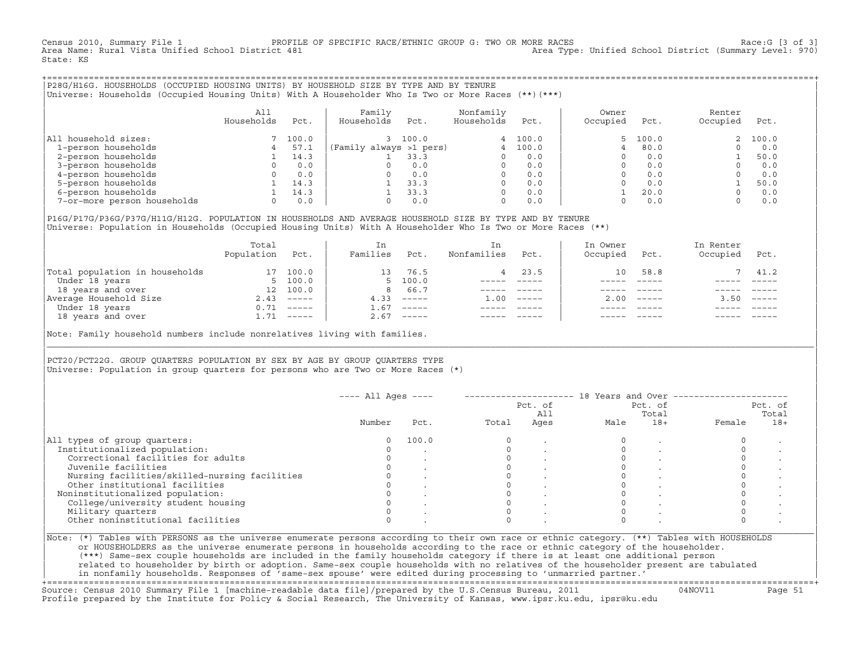Census 2010, Summary File 1 PROFILE OF SPECIFIC RACE/ETHNIC GROUP G: TWO OR MORE RACES Race:G [3 of 3] Area Type: Unified School District (Summary Level: 970) State: KS

+===================================================================================================================================================+|P28G/H16G. HOUSEHOLDS (OCCUPIED HOUSING UNITS) BY HOUSEHOLD SIZE BY TYPE AND BY TENURE | |Universe: Households (Occupied Housing Units) With A Householder Who Is Two or More Races (\*\*)(\*\*\*) |

|                             | All<br>Households | Pct.  | Family<br>Households    | Pct.  | Nonfamily<br>Households | Pct.  | Owner<br>Occupied | Pct.     | Renter<br>Occupied | Pct.  |
|-----------------------------|-------------------|-------|-------------------------|-------|-------------------------|-------|-------------------|----------|--------------------|-------|
| household sizes:<br>All     |                   | 100.0 |                         | 100.0 | 4                       | 100.0 |                   | 5, 100.0 |                    | 100.0 |
| 1-person households         |                   | 57.1  | (Family always >1 pers) |       |                         | 100.0 |                   | 80.0     |                    | 0.0   |
| 2-person households         |                   | 14.3  |                         | 33.3  |                         | 0.0   |                   | 0.0      |                    | 50.0  |
| 3-person households         |                   | 0.0   |                         | 0.0   | $\Omega$                | 0.0   |                   | 0.0      |                    | 0.0   |
| 4-person households         |                   | 0.0   |                         | 0.0   | $\Omega$                | 0.0   |                   | 0.0      |                    | 0.0   |
| 5-person households         |                   | 14.3  |                         | 33.3  | $\Omega$                | 0.0   |                   | 0.0      |                    | 50.0  |
| 6-person households         |                   | 14.3  |                         | 33.3  | $\Omega$                | 0.0   |                   | 20.0     |                    | 0.0   |
| 7-or-more person households | $\Omega$          | 0.0   |                         | 0.0   | 0                       | 0.0   |                   | 0.0      |                    | 0.0   |

|P16G/P17G/P36G/P37G/H11G/H12G. POPULATION IN HOUSEHOLDS AND AVERAGE HOUSEHOLD SIZE BY TYPE AND BY TENURE | Universe: Population in Households (Occupied Housing Units) With A Householder Who Is Two or More Races (\*\*)

|                                | Total<br>Population | Pct.         | In<br>Families | Pct.     | In.<br>Nonfamilies | Pct.     | In Owner<br>Occupied | Pct.                      | In Renter<br>Occupied | Pct.                      |
|--------------------------------|---------------------|--------------|----------------|----------|--------------------|----------|----------------------|---------------------------|-----------------------|---------------------------|
| Total population in households |                     | 100.0        | 13             | 76.5     |                    | 4 23.5   | 10                   | 58.8                      |                       | 7 41.2                    |
| Under 18 years                 |                     | 5, 100.0     |                | 5, 100.0 |                    |          |                      |                           |                       |                           |
| 18 years and over              | 12                  | 100.0        | 8              | 66.7     |                    |          |                      |                           |                       |                           |
| Average Household Size         |                     | $2.43$ ----- | 4.33           | $------$ | 1.00               | $------$ | 200                  | $\qquad \qquad - - - - -$ | 3.50                  | $\qquad \qquad - - - - -$ |
| Under 18 years                 |                     | $0.71$ ----- | 1.67           | $------$ |                    |          |                      |                           |                       |                           |
| 18 years and over              |                     | $1.71$ ----- | 2.67           |          |                    |          |                      | $- - - - -$               |                       | $- - - - -$               |
|                                |                     |              |                |          |                    |          |                      |                           |                       |                           |

Note: Family household numbers include nonrelatives living with families.

| | PCT20/PCT22G. GROUP OUARTERS POPULATION BY SEX BY AGE BY GROUP OUARTERS TYPE Universe: Population in group quarters for persons who are Two or More Races  $(*)$ 

|                                               |        |       |       | Pct. of<br>All |      | Pct. of<br>Total |        | Pct. of<br>Total |
|-----------------------------------------------|--------|-------|-------|----------------|------|------------------|--------|------------------|
|                                               | Number | Pct.  | Total | Ages           | Male | $18+$            | Female | $18+$            |
| All types of group quarters:                  |        | 100.0 |       |                |      |                  |        |                  |
| Institutionalized population:                 |        |       |       |                |      |                  |        |                  |
| Correctional facilities for adults            |        |       |       |                |      |                  |        |                  |
| Juvenile facilities                           |        |       |       |                |      |                  |        |                  |
| Nursing facilities/skilled-nursing facilities |        |       |       |                |      |                  |        |                  |
| Other institutional facilities                |        |       |       |                |      |                  |        |                  |
| Noninstitutionalized population:              |        |       |       |                |      |                  |        |                  |
| College/university student housing            |        |       |       |                |      |                  |        |                  |
| Military quarters                             |        |       |       |                |      |                  |        |                  |
| Other noninstitutional facilities             |        |       |       |                |      |                  |        |                  |

|\_\_\_\_\_\_\_\_\_\_\_\_\_\_\_\_\_\_\_\_\_\_\_\_\_\_\_\_\_\_\_\_\_\_\_\_\_\_\_\_\_\_\_\_\_\_\_\_\_\_\_\_\_\_\_\_\_\_\_\_\_\_\_\_\_\_\_\_\_\_\_\_\_\_\_\_\_\_\_\_\_\_\_\_\_\_\_\_\_\_\_\_\_\_\_\_\_\_\_\_\_\_\_\_\_\_\_\_\_\_\_\_\_\_\_\_\_\_\_\_\_\_\_\_\_\_\_\_\_\_\_\_\_\_\_\_\_\_\_\_\_\_\_\_\_\_\_|

| |

or HOUSEHOLDERS as the universe enumerate persons in households according to the race or ethnic category of the householder. | (\*\*\*) Same−sex couple households are included in the family households category if there is at least one additional person | | related to householder by birth or adoption. Same−sex couple households with no relatives of the householder present are tabulated | | in nonfamily households. Responses of 'same−sex spouse' were edited during processing to 'unmarried partner.' |

+===================================================================================================================================================+ Source: Census 2010 Summary File 1 [machine−readable data file]/prepared by the U.S.Census Bureau, 2011 04NOV11 Page 51 Profile prepared by the Institute for Policy & Social Research, The University of Kansas, www.ipsr.ku.edu, ipsr@ku.edu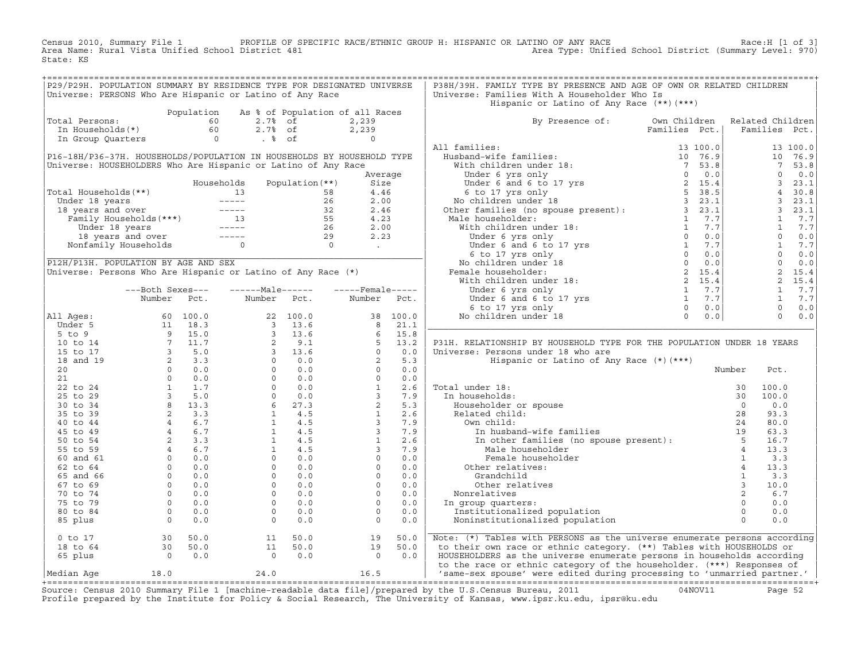Census 2010, Summary File 1 PROFILE OF SPECIFIC RACE/ETHNIC GROUP H: HISPANIC OR LATINO OF ANY RACE Race:H [1 of 3]<br>Area Name: Rural Vista Unified School District 481 Area Type: Unified School District (Summary Level: 970) Area Type: Unified School District (Summary Level: 970) State: KS

| P29/P29H. POPULATION SUMMARY BY RESIDENCE TYPE FOR DESIGNATED UNIVERSE                                                                         |                                          |                                                                                                               |  | P38H/39H. FAMILY TYPE BY PRESENCE AND AGE OF OWN OR RELATED CHILDREN                                                                                                                                                                                                      |  |          |  |
|------------------------------------------------------------------------------------------------------------------------------------------------|------------------------------------------|---------------------------------------------------------------------------------------------------------------|--|---------------------------------------------------------------------------------------------------------------------------------------------------------------------------------------------------------------------------------------------------------------------------|--|----------|--|
| Universe: PERSONS Who Are Hispanic or Latino of Any Race                                                                                       |                                          |                                                                                                               |  | Universe: Families With A Householder Who Is                                                                                                                                                                                                                              |  |          |  |
|                                                                                                                                                |                                          |                                                                                                               |  | Hispanic or Latino of Any Race (**)(***)                                                                                                                                                                                                                                  |  |          |  |
| Population As % of Population of all R<br>Total Persons: 60 2.7% of 2,239<br>In Households(*) 60 2.7% of 2,239<br>In Group Quarters 0 . % of 0 |                                          | Population As % of Population of all Races                                                                    |  |                                                                                                                                                                                                                                                                           |  |          |  |
| Total Persons:                                                                                                                                 |                                          |                                                                                                               |  | By Presence of: Own Children Related Children<br>Families Pct.   Families Pct.                                                                                                                                                                                            |  |          |  |
|                                                                                                                                                |                                          |                                                                                                               |  |                                                                                                                                                                                                                                                                           |  |          |  |
|                                                                                                                                                |                                          |                                                                                                               |  |                                                                                                                                                                                                                                                                           |  |          |  |
|                                                                                                                                                |                                          |                                                                                                               |  |                                                                                                                                                                                                                                                                           |  |          |  |
|                                                                                                                                                |                                          |                                                                                                               |  |                                                                                                                                                                                                                                                                           |  |          |  |
|                                                                                                                                                |                                          |                                                                                                               |  |                                                                                                                                                                                                                                                                           |  |          |  |
|                                                                                                                                                |                                          |                                                                                                               |  |                                                                                                                                                                                                                                                                           |  |          |  |
|                                                                                                                                                |                                          |                                                                                                               |  |                                                                                                                                                                                                                                                                           |  |          |  |
|                                                                                                                                                |                                          |                                                                                                               |  |                                                                                                                                                                                                                                                                           |  |          |  |
|                                                                                                                                                |                                          |                                                                                                               |  |                                                                                                                                                                                                                                                                           |  |          |  |
|                                                                                                                                                |                                          |                                                                                                               |  |                                                                                                                                                                                                                                                                           |  |          |  |
|                                                                                                                                                |                                          |                                                                                                               |  |                                                                                                                                                                                                                                                                           |  |          |  |
|                                                                                                                                                |                                          |                                                                                                               |  |                                                                                                                                                                                                                                                                           |  |          |  |
|                                                                                                                                                |                                          |                                                                                                               |  |                                                                                                                                                                                                                                                                           |  |          |  |
|                                                                                                                                                |                                          |                                                                                                               |  |                                                                                                                                                                                                                                                                           |  |          |  |
|                                                                                                                                                |                                          |                                                                                                               |  |                                                                                                                                                                                                                                                                           |  |          |  |
|                                                                                                                                                |                                          |                                                                                                               |  |                                                                                                                                                                                                                                                                           |  |          |  |
|                                                                                                                                                |                                          |                                                                                                               |  |                                                                                                                                                                                                                                                                           |  |          |  |
|                                                                                                                                                |                                          |                                                                                                               |  |                                                                                                                                                                                                                                                                           |  |          |  |
|                                                                                                                                                |                                          |                                                                                                               |  |                                                                                                                                                                                                                                                                           |  |          |  |
|                                                                                                                                                |                                          |                                                                                                               |  |                                                                                                                                                                                                                                                                           |  |          |  |
|                                                                                                                                                |                                          |                                                                                                               |  |                                                                                                                                                                                                                                                                           |  |          |  |
|                                                                                                                                                |                                          |                                                                                                               |  |                                                                                                                                                                                                                                                                           |  |          |  |
|                                                                                                                                                |                                          |                                                                                                               |  |                                                                                                                                                                                                                                                                           |  |          |  |
|                                                                                                                                                |                                          |                                                                                                               |  |                                                                                                                                                                                                                                                                           |  |          |  |
|                                                                                                                                                |                                          |                                                                                                               |  |                                                                                                                                                                                                                                                                           |  |          |  |
|                                                                                                                                                |                                          |                                                                                                               |  | P31H. RELATIONSHIP BY HOUSEHOLD TYPE FOR THE POPULATION UNDER 18 YEARS                                                                                                                                                                                                    |  |          |  |
|                                                                                                                                                |                                          |                                                                                                               |  |                                                                                                                                                                                                                                                                           |  |          |  |
|                                                                                                                                                |                                          |                                                                                                               |  |                                                                                                                                                                                                                                                                           |  |          |  |
|                                                                                                                                                |                                          |                                                                                                               |  |                                                                                                                                                                                                                                                                           |  |          |  |
|                                                                                                                                                |                                          |                                                                                                               |  |                                                                                                                                                                                                                                                                           |  | Pct.     |  |
|                                                                                                                                                |                                          |                                                                                                               |  |                                                                                                                                                                                                                                                                           |  |          |  |
|                                                                                                                                                |                                          |                                                                                                               |  |                                                                                                                                                                                                                                                                           |  | 100.0    |  |
|                                                                                                                                                |                                          |                                                                                                               |  |                                                                                                                                                                                                                                                                           |  | 30 100.0 |  |
|                                                                                                                                                |                                          |                                                                                                               |  |                                                                                                                                                                                                                                                                           |  | 0.0      |  |
|                                                                                                                                                |                                          |                                                                                                               |  |                                                                                                                                                                                                                                                                           |  | 93.3     |  |
|                                                                                                                                                |                                          |                                                                                                               |  |                                                                                                                                                                                                                                                                           |  | 80.0     |  |
|                                                                                                                                                |                                          |                                                                                                               |  |                                                                                                                                                                                                                                                                           |  | 63.3     |  |
|                                                                                                                                                |                                          |                                                                                                               |  |                                                                                                                                                                                                                                                                           |  | 16.7     |  |
|                                                                                                                                                |                                          |                                                                                                               |  | Male householder<br>Male householder<br>Female householder<br>Female householder<br>Female householder<br>$1$<br>$3.3$<br>$3.3$<br>$5$<br>$4$<br>$13.3$<br>$13.3$<br>$13.3$<br>$13.3$<br>$13.3$<br>$13.3$<br>$13.3$<br>$13.3$<br>$13.3$<br>$13.3$<br>$10.0$<br>$12.5$<br> |  |          |  |
|                                                                                                                                                |                                          |                                                                                                               |  |                                                                                                                                                                                                                                                                           |  |          |  |
|                                                                                                                                                |                                          |                                                                                                               |  |                                                                                                                                                                                                                                                                           |  |          |  |
|                                                                                                                                                |                                          |                                                                                                               |  |                                                                                                                                                                                                                                                                           |  |          |  |
|                                                                                                                                                |                                          |                                                                                                               |  |                                                                                                                                                                                                                                                                           |  |          |  |
|                                                                                                                                                |                                          |                                                                                                               |  |                                                                                                                                                                                                                                                                           |  |          |  |
|                                                                                                                                                |                                          |                                                                                                               |  |                                                                                                                                                                                                                                                                           |  |          |  |
|                                                                                                                                                |                                          |                                                                                                               |  |                                                                                                                                                                                                                                                                           |  |          |  |
|                                                                                                                                                |                                          |                                                                                                               |  |                                                                                                                                                                                                                                                                           |  |          |  |
|                                                                                                                                                |                                          |                                                                                                               |  |                                                                                                                                                                                                                                                                           |  |          |  |
|                                                                                                                                                |                                          | $\begin{bmatrix} 11 & 50.0 & & & 19 & 50.0 \ 11 & 50.0 & & & 19 & 50.0 \ 0 & 0.0 & & & 0 & 0.0 \end{bmatrix}$ |  |                                                                                                                                                                                                                                                                           |  |          |  |
|                                                                                                                                                | 0 to 17<br>18 to 64<br>65 plus<br>0 0 .0 |                                                                                                               |  | Note: (*) Tables with PERSONS as the universe enumerate persons according                                                                                                                                                                                                 |  |          |  |
|                                                                                                                                                |                                          |                                                                                                               |  | to their own race or ethnic category. (**) Tables with HOUSEHOLDS or                                                                                                                                                                                                      |  |          |  |
|                                                                                                                                                |                                          |                                                                                                               |  | HOUSEHOLDERS as the universe enumerate persons in households according                                                                                                                                                                                                    |  |          |  |
|                                                                                                                                                |                                          |                                                                                                               |  | to the race or ethnic category of the householder. (***) Responses of                                                                                                                                                                                                     |  |          |  |
|                                                                                                                                                |                                          |                                                                                                               |  | Median Age 18.0 (24.0 and 24.0 one face of echanic category of the householder. (***) Responses of and the set of the face of echanic category of the householder. (***) Responses of (***) (24.0 and the set of the set of th                                            |  |          |  |
|                                                                                                                                                |                                          |                                                                                                               |  |                                                                                                                                                                                                                                                                           |  |          |  |

+===================================================================================================================================================+Source: Census 2010 Summary File 1 [machine−readable data file]/prepared by the U.S.Census Bureau, 2011 04NOV11 Page 52 Profile prepared by the Institute for Policy & Social Research, The University of Kansas, www.ipsr.ku.edu, ipsr@ku.edu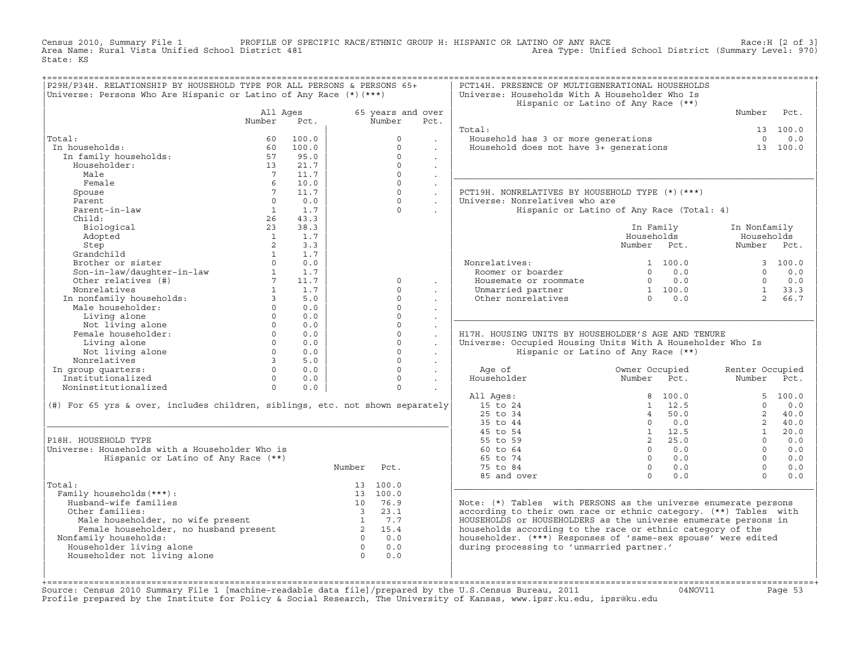Census 2010, Summary File 1 PROFILE OF SPECIFIC RACE/ETHNIC GROUP H: HISPANIC OR LATINO OF ANY RACE Race:H [2 of 3]<br>Area Name: Rural Vista Unified School District 481 Area Type: Unified School District (Summary Level: 970) Area Type: Unified School District (Summary Level: 970) State: KS

| P29H/P34H. RELATIONSHIP BY HOUSEHOLD TYPE FOR ALL PERSONS & PERSONS 65+<br>Universe: Persons Who Are Hispanic or Latino of Any Race $(*)$ (***) |                                     |                          |                                      |                      |                      | PCT14H. PRESENCE OF MULTIGENERATIONAL HOUSEHOLDS<br>Universe: Households With A Householder Who Is         |                                                                   |                       |                      |          |
|-------------------------------------------------------------------------------------------------------------------------------------------------|-------------------------------------|--------------------------|--------------------------------------|----------------------|----------------------|------------------------------------------------------------------------------------------------------------|-------------------------------------------------------------------|-----------------------|----------------------|----------|
|                                                                                                                                                 |                                     |                          |                                      |                      |                      | Hispanic or Latino of Any Race (**)                                                                        |                                                                   |                       |                      |          |
|                                                                                                                                                 |                                     | All Ages                 |                                      | 65 years and over    |                      |                                                                                                            |                                                                   |                       | Number               | Pct.     |
|                                                                                                                                                 | Number                              | Pct.                     |                                      | Number               | Pct.                 |                                                                                                            |                                                                   |                       |                      |          |
|                                                                                                                                                 |                                     |                          |                                      |                      |                      | Total:                                                                                                     |                                                                   |                       |                      | 13 100.0 |
| Total:                                                                                                                                          | 60                                  | 100.0                    |                                      | $\Omega$             |                      | Household has 3 or more generations<br>Household does not have 3+ generations                              |                                                                   |                       | $\Omega$             | 0.0      |
| In households:                                                                                                                                  | 60                                  | 100.0                    |                                      | $\Omega$             | $\sim$               |                                                                                                            |                                                                   |                       |                      | 13 100.0 |
| In family households:                                                                                                                           | 57                                  | 95.0                     |                                      | $\Omega$             | $\ddot{\phantom{0}}$ |                                                                                                            |                                                                   |                       |                      |          |
| Householder:                                                                                                                                    | 13                                  | 21.7                     |                                      | $\Omega$             | $\ddot{\phantom{a}}$ |                                                                                                            |                                                                   |                       |                      |          |
| Male                                                                                                                                            | $7\overline{ }$                     | 11.7                     |                                      | $\Omega$             | $\ddot{\phantom{a}}$ |                                                                                                            |                                                                   |                       |                      |          |
| Female                                                                                                                                          | 6                                   | 10.0                     |                                      | $\Omega$             | $\ddot{\phantom{a}}$ |                                                                                                            |                                                                   |                       |                      |          |
| Spouse                                                                                                                                          | $7^{\circ}$                         | 11.7                     |                                      | $\Omega$             | $\ddot{\phantom{0}}$ | PCT19H. NONRELATIVES BY HOUSEHOLD TYPE (*)(***)                                                            |                                                                   |                       |                      |          |
| Parent                                                                                                                                          | $\Omega$                            | 0.0                      |                                      | $\Omega$             | $\ddot{\phantom{a}}$ | Universe: Nonrelatives who are                                                                             |                                                                   |                       |                      |          |
| Parent-in-law                                                                                                                                   | $\mathbf{1}$                        | 1.7                      |                                      | $\Omega$             |                      | Hispanic or Latino of Any Race (Total: 4)                                                                  |                                                                   |                       |                      |          |
| Child:                                                                                                                                          | 26                                  | 43.3                     |                                      |                      |                      |                                                                                                            |                                                                   |                       |                      |          |
| Biological                                                                                                                                      | 23                                  | 38.3                     |                                      |                      |                      |                                                                                                            |                                                                   | In Family             | In Nonfamily         |          |
| Adopted                                                                                                                                         | $\mathbf{1}$                        | 1.7                      |                                      |                      |                      |                                                                                                            | Households                                                        |                       | Households           |          |
| Step                                                                                                                                            | $\overline{2}$                      | 3.3                      |                                      |                      |                      |                                                                                                            | Number Pct.                                                       |                       | Number Pct.          |          |
| Grandchild                                                                                                                                      | $\mathbf{1}$                        | 1.7                      |                                      |                      |                      |                                                                                                            |                                                                   |                       |                      |          |
| Brother or sister                                                                                                                               | $\circ$                             | 0.0                      |                                      |                      |                      | Nonrelatives:                                                                                              |                                                                   | 1 100.0               |                      | 3 100.0  |
| Son-in-law/daughter-in-law                                                                                                                      | 1<br>$7^{\circ}$                    | 1.7<br>11.7              |                                      |                      |                      | Roomer or boarder                                                                                          | $\Omega$                                                          | 0.0<br>$0 \qquad 0.0$ | $\Omega$<br>$\Omega$ | 0.0      |
| Other relatives (#)                                                                                                                             |                                     |                          |                                      | $\Omega$<br>$\Omega$ | $\cdot$              | Housemate or roommate                                                                                      | $\begin{bmatrix} 0 & 0 \\ 1 & 100 & 0 \\ 0 & 0 & 0 \end{bmatrix}$ |                       |                      | 0.0      |
| Nonrelatives                                                                                                                                    | $\mathbf{1}$                        | 1.7                      |                                      | $\Omega$             |                      | Unmarried partner                                                                                          |                                                                   |                       | $2^{\circ}$          | 1, 33.3  |
| In nonfamily households:<br>Male householder:                                                                                                   | $\overline{3}$<br>$0 \qquad \qquad$ | 5.0<br>0.0               |                                      | $\Omega$             | $\ddot{\phantom{0}}$ | Other nonrelatives                                                                                         |                                                                   |                       |                      | 66.7     |
|                                                                                                                                                 |                                     |                          |                                      |                      | $\mathbf{r}$         |                                                                                                            |                                                                   |                       |                      |          |
|                                                                                                                                                 |                                     |                          |                                      |                      |                      |                                                                                                            |                                                                   |                       |                      |          |
| Living alone                                                                                                                                    | $\Omega$                            | 0.0                      |                                      | $\Omega$             | $\sim$               |                                                                                                            |                                                                   |                       |                      |          |
| Not living alone                                                                                                                                | $\Omega$                            | 0.0                      |                                      | $\Omega$             | $\mathbb{Z}^2$       |                                                                                                            |                                                                   |                       |                      |          |
| Female householder:                                                                                                                             |                                     | $0 \qquad \qquad$<br>0.0 |                                      | $\Omega$             | $\ddot{\phantom{a}}$ | H17H. HOUSING UNITS BY HOUSEHOLDER'S AGE AND TENURE                                                        |                                                                   |                       |                      |          |
| Living alone                                                                                                                                    | $\Omega$                            | 0.0                      |                                      | $\Omega$             | $\ddot{\phantom{a}}$ | Universe: Occupied Housing Units With A Householder Who Is                                                 |                                                                   |                       |                      |          |
| Not living alone                                                                                                                                | $\circ$                             | 0.0                      |                                      | $\circ$              | $\ddot{\phantom{0}}$ | Hispanic or Latino of Any Race (**)                                                                        |                                                                   |                       |                      |          |
| Nonrelatives                                                                                                                                    | $\overline{3}$                      | 5.0                      |                                      | $\Omega$             | $\blacksquare$       |                                                                                                            |                                                                   |                       |                      |          |
| In group quarters:                                                                                                                              | $\Omega$                            | 0.0                      |                                      | $\Omega$             | $\ddot{\phantom{a}}$ | Age of                                                                                                     | Owner Occupied                                                    |                       | Renter Occupied      |          |
| Institutionalized                                                                                                                               | $\Omega$                            | 0.0                      |                                      | $\Omega$             |                      | Householder                                                                                                | Number                                                            | Pct.                  | Number               | Pct.     |
| Noninstitutionalized                                                                                                                            | $\Omega$                            | 0.0                      |                                      | $\Omega$             | $\sim$               |                                                                                                            |                                                                   |                       |                      |          |
|                                                                                                                                                 |                                     |                          |                                      |                      |                      | All Ages:                                                                                                  |                                                                   | 8 100.0               |                      | 5, 100.0 |
| (#) For 65 yrs & over, includes children, siblings, etc. not shown separately                                                                   |                                     |                          |                                      |                      |                      | 15 to 24                                                                                                   |                                                                   | $1 \quad 12.5$        | $\Omega$             | 0.0      |
|                                                                                                                                                 |                                     |                          |                                      |                      |                      | 25 to 34                                                                                                   | $\overline{4}$                                                    | 50.0                  | 2                    | 40.0     |
|                                                                                                                                                 |                                     |                          |                                      |                      |                      | 35 to 44                                                                                                   | $\Omega$                                                          | 0.0                   | $\overline{2}$       | 40.0     |
|                                                                                                                                                 |                                     |                          |                                      |                      |                      | 45 to 54                                                                                                   |                                                                   | 1 12.5                | 1                    | 20.0     |
| P18H. HOUSEHOLD TYPE                                                                                                                            |                                     |                          |                                      |                      |                      | 55 to 59                                                                                                   |                                                                   | 2, 25.0               | $\Omega$             | 0.0      |
| Universe: Households with a Householder Who is                                                                                                  |                                     |                          |                                      |                      |                      | 60 to 64                                                                                                   | $\Omega$                                                          | 0.0                   | $\Omega$             | 0.0      |
| Hispanic or Latino of Any Race (**)                                                                                                             |                                     |                          |                                      |                      |                      | 65 to 74                                                                                                   | $\Omega$                                                          | 0.0                   | $\Omega$             | 0.0      |
|                                                                                                                                                 |                                     |                          | Number                               | Pct.                 |                      | 75 to 84                                                                                                   | $\Omega$<br>$\Omega$                                              | 0.0                   | $\Omega$<br>$\Omega$ | 0.0      |
|                                                                                                                                                 |                                     |                          |                                      |                      |                      | 85 and over                                                                                                |                                                                   | 0.0                   |                      | 0.0      |
| Total:                                                                                                                                          |                                     |                          |                                      | 13 100.0<br>13 100.0 |                      |                                                                                                            |                                                                   |                       |                      |          |
| Family households (***) :                                                                                                                       |                                     |                          |                                      | 10 76.9              |                      |                                                                                                            |                                                                   |                       |                      |          |
| Husband-wife families                                                                                                                           |                                     |                          | $\overline{\mathbf{3}}$              | 23.1                 |                      | Note: $(*)$ Tables with PERSONS as the universe enumerate persons                                          |                                                                   |                       |                      |          |
| Other families:                                                                                                                                 |                                     |                          | $\overline{1}$                       | 7.7                  |                      | according to their own race or ethnic category. (**) Tables with                                           |                                                                   |                       |                      |          |
| Male householder, no wife present                                                                                                               |                                     |                          |                                      | 15.4                 |                      | HOUSEHOLDS or HOUSEHOLDERS as the universe enumerate persons in                                            |                                                                   |                       |                      |          |
| Female householder, no husband present                                                                                                          |                                     |                          | $\overline{\phantom{a}}$<br>$\Omega$ | 0.0                  |                      | households according to the race or ethnic category of the                                                 |                                                                   |                       |                      |          |
| Nonfamily households:                                                                                                                           |                                     |                          | $\overline{0}$                       | 0.0                  |                      | householder. (***) Responses of 'same-sex spouse' were edited<br>during processing to 'unmarried partner.' |                                                                   |                       |                      |          |
| Householder living alone<br>Householder not living alone                                                                                        |                                     |                          | $\Omega$                             | 0.0                  |                      |                                                                                                            |                                                                   |                       |                      |          |

+===================================================================================================================================================+Source: Census 2010 Summary File 1 [machine−readable data file]/prepared by the U.S.Census Bureau, 2011 04NOV11 Page 53 Profile prepared by the Institute for Policy & Social Research, The University of Kansas, www.ipsr.ku.edu, ipsr@ku.edu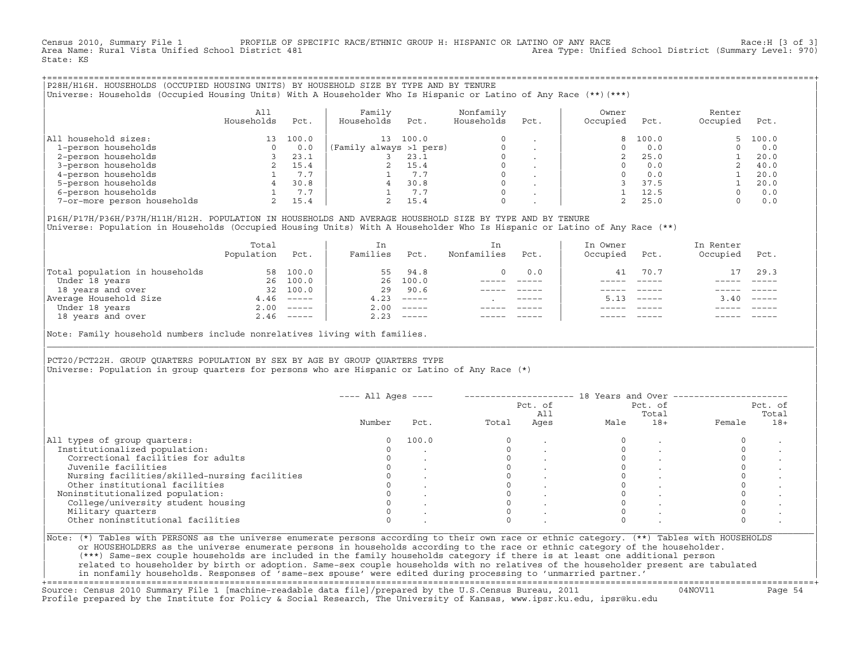Census 2010, Summary File 1 PROFILE OF SPECIFIC RACE/ETHNIC GROUP H: HISPANIC OR LATINO OF ANY RACE RACE Race:H [3 of 3]<br>Area Name: Rural Vista Unified School District 481 area Nove: Unified School District (Summary Level: Area Type: Unified School District (Summary Level: 970) State: KS

+===================================================================================================================================================+|P28H/H16H. HOUSEHOLDS (OCCUPIED HOUSING UNITS) BY HOUSEHOLD SIZE BY TYPE AND BY TENURE | |Universe: Households (Occupied Housing Units) With A Householder Who Is Hispanic or Latino of Any Race (\*\*)(\*\*\*) |

|                             | A11<br>Households | Pct.  | Family<br>Households    | Pct.  | Nonfamily<br>Households | Pct.                     | Owner<br>Occupied | Pct.  | Renter<br>Occupied | Pct.  |
|-----------------------------|-------------------|-------|-------------------------|-------|-------------------------|--------------------------|-------------------|-------|--------------------|-------|
| All household sizes:        | 13                | 100.0 | 13 <sup>1</sup>         | 100.0 | $\Omega$                |                          |                   | 100.0 | $5 -$              | 100.0 |
| 1-person households         | 0                 | 0.0   | (Family always >1 pers) |       |                         |                          |                   | 0.0   |                    | 0.0   |
| 2-person households         |                   | 23.1  |                         | 23.1  | 0                       |                          |                   | 25.0  |                    | 20.0  |
| 3-person households         |                   | 15.4  |                         | 15.4  | 0                       | $\overline{\phantom{a}}$ |                   | 0.0   |                    | 40.0  |
| 4-person households         |                   | 7.7   |                         | 7.7   | $\mathbf 0$             |                          |                   | 0.0   |                    | 20.0  |
| 5-person households         |                   | 30.8  | 4                       | 30.8  | $\Omega$                |                          |                   | 37.5  |                    | 20.0  |
| 6-person households         |                   | 7.7   |                         | 7.7   | $\Omega$                |                          |                   | 12.5  |                    | 0.0   |
| 7-or-more person households |                   | 15.4  |                         | 15.4  | 0                       |                          |                   | 25.0  |                    | 0.0   |

|P16H/P17H/P36H/P37H/H11H/H12H. POPULATION IN HOUSEHOLDS AND AVERAGE HOUSEHOLD SIZE BY TYPE AND BY TENURE | Universe: Population in Households (Occupied Housing Units) With A Householder Who Is Hispanic or Latino of Any Race (\*\*)

|                                | Total<br>Population | Pct.                      | In<br>Families | Pct.                      | In<br>Nonfamilies | Pct.        | In Owner<br>Occupied | Pct.     | In Renter<br>Occupied | Pct.     |
|--------------------------------|---------------------|---------------------------|----------------|---------------------------|-------------------|-------------|----------------------|----------|-----------------------|----------|
| Total population in households | 58                  | 100.0                     | 55             | 94.8                      | 0.                | 0.0         | 41                   | 70.7     |                       | 29.3     |
| Under 18 years                 | 26                  | 100.0                     | 26             | 100.0                     |                   |             |                      |          |                       |          |
| 18 years and over              | 32                  | 100.0                     | 29             | 90.6                      |                   |             |                      |          |                       |          |
| Average Household Size         |                     | $4.46$ -----              | 4.23           | $------$                  |                   | $- - - - -$ |                      | $------$ | 3.40                  | $------$ |
| Under 18 years                 | 2.00                | $\qquad \qquad - - - - -$ | 2.00           | $------$                  |                   |             |                      |          |                       |          |
| 18 years and over              |                     | $2.46$ -----              | 2.23           | $\qquad \qquad - - - - -$ |                   |             |                      |          |                       | $------$ |
|                                |                     |                           |                |                           |                   |             |                      |          |                       |          |

Note: Family household numbers include nonrelatives living with families.

| | PCT20/PCT22H. GROUP OUARTERS POPULATION BY SEX BY AGE BY GROUP OUARTERS TYPE Universe: Population in group quarters for persons who are Hispanic or Latino of Any Race (\*)

|                                               |        |       |       | Pct. of<br>All | Pct. of<br>Total |       | Pct. of<br>Total |       |
|-----------------------------------------------|--------|-------|-------|----------------|------------------|-------|------------------|-------|
|                                               | Number | Pct.  | Total | Ages           | Male             | $18+$ | Female           | $18+$ |
| All types of group quarters:                  | 0      | 100.0 |       |                |                  |       |                  |       |
| Institutionalized population:                 |        |       |       |                |                  |       |                  |       |
| Correctional facilities for adults            |        |       |       |                |                  |       |                  |       |
| Juvenile facilities                           |        |       |       |                |                  |       |                  |       |
| Nursing facilities/skilled-nursing facilities |        |       |       |                |                  |       |                  |       |
| Other institutional facilities                |        |       |       |                |                  |       |                  |       |
| Noninstitutionalized population:              |        |       |       |                |                  |       |                  |       |
| College/university student housing            |        |       |       |                |                  |       |                  |       |
| Military quarters                             |        |       |       |                |                  |       |                  |       |
| Other noninstitutional facilities             |        |       |       |                |                  |       |                  |       |

|\_\_\_\_\_\_\_\_\_\_\_\_\_\_\_\_\_\_\_\_\_\_\_\_\_\_\_\_\_\_\_\_\_\_\_\_\_\_\_\_\_\_\_\_\_\_\_\_\_\_\_\_\_\_\_\_\_\_\_\_\_\_\_\_\_\_\_\_\_\_\_\_\_\_\_\_\_\_\_\_\_\_\_\_\_\_\_\_\_\_\_\_\_\_\_\_\_\_\_\_\_\_\_\_\_\_\_\_\_\_\_\_\_\_\_\_\_\_\_\_\_\_\_\_\_\_\_\_\_\_\_\_\_\_\_\_\_\_\_\_\_\_\_\_\_\_\_|

| |

or HOUSEHOLDERS as the universe enumerate persons in households according to the race or ethnic category of the householder. | (\*\*\*) Same−sex couple households are included in the family households category if there is at least one additional person | | related to householder by birth or adoption. Same−sex couple households with no relatives of the householder present are tabulated | | in nonfamily households. Responses of 'same−sex spouse' were edited during processing to 'unmarried partner.' |

+===================================================================================================================================================+ Source: Census 2010 Summary File 1 [machine−readable data file]/prepared by the U.S.Census Bureau, 2011 04NOV11 Page 54 Profile prepared by the Institute for Policy & Social Research, The University of Kansas, www.ipsr.ku.edu, ipsr@ku.edu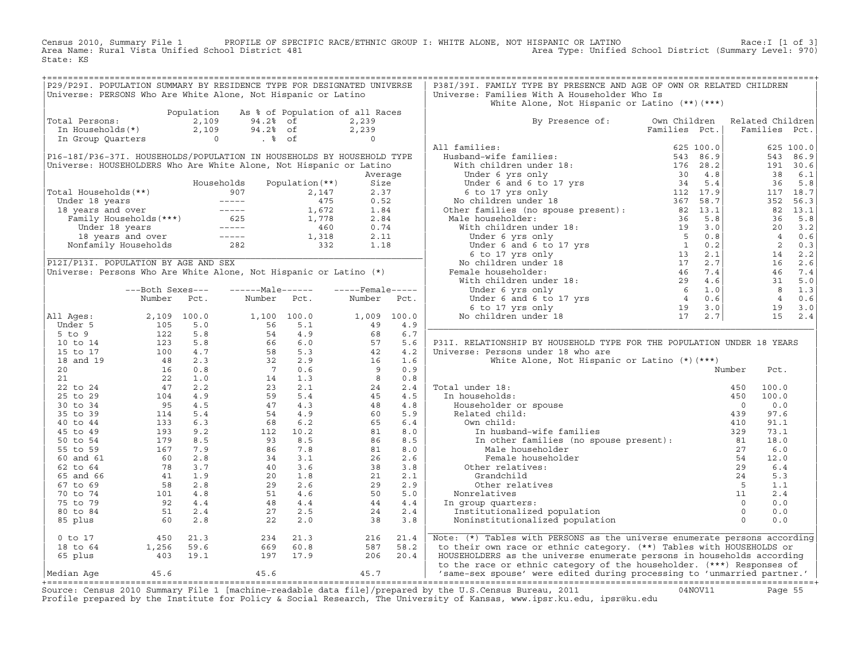Census 2010, Summary File 1 PROFILE OF SPECIFIC RACE/ETHNIC GROUP I: WHITE ALONE, NOT HISPANIC OR LATINO<br>Area Name: Rural Vista Unified School District 481 Area Type: Unified Schoo State: KS

| P29/P291. POPULATION SUMMARY BY RESIDENCE TYPE FOR DESIGNATED UNIVERSE                                                                                                                                                                                         |                                                                                                                                                                                                                                                                                                           |            |                                                                                                                                                                                                   |                                 |                                                                       |             | P38I/39I. FAMILY TYPE BY PRESENCE AND AGE OF OWN OR RELATED CHILDREN                                                        |               |                                                                                                                          |              |
|----------------------------------------------------------------------------------------------------------------------------------------------------------------------------------------------------------------------------------------------------------------|-----------------------------------------------------------------------------------------------------------------------------------------------------------------------------------------------------------------------------------------------------------------------------------------------------------|------------|---------------------------------------------------------------------------------------------------------------------------------------------------------------------------------------------------|---------------------------------|-----------------------------------------------------------------------|-------------|-----------------------------------------------------------------------------------------------------------------------------|---------------|--------------------------------------------------------------------------------------------------------------------------|--------------|
| Universe: PERSONS Who Are White Alone, Not Hispanic or Latino                                                                                                                                                                                                  |                                                                                                                                                                                                                                                                                                           |            |                                                                                                                                                                                                   |                                 |                                                                       |             | Universe: Families With A Householder Who Is                                                                                |               |                                                                                                                          |              |
|                                                                                                                                                                                                                                                                |                                                                                                                                                                                                                                                                                                           |            |                                                                                                                                                                                                   |                                 |                                                                       |             | White Alone, Not Hispanic or Latino (**) (***)                                                                              |               |                                                                                                                          |              |
| Total Persons:                                                                                                                                                                                                                                                 |                                                                                                                                                                                                                                                                                                           | Population |                                                                                                                                                                                                   | As % of Population of all Races | 2,239                                                                 |             | By Presence of:                                                                                                             | Own Children  | Related Children                                                                                                         |              |
|                                                                                                                                                                                                                                                                |                                                                                                                                                                                                                                                                                                           |            |                                                                                                                                                                                                   |                                 |                                                                       |             |                                                                                                                             | Families Pct. | Families Pct.                                                                                                            |              |
|                                                                                                                                                                                                                                                                |                                                                                                                                                                                                                                                                                                           |            | otal Persons: $\begin{array}{cccc} 2,109 & 94.28 & \text{cf} \\ \text{In Households (*)} & 2,109 & 94.28 & \text{of} \\ \text{In Group Quarters} & 0 & .& \text{of} \\ \end{array}$               |                                 | 2,239                                                                 |             |                                                                                                                             |               |                                                                                                                          |              |
|                                                                                                                                                                                                                                                                |                                                                                                                                                                                                                                                                                                           |            |                                                                                                                                                                                                   |                                 |                                                                       |             | All families:                                                                                                               |               |                                                                                                                          | 625 100.0    |
| P16-18I/P36-37I. HOUSEHOLDS/POPULATION IN HOUSEHOLDS BY HOUSEHOLD TYPE                                                                                                                                                                                         |                                                                                                                                                                                                                                                                                                           |            |                                                                                                                                                                                                   |                                 |                                                                       |             |                                                                                                                             |               |                                                                                                                          | 543 86.9     |
| Universe: HOUSEHOLDERS Who Are White Alone, Not Hispanic or Latino                                                                                                                                                                                             |                                                                                                                                                                                                                                                                                                           |            |                                                                                                                                                                                                   |                                 |                                                                       |             |                                                                                                                             |               |                                                                                                                          | 191 30.6     |
|                                                                                                                                                                                                                                                                |                                                                                                                                                                                                                                                                                                           |            |                                                                                                                                                                                                   |                                 | Average                                                               |             |                                                                                                                             |               |                                                                                                                          | 38<br>6.1    |
|                                                                                                                                                                                                                                                                |                                                                                                                                                                                                                                                                                                           |            | Households                                                                                                                                                                                        | Population (**)                 | Size                                                                  |             |                                                                                                                             |               |                                                                                                                          | 5.8<br>36    |
|                                                                                                                                                                                                                                                                |                                                                                                                                                                                                                                                                                                           |            |                                                                                                                                                                                                   |                                 |                                                                       |             |                                                                                                                             |               |                                                                                                                          | 117 18.7     |
|                                                                                                                                                                                                                                                                |                                                                                                                                                                                                                                                                                                           |            |                                                                                                                                                                                                   |                                 |                                                                       |             |                                                                                                                             |               |                                                                                                                          | 352<br>56.3  |
|                                                                                                                                                                                                                                                                |                                                                                                                                                                                                                                                                                                           |            |                                                                                                                                                                                                   |                                 |                                                                       |             |                                                                                                                             |               |                                                                                                                          | 82 13.1      |
|                                                                                                                                                                                                                                                                |                                                                                                                                                                                                                                                                                                           |            |                                                                                                                                                                                                   |                                 |                                                                       |             |                                                                                                                             |               |                                                                                                                          | 5.8<br>36    |
|                                                                                                                                                                                                                                                                |                                                                                                                                                                                                                                                                                                           |            |                                                                                                                                                                                                   |                                 |                                                                       |             |                                                                                                                             |               |                                                                                                                          | 20 3.2       |
| Total Households (**)<br>Under 18 years<br>18 years and over<br>Tamily Households (***)<br>The Tamily Households (***)<br>Under 18 years and over<br>Tamily Households (***)<br>1,778<br>1,778<br>2.84<br>1,778<br>2.84<br>2.84<br>2.84<br>2.84<br>2.84<br>2.9 |                                                                                                                                                                                                                                                                                                           |            |                                                                                                                                                                                                   |                                 |                                                                       |             |                                                                                                                             |               | $\begin{array}{c cc} & & & \ddots & \\ & & & 2 & \\ & & & 14 & \\ & & & 16 & \\ & & & \nearrow & \\ & & & & \end{array}$ | 0.6          |
|                                                                                                                                                                                                                                                                |                                                                                                                                                                                                                                                                                                           |            |                                                                                                                                                                                                   |                                 |                                                                       |             |                                                                                                                             |               |                                                                                                                          | $2 \t 0.3$   |
|                                                                                                                                                                                                                                                                |                                                                                                                                                                                                                                                                                                           |            |                                                                                                                                                                                                   |                                 |                                                                       |             |                                                                                                                             |               |                                                                                                                          | 2.2          |
| P12I/P13I. POPULATION BY AGE AND SEX                                                                                                                                                                                                                           |                                                                                                                                                                                                                                                                                                           |            |                                                                                                                                                                                                   |                                 |                                                                       |             |                                                                                                                             |               |                                                                                                                          | 2.6          |
| Universe: Persons Who Are White Alone, Not Hispanic or Latino (*)                                                                                                                                                                                              |                                                                                                                                                                                                                                                                                                           |            |                                                                                                                                                                                                   |                                 |                                                                       |             |                                                                                                                             |               |                                                                                                                          | 46 7.4       |
|                                                                                                                                                                                                                                                                |                                                                                                                                                                                                                                                                                                           |            |                                                                                                                                                                                                   |                                 |                                                                       |             |                                                                                                                             |               |                                                                                                                          | 31 5.0       |
|                                                                                                                                                                                                                                                                | ---Both Sexes---                                                                                                                                                                                                                                                                                          |            | ------Male------                                                                                                                                                                                  |                                 | $---$ Female-----                                                     |             |                                                                                                                             |               |                                                                                                                          | 8 1.3        |
|                                                                                                                                                                                                                                                                | Number                                                                                                                                                                                                                                                                                                    | Pct.       | Number                                                                                                                                                                                            | Pct.                            | Number                                                                | Pct.        |                                                                                                                             |               |                                                                                                                          | 40.6         |
|                                                                                                                                                                                                                                                                |                                                                                                                                                                                                                                                                                                           |            |                                                                                                                                                                                                   |                                 |                                                                       |             |                                                                                                                             |               |                                                                                                                          | 19<br>3.0    |
| All Ages:                                                                                                                                                                                                                                                      |                                                                                                                                                                                                                                                                                                           |            |                                                                                                                                                                                                   |                                 | $1,009$<br>49                                                         | 1,009 100.0 |                                                                                                                             |               |                                                                                                                          | 1.5<br>2.4   |
| Under 5                                                                                                                                                                                                                                                        |                                                                                                                                                                                                                                                                                                           |            |                                                                                                                                                                                                   |                                 |                                                                       | 4.9         |                                                                                                                             |               |                                                                                                                          |              |
| $5$ to $9$                                                                                                                                                                                                                                                     |                                                                                                                                                                                                                                                                                                           |            | $\begin{array}{cccc} 1,100 & 100.0 \\ 56 & 5.1 \\ 54 & 4.9 \\ 66 & 6.0 \\ 58 & 5.3 \\ 32 & 2.9 \\ 7 & 0.6 \\ 14 & 1.3 \\ 23 & 2.1 \\ 59 & 5.4 \\ 47 & 4.3 \\ 54 & 4.9 \\ 68 & 6.2 \\ \end{array}$ |                                 | $-68$<br>$57$<br>$42$<br>$16$<br>$98$<br>$24$<br>$45$<br>$48$<br>$65$ | 6.7         |                                                                                                                             |               |                                                                                                                          |              |
| 10 to 14                                                                                                                                                                                                                                                       |                                                                                                                                                                                                                                                                                                           |            |                                                                                                                                                                                                   |                                 |                                                                       | 5.6         | P31I. RELATIONSHIP BY HOUSEHOLD TYPE FOR THE POPULATION UNDER 18 YEARS                                                      |               |                                                                                                                          |              |
| 15 to 17                                                                                                                                                                                                                                                       |                                                                                                                                                                                                                                                                                                           |            |                                                                                                                                                                                                   |                                 |                                                                       | 4.2         | Universe: Persons under 18 who are                                                                                          |               |                                                                                                                          |              |
| 18 and 19                                                                                                                                                                                                                                                      |                                                                                                                                                                                                                                                                                                           |            |                                                                                                                                                                                                   |                                 |                                                                       | 1.6         | White Alone, Not Hispanic or Latino (*) (***)                                                                               |               |                                                                                                                          |              |
| 20                                                                                                                                                                                                                                                             |                                                                                                                                                                                                                                                                                                           |            |                                                                                                                                                                                                   |                                 |                                                                       | 0.9         |                                                                                                                             |               | Number                                                                                                                   | Pct.         |
| 21                                                                                                                                                                                                                                                             |                                                                                                                                                                                                                                                                                                           |            |                                                                                                                                                                                                   |                                 |                                                                       | 0.8         |                                                                                                                             |               |                                                                                                                          |              |
| 22 to 24                                                                                                                                                                                                                                                       |                                                                                                                                                                                                                                                                                                           |            |                                                                                                                                                                                                   |                                 |                                                                       | 2.4         | al under 18:<br>n households:<br>Householder or spouse<br>Related child:<br>Own child:<br>Total under 18:                   |               | 450                                                                                                                      | 100.0        |
| 25 to 29                                                                                                                                                                                                                                                       |                                                                                                                                                                                                                                                                                                           |            |                                                                                                                                                                                                   |                                 |                                                                       | 4.5         | In households:                                                                                                              |               | 450                                                                                                                      | 100.0        |
| 30 to 34                                                                                                                                                                                                                                                       |                                                                                                                                                                                                                                                                                                           |            |                                                                                                                                                                                                   |                                 |                                                                       | 4.8         |                                                                                                                             |               | $\circ$                                                                                                                  | 0.0          |
| 35 to 39                                                                                                                                                                                                                                                       |                                                                                                                                                                                                                                                                                                           |            |                                                                                                                                                                                                   |                                 |                                                                       | 5.9         |                                                                                                                             |               | 439                                                                                                                      | 97.6         |
| 40 to 44                                                                                                                                                                                                                                                       |                                                                                                                                                                                                                                                                                                           |            |                                                                                                                                                                                                   |                                 | 65                                                                    | 6.4         | Own child:                                                                                                                  |               |                                                                                                                          | 91.1         |
| 45 to 49<br>50 to 54                                                                                                                                                                                                                                           |                                                                                                                                                                                                                                                                                                           |            |                                                                                                                                                                                                   | 112 10.2<br>8.5                 | 81<br>86                                                              | 8.0<br>8.5  | whild:<br>In husband-wife families and the same state of the same state<br>In other families (no spouse present): 81<br>127 |               |                                                                                                                          | 73.1<br>18.0 |
| 55 to 59                                                                                                                                                                                                                                                       |                                                                                                                                                                                                                                                                                                           |            | 93<br>86                                                                                                                                                                                          | 7.8                             | 81                                                                    | 8.0         | Male householder                                                                                                            |               | 27                                                                                                                       | 6.0          |
| 60 and 61                                                                                                                                                                                                                                                      | $\begin{array}{cccc} 2,109 & 100.0 \\ 105 & 5.0 \\ 122 & 5.8 \\ 123 & 5.8 \\ 100 & 4.7 \\ 48 & 2.3 \\ 16 & 0.8 \\ 22 & 1.0 \\ 47 & 2.2 \\ 104 & 4.9 \\ 95 & 4.5 \\ 114 & 5.4 \\ 133 & 6.3 \\ 193 & 9.2 \\ 193 & 9.2 \\ 197 & 8.5 \\ 197 & 8.9 \\ 197 & 8.9 \\ 198 & 5.2 \\ 199 & 8.2 \\ 199 & 8.2 \\ 199$ |            | 34                                                                                                                                                                                                | 3.1                             | 26                                                                    | 2.6         | Female householder                                                                                                          |               | 54                                                                                                                       | 12.0         |
| 62 to 64                                                                                                                                                                                                                                                       |                                                                                                                                                                                                                                                                                                           |            | 40                                                                                                                                                                                                | 3.6                             | 38                                                                    | 3.8         | Other relatives:                                                                                                            |               | 29                                                                                                                       | 6.4          |
| 65 and 66                                                                                                                                                                                                                                                      |                                                                                                                                                                                                                                                                                                           |            |                                                                                                                                                                                                   | 20 1.8                          | 21                                                                    | 2.1         | Grandchild                                                                                                                  |               |                                                                                                                          | 5.3          |
| 67 to 69                                                                                                                                                                                                                                                       |                                                                                                                                                                                                                                                                                                           |            | 29                                                                                                                                                                                                | 2.6                             | 29                                                                    | 2.9         | Other relatives                                                                                                             |               |                                                                                                                          | 1.1          |
| 70 to 74                                                                                                                                                                                                                                                       |                                                                                                                                                                                                                                                                                                           |            |                                                                                                                                                                                                   | 51 4.6                          | 50                                                                    | 5.0         | Nonrelatives                                                                                                                |               |                                                                                                                          | 2.4          |
| 75 to 79                                                                                                                                                                                                                                                       |                                                                                                                                                                                                                                                                                                           |            | 48                                                                                                                                                                                                | 4.4                             | 44                                                                    | 4.4         | In group quarters:                                                                                                          |               |                                                                                                                          | 0.0          |
| 80 to 84                                                                                                                                                                                                                                                       |                                                                                                                                                                                                                                                                                                           |            | 27                                                                                                                                                                                                | 2.5                             | 24                                                                    | 2.4         | Institutionalized population                                                                                                |               |                                                                                                                          | 0.0          |
| 85 plus                                                                                                                                                                                                                                                        | $\begin{array}{ccc} 16 & 7.9 \\ 60 & 2.8 \\ 78 & 3.7 \\ 41 & 1.9 \\ 58 & 2.8 \\ 101 & 4.8 \\ 92 & 4.4 \\ 51 & 2.4 \\ 60 & 2.8 \end{array}$                                                                                                                                                                |            | 22                                                                                                                                                                                                | 2.0                             | 38                                                                    | 3.8         | Noninstitutionalized population                                                                                             |               |                                                                                                                          | 0.0          |
|                                                                                                                                                                                                                                                                |                                                                                                                                                                                                                                                                                                           |            |                                                                                                                                                                                                   |                                 |                                                                       |             | $\begin{array}{c}\n & 5 \\ \text{population} \\ \hline\n^3 \text{ nonulation} \\ \end{array}$                               |               |                                                                                                                          |              |
| $0$ to $17$                                                                                                                                                                                                                                                    | $\begin{array}{rr} 450 & 21.3 \\ 1,256 & 59.6 \\ 403 & 19.1 \end{array}$                                                                                                                                                                                                                                  |            | 234 21.3<br>669 60.8<br>197 17.9                                                                                                                                                                  |                                 | 216                                                                   | 21.4        | Note: (*) Tables with PERSONS as the universe enumerate persons according                                                   |               |                                                                                                                          |              |
| 18 to 64                                                                                                                                                                                                                                                       |                                                                                                                                                                                                                                                                                                           |            |                                                                                                                                                                                                   |                                 | 587                                                                   | 58.2        | to their own race or ethnic category. (**) Tables with HOUSEHOLDS or                                                        |               |                                                                                                                          |              |
| 65 plus                                                                                                                                                                                                                                                        |                                                                                                                                                                                                                                                                                                           |            |                                                                                                                                                                                                   |                                 |                                                                       | 206 20.4    | HOUSEHOLDERS as the universe enumerate persons in households according                                                      |               |                                                                                                                          |              |
|                                                                                                                                                                                                                                                                |                                                                                                                                                                                                                                                                                                           |            |                                                                                                                                                                                                   |                                 |                                                                       |             | to the race or ethnic category of the householder. (***) Responses of                                                       |               |                                                                                                                          |              |
| Median Aqe                                                                                                                                                                                                                                                     | 45.6                                                                                                                                                                                                                                                                                                      |            | 45.6                                                                                                                                                                                              | 45.7                            |                                                                       |             | 'same-sex spouse' were edited during processing to 'unmarried partner.'                                                     |               |                                                                                                                          |              |
|                                                                                                                                                                                                                                                                |                                                                                                                                                                                                                                                                                                           |            |                                                                                                                                                                                                   |                                 |                                                                       |             | $\alpha$                                                                                                                    |               |                                                                                                                          |              |

Source: Census 2010 Summary File 1 [machine-readable data file]/prepared by the U.S.Census Bureau, 2011 Page 55<br>Profile prepared by the Institute for Policy & Social Research, The University of Kansas, www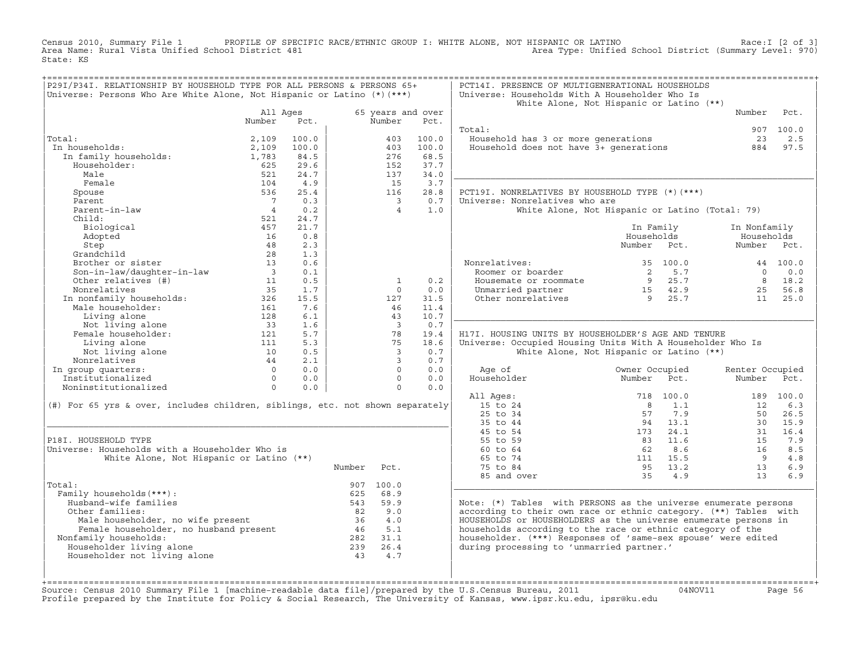Census 2010, Summary File 1 PROFILE OF SPECIFIC RACE/ETHNIC GROUP I: WHITE ALONE, NOT HISPANIC OR LATINO<br>Area Name: Rural Vista Unified School District 481 Area Type: Unified Schoo State: KS

| P29I/P34I. RELATIONSHIP BY HOUSEHOLD TYPE FOR ALL PERSONS & PERSONS 65+<br>Universe: Persons Who Are White Alone, Not Hispanic or Latino $(*)$ (***) |                                |       |                   |                             |       | PCT14I. PRESENCE OF MULTIGENERATIONAL HOUSEHOLDS<br>Universe: Households With A Householder Who Is |                                                 |                 |              |
|------------------------------------------------------------------------------------------------------------------------------------------------------|--------------------------------|-------|-------------------|-----------------------------|-------|----------------------------------------------------------------------------------------------------|-------------------------------------------------|-----------------|--------------|
|                                                                                                                                                      |                                |       |                   |                             |       |                                                                                                    | White Alone, Not Hispanic or Latino (**)        |                 |              |
|                                                                                                                                                      | All Ages<br>Number             | Pct.  |                   | 65 years and over<br>Number | Pct.  |                                                                                                    |                                                 | Number          | Pct.         |
|                                                                                                                                                      |                                |       |                   |                             |       | Total:                                                                                             |                                                 |                 | 907 100.0    |
| Total:                                                                                                                                               | 2,109                          | 100.0 |                   | 403                         | 100.0 | Household has 3 or more generations                                                                |                                                 | 23              | 2.5          |
| In households:                                                                                                                                       | 2,109                          | 100.0 |                   | 403                         | 100.0 | Household does not have 3+ generations                                                             |                                                 | 884             | 97.5         |
| In family households:                                                                                                                                | 1,783                          | 84.5  |                   | 276                         | 68.5  |                                                                                                    |                                                 |                 |              |
| Householder:                                                                                                                                         | 625                            | 29.6  |                   | 152                         | 37.7  |                                                                                                    |                                                 |                 |              |
| Male                                                                                                                                                 | 521                            | 24.7  |                   | 137                         | 34.0  |                                                                                                    |                                                 |                 |              |
| Female                                                                                                                                               | 104                            | 4.9   |                   | 15                          | 3.7   |                                                                                                    |                                                 |                 |              |
| Spouse                                                                                                                                               | 536                            | 25.4  |                   | 116                         | 28.8  | PCT19I. NONRELATIVES BY HOUSEHOLD TYPE (*) (***)                                                   |                                                 |                 |              |
| Parent                                                                                                                                               | $7\phantom{0}$                 | 0.3   |                   | $\overline{\phantom{a}}$    | 0.7   | Universe: Nonrelatives who are                                                                     |                                                 |                 |              |
| Parent-in-law                                                                                                                                        | $\overline{4}$                 | 0.2   |                   | $\overline{4}$              | 1.0   |                                                                                                    | White Alone, Not Hispanic or Latino (Total: 79) |                 |              |
| Child:                                                                                                                                               | 521                            | 24.7  |                   |                             |       |                                                                                                    |                                                 |                 |              |
| Biological                                                                                                                                           | 457                            | 21.7  |                   |                             |       |                                                                                                    | In Family                                       | In Nonfamily    |              |
| Adopted                                                                                                                                              | 16                             | 0.8   |                   |                             |       |                                                                                                    | Households                                      | Households      |              |
| Step                                                                                                                                                 | 48                             | 2.3   |                   |                             |       |                                                                                                    | Number Pct.                                     | Number          | Pct.         |
| Grandchild                                                                                                                                           | 28                             | 1.3   |                   |                             |       |                                                                                                    |                                                 |                 |              |
| Brother or sister                                                                                                                                    | 13                             | 0.6   |                   |                             |       | Nonrelatives:                                                                                      | 35 100.0                                        |                 | 44 100.0     |
| Son-in-law/daughter-in-law                                                                                                                           | $\overline{\mathbf{3}}$        | 0.1   |                   |                             |       | Roomer or boarder                                                                                  | 5.7<br>2                                        | $\cap$          | 0.0          |
| Other relatives (#)                                                                                                                                  | 11                             | 0.5   |                   | $\mathbf{1}$                | 0.2   | Housemate or roommate                                                                              | $9 \t 25.7$<br>15 42.9<br>9 25.7                |                 | 8 18.2       |
| Nonrelatives                                                                                                                                         | 35                             | 1.7   |                   | $\Omega$                    | 0.0   | Unmarried partner                                                                                  |                                                 |                 | 25 56.8      |
|                                                                                                                                                      |                                | 15.5  |                   | 127                         | 31.5  | Other nonrelatives                                                                                 |                                                 | 11              | 25.0         |
| Numerically households:<br>161 Male householder:<br>161 Living alone 128                                                                             |                                | 7.6   |                   | 46                          | 11.4  |                                                                                                    |                                                 |                 |              |
|                                                                                                                                                      | $\frac{33}{121}$<br>121<br>111 | 6.1   |                   | 43                          | 10.7  |                                                                                                    |                                                 |                 |              |
| Not living alone                                                                                                                                     |                                | 1.6   |                   | $\overline{\phantom{a}}$    | 0.7   |                                                                                                    |                                                 |                 |              |
| Female householder:                                                                                                                                  |                                | 5.7   |                   | 78                          | 19.4  | H17I. HOUSING UNITS BY HOUSEHOLDER'S AGE AND TENURE                                                |                                                 |                 |              |
| Living alone                                                                                                                                         |                                | 5.3   |                   | 75                          | 18.6  | Universe: Occupied Housing Units With A Householder Who Is                                         |                                                 |                 |              |
| Not living alone                                                                                                                                     | 10                             | 0.5   |                   | $\overline{\mathbf{3}}$     | 0.7   |                                                                                                    | White Alone, Not Hispanic or Latino (**)        |                 |              |
| Nonrelatives                                                                                                                                         | 44                             | 2.1   |                   | $\overline{\mathbf{3}}$     | 0.7   |                                                                                                    |                                                 |                 |              |
| In group quarters:                                                                                                                                   | $\overline{0}$                 | 0.0   |                   | $\Omega$                    | 0.0   | Age of                                                                                             | Owner Occupied                                  | Renter Occupied |              |
| Institutionalized                                                                                                                                    | $\overline{0}$                 | 0.0   |                   | $\Omega$                    | 0.0   | Householder                                                                                        | Number<br>Pct.                                  | Number          | Pct.         |
| Noninstitutionalized                                                                                                                                 | $\Omega$                       | 0.0   |                   | $\Omega$                    | 0.0   |                                                                                                    |                                                 |                 |              |
|                                                                                                                                                      |                                |       |                   |                             |       | All Ages:                                                                                          | 718 100.0                                       |                 | 189 100.0    |
| (#) For 65 yrs & over, includes children, siblings, etc. not shown separately                                                                        |                                |       |                   |                             |       | 15 to 24<br>25 to 34                                                                               | $\overline{8}$<br>1.1<br>7.9<br>57              | 12<br>50        | 6.3<br>26.5  |
|                                                                                                                                                      |                                |       |                   |                             |       | 35 to 44                                                                                           | 94 13.1                                         |                 |              |
|                                                                                                                                                      |                                |       |                   |                             |       | 45 to 54                                                                                           | 173 24.1                                        | 30<br>31        | 15.9<br>16.4 |
| P18I. HOUSEHOLD TYPE                                                                                                                                 |                                |       |                   |                             |       | 55 to 59                                                                                           | 83 11.6                                         | 15              | 7.9          |
| Universe: Households with a Householder Who is                                                                                                       |                                |       |                   |                             |       | 60 to 64                                                                                           | 62<br>8.6                                       | 16              | 8.5          |
| White Alone, Not Hispanic or Latino (**)                                                                                                             |                                |       |                   |                             |       | 65 to 74                                                                                           | 111 15.5                                        | 9               | 4.8          |
|                                                                                                                                                      |                                |       | Number            |                             |       | 75 to 84                                                                                           | 95 13.2                                         | 13              | 6.9          |
|                                                                                                                                                      |                                |       |                   | Pct.                        |       |                                                                                                    | 4.9<br>35                                       | 13              | 6.9          |
| Total:                                                                                                                                               |                                |       |                   | 907 100.0                   |       | 85 and over                                                                                        |                                                 |                 |              |
| Family households (***) :                                                                                                                            |                                |       | 625               | 68.9                        |       |                                                                                                    |                                                 |                 |              |
| Husband-wife families                                                                                                                                |                                |       | 543               | 59.9                        |       | Note: $(*)$ Tables with PERSONS as the universe enumerate persons                                  |                                                 |                 |              |
| Other families:                                                                                                                                      |                                |       | 82                | 9.0                         |       | according to their own race or ethnic category. (**) Tables with                                   |                                                 |                 |              |
|                                                                                                                                                      |                                |       |                   |                             |       | HOUSEHOLDS or HOUSEHOLDERS as the universe enumerate persons in                                    |                                                 |                 |              |
| Male householder, no wife present<br>Female householder, no husband present<br>Family households: 282 31.1                                           |                                |       |                   |                             |       | households according to the race or ethnic category of the                                         |                                                 |                 |              |
| Nonfamily households:                                                                                                                                |                                |       |                   | 282 31.1                    |       | householder. (***) Responses of 'same-sex spouse' were edited                                      |                                                 |                 |              |
| Householder living alone                                                                                                                             |                                |       | $\frac{282}{239}$ | 26.4                        |       | during processing to 'unmarried partner.'                                                          |                                                 |                 |              |
| Householder not living alone                                                                                                                         |                                |       |                   | 4.7                         |       |                                                                                                    |                                                 |                 |              |
|                                                                                                                                                      |                                |       |                   |                             |       |                                                                                                    |                                                 |                 |              |
|                                                                                                                                                      |                                |       |                   |                             |       |                                                                                                    |                                                 |                 |              |
|                                                                                                                                                      |                                |       |                   |                             |       |                                                                                                    |                                                 |                 |              |

+===================================================================================================================================================+Source: Census 2010 Summary File 1 [machine−readable data file]/prepared by the U.S.Census Bureau, 2011 04NOV11 Page 56 Profile prepared by the Institute for Policy & Social Research, The University of Kansas, www.ipsr.ku.edu, ipsr@ku.edu